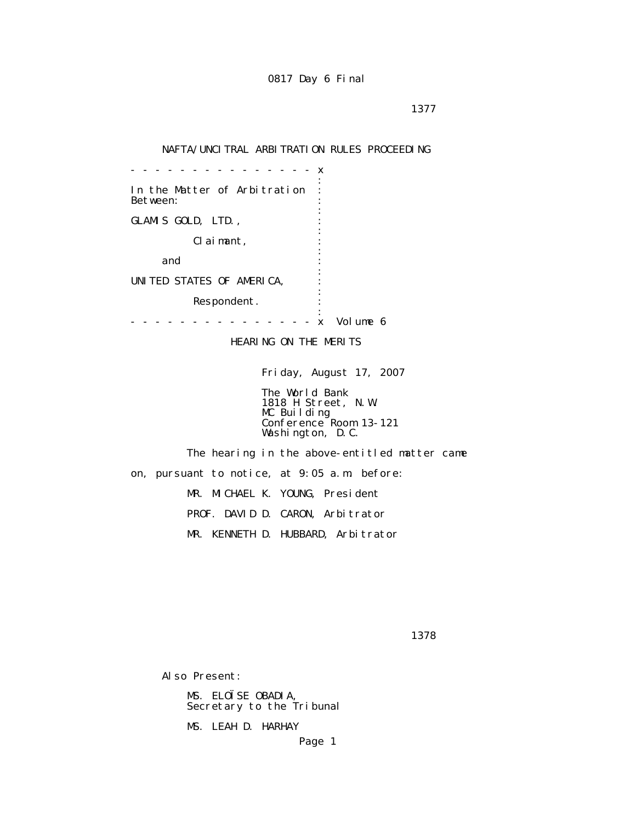### NAFTA/UNCITRAL ARBITRATION RULES PROCEEDING

 - - - - - - - - - - - - - - - x the contract of the contract of the contract of the contract of the contract of the contract of the contract of In the Matter of Arbitration : Between: the contract of the contract of the contract of the contract of the contract of the contract of the contract of GLAMIS GOLD, LTD., the contract of the contract of the contract of the contract of the contract of the contract of the contract of Claimant, : the contract of the contract of the contract of the contract of the contract of the contract of the contract of and  $\cdots$  : the contract of the contract of the contract of the contract of the contract of the contract of the contract of UNITED STATES OF AMERICA, : the contract of the contract of the contract of the contract of the contract of the contract of the contract of Respondent. the contract of the contract of the contract of the contract of the contract of the contract of the contract of - - - - - - - - - - - - - - - x Volume 6

HEARING ON THE MERITS

Friday, August 17, 2007

 The World Bank 1818 H Street, N.W. MC Building Conference Room 13-121 Washington, D.C.

 The hearing in the above-entitled matter came on, pursuant to notice, at 9:05 a.m. before: MR. MICHAEL K. YOUNG, President PROF. DAVID D. CARON, Arbitrator MR. KENNETH D. HUBBARD, Arbitrator

1378

Also Present:

 MS. ELOÏSE OBADIA, Secretary to the Tribunal

MS. LEAH D. HARHAY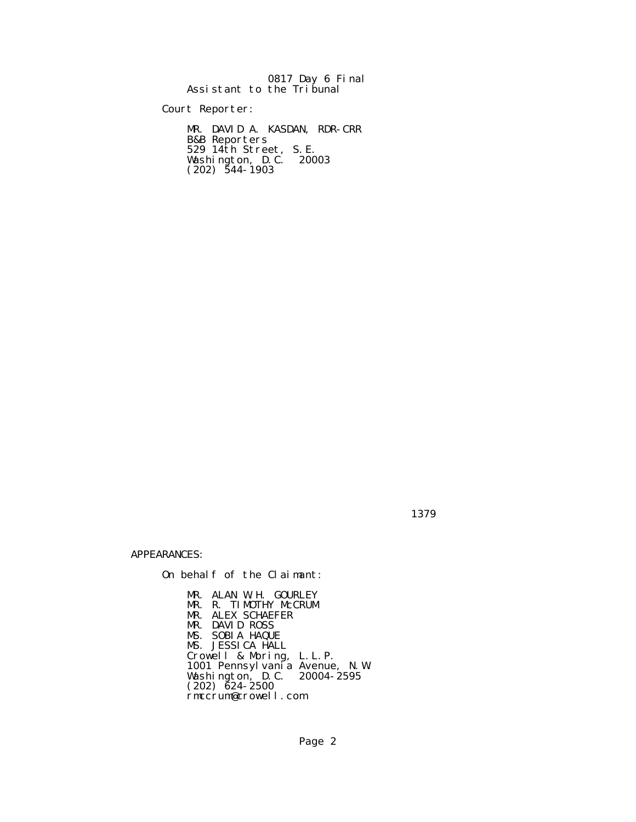|                           |  | 0817 Day 6 Final |  |
|---------------------------|--|------------------|--|
| Assistant to the Tribunal |  |                  |  |

Court Reporter:

 MR. DAVID A. KASDAN, RDR-CRR B&B Reporters 529 14th Street, S.E. Washington, D.C. 20003  $(202)$  544-1903

1379

APPEARANCES:

On behalf of the Claimant:

 MR. ALAN W.H. GOURLEY MR. R. TIMOTHY McCRUM MR. ALEX SCHAEFER MR. DAVID ROSS MS. SOBIA HAQUE MS. JESSICA HALL Crowell & Moring, L.L.P. 1001 Pennsylvania Avenue, N.W. Washington, D.C. 20004-2595  $(202)$   $\bar{6}24 - 2500$ rmccrum@crowell.com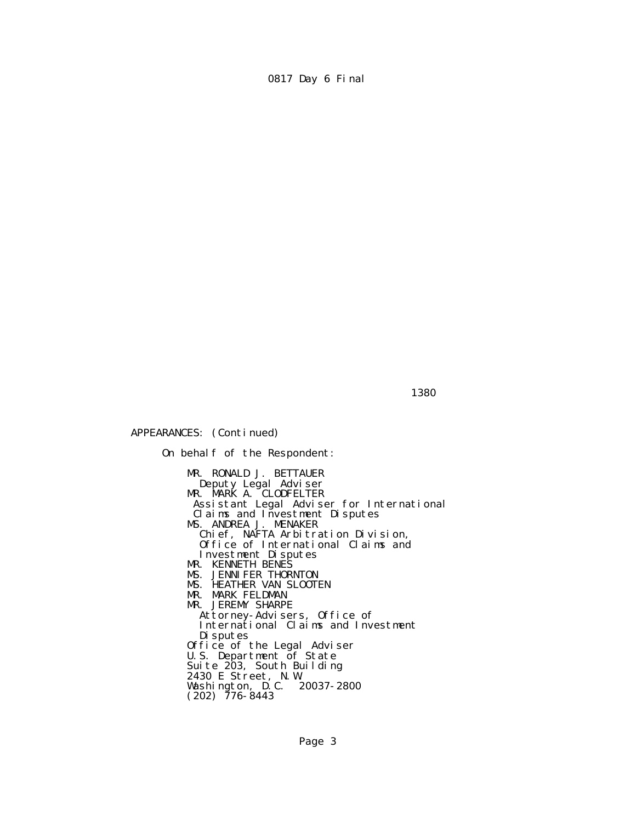$1380$ 

APPEARANCES: (Continued)

 On behalf of the Respondent: MR. RONALD J. BETTAUER Deputy Legal Adviser **MR. MARK A. CLODFELTER**  Assistant Legal Adviser for International Claims and Investment Disputes MS. ANDREA J. MENAKER Chief, NAFTA Arbitration Division, Office of International Claims and Investment Disputes MR. KENNETH BENES MS. JENNIFER THORNTON MS. HEATHER VAN SLOOTEN MR. MARK FELDMAN MR. JEREMY SHARPE Attorney-Advisers, Office of International Claims and Investment Disputes Office of the Legal Adviser U.S. Department of State Suite 203, South Building 2430 E Street, N.W. Washington, D.C. 20037-2800  $(202)$  776-8443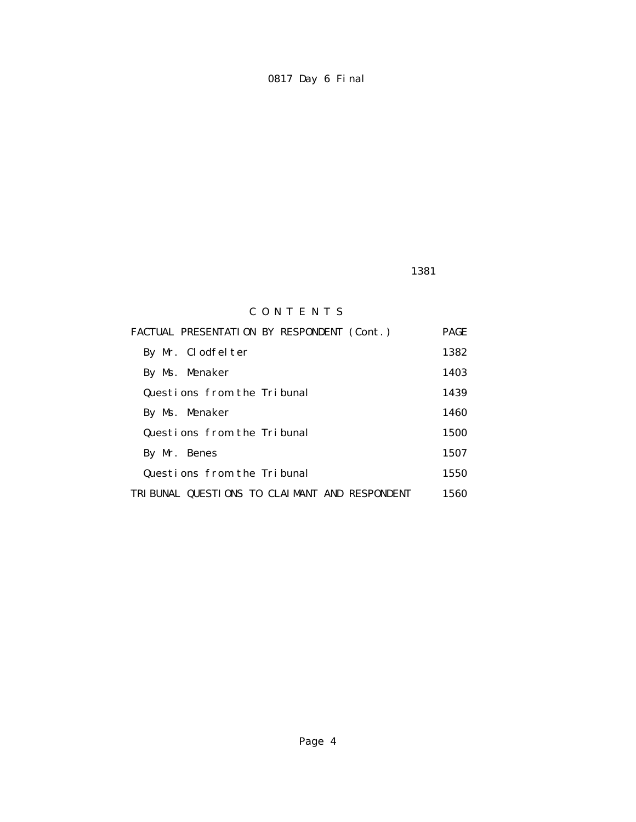1381

# C O N T E N T S

| FACTUAL PRESENTATION BY RESPONDENT (Cont.)    | <b>PAGE</b> |
|-----------------------------------------------|-------------|
| By Mr. Clodfelter                             | 1382        |
| By Ms. Menaker                                | 1403        |
| Questions from the Tribunal                   | 1439        |
| By Ms. Menaker                                | 1460        |
| Questions from the Tribunal                   | 1500        |
| By Mr. Benes                                  | 1507        |
| Questions from the Tribunal                   | 1550        |
| TRIBUNAL QUESTIONS TO CLAIMANT AND RESPONDENT | 1560        |
|                                               |             |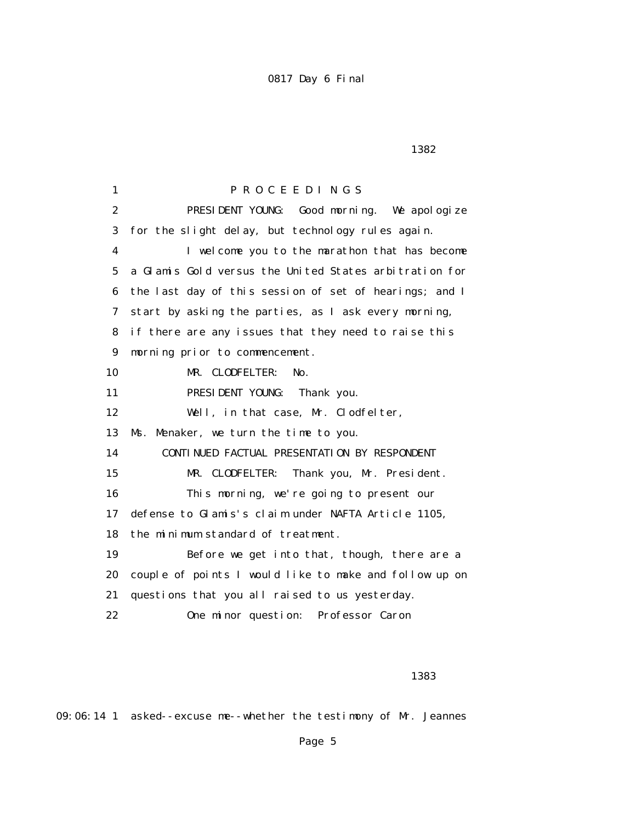$1382$ 

 1 P R O C E E D I N G S 2 PRESIDENT YOUNG: Good morning. We apologize 3 for the slight delay, but technology rules again. 4 I welcome you to the marathon that has become 5 a Glamis Gold versus the United States arbitration for 6 the last day of this session of set of hearings; and I 7 start by asking the parties, as I ask every morning, 8 if there are any issues that they need to raise this 9 morning prior to commencement. 10 MR. CLODFELTER: No. 11 PRESIDENT YOUNG: Thank you. 12 Well, in that case, Mr. Clodfelter, 13 Ms. Menaker, we turn the time to you. 14 CONTINUED FACTUAL PRESENTATION BY RESPONDENT 15 MR. CLODFELTER: Thank you, Mr. President. 16 This morning, we're going to present our 17 defense to Glamis's claim under NAFTA Article 1105, 18 the minimum standard of treatment. 19 Before we get into that, though, there are a 20 couple of points I would like to make and follow up on 21 questions that you all raised to us yesterday. 22 One minor question: Professor Caron

#### 1383

09:06:14 1 asked--excuse me--whether the testimony of Mr. Jeannes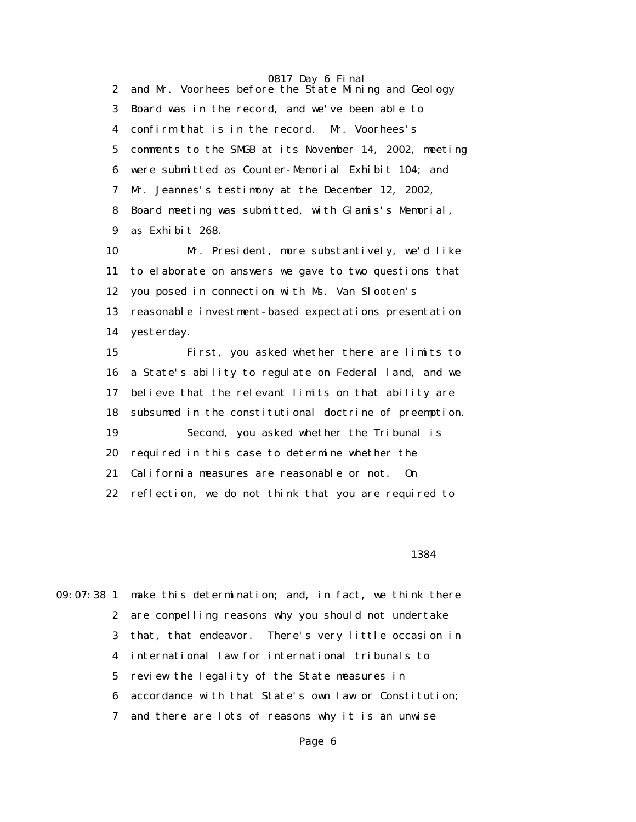0817 Day 6 Final 2 and Mr. Voorhees before the State Mining and Geology 3 Board was in the record, and we've been able to 4 confirm that is in the record. Mr. Voorhees's 5 comments to the SMGB at its November 14, 2002, meeting 6 were submitted as Counter-Memorial Exhibit 104; and 7 Mr. Jeannes's testimony at the December 12, 2002, 8 Board meeting was submitted, with Glamis's Memorial, 9 as Exhibit 268.

 10 Mr. President, more substantively, we'd like 11 to elaborate on answers we gave to two questions that 12 you posed in connection with Ms. Van Slooten's 13 reasonable investment-based expectations presentation 14 yesterday.

 15 First, you asked whether there are limits to 16 a State's ability to regulate on Federal land, and we 17 believe that the relevant limits on that ability are 18 subsumed in the constitutional doctrine of preemption. 19 Second, you asked whether the Tribunal is 20 required in this case to determine whether the 21 California measures are reasonable or not. On 22 reflection, we do not think that you are required to

1384

09:07:38 1 make this determination; and, in fact, we think there 2 are compelling reasons why you should not undertake 3 that, that endeavor. There's very little occasion in 4 international law for international tribunals to 5 review the legality of the State measures in 6 accordance with that State's own law or Constitution; 7 and there are lots of reasons why it is an unwise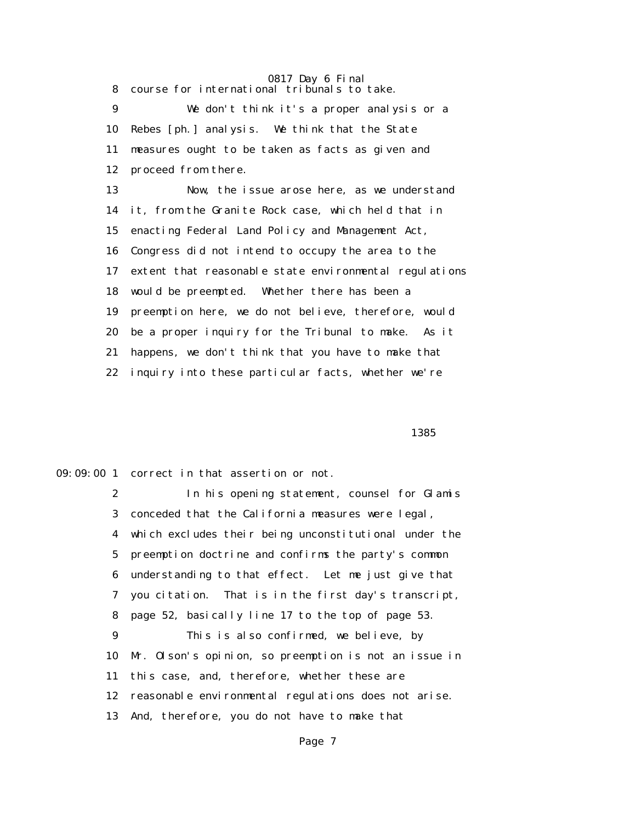8 course for international tribunals to take.

 9 We don't think it's a proper analysis or a 10 Rebes [ph.] analysis. We think that the State 11 measures ought to be taken as facts as given and 12 proceed from there.

 13 Now, the issue arose here, as we understand 14 it, from the Granite Rock case, which held that in 15 enacting Federal Land Policy and Management Act, 16 Congress did not intend to occupy the area to the 17 extent that reasonable state environmental regulations 18 would be preempted. Whether there has been a 19 preemption here, we do not believe, therefore, would 20 be a proper inquiry for the Tribunal to make. As it 21 happens, we don't think that you have to make that 22 inquiry into these particular facts, whether we're

 $1385$ 

09:09:00 1 correct in that assertion or not.

 2 In his opening statement, counsel for Glamis 3 conceded that the California measures were legal, 4 which excludes their being unconstitutional under the 5 preemption doctrine and confirms the party's common 6 understanding to that effect. Let me just give that 7 you citation. That is in the first day's transcript, 8 page 52, basically line 17 to the top of page 53. 9 This is also confirmed, we believe, by 10 Mr. Olson's opinion, so preemption is not an issue in 11 this case, and, therefore, whether these are 12 reasonable environmental regulations does not arise. 13 And, therefore, you do not have to make that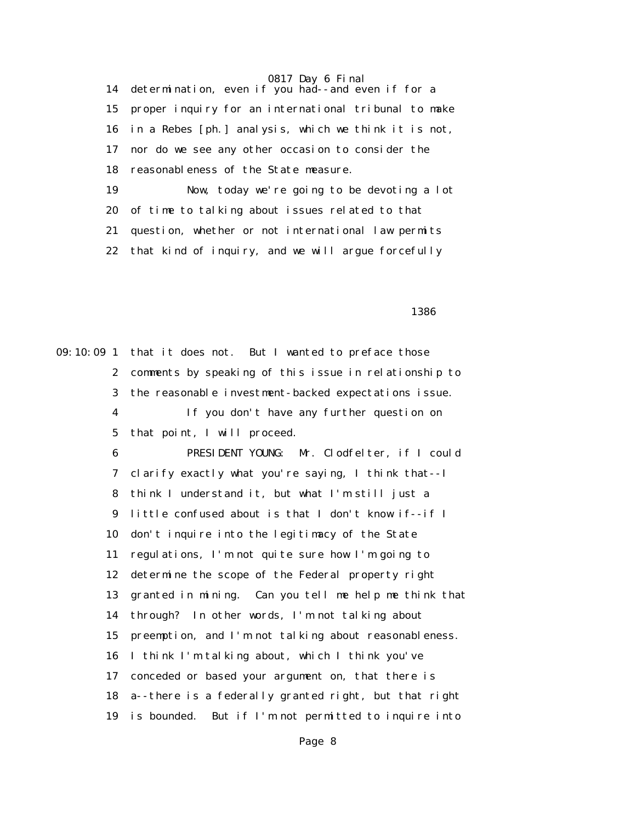14 determination, even if you had--and even if for a 15 proper inquiry for an international tribunal to make 16 in a Rebes [ph.] analysis, which we think it is not, 17 nor do we see any other occasion to consider the 18 reasonableness of the State measure. 19 Now, today we're going to be devoting a lot 20 of time to talking about issues related to that 21 question, whether or not international law permits 22 that kind of inquiry, and we will argue forcefully

 $1386$ 

09:10:09 1 that it does not. But I wanted to preface those 2 comments by speaking of this issue in relationship to 3 the reasonable investment-backed expectations issue. 4 If you don't have any further question on 5 that point, I will proceed. 6 PRESIDENT YOUNG: Mr. Clodfelter, if I could 7 clarify exactly what you're saying, I think that--I 8 think I understand it, but what I'm still just a 9 little confused about is that I don't know if--if I 10 don't inquire into the legitimacy of the State 11 regulations, I'm not quite sure how I'm going to 12 determine the scope of the Federal property right 13 granted in mining. Can you tell me help me think that 14 through? In other words, I'm not talking about 15 preemption, and I'm not talking about reasonableness. 16 I think I'm talking about, which I think you've 17 conceded or based your argument on, that there is 18 a--there is a federally granted right, but that right 19 is bounded. But if I'm not permitted to inquire into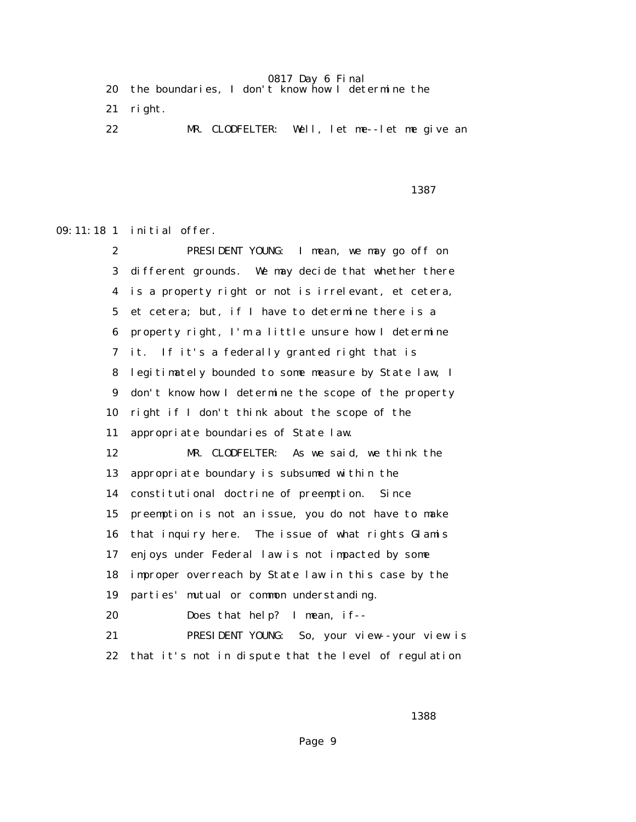|  |  | 20 the boundaries, I don't know how I determine the |  |  |  |  |  |
|--|--|-----------------------------------------------------|--|--|--|--|--|
|--|--|-----------------------------------------------------|--|--|--|--|--|

21 right.

22 MR. CLODFELTER: Well, let me--let me give an

последница в област 1387 година в 1387 године в 1387 године в 1387 године в 1387 године в 1387 године в 1387 г<br>Последница в 1387 године в 1387 године в 1387 године в 1387 године в 1387 године в 1387 године в 1387 године в

09:11:18 1 initial offer.

 2 PRESIDENT YOUNG: I mean, we may go off on 3 different grounds. We may decide that whether there 4 is a property right or not is irrelevant, et cetera, 5 et cetera; but, if I have to determine there is a 6 property right, I'm a little unsure how I determine 7 it. If it's a federally granted right that is 8 legitimately bounded to some measure by State law, I 9 don't know how I determine the scope of the property 10 right if I don't think about the scope of the 11 appropriate boundaries of State law. 12 MR. CLODFELTER: As we said, we think the 13 appropriate boundary is subsumed within the 14 constitutional doctrine of preemption. Since 15 preemption is not an issue, you do not have to make 16 that inquiry here. The issue of what rights Glamis 17 enjoys under Federal law is not impacted by some 18 improper overreach by State law in this case by the 19 parties' mutual or common understanding. 20 Does that help? I mean, if-- 21 PRESIDENT YOUNG: So, your view--your view is 22 that it's not in dispute that the level of regulation

 $1388$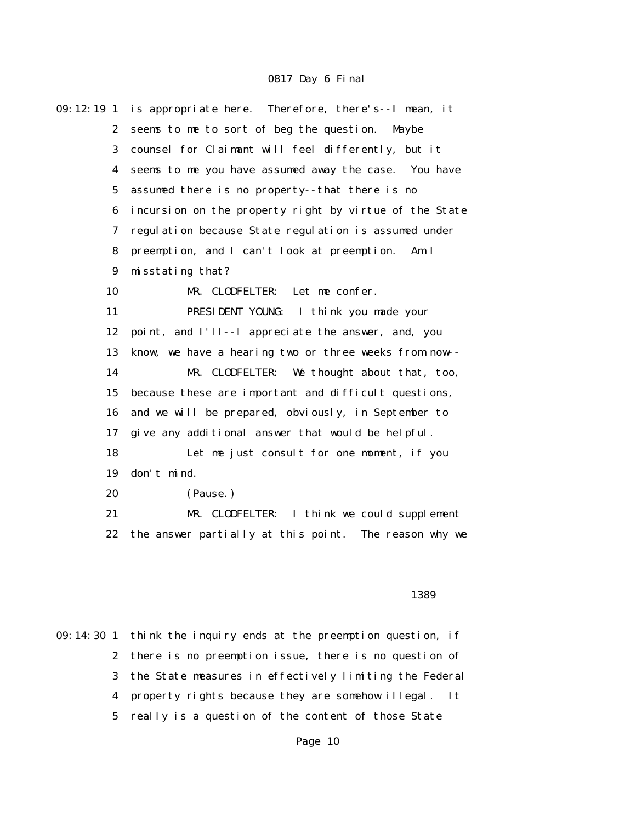| 09:12:19 <sub>1</sub> | is appropriate here. Therefore, there's--I mean, it    |  |  |
|-----------------------|--------------------------------------------------------|--|--|
| $\boldsymbol{2}$      | seems to me to sort of beg the question.<br>Maybe      |  |  |
| 3                     | counsel for Claimant will feel differently, but it     |  |  |
| 4                     | seems to me you have assumed away the case. You have   |  |  |
| $\mathbf 5$           | assumed there is no property--that there is no         |  |  |
| 6                     | incursion on the property right by virtue of the State |  |  |
| 7                     | regulation because State regulation is assumed under   |  |  |
| 8                     | preemption, and I can't look at preemption.<br>Am I    |  |  |
| 9                     | misstating that?                                       |  |  |
| 10                    | MR. CLODFELTER:<br>Let me confer.                      |  |  |
| 11                    | PRESIDENT YOUNG: I think you made your                 |  |  |
| 12                    | point, and I'll--I appreciate the answer, and, you     |  |  |
| 13                    | know, we have a hearing two or three weeks from now--  |  |  |
| 14                    | We thought about that, too,<br>MR. CLODFELTER:         |  |  |
| 15                    | because these are important and difficult questions,   |  |  |
| 16                    | and we will be prepared, obviously, in September to    |  |  |
| 17                    | give any additional answer that would be helpful.      |  |  |
| 18                    | Let me just consult for one moment, if you             |  |  |
| 19                    | don't mind.                                            |  |  |
| 20                    | (Pause.)                                               |  |  |
| 21                    | MR. CLODFELTER: I think we could supplement            |  |  |
| 22                    | the answer partially at this point. The reason why we  |  |  |
|                       |                                                        |  |  |
|                       |                                                        |  |  |
|                       | 1389                                                   |  |  |

09:14:30 1 think the inquiry ends at the preemption question, if 2 there is no preemption issue, there is no question of 3 the State measures in effectively limiting the Federal 4 property rights because they are somehow illegal. It 5 really is a question of the content of those State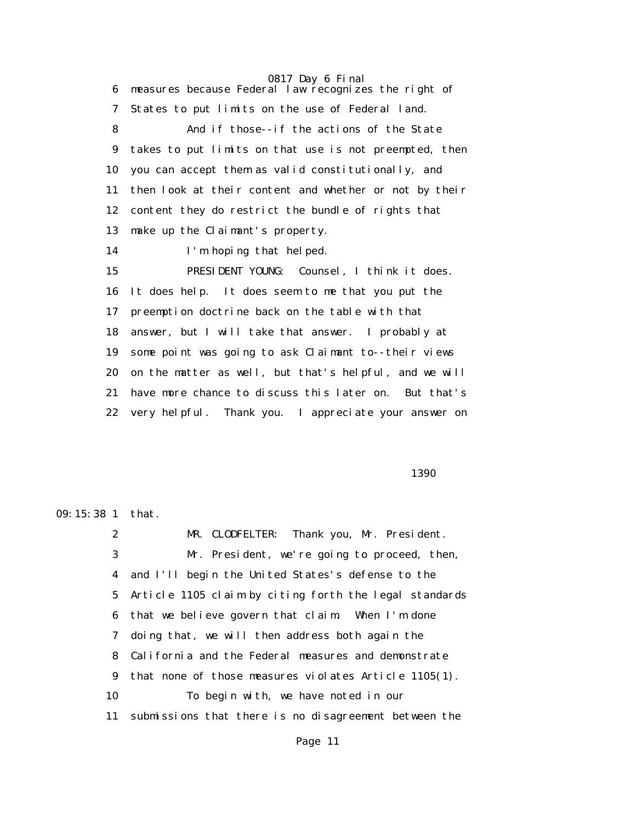0817 Day 6 Final 6 measures because Federal law recognizes the right of 7 States to put limits on the use of Federal land. 8 And if those--if the actions of the State 9 takes to put limits on that use is not preempted, then 10 you can accept them as valid constitutionally, and 11 then look at their content and whether or not by their 12 content they do restrict the bundle of rights that 13 make up the Claimant's property. 14 I'm hoping that helped. 15 PRESIDENT YOUNG: Counsel, I think it does. 16 It does help. It does seem to me that you put the 17 preemption doctrine back on the table with that 18 answer, but I will take that answer. I probably at 19 some point was going to ask Claimant to--their views 20 on the matter as well, but that's helpful, and we will 21 have more chance to discuss this later on. But that's 22 very helpful. Thank you. I appreciate your answer on

 $1390$ 

09:15:38 1 that.

 2 MR. CLODFELTER: Thank you, Mr. President. 3 Mr. President, we're going to proceed, then, 4 and I'll begin the United States's defense to the 5 Article 1105 claim by citing forth the legal standards 6 that we believe govern that claim. When I'm done 7 doing that, we will then address both again the 8 California and the Federal measures and demonstrate 9 that none of those measures violates Article 1105(1). 10 To begin with, we have noted in our 11 submissions that there is no disagreement between the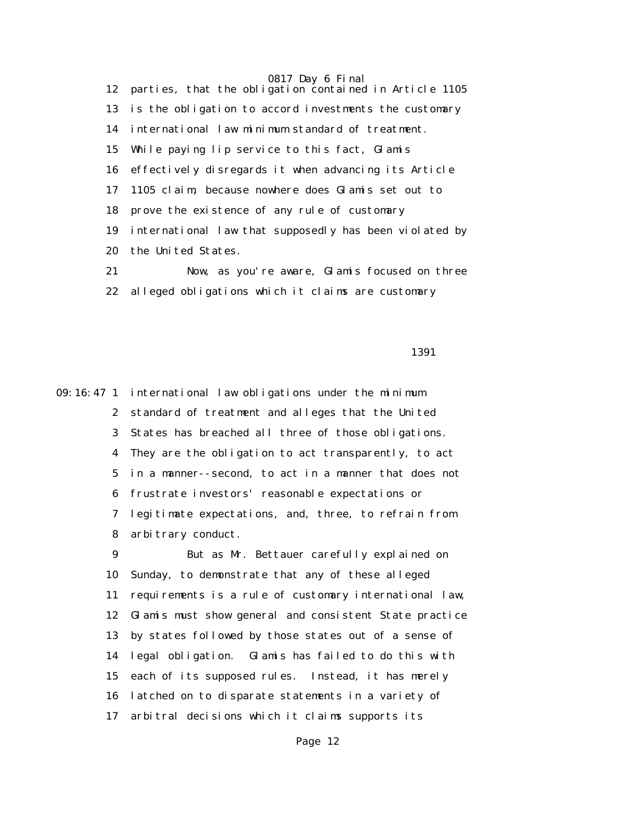0817 Day 6 Final 12 parties, that the obligation contained in Article 1105 13 is the obligation to accord investments the customary 14 international law minimum standard of treatment. 15 While paying lip service to this fact, Glamis 16 effectively disregards it when advancing its Article 17 1105 claim, because nowhere does Glamis set out to 18 prove the existence of any rule of customary 19 international law that supposedly has been violated by 20 the United States. 21 Now, as you're aware, Glamis focused on three

22 alleged obligations which it claims are customary

1391

09:16:47 1 international law obligations under the minimum 2 standard of treatment and alleges that the United 3 States has breached all three of those obligations. 4 They are the obligation to act transparently, to act 5 in a manner--second, to act in a manner that does not 6 frustrate investors' reasonable expectations or 7 legitimate expectations, and, three, to refrain from 8 arbitrary conduct.

> 9 But as Mr. Bettauer carefully explained on 10 Sunday, to demonstrate that any of these alleged 11 requirements is a rule of customary international law, 12 Glamis must show general and consistent State practice 13 by states followed by those states out of a sense of 14 legal obligation. Glamis has failed to do this with 15 each of its supposed rules. Instead, it has merely 16 latched on to disparate statements in a variety of 17 arbitral decisions which it claims supports its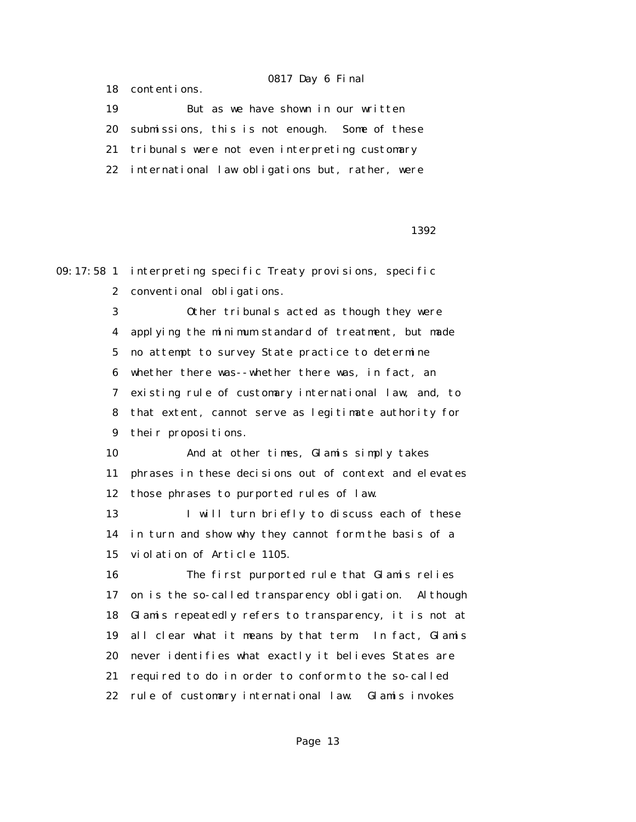18 contentions.

 19 But as we have shown in our written 20 submissions, this is not enough. Some of these 21 tribunals were not even interpreting customary 22 international law obligations but, rather, were

 $1392$ 

09:17:58 1 interpreting specific Treaty provisions, specific

2 conventional obligations.

 3 Other tribunals acted as though they were 4 applying the minimum standard of treatment, but made 5 no attempt to survey State practice to determine 6 whether there was--whether there was, in fact, an 7 existing rule of customary international law, and, to 8 that extent, cannot serve as legitimate authority for 9 their propositions.

 10 And at other times, Glamis simply takes 11 phrases in these decisions out of context and elevates 12 those phrases to purported rules of law.

13 I will turn briefly to discuss each of these 14 in turn and show why they cannot form the basis of a 15 violation of Article 1105.

 16 The first purported rule that Glamis relies 17 on is the so-called transparency obligation. Although 18 Glamis repeatedly refers to transparency, it is not at 19 all clear what it means by that term. In fact, Glamis 20 never identifies what exactly it believes States are 21 required to do in order to conform to the so-called 22 rule of customary international law. Glamis invokes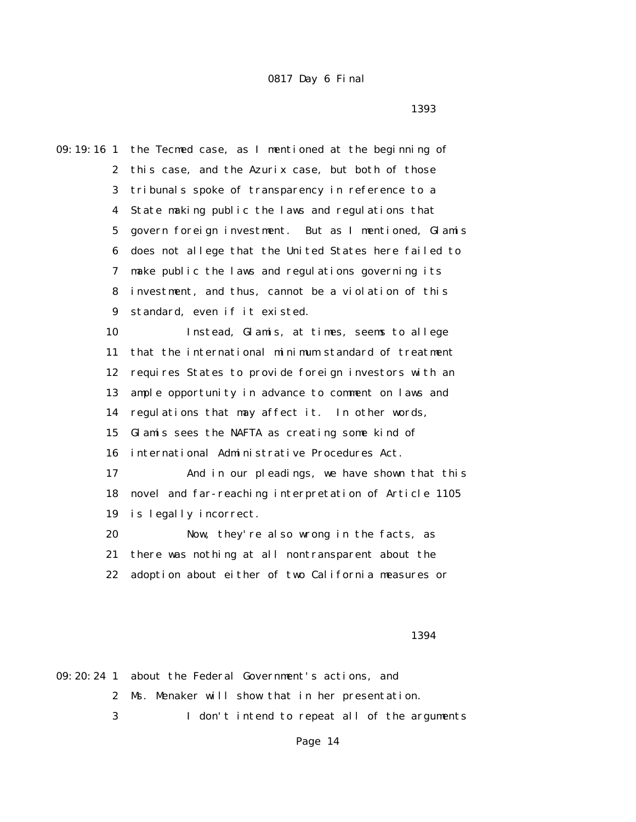последница в област 1393 година в 1393 година в област 1393 година в област 1393 година в област 1393 година<br>В област 1393 година в област 1393 година в област 1393 година в област 1393 година в област 1393 година в обл

09:19:16 1 the Tecmed case, as I mentioned at the beginning of 2 this case, and the Azurix case, but both of those 3 tribunals spoke of transparency in reference to a 4 State making public the laws and regulations that 5 govern foreign investment. But as I mentioned, Glamis 6 does not allege that the United States here failed to 7 make public the laws and regulations governing its 8 investment, and thus, cannot be a violation of this 9 standard, even if it existed. 10 Instead, Glamis, at times, seems to allege 11 that the international minimum standard of treatment 12 requires States to provide foreign investors with an 13 ample opportunity in advance to comment on laws and 14 regulations that may affect it. In other words, 15 Glamis sees the NAFTA as creating some kind of 16 international Administrative Procedures Act. 17 And in our pleadings, we have shown that this 18 novel and far-reaching interpretation of Article 1105 19 is legally incorrect. 20 Now, they're also wrong in the facts, as 21 there was nothing at all nontransparent about the 22 adoption about either of two California measures or

1394

09:20:24 1 about the Federal Government's actions, and 2 Ms. Menaker will show that in her presentation. 3 I don't intend to repeat all of the arguments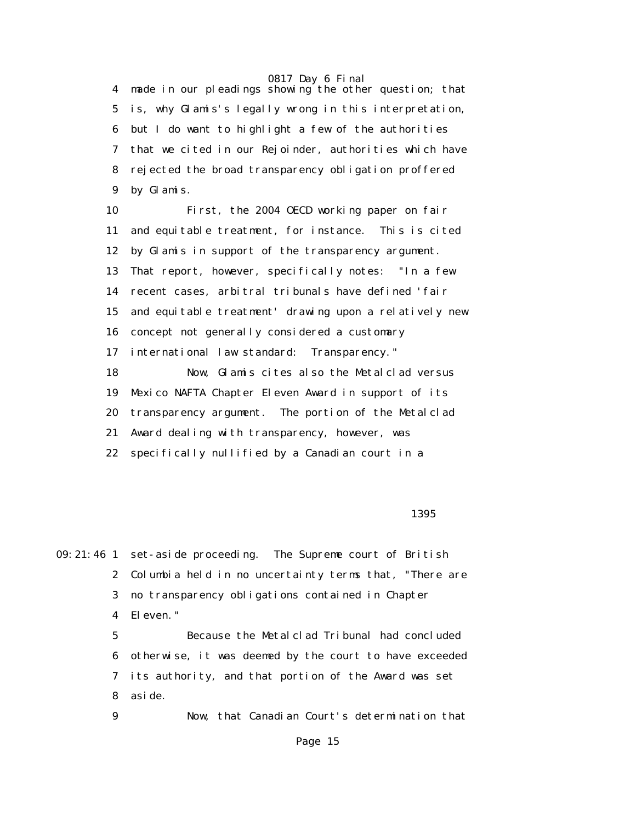4 made in our pleadings showing the other question; that 5 is, why Glamis's legally wrong in this interpretation, 6 but I do want to highlight a few of the authorities 7 that we cited in our Rejoinder, authorities which have 8 rejected the broad transparency obligation proffered 9 by Glamis.

 10 First, the 2004 OECD working paper on fair 11 and equitable treatment, for instance. This is cited 12 by Glamis in support of the transparency argument. 13 That report, however, specifically notes: "In a few 14 recent cases, arbitral tribunals have defined 'fair 15 and equitable treatment' drawing upon a relatively new 16 concept not generally considered a customary 17 international law standard: Transparency." 18 Now, Glamis cites also the Metalclad versus 19 Mexico NAFTA Chapter Eleven Award in support of its 20 transparency argument. The portion of the Metalclad 21 Award dealing with transparency, however, was 22 specifically nullified by a Canadian court in a

 $1395$ 

09:21:46 1 set-aside proceeding. The Supreme court of British 2 Columbia held in no uncertainty terms that, "There are 3 no transparency obligations contained in Chapter 4 Eleven." 5 Because the Metalclad Tribunal had concluded

> 6 otherwise, it was deemed by the court to have exceeded 7 its authority, and that portion of the Award was set 8 aside.

9 Now, that Canadian Court's determination that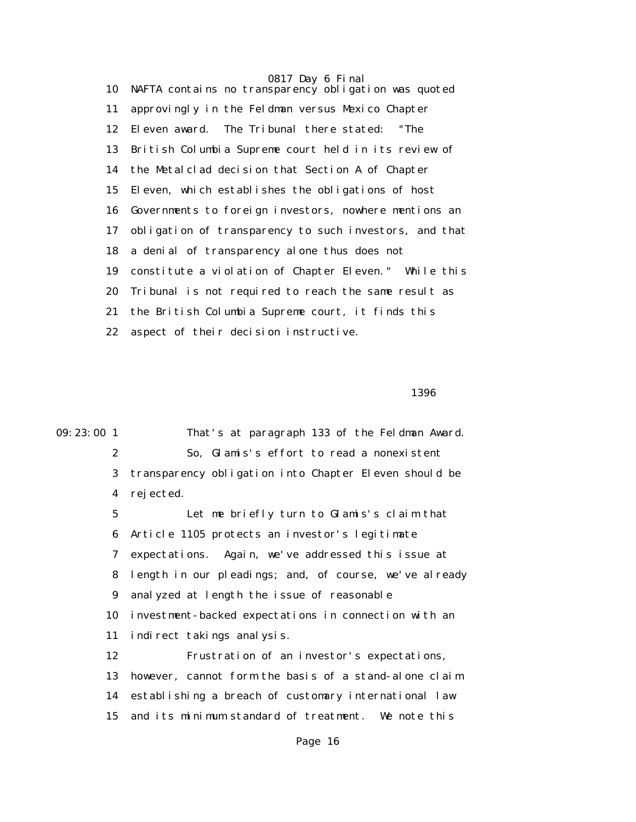0817 Day 6 Final 10 NAFTA contains no transparency obligation was quoted 11 approvingly in the Feldman versus Mexico Chapter 12 Eleven award. The Tribunal there stated: "The 13 British Columbia Supreme court held in its review of 14 the Metalclad decision that Section A of Chapter 15 Eleven, which establishes the obligations of host 16 Governments to foreign investors, nowhere mentions an 17 obligation of transparency to such investors, and that 18 a denial of transparency alone thus does not 19 constitute a violation of Chapter Eleven." While this 20 Tribunal is not required to reach the same result as 21 the British Columbia Supreme court, it finds this 22 aspect of their decision instructive.

 $1396$ 

09:23:00 1 That's at paragraph 133 of the Feldman Award. 2 So, Glamis's effort to read a nonexistent 3 transparency obligation into Chapter Eleven should be 4 rejected. 5 Let me briefly turn to Glamis's claim that 6 Article 1105 protects an investor's legitimate 7 expectations. Again, we've addressed this issue at 8 length in our pleadings; and, of course, we've already

> 9 analyzed at length the issue of reasonable 10 investment-backed expectations in connection with an

11 indirect takings analysis.

 12 Frustration of an investor's expectations, 13 however, cannot form the basis of a stand-alone claim 14 establishing a breach of customary international law 15 and its minimum standard of treatment. We note this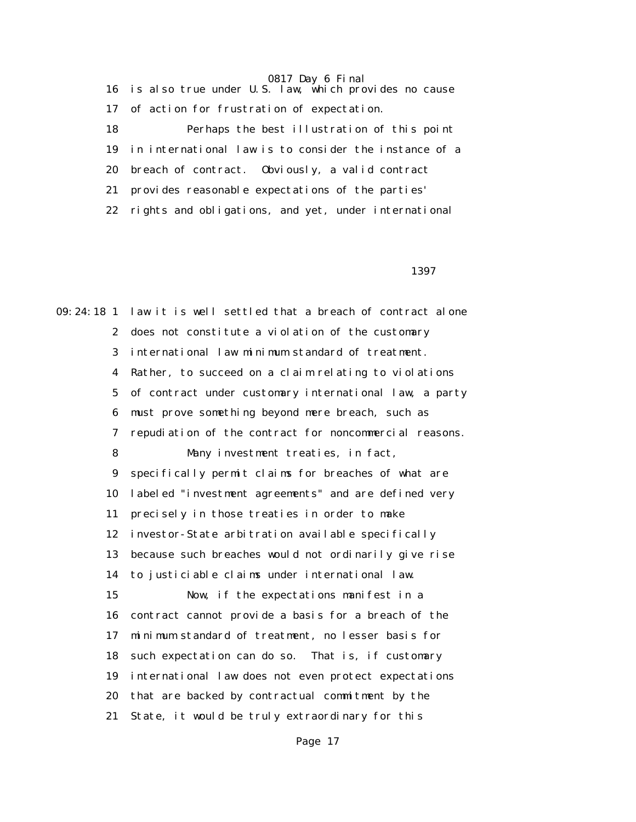16 is also true under U.S. law, which provides no cause 17 of action for frustration of expectation. 18 Perhaps the best illustration of this point 19 in international law is to consider the instance of a 20 breach of contract. Obviously, a valid contract 21 provides reasonable expectations of the parties' 22 rights and obligations, and yet, under international

 $1397$ 

09:24:18 1 law it is well settled that a breach of contract alone 2 does not constitute a violation of the customary 3 international law minimum standard of treatment. 4 Rather, to succeed on a claim relating to violations 5 of contract under customary international law, a party 6 must prove something beyond mere breach, such as 7 repudiation of the contract for noncommercial reasons. 8 Many investment treaties, in fact, 9 specifically permit claims for breaches of what are 10 labeled "investment agreements" and are defined very 11 precisely in those treaties in order to make 12 investor-State arbitration available specifically 13 because such breaches would not ordinarily give rise 14 to justiciable claims under international law. 15 Now, if the expectations manifest in a 16 contract cannot provide a basis for a breach of the 17 minimum standard of treatment, no lesser basis for 18 such expectation can do so. That is, if customary 19 international law does not even protect expectations 20 that are backed by contractual commitment by the 21 State, it would be truly extraordinary for this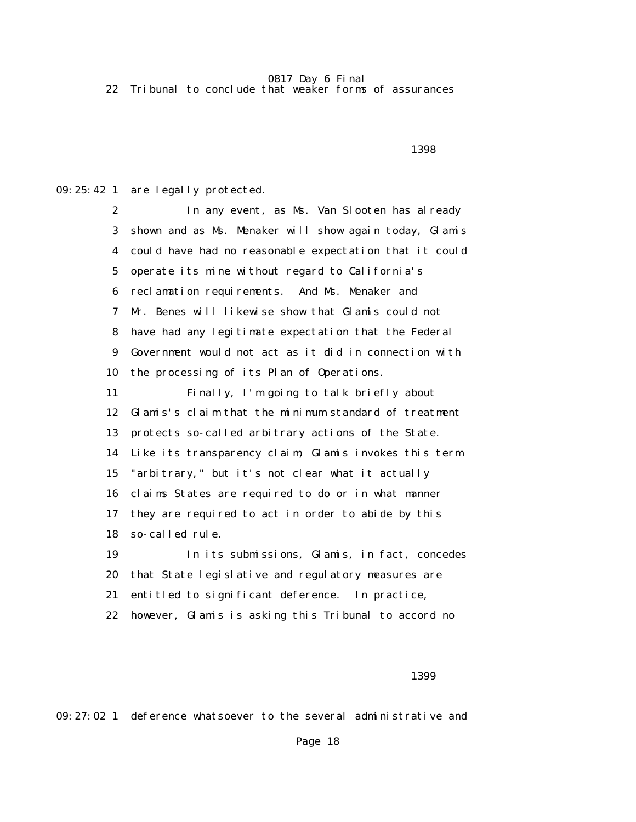22 Tribunal to conclude that weaker forms of assurances

 $1398$ 

09:25:42 1 are legally protected.

 2 In any event, as Ms. Van Slooten has already 3 shown and as Ms. Menaker will show again today, Glamis 4 could have had no reasonable expectation that it could 5 operate its mine without regard to California's 6 reclamation requirements. And Ms. Menaker and 7 Mr. Benes will likewise show that Glamis could not 8 have had any legitimate expectation that the Federal 9 Government would not act as it did in connection with 10 the processing of its Plan of Operations. 11 Finally, I'm going to talk briefly about 12 Glamis's claim that the minimum standard of treatment 13 protects so-called arbitrary actions of the State. 14 Like its transparency claim, Glamis invokes this term 15 "arbitrary," but it's not clear what it actually 16 claims States are required to do or in what manner 17 they are required to act in order to abide by this 18 so-called rule. 19 In its submissions, Glamis, in fact, concedes 20 that State legislative and regulatory measures are 21 entitled to significant deference. In practice, 22 however, Glamis is asking this Tribunal to accord no

 $1399$ 

09:27:02 1 deference whatsoever to the several administrative and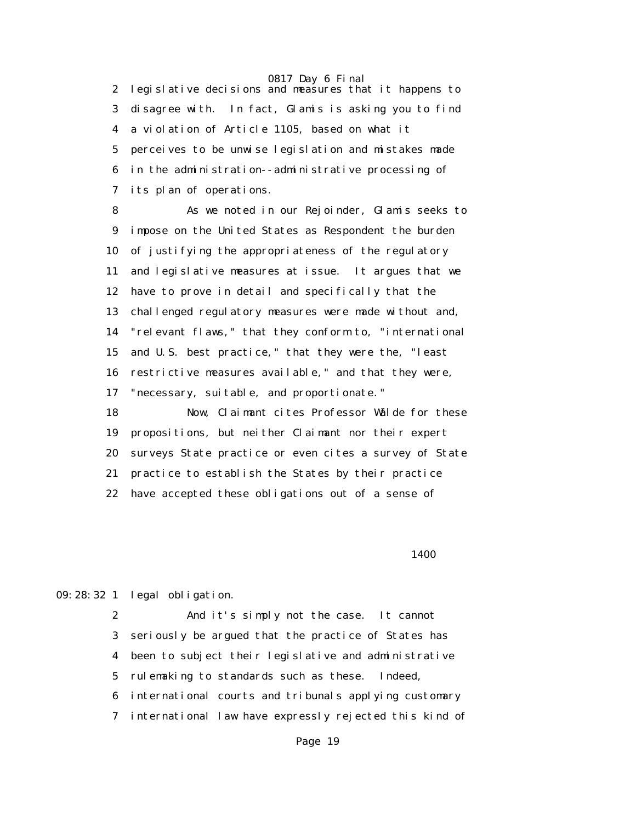2 legislative decisions and measures that it happens to 3 disagree with. In fact, Glamis is asking you to find 4 a violation of Article 1105, based on what it 5 perceives to be unwise legislation and mistakes made 6 in the administration--administrative processing of 7 its plan of operations.

 8 As we noted in our Rejoinder, Glamis seeks to 9 impose on the United States as Respondent the burden 10 of justifying the appropriateness of the regulatory 11 and legislative measures at issue. It argues that we 12 have to prove in detail and specifically that the 13 challenged regulatory measures were made without and, 14 "relevant flaws," that they conform to, "international 15 and U.S. best practice," that they were the, "least 16 restrictive measures available," and that they were, 17 "necessary, suitable, and proportionate."

 18 Now, Claimant cites Professor Wälde for these 19 propositions, but neither Claimant nor their expert 20 surveys State practice or even cites a survey of State 21 practice to establish the States by their practice 22 have accepted these obligations out of a sense of

**1400** 

09:28:32 1 legal obligation.

 2 And it's simply not the case. It cannot 3 seriously be argued that the practice of States has 4 been to subject their legislative and administrative 5 rulemaking to standards such as these. Indeed, 6 international courts and tribunals applying customary 7 international law have expressly rejected this kind of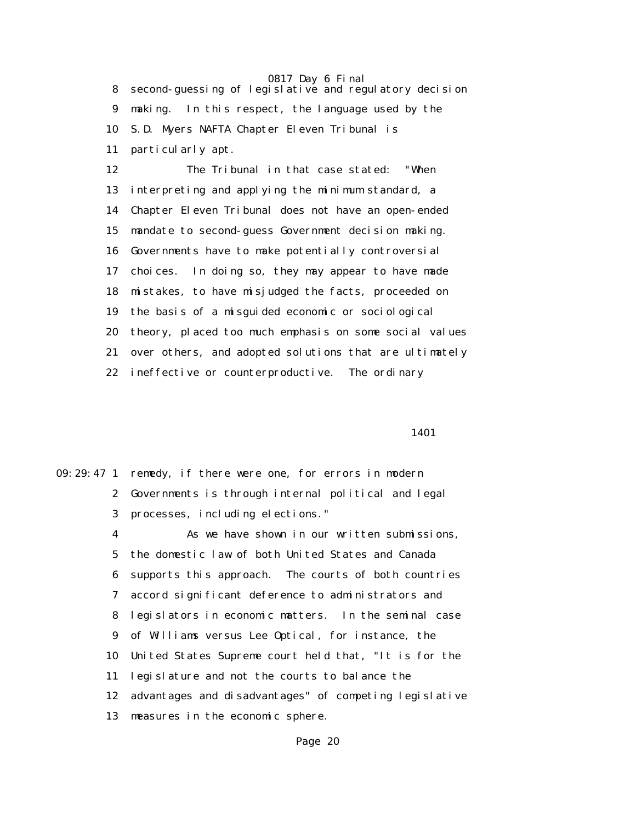8 second-guessing of legislative and regulatory decision 9 making. In this respect, the language used by the 10 S.D. Myers NAFTA Chapter Eleven Tribunal is 11 particularly apt.

 12 The Tribunal in that case stated: "When 13 interpreting and applying the minimum standard, a 14 Chapter Eleven Tribunal does not have an open-ended 15 mandate to second-guess Government decision making. 16 Governments have to make potentially controversial 17 choices. In doing so, they may appear to have made 18 mistakes, to have misjudged the facts, proceeded on 19 the basis of a misguided economic or sociological 20 theory, placed too much emphasis on some social values 21 over others, and adopted solutions that are ultimately 22 ineffective or counterproductive. The ordinary

1401

|    | 09:29:47 1 remedy, if there were one, for errors in modern |
|----|------------------------------------------------------------|
|    | 2 Governments is through internal political and legal      |
|    | 3 processes, including elections."                         |
| 4  | As we have shown in our written submissions,               |
|    | 5 the domestic law of both United States and Canada        |
| 6  | supports this approach. The courts of both countries       |
| 7  | accord significant deference to administrators and         |
|    | 8 legislators in economic matters. In the seminal case     |
|    | 9 of Williams versus Lee Optical, for instance, the        |
| 10 | United States Supreme court held that, "It is for the      |
| 11 | legislature and not the courts to balance the              |
| 12 | advantages and disadvantages" of competing legislative     |
| 13 | measures in the economic sphere.                           |
|    |                                                            |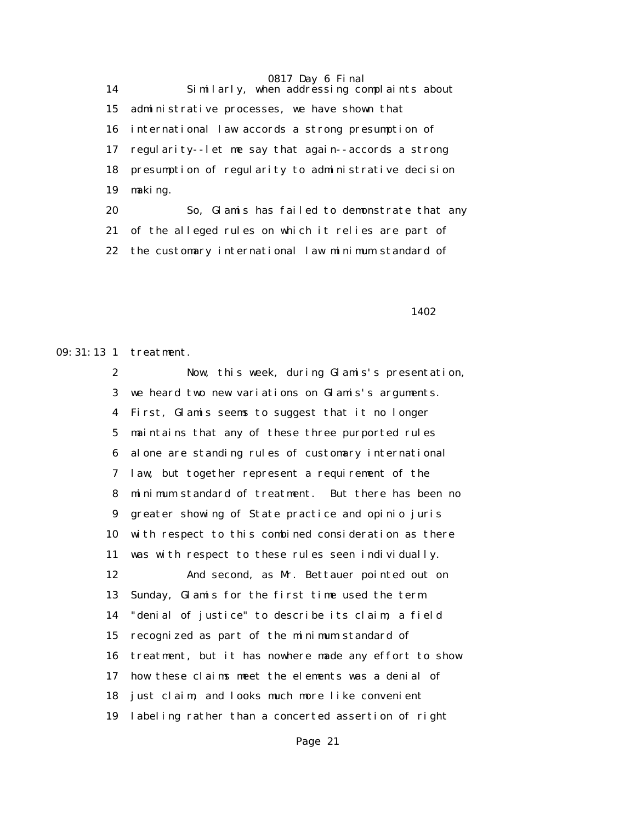0817 Day 6 Final 14 Similarly, when addressing complaints about 15 administrative processes, we have shown that 16 international law accords a strong presumption of 17 regularity--let me say that again--accords a strong 18 presumption of regularity to administrative decision 19 making.

 20 So, Glamis has failed to demonstrate that any 21 of the alleged rules on which it relies are part of 22 the customary international law minimum standard of

1402

09:31:13 1 treatment.

 2 Now, this week, during Glamis's presentation, 3 we heard two new variations on Glamis's arguments. 4 First, Glamis seems to suggest that it no longer 5 maintains that any of these three purported rules 6 alone are standing rules of customary international 7 law, but together represent a requirement of the 8 minimum standard of treatment. But there has been no 9 greater showing of State practice and opinio juris 10 with respect to this combined consideration as there 11 was with respect to these rules seen individually. 12 And second, as Mr. Bettauer pointed out on 13 Sunday, Glamis for the first time used the term 14 "denial of justice" to describe its claim, a field 15 recognized as part of the minimum standard of 16 treatment, but it has nowhere made any effort to show 17 how these claims meet the elements was a denial of 18 just claim, and looks much more like convenient 19 labeling rather than a concerted assertion of right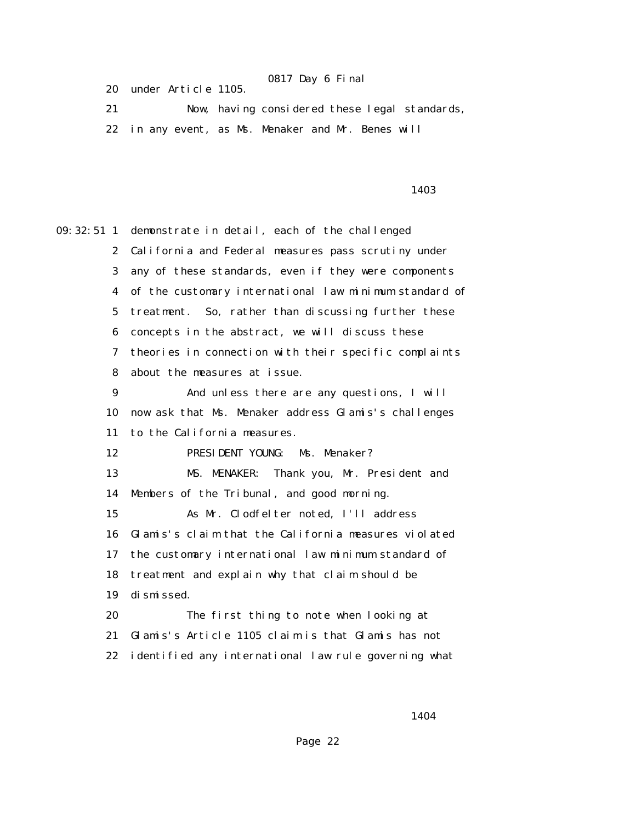20 under Article 1105.

 21 Now, having considered these legal standards, 22 in any event, as Ms. Menaker and Mr. Benes will

### <u>1403</u>

09:32:51 1 demonstrate in detail, each of the challenged 2 California and Federal measures pass scrutiny under 3 any of these standards, even if they were components 4 of the customary international law minimum standard of 5 treatment. So, rather than discussing further these 6 concepts in the abstract, we will discuss these 7 theories in connection with their specific complaints 8 about the measures at issue. 9 And unless there are any questions, I will 10 now ask that Ms. Menaker address Glamis's challenges 11 to the California measures. 12 PRESIDENT YOUNG: Ms. Menaker? 13 MS. MENAKER: Thank you, Mr. President and 14 Members of the Tribunal, and good morning. 15 As Mr. Clodfelter noted, I'll address 16 Glamis's claim that the California measures violated 17 the customary international law minimum standard of 18 treatment and explain why that claim should be 19 dismissed. 20 The first thing to note when looking at 21 Glamis's Article 1105 claim is that Glamis has not 22 identified any international law rule governing what

1404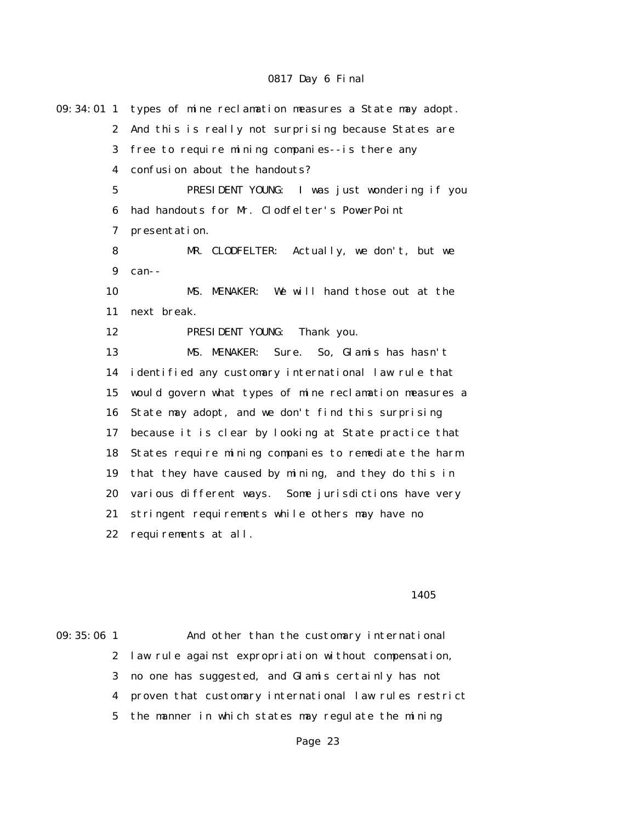| 09: 34: 01 1     | types of mine reclamation measures a State may adopt.  |
|------------------|--------------------------------------------------------|
| $\boldsymbol{2}$ | And this is really not surprising because States are   |
| 3                | free to require mining companies--is there any         |
| $\boldsymbol{4}$ | confusion about the handouts?                          |
| $\mathbf 5$      | PRESIDENT YOUNG: I was just wondering if you           |
| 6                | had handouts for Mr. Clodfelter's PowerPoint           |
| 7                | presentation.                                          |
| 8                | MR. CLODFELTER:<br>Actually, we don't, but we          |
| $\boldsymbol{9}$ | can--                                                  |
| 10               | MS. MENAKER: We will hand those out at the             |
| 11               | next break.                                            |
| 12               | PRESIDENT YOUNG:<br>Thank you.                         |
| 13               | So, Glamis has hasn't<br>MS. MENAKER:<br>Sure.         |
| 14               | identified any customary international law rule that   |
| 15               | would govern what types of mine reclamation measures a |
| 16               | State may adopt, and we don't find this surprising     |
| 17               | because it is clear by looking at State practice that  |
| 18               | States require mining companies to remediate the harm  |
| 19               | that they have caused by mining, and they do this in   |
| 20               | various different ways. Some jurisdictions have very   |
| 21               | stringent requirements while others may have no        |
| 22               | requirements at all.                                   |
|                  |                                                        |
|                  |                                                        |
|                  | 1405                                                   |

09:35:06 1 And other than the customary international 2 law rule against expropriation without compensation, 3 no one has suggested, and Glamis certainly has not 4 proven that customary international law rules restrict 5 the manner in which states may regulate the mining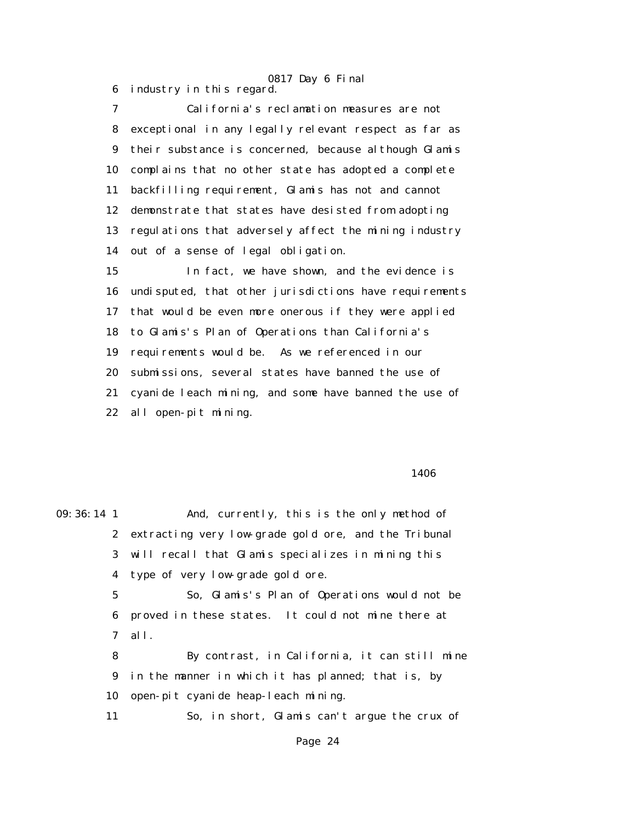6 industry in this regard.

 7 California's reclamation measures are not 8 exceptional in any legally relevant respect as far as 9 their substance is concerned, because although Glamis 10 complains that no other state has adopted a complete 11 backfilling requirement, Glamis has not and cannot 12 demonstrate that states have desisted from adopting 13 regulations that adversely affect the mining industry 14 out of a sense of legal obligation.

0817 Day 6 Final

 15 In fact, we have shown, and the evidence is 16 undisputed, that other jurisdictions have requirements 17 that would be even more onerous if they were applied 18 to Glamis's Plan of Operations than California's 19 requirements would be. As we referenced in our 20 submissions, several states have banned the use of 21 cyanide leach mining, and some have banned the use of 22 all open-pit mining.

#### **1406**

09:36:14 1 And, currently, this is the only method of 2 extracting very low-grade gold ore, and the Tribunal 3 will recall that Glamis specializes in mining this 4 type of very low-grade gold ore. 5 So, Glamis's Plan of Operations would not be 6 proved in these states. It could not mine there at 7 all. 8 By contrast, in California, it can still mine 9 in the manner in which it has planned; that is, by 10 open-pit cyanide heap-leach mining. 11 So, in short, Glamis can't argue the crux of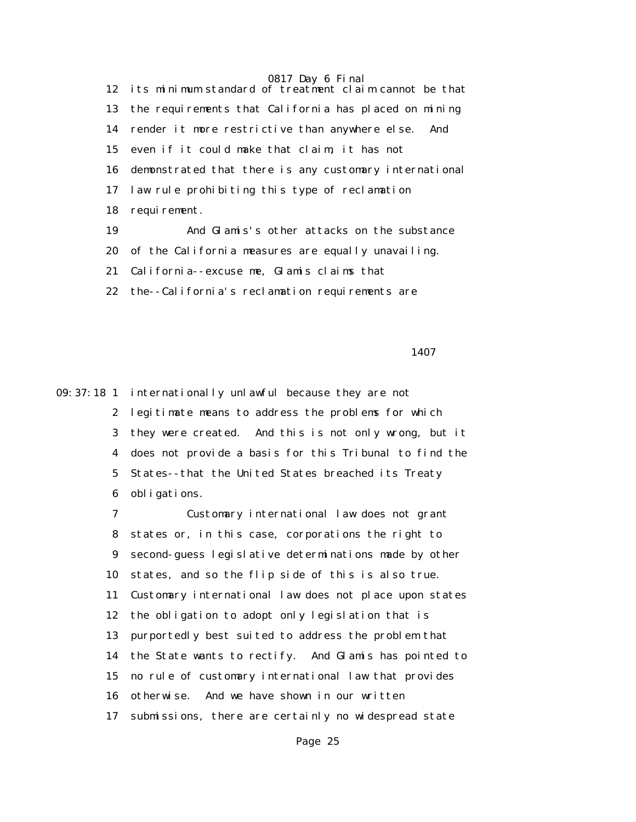12 its minimum standard of treatment claim cannot be that 13 the requirements that California has placed on mining 14 render it more restrictive than anywhere else. And 15 even if it could make that claim, it has not 16 demonstrated that there is any customary international 17 law rule prohibiting this type of reclamation 18 requirement. 19 And Glamis's other attacks on the substance 20 of the California measures are equally unavailing.

21 California--excuse me, Glamis claims that

22 the--California's reclamation requirements are

1407

09:37:18 1 internationally unlawful because they are not 2 legitimate means to address the problems for which 3 they were created. And this is not only wrong, but it 4 does not provide a basis for this Tribunal to find the 5 States--that the United States breached its Treaty 6 obligations.

> 7 Customary international law does not grant 8 states or, in this case, corporations the right to 9 second-guess legislative determinations made by other 10 states, and so the flip side of this is also true. 11 Customary international law does not place upon states 12 the obligation to adopt only legislation that is 13 purportedly best suited to address the problem that 14 the State wants to rectify. And Glamis has pointed to 15 no rule of customary international law that provides 16 otherwise. And we have shown in our written 17 submissions, there are certainly no widespread state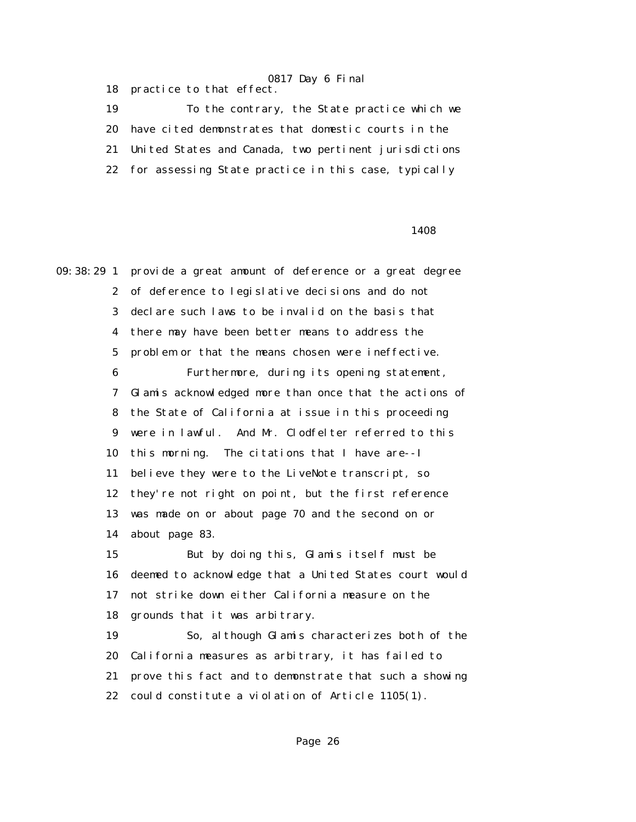18 practice to that effect.

 19 To the contrary, the State practice which we 20 have cited demonstrates that domestic courts in the 21 United States and Canada, two pertinent jurisdictions 22 for assessing State practice in this case, typically

#### <u>1408</u>

09:38:29 1 provide a great amount of deference or a great degree 2 of deference to legislative decisions and do not 3 declare such laws to be invalid on the basis that 4 there may have been better means to address the 5 problem or that the means chosen were ineffective. 6 Furthermore, during its opening statement, 7 Glamis acknowledged more than once that the actions of 8 the State of California at issue in this proceeding 9 were in lawful. And Mr. Clodfelter referred to this 10 this morning. The citations that I have are--I 11 believe they were to the LiveNote transcript, so 12 they're not right on point, but the first reference 13 was made on or about page 70 and the second on or 14 about page 83. 15 But by doing this, Glamis itself must be 16 deemed to acknowledge that a United States court would 17 not strike down either California measure on the 18 grounds that it was arbitrary. 19 So, although Glamis characterizes both of the 20 California measures as arbitrary, it has failed to 21 prove this fact and to demonstrate that such a showing

22 could constitute a violation of Article 1105(1).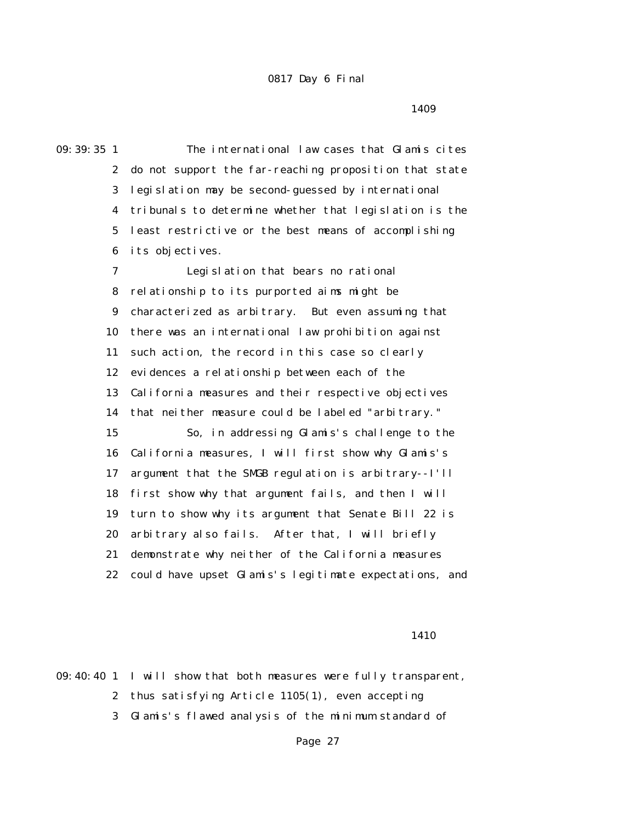<u>1409</u>

09:39:35 1 The international law cases that Glamis cites 2 do not support the far-reaching proposition that state 3 legislation may be second-guessed by international 4 tribunals to determine whether that legislation is the 5 least restrictive or the best means of accomplishing 6 its objectives. 7 Legislation that bears no rational 8 relationship to its purported aims might be 9 characterized as arbitrary. But even assuming that 10 there was an international law prohibition against 11 such action, the record in this case so clearly 12 evidences a relationship between each of the 13 California measures and their respective objectives 14 that neither measure could be labeled "arbitrary." 15 So, in addressing Glamis's challenge to the 16 California measures, I will first show why Glamis's 17 argument that the SMGB regulation is arbitrary--I'll 18 first show why that argument fails, and then I will 19 turn to show why its argument that Senate Bill 22 is 20 arbitrary also fails. After that, I will briefly 21 demonstrate why neither of the California measures 22 could have upset Glamis's legitimate expectations, and

#### 1410

09:40:40 1 I will show that both measures were fully transparent, 2 thus satisfying Article 1105(1), even accepting 3 Glamis's flawed analysis of the minimum standard of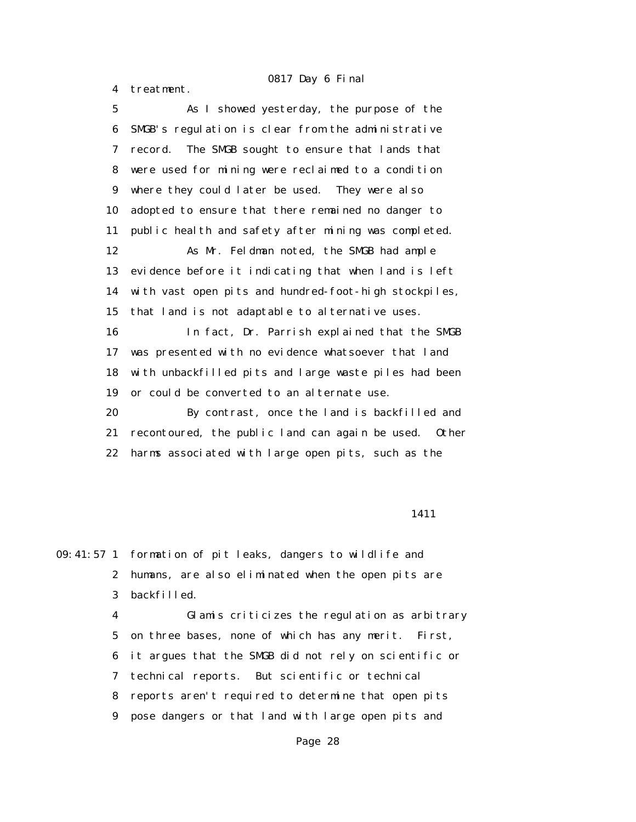4 treatment.

 5 As I showed yesterday, the purpose of the 6 SMGB's regulation is clear from the administrative 7 record. The SMGB sought to ensure that lands that 8 were used for mining were reclaimed to a condition 9 where they could later be used. They were also 10 adopted to ensure that there remained no danger to 11 public health and safety after mining was completed. 12 As Mr. Feldman noted, the SMGB had ample 13 evidence before it indicating that when land is left 14 with vast open pits and hundred-foot-high stockpiles, 15 that land is not adaptable to alternative uses. 16 In fact, Dr. Parrish explained that the SMGB 17 was presented with no evidence whatsoever that land 18 with unbackfilled pits and large waste piles had been 19 or could be converted to an alternate use. 20 By contrast, once the land is backfilled and 21 recontoured, the public land can again be used. Other 22 harms associated with large open pits, such as the

#### 1411

09:41:57 1 formation of pit leaks, dangers to wildlife and 2 humans, are also eliminated when the open pits are 3 backfilled.

> 4 Glamis criticizes the regulation as arbitrary 5 on three bases, none of which has any merit. First, 6 it argues that the SMGB did not rely on scientific or 7 technical reports. But scientific or technical 8 reports aren't required to determine that open pits 9 pose dangers or that land with large open pits and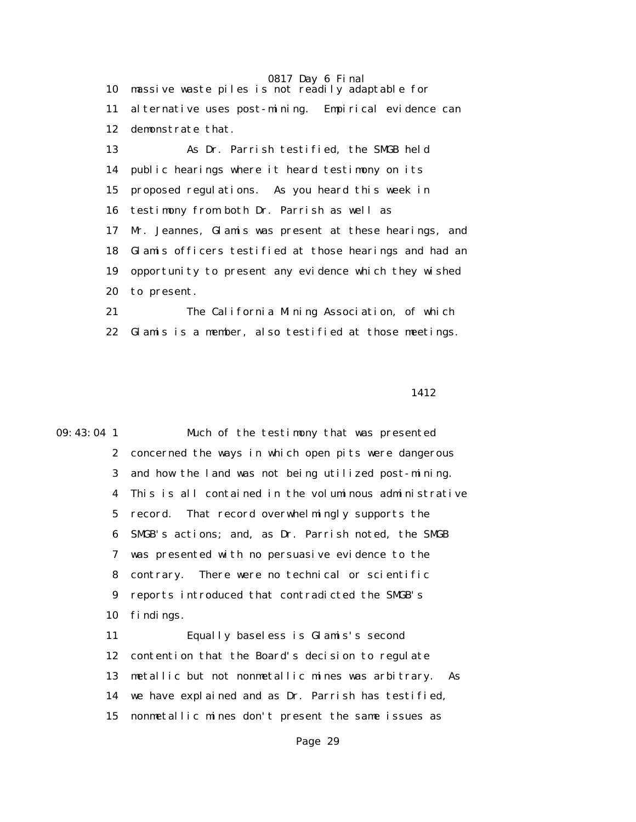10 massive waste piles is not readily adaptable for 11 alternative uses post-mining. Empirical evidence can 12 demonstrate that.

 13 As Dr. Parrish testified, the SMGB held 14 public hearings where it heard testimony on its 15 proposed regulations. As you heard this week in 16 testimony from both Dr. Parrish as well as 17 Mr. Jeannes, Glamis was present at these hearings, and 18 Glamis officers testified at those hearings and had an 19 opportunity to present any evidence which they wished 20 to present.

 21 The California Mining Association, of which 22 Glamis is a member, also testified at those meetings.

1412

09:43:04 1 Much of the testimony that was presented 2 concerned the ways in which open pits were dangerous 3 and how the land was not being utilized post-mining. 4 This is all contained in the voluminous administrative 5 record. That record overwhelmingly supports the 6 SMGB's actions; and, as Dr. Parrish noted, the SMGB 7 was presented with no persuasive evidence to the 8 contrary. There were no technical or scientific 9 reports introduced that contradicted the SMGB's 10 findings. 11 Equally baseless is Glamis's second 12 contention that the Board's decision to regulate 13 metallic but not nonmetallic mines was arbitrary. As 14 we have explained and as Dr. Parrish has testified,

15 nonmetallic mines don't present the same issues as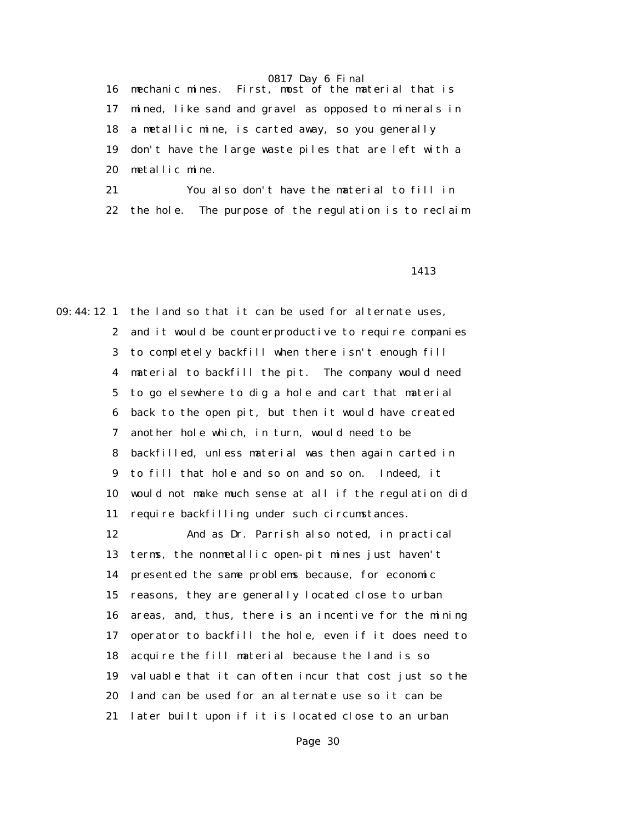16 mechanic mines. First, most of the material that is 17 mined, like sand and gravel as opposed to minerals in 18 a metallic mine, is carted away, so you generally 19 don't have the large waste piles that are left with a 20 metallic mine.

 21 You also don't have the material to fill in 22 the hole. The purpose of the regulation is to reclaim

1413

09:44:12 1 the land so that it can be used for alternate uses, 2 and it would be counterproductive to require companies 3 to completely backfill when there isn't enough fill 4 material to backfill the pit. The company would need 5 to go elsewhere to dig a hole and cart that material 6 back to the open pit, but then it would have created 7 another hole which, in turn, would need to be 8 backfilled, unless material was then again carted in 9 to fill that hole and so on and so on. Indeed, it 10 would not make much sense at all if the regulation did 11 require backfilling under such circumstances.

> 12 And as Dr. Parrish also noted, in practical 13 terms, the nonmetallic open-pit mines just haven't 14 presented the same problems because, for economic 15 reasons, they are generally located close to urban 16 areas, and, thus, there is an incentive for the mining 17 operator to backfill the hole, even if it does need to 18 acquire the fill material because the land is so 19 valuable that it can often incur that cost just so the 20 land can be used for an alternate use so it can be 21 later built upon if it is located close to an urban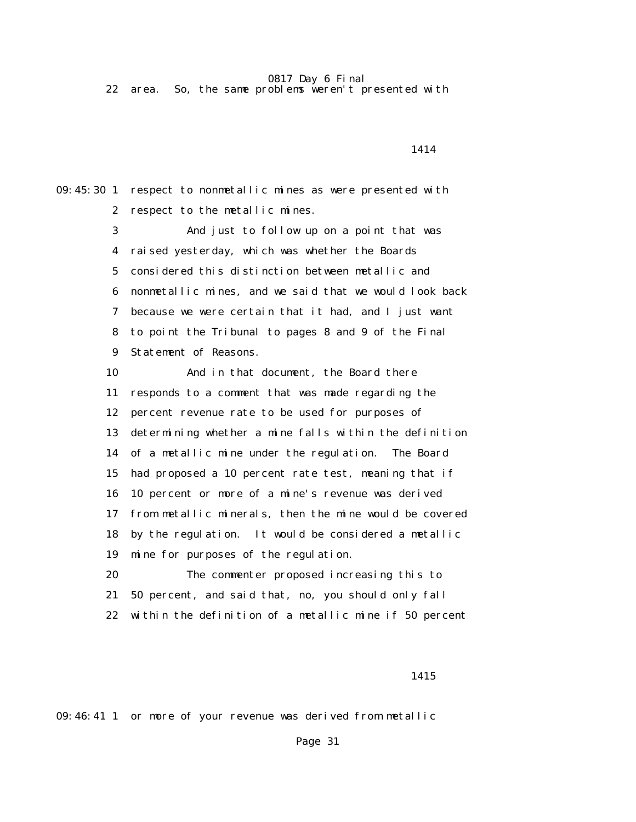22 area. So, the same problems weren't presented with

1414

09:45:30 1 respect to nonmetallic mines as were presented with 2 respect to the metallic mines.

> 3 And just to follow up on a point that was 4 raised yesterday, which was whether the Boards 5 considered this distinction between metallic and 6 nonmetallic mines, and we said that we would look back 7 because we were certain that it had, and I just want 8 to point the Tribunal to pages 8 and 9 of the Final 9 Statement of Reasons.

 10 And in that document, the Board there 11 responds to a comment that was made regarding the 12 percent revenue rate to be used for purposes of 13 determining whether a mine falls within the definition 14 of a metallic mine under the regulation. The Board 15 had proposed a 10 percent rate test, meaning that if 16 10 percent or more of a mine's revenue was derived 17 from metallic minerals, then the mine would be covered 18 by the regulation. It would be considered a metallic 19 mine for purposes of the regulation. 20 The commenter proposed increasing this to

21 50 percent, and said that, no, you should only fall

22 within the definition of a metallic mine if 50 percent

1415

09:46:41 1 or more of your revenue was derived from metallic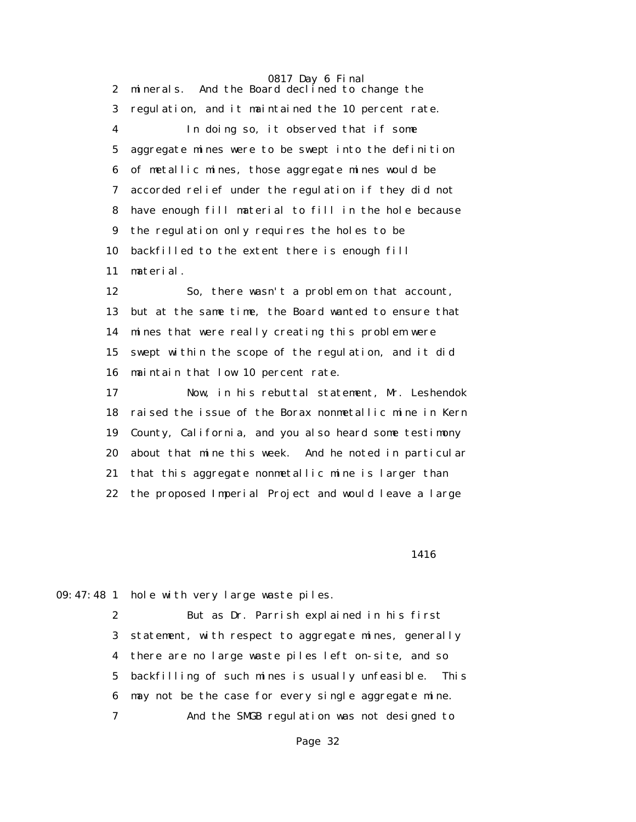0817 Day 6 Final 2 minerals. And the Board declined to change the 3 regulation, and it maintained the 10 percent rate. 4 In doing so, it observed that if some 5 aggregate mines were to be swept into the definition 6 of metallic mines, those aggregate mines would be 7 accorded relief under the regulation if they did not 8 have enough fill material to fill in the hole because 9 the regulation only requires the holes to be 10 backfilled to the extent there is enough fill 11 material.

 12 So, there wasn't a problem on that account, 13 but at the same time, the Board wanted to ensure that 14 mines that were really creating this problem were 15 swept within the scope of the regulation, and it did 16 maintain that low 10 percent rate.

 17 Now, in his rebuttal statement, Mr. Leshendok 18 raised the issue of the Borax nonmetallic mine in Kern 19 County, California, and you also heard some testimony 20 about that mine this week. And he noted in particular 21 that this aggregate nonmetallic mine is larger than 22 the proposed Imperial Project and would leave a large

1416

09:47:48 1 hole with very large waste piles.

 2 But as Dr. Parrish explained in his first 3 statement, with respect to aggregate mines, generally 4 there are no large waste piles left on-site, and so 5 backfilling of such mines is usually unfeasible. This 6 may not be the case for every single aggregate mine. 7 And the SMGB regulation was not designed to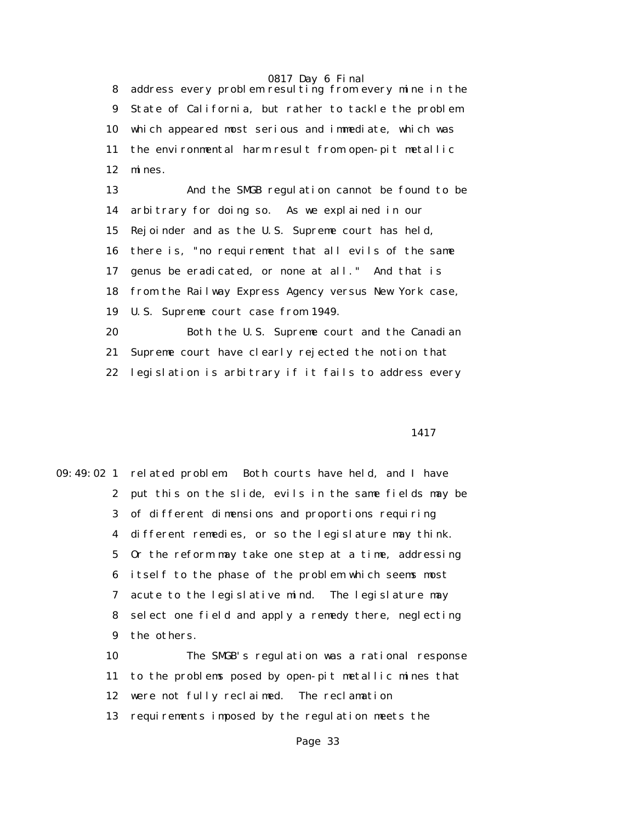8 address every problem resulting from every mine in the 9 State of California, but rather to tackle the problem 10 which appeared most serious and immediate, which was 11 the environmental harm result from open-pit metallic 12 mines.

 13 And the SMGB regulation cannot be found to be 14 arbitrary for doing so. As we explained in our 15 Rejoinder and as the U.S. Supreme court has held, 16 there is, "no requirement that all evils of the same 17 genus be eradicated, or none at all." And that is 18 from the Railway Express Agency versus New York case, 19 U.S. Supreme court case from 1949. 20 Both the U.S. Supreme court and the Canadian

 21 Supreme court have clearly rejected the notion that 22 legislation is arbitrary if it fails to address every

#### 1417

09:49:02 1 related problem. Both courts have held, and I have 2 put this on the slide, evils in the same fields may be 3 of different dimensions and proportions requiring 4 different remedies, or so the legislature may think. 5 Or the reform may take one step at a time, addressing 6 itself to the phase of the problem which seems most 7 acute to the legislative mind. The legislature may 8 select one field and apply a remedy there, neglecting 9 the others.

> 10 The SMGB's regulation was a rational response 11 to the problems posed by open-pit metallic mines that 12 were not fully reclaimed. The reclamation 13 requirements imposed by the regulation meets the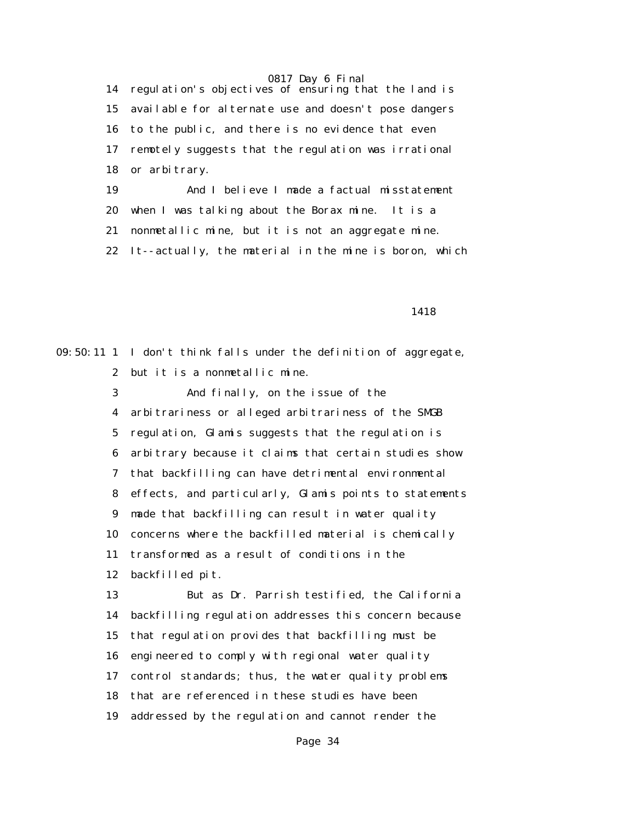14 regulation's objectives of ensuring that the land is 15 available for alternate use and doesn't pose dangers 16 to the public, and there is no evidence that even 17 remotely suggests that the regulation was irrational 18 or arbitrary. 19 And I believe I made a factual misstatement

20 when I was talking about the Borax mine. It is a

21 nonmetallic mine, but it is not an aggregate mine.

22 It--actually, the material in the mine is boron, which

1418

09:50:11 1 I don't think falls under the definition of aggregate, 2 but it is a nonmetallic mine. 3 And finally, on the issue of the 4 arbitrariness or alleged arbitrariness of the SMGB 5 regulation, Glamis suggests that the regulation is 6 arbitrary because it claims that certain studies show 7 that backfilling can have detrimental environmental 8 effects, and particularly, Glamis points to statements 9 made that backfilling can result in water quality 10 concerns where the backfilled material is chemically 11 transformed as a result of conditions in the 12 backfilled pit. 13 But as Dr. Parrish testified, the California 14 backfilling regulation addresses this concern because 15 that regulation provides that backfilling must be 16 engineered to comply with regional water quality 17 control standards; thus, the water quality problems 18 that are referenced in these studies have been 19 addressed by the regulation and cannot render the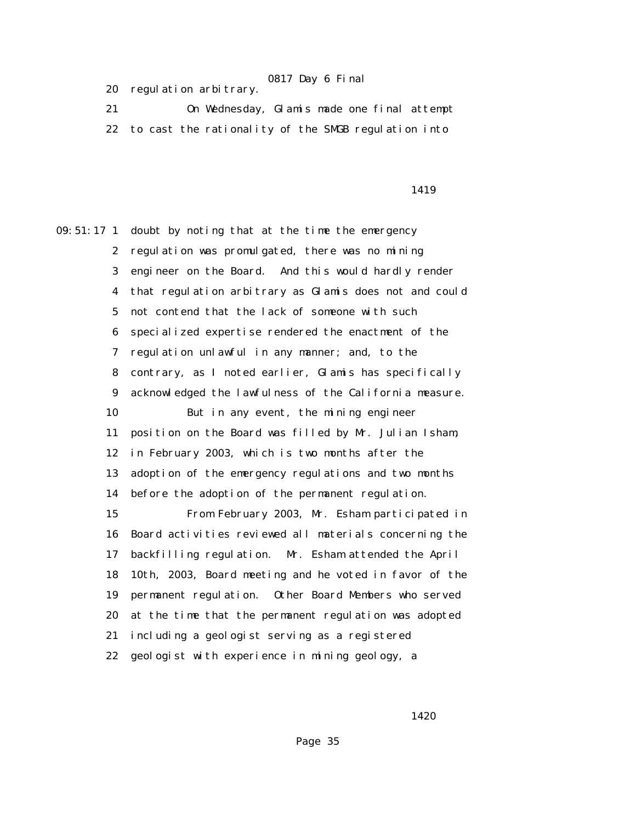|  | 20 regulation arbitrary. |  |
|--|--------------------------|--|
|--|--------------------------|--|

 21 On Wednesday, Glamis made one final attempt 22 to cast the rationality of the SMGB regulation into

1419

09:51:17 1 doubt by noting that at the time the emergency 2 regulation was promulgated, there was no mining 3 engineer on the Board. And this would hardly render 4 that regulation arbitrary as Glamis does not and could 5 not contend that the lack of someone with such 6 specialized expertise rendered the enactment of the 7 regulation unlawful in any manner; and, to the 8 contrary, as I noted earlier, Glamis has specifically 9 acknowledged the lawfulness of the California measure. 10 But in any event, the mining engineer 11 position on the Board was filled by Mr. Julian Isham, 12 in February 2003, which is two months after the 13 adoption of the emergency regulations and two months 14 before the adoption of the permanent regulation. 15 From February 2003, Mr. Esham participated in 16 Board activities reviewed all materials concerning the 17 backfilling regulation. Mr. Esham attended the April 18 10th, 2003, Board meeting and he voted in favor of the 19 permanent regulation. Other Board Members who served 20 at the time that the permanent regulation was adopted 21 including a geologist serving as a registered 22 geologist with experience in mining geology, a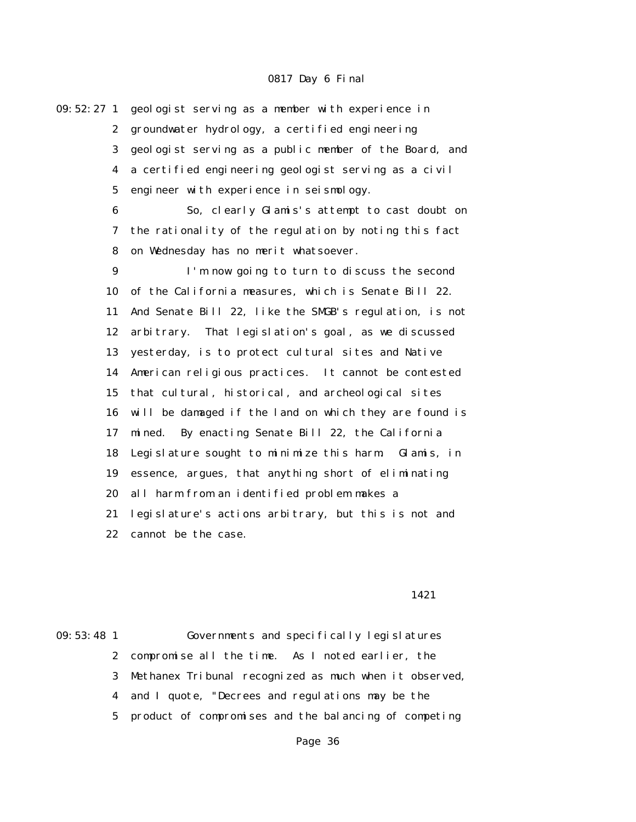09:52:27 1 geologist serving as a member with experience in 2 groundwater hydrology, a certified engineering 3 geologist serving as a public member of the Board, and 4 a certified engineering geologist serving as a civil 5 engineer with experience in seismology. 6 So, clearly Glamis's attempt to cast doubt on 7 the rationality of the regulation by noting this fact 8 on Wednesday has no merit whatsoever. 9 I'm now going to turn to discuss the second 10 of the California measures, which is Senate Bill 22. 11 And Senate Bill 22, like the SMGB's regulation, is not 12 arbitrary. That legislation's goal, as we discussed 13 yesterday, is to protect cultural sites and Native 14 American religious practices. It cannot be contested 15 that cultural, historical, and archeological sites 16 will be damaged if the land on which they are found is 17 mined. By enacting Senate Bill 22, the California 18 Legislature sought to minimize this harm. Glamis, in 19 essence, argues, that anything short of eliminating 20 all harm from an identified problem makes a 21 legislature's actions arbitrary, but this is not and 22 cannot be the case.

#### 1421

09:53:48 1 Governments and specifically legislatures 2 compromise all the time. As I noted earlier, the 3 Methanex Tribunal recognized as much when it observed, 4 and I quote, "Decrees and regulations may be the 5 product of compromises and the balancing of competing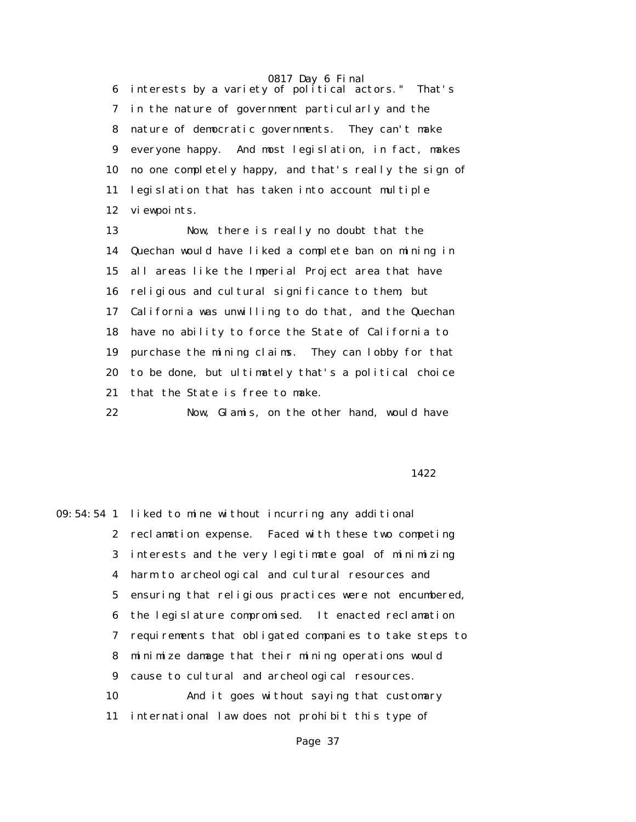6 interests by a variety of political actors." That's 7 in the nature of government particularly and the 8 nature of democratic governments. They can't make 9 everyone happy. And most legislation, in fact, makes 10 no one completely happy, and that's really the sign of 11 legislation that has taken into account multiple 12 viewpoints.

 13 Now, there is really no doubt that the 14 Quechan would have liked a complete ban on mining in 15 all areas like the Imperial Project area that have 16 religious and cultural significance to them, but 17 California was unwilling to do that, and the Quechan 18 have no ability to force the State of California to 19 purchase the mining claims. They can lobby for that 20 to be done, but ultimately that's a political choice 21 that the State is free to make.

22 Now, Glamis, on the other hand, would have

#### 1422

09:54:54 1 liked to mine without incurring any additional 2 reclamation expense. Faced with these two competing 3 interests and the very legitimate goal of minimizing 4 harm to archeological and cultural resources and 5 ensuring that religious practices were not encumbered, 6 the legislature compromised. It enacted reclamation 7 requirements that obligated companies to take steps to 8 minimize damage that their mining operations would 9 cause to cultural and archeological resources. 10 And it goes without saying that customary 11 international law does not prohibit this type of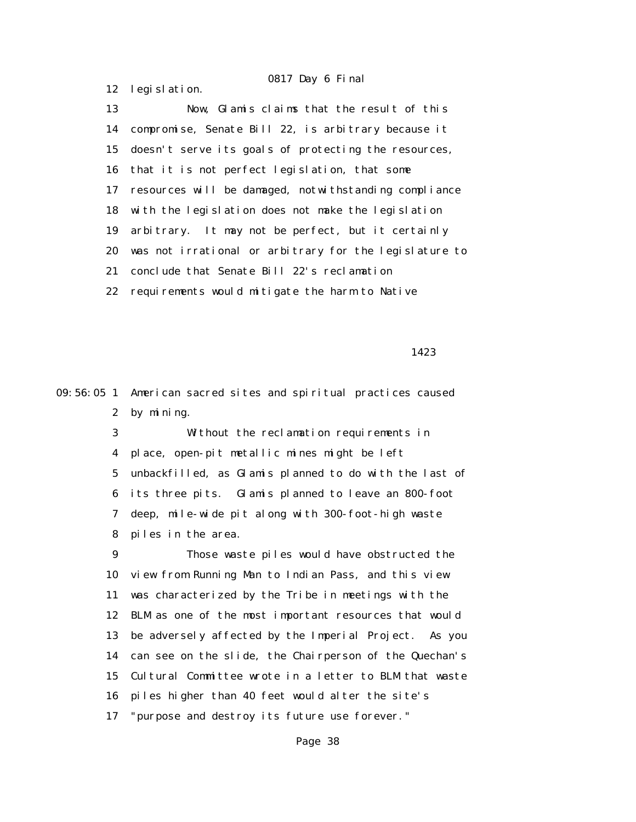12 legislation.

 13 Now, Glamis claims that the result of this 14 compromise, Senate Bill 22, is arbitrary because it 15 doesn't serve its goals of protecting the resources, 16 that it is not perfect legislation, that some 17 resources will be damaged, notwithstanding compliance 18 with the legislation does not make the legislation 19 arbitrary. It may not be perfect, but it certainly 20 was not irrational or arbitrary for the legislature to 21 conclude that Senate Bill 22's reclamation 22 requirements would mitigate the harm to Native

1423

09:56:05 1 American sacred sites and spiritual practices caused 2 by mining.

> 3 Without the reclamation requirements in 4 place, open-pit metallic mines might be left 5 unbackfilled, as Glamis planned to do with the last of 6 its three pits. Glamis planned to leave an 800-foot 7 deep, mile-wide pit along with 300-foot-high waste 8 piles in the area.

 9 Those waste piles would have obstructed the 10 view from Running Man to Indian Pass, and this view 11 was characterized by the Tribe in meetings with the 12 BLM as one of the most important resources that would 13 be adversely affected by the Imperial Project. As you 14 can see on the slide, the Chairperson of the Quechan's 15 Cultural Committee wrote in a letter to BLM that waste 16 piles higher than 40 feet would alter the site's 17 "purpose and destroy its future use forever."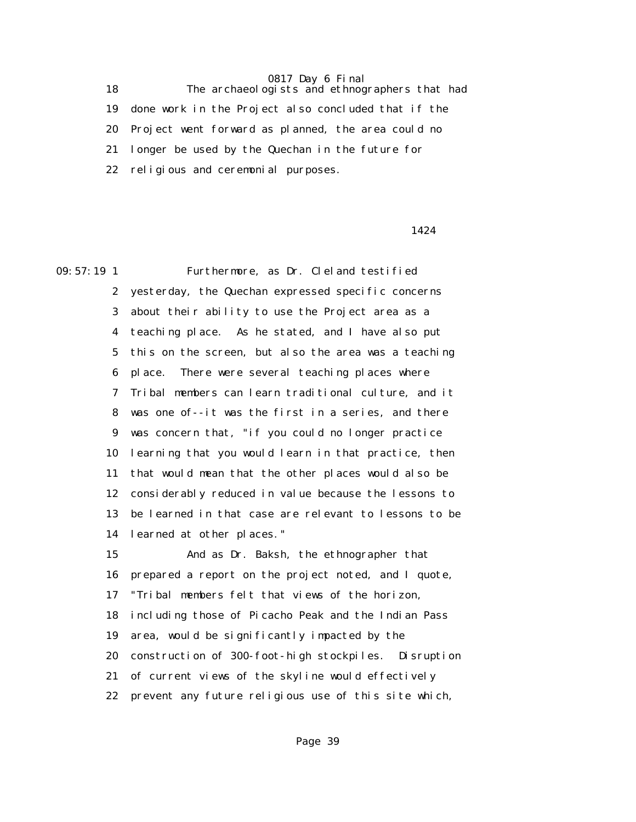18 The archaeologists and ethnographers that had 19 done work in the Project also concluded that if the 20 Project went forward as planned, the area could no 21 longer be used by the Quechan in the future for 22 religious and ceremonial purposes.

### 1424

09:57:19 1 Furthermore, as Dr. Cleland testified 2 yesterday, the Quechan expressed specific concerns 3 about their ability to use the Project area as a 4 teaching place. As he stated, and I have also put 5 this on the screen, but also the area was a teaching 6 place. There were several teaching places where 7 Tribal members can learn traditional culture, and it 8 was one of--it was the first in a series, and there 9 was concern that, "if you could no longer practice 10 learning that you would learn in that practice, then 11 that would mean that the other places would also be 12 considerably reduced in value because the lessons to 13 be learned in that case are relevant to lessons to be 14 learned at other places." 15 And as Dr. Baksh, the ethnographer that 16 prepared a report on the project noted, and I quote, 17 "Tribal members felt that views of the horizon, 18 including those of Picacho Peak and the Indian Pass

> 19 area, would be significantly impacted by the 20 construction of 300-foot-high stockpiles. Disruption

- 21 of current views of the skyline would effectively
- 22 prevent any future religious use of this site which,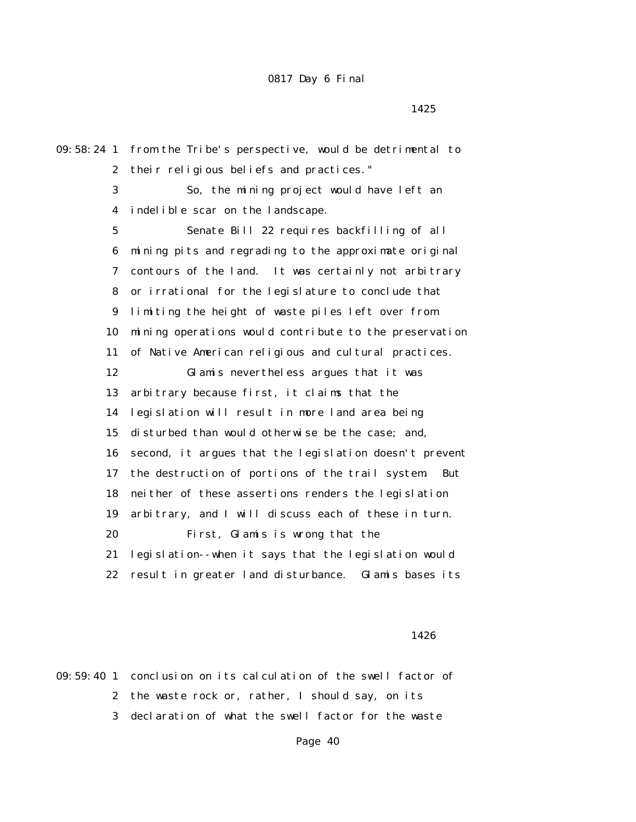09:58:24 1 from the Tribe's perspective, would be detrimental to 2 their religious beliefs and practices." 3 So, the mining project would have left an 4 indelible scar on the landscape. 5 Senate Bill 22 requires backfilling of all 6 mining pits and regrading to the approximate original 7 contours of the land. It was certainly not arbitrary 8 or irrational for the legislature to conclude that 9 limiting the height of waste piles left over from 10 mining operations would contribute to the preservation 11 of Native American religious and cultural practices. 12 Glamis nevertheless argues that it was 13 arbitrary because first, it claims that the 14 legislation will result in more land area being 15 disturbed than would otherwise be the case; and, 16 second, it argues that the legislation doesn't prevent 17 the destruction of portions of the trail system. But 18 neither of these assertions renders the legislation 19 arbitrary, and I will discuss each of these in turn. 20 First, Glamis is wrong that the 21 legislation--when it says that the legislation would 22 result in greater land disturbance. Glamis bases its

#### 1426

09:59:40 1 conclusion on its calculation of the swell factor of 2 the waste rock or, rather, I should say, on its 3 declaration of what the swell factor for the waste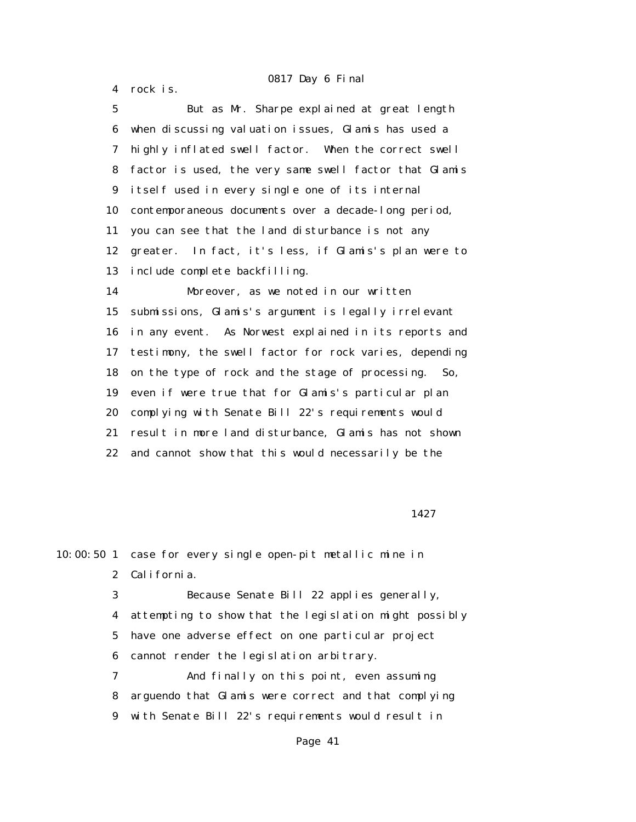4 rock is.

 5 But as Mr. Sharpe explained at great length 6 when discussing valuation issues, Glamis has used a 7 highly inflated swell factor. When the correct swell 8 factor is used, the very same swell factor that Glamis 9 itself used in every single one of its internal 10 contemporaneous documents over a decade-long period, 11 you can see that the land disturbance is not any 12 greater. In fact, it's less, if Glamis's plan were to 13 include complete backfilling. 14 Moreover, as we noted in our written 15 submissions, Glamis's argument is legally irrelevant 16 in any event. As Norwest explained in its reports and 17 testimony, the swell factor for rock varies, depending 18 on the type of rock and the stage of processing. So, 19 even if were true that for Glamis's particular plan 20 complying with Senate Bill 22's requirements would 21 result in more land disturbance, Glamis has not shown 22 and cannot show that this would necessarily be the

1427

10:00:50 1 case for every single open-pit metallic mine in 2 California. 3 Because Senate Bill 22 applies generally,

 4 attempting to show that the legislation might possibly 5 have one adverse effect on one particular project 6 cannot render the legislation arbitrary.

 7 And finally on this point, even assuming 8 arguendo that Glamis were correct and that complying 9 with Senate Bill 22's requirements would result in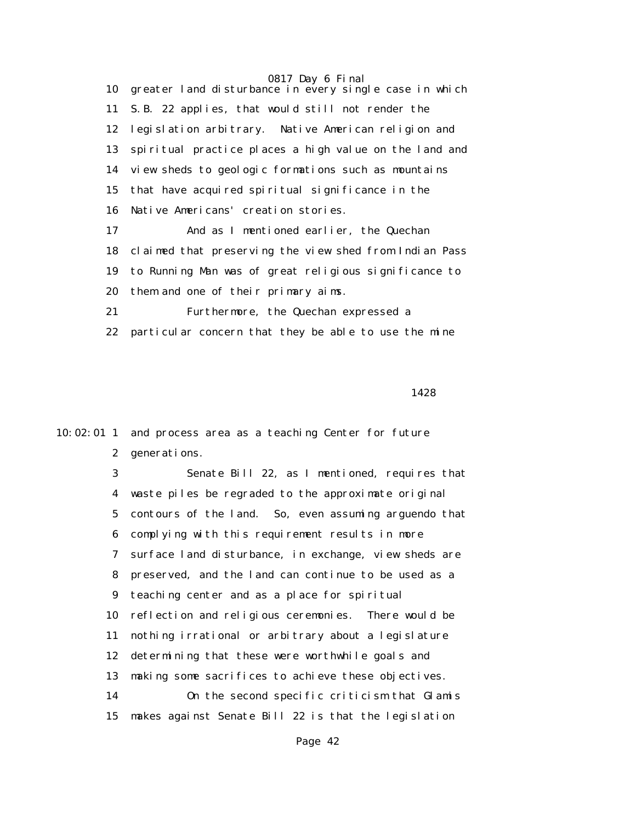10 greater land disturbance in every single case in which 11 S.B. 22 applies, that would still not render the 12 legislation arbitrary. Native American religion and 13 spiritual practice places a high value on the land and 14 view sheds to geologic formations such as mountains 15 that have acquired spiritual significance in the 16 Native Americans' creation stories.

 17 And as I mentioned earlier, the Quechan 18 claimed that preserving the view shed from Indian Pass 19 to Running Man was of great religious significance to 20 them and one of their primary aims.

 21 Furthermore, the Quechan expressed a 22 particular concern that they be able to use the mine

1428

10:02:01 1 and process area as a teaching Center for future 2 generations.

> 3 Senate Bill 22, as I mentioned, requires that 4 waste piles be regraded to the approximate original 5 contours of the land. So, even assuming arguendo that 6 complying with this requirement results in more 7 surface land disturbance, in exchange, view sheds are 8 preserved, and the land can continue to be used as a 9 teaching center and as a place for spiritual 10 reflection and religious ceremonies. There would be 11 nothing irrational or arbitrary about a legislature 12 determining that these were worthwhile goals and 13 making some sacrifices to achieve these objectives. 14 On the second specific criticism that Glamis 15 makes against Senate Bill 22 is that the legislation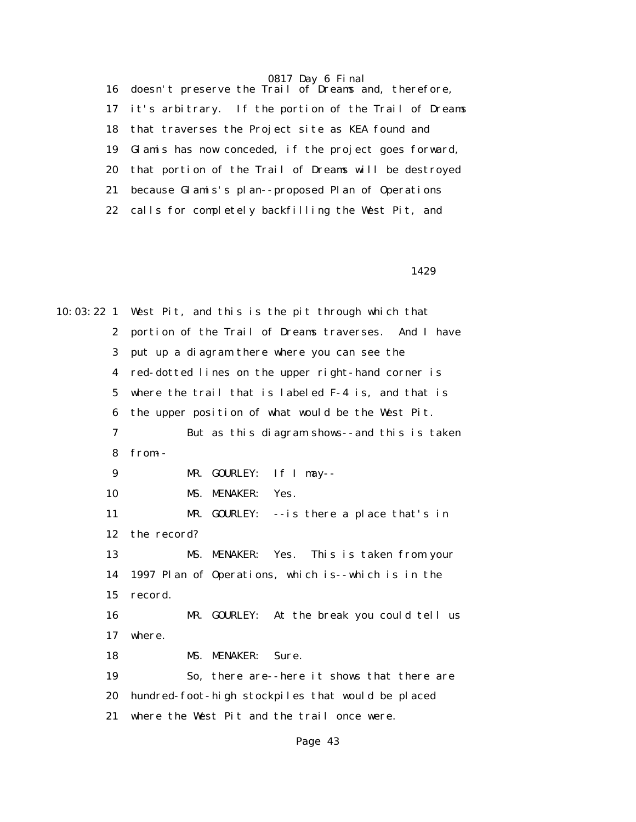16 doesn't preserve the Trail of Dreams and, therefore, 17 it's arbitrary. If the portion of the Trail of Dreams 18 that traverses the Project site as KEA found and 19 Glamis has now conceded, if the project goes forward, 20 that portion of the Trail of Dreams will be destroyed 21 because Glamis's plan--proposed Plan of Operations 22 calls for completely backfilling the West Pit, and

1429

10:03:22 1 West Pit, and this is the pit through which that 2 portion of the Trail of Dreams traverses. And I have 3 put up a diagram there where you can see the 4 red-dotted lines on the upper right-hand corner is 5 where the trail that is labeled F-4 is, and that is 6 the upper position of what would be the West Pit. 7 But as this diagram shows--and this is taken 8 from-- 9 MR. GOURLEY: If I may-- 10 MS. MENAKER: Yes. 11 MR. GOURLEY: --is there a place that's in 12 the record? 13 MS. MENAKER: Yes. This is taken from your 14 1997 Plan of Operations, which is--which is in the 15 record. 16 MR. GOURLEY: At the break you could tell us 17 where. 18 MS. MENAKER: Sure. 19 So, there are--here it shows that there are 20 hundred-foot-high stockpiles that would be placed 21 where the West Pit and the trail once were.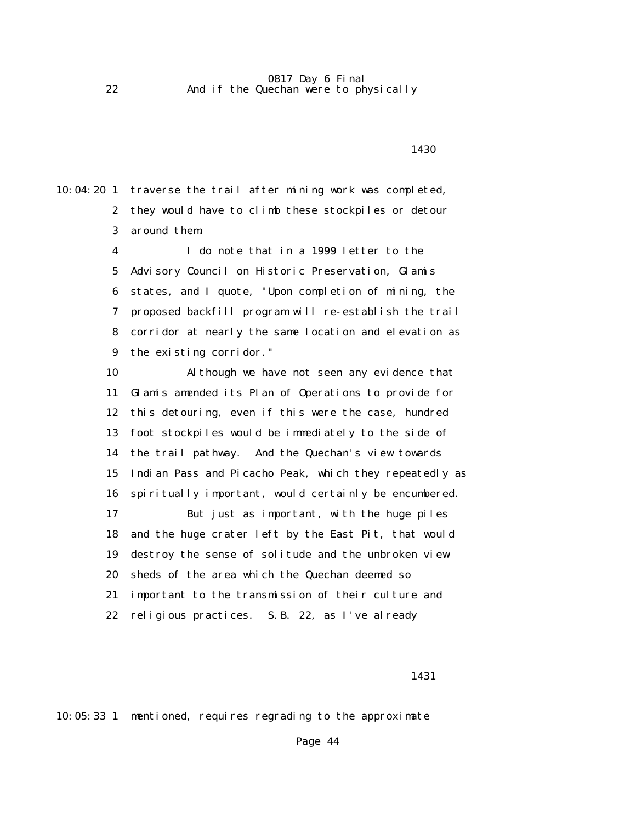10:04:20 1 traverse the trail after mining work was completed, 2 they would have to climb these stockpiles or detour 3 around them.

> 4 I do note that in a 1999 letter to the 5 Advisory Council on Historic Preservation, Glamis 6 states, and I quote, "Upon completion of mining, the 7 proposed backfill program will re-establish the trail 8 corridor at nearly the same location and elevation as 9 the existing corridor."

 10 Although we have not seen any evidence that 11 Glamis amended its Plan of Operations to provide for 12 this detouring, even if this were the case, hundred 13 foot stockpiles would be immediately to the side of 14 the trail pathway. And the Quechan's view towards 15 Indian Pass and Picacho Peak, which they repeatedly as 16 spiritually important, would certainly be encumbered. 17 But just as important, with the huge piles 18 and the huge crater left by the East Pit, that would 19 destroy the sense of solitude and the unbroken view 20 sheds of the area which the Quechan deemed so 21 important to the transmission of their culture and 22 religious practices. S.B. 22, as I've already

1431

10:05:33 1 mentioned, requires regrading to the approximate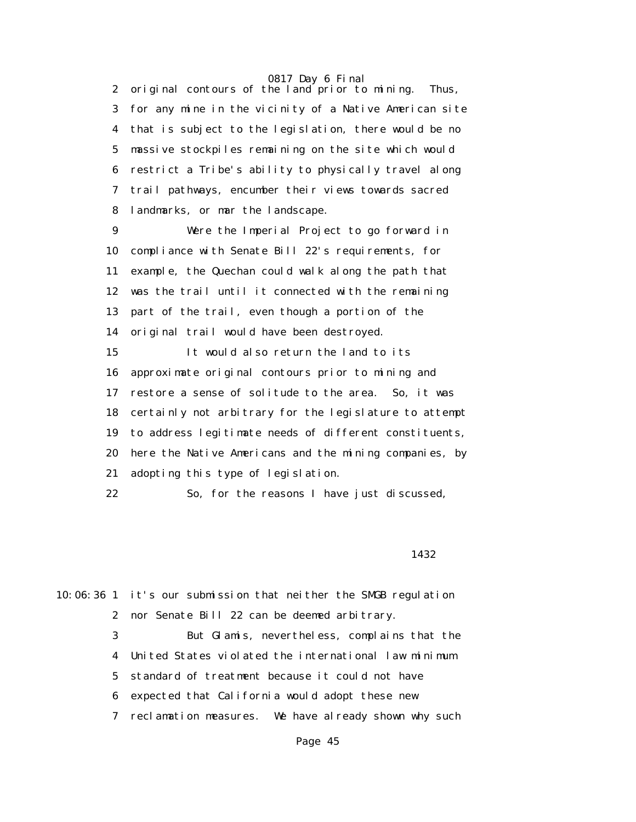2 original contours of the land prior to mining. Thus, 3 for any mine in the vicinity of a Native American site 4 that is subject to the legislation, there would be no 5 massive stockpiles remaining on the site which would 6 restrict a Tribe's ability to physically travel along 7 trail pathways, encumber their views towards sacred 8 landmarks, or mar the landscape.

 9 Were the Imperial Project to go forward in 10 compliance with Senate Bill 22's requirements, for 11 example, the Quechan could walk along the path that 12 was the trail until it connected with the remaining 13 part of the trail, even though a portion of the 14 original trail would have been destroyed. 15 It would also return the land to its 16 approximate original contours prior to mining and 17 restore a sense of solitude to the area. So, it was 18 certainly not arbitrary for the legislature to attempt 19 to address legitimate needs of different constituents, 20 here the Native Americans and the mining companies, by 21 adopting this type of legislation.

22 So, for the reasons I have just discussed,

1432

10:06:36 1 it's our submission that neither the SMGB regulation 2 nor Senate Bill 22 can be deemed arbitrary.

> 3 But Glamis, nevertheless, complains that the 4 United States violated the international law minimum 5 standard of treatment because it could not have 6 expected that California would adopt these new

> 7 reclamation measures. We have already shown why such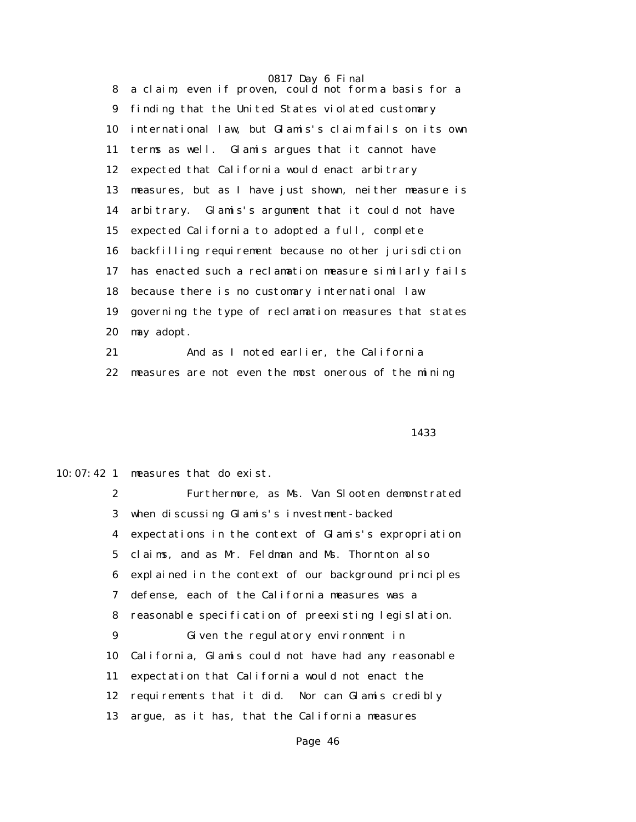8 a claim, even if proven, could not form a basis for a 9 finding that the United States violated customary 10 international law, but Glamis's claim fails on its own 11 terms as well. Glamis argues that it cannot have 12 expected that California would enact arbitrary 13 measures, but as I have just shown, neither measure is 14 arbitrary. Glamis's argument that it could not have 15 expected California to adopted a full, complete 16 backfilling requirement because no other jurisdiction 17 has enacted such a reclamation measure similarly fails 18 because there is no customary international law 19 governing the type of reclamation measures that states 20 may adopt. 21 And as I noted earlier, the California

22 measures are not even the most onerous of the mining

<u>1433</u>

10:07:42 1 measures that do exist.

 2 Furthermore, as Ms. Van Slooten demonstrated 3 when discussing Glamis's investment-backed 4 expectations in the context of Glamis's expropriation 5 claims, and as Mr. Feldman and Ms. Thornton also 6 explained in the context of our background principles 7 defense, each of the California measures was a 8 reasonable specification of preexisting legislation. 9 Given the regulatory environment in 10 California, Glamis could not have had any reasonable 11 expectation that California would not enact the 12 requirements that it did. Nor can Glamis credibly 13 argue, as it has, that the California measures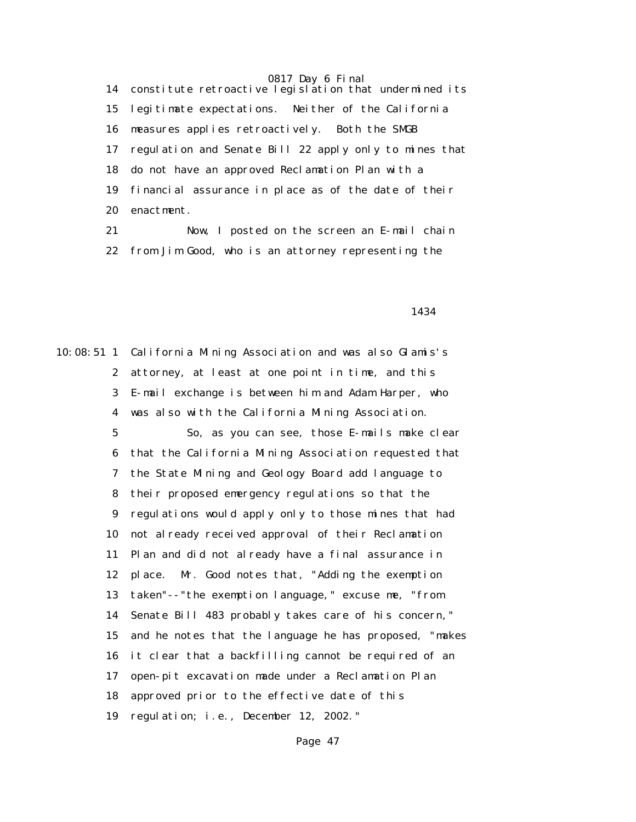14 constitute retroactive legislation that undermined its 15 legitimate expectations. Neither of the California 16 measures applies retroactively. Both the SMGB 17 regulation and Senate Bill 22 apply only to mines that 18 do not have an approved Reclamation Plan with a 19 financial assurance in place as of the date of their 20 enactment.

 21 Now, I posted on the screen an E-mail chain 22 from Jim Good, who is an attorney representing the

1434

10:08:51 1 California Mining Association and was also Glamis's 2 attorney, at least at one point in time, and this 3 E-mail exchange is between him and Adam Harper, who 4 was also with the California Mining Association. 5 So, as you can see, those E-mails make clear 6 that the California Mining Association requested that 7 the State Mining and Geology Board add language to 8 their proposed emergency regulations so that the 9 regulations would apply only to those mines that had 10 not already received approval of their Reclamation 11 Plan and did not already have a final assurance in 12 place. Mr. Good notes that, "Adding the exemption 13 taken"--"the exemption language," excuse me, "from 14 Senate Bill 483 probably takes care of his concern," 15 and he notes that the language he has proposed, "makes 16 it clear that a backfilling cannot be required of an 17 open-pit excavation made under a Reclamation Plan 18 approved prior to the effective date of this 19 regulation; i.e., December 12, 2002."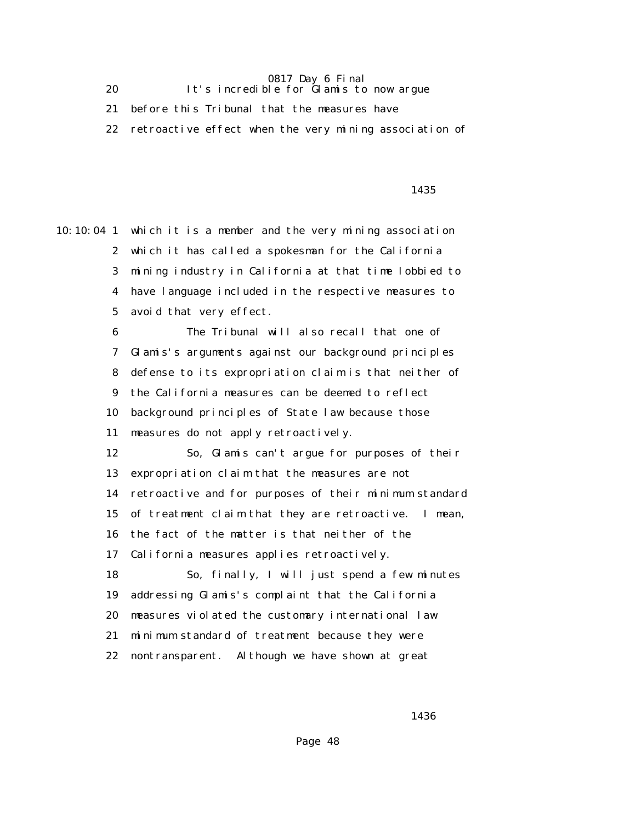### 0817 Day 6 Final 20 It's incredible for Glamis to now argue

21 before this Tribunal that the measures have

22 retroactive effect when the very mining association of

<u>1435</u>

10:10:04 1 which it is a member and the very mining association 2 which it has called a spokesman for the California 3 mining industry in California at that time lobbied to 4 have language included in the respective measures to 5 avoid that very effect. 6 The Tribunal will also recall that one of 7 Glamis's arguments against our background principles

 8 defense to its expropriation claim is that neither of 9 the California measures can be deemed to reflect 10 background principles of State law because those 11 measures do not apply retroactively.

 12 So, Glamis can't argue for purposes of their 13 expropriation claim that the measures are not 14 retroactive and for purposes of their minimum standard 15 of treatment claim that they are retroactive. I mean, 16 the fact of the matter is that neither of the 17 California measures applies retroactively. 18 So, finally, I will just spend a few minutes 19 addressing Glamis's complaint that the California

20 measures violated the customary international law

21 minimum standard of treatment because they were

22 nontransparent. Although we have shown at great

1436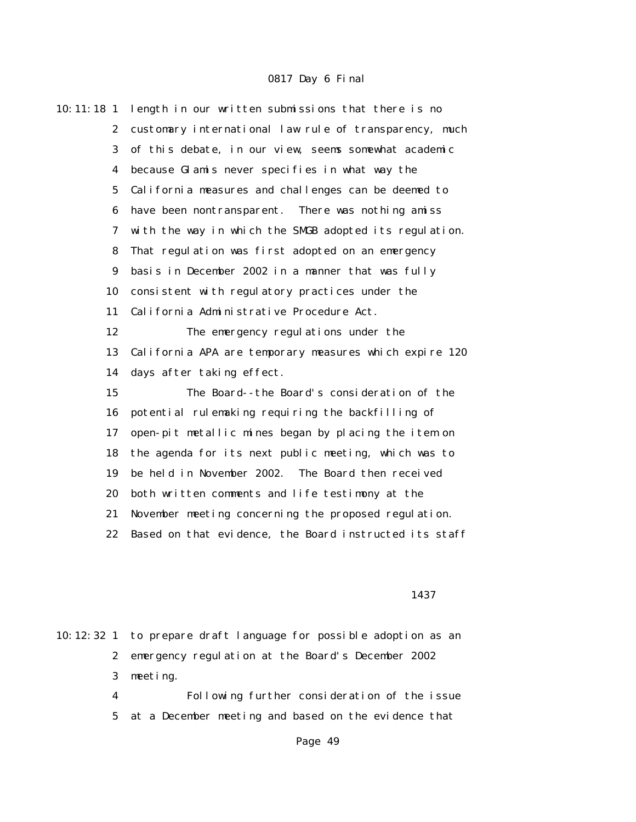| 10:11:18 <sub>1</sub>   | length in our written submissions that there is no     |
|-------------------------|--------------------------------------------------------|
| $\mathbf{2}$            | customary international law rule of transparency, much |
| 3                       | of this debate, in our view, seems somewhat academic   |
| $\overline{\mathbf{4}}$ | because Glamis never specifies in what way the         |
| $\mathbf 5$             | California measures and challenges can be deemed to    |
| 6                       | have been nontransparent. There was nothing amiss      |
| 7                       | with the way in which the SMGB adopted its regulation. |
| 8                       | That regulation was first adopted on an emergency      |
| $\boldsymbol{9}$        | basis in December 2002 in a manner that was fully      |
| 10                      | consistent with regulatory practices under the         |
| 11                      | California Administrative Procedure Act.               |
| 12                      | The emergency regulations under the                    |
| 13                      | California APA are temporary measures which expire 120 |
| 14                      | days after taking effect.                              |
| 15                      | The Board--the Board's consideration of the            |
| 16                      | potential rulemaking requiring the backfilling of      |
| 17                      | open-pit metallic mines began by placing the item on   |
| 18                      | the agenda for its next public meeting, which was to   |
| 19                      | be held in November 2002. The Board then received      |
| 20                      | both written comments and life testimony at the        |
| 21                      | November meeting concerning the proposed regulation.   |
| 22                      | Based on that evidence, the Board instructed its staff |
|                         |                                                        |

#### <u>1437</u>

10:12:32 1 to prepare draft language for possible adoption as an 2 emergency regulation at the Board's December 2002 3 meeting.

> 4 Following further consideration of the issue 5 at a December meeting and based on the evidence that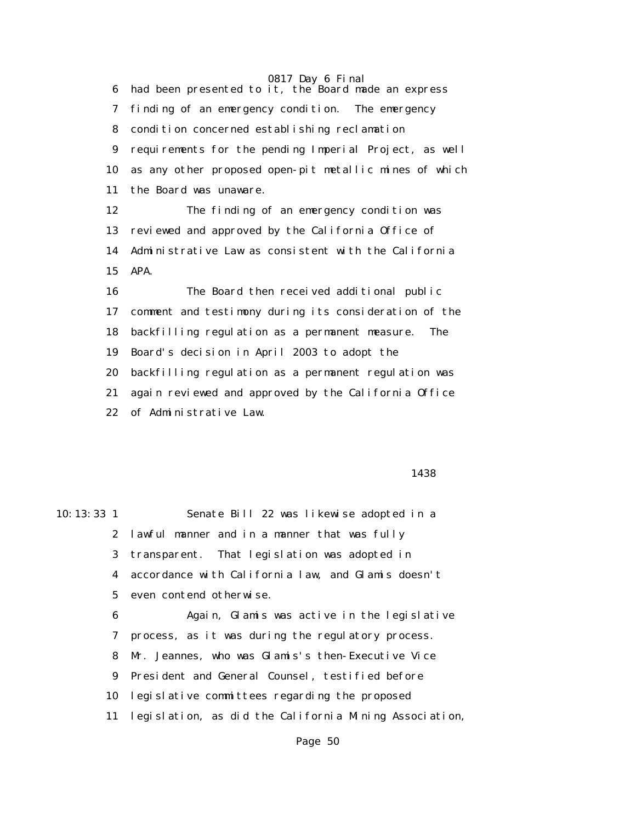0817 Day 6 Final 6 had been presented to it, the Board made an express 7 finding of an emergency condition. The emergency 8 condition concerned establishing reclamation 9 requirements for the pending Imperial Project, as well 10 as any other proposed open-pit metallic mines of which 11 the Board was unaware. 12 The finding of an emergency condition was 13 reviewed and approved by the California Office of 14 Administrative Law as consistent with the California 15 APA. 16 The Board then received additional public 17 comment and testimony during its consideration of the 18 backfilling regulation as a permanent measure. The 19 Board's decision in April 2003 to adopt the 20 backfilling regulation as a permanent regulation was 21 again reviewed and approved by the California Office 22 of Administrative Law.

1438

10:13:33 1 Senate Bill 22 was likewise adopted in a 2 lawful manner and in a manner that was fully 3 transparent. That legislation was adopted in 4 accordance with California law, and Glamis doesn't 5 even contend otherwise. 6 Again, Glamis was active in the legislative 7 process, as it was during the regulatory process. 8 Mr. Jeannes, who was Glamis's then-Executive Vice 9 President and General Counsel, testified before 10 legislative committees regarding the proposed 11 legislation, as did the California Mining Association,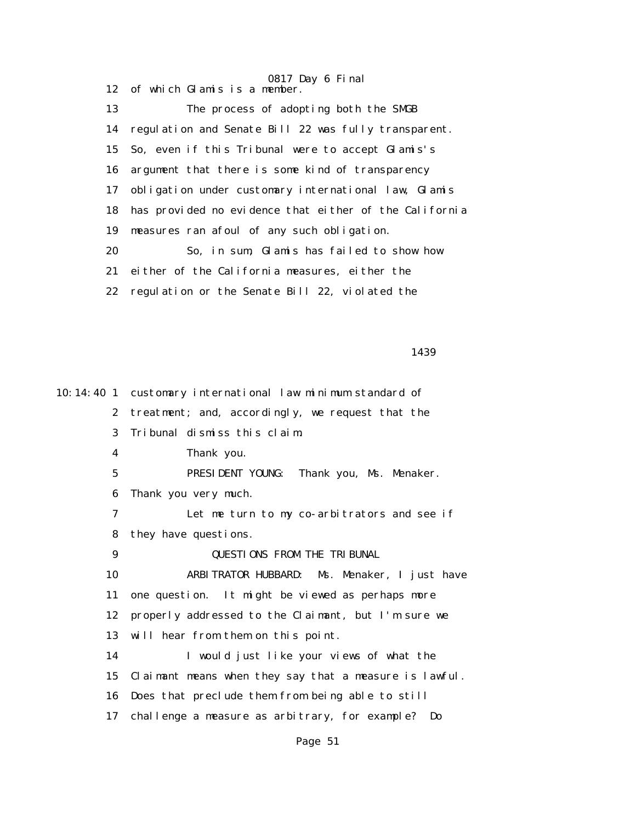0817 Day 6 Final 12 of which Glamis is a member. 13 The process of adopting both the SMGB 14 regulation and Senate Bill 22 was fully transparent. 15 So, even if this Tribunal were to accept Glamis's 16 argument that there is some kind of transparency 17 obligation under customary international law, Glamis 18 has provided no evidence that either of the California 19 measures ran afoul of any such obligation. 20 So, in sum, Glamis has failed to show how 21 either of the California measures, either the 22 regulation or the Senate Bill 22, violated the

1439

10:14:40 1 customary international law minimum standard of 2 treatment; and, accordingly, we request that the 3 Tribunal dismiss this claim. 4 Thank you. 5 PRESIDENT YOUNG: Thank you, Ms. Menaker. 6 Thank you very much. 7 Let me turn to my co-arbitrators and see if 8 they have questions. 9 QUESTIONS FROM THE TRIBUNAL 10 ARBITRATOR HUBBARD: Ms. Menaker, I just have 11 one question. It might be viewed as perhaps more 12 properly addressed to the Claimant, but I'm sure we 13 will hear from them on this point. 14 I would just like your views of what the 15 Claimant means when they say that a measure is lawful. 16 Does that preclude them from being able to still 17 challenge a measure as arbitrary, for example? Do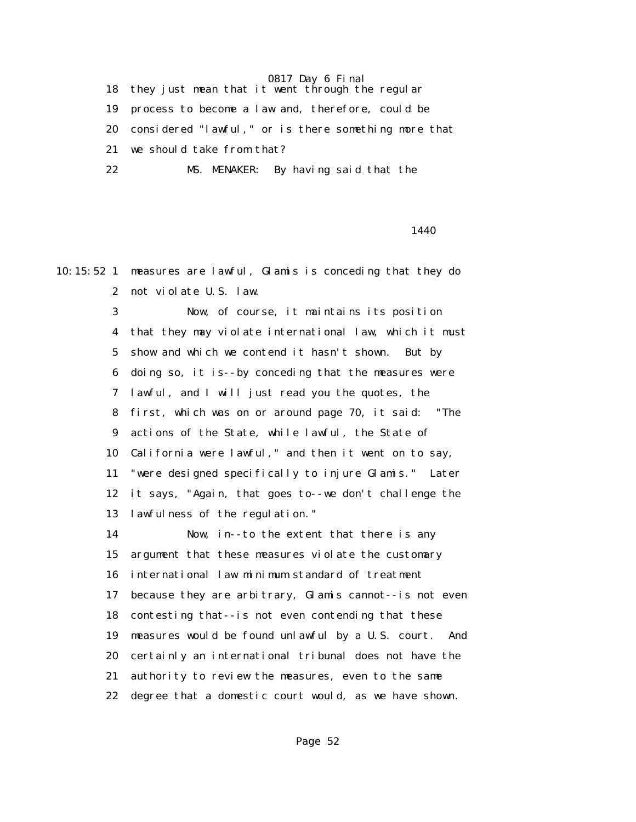18 they just mean that it went through the regular 19 process to become a law and, therefore, could be 20 considered "lawful," or is there something more that 21 we should take from that? 22 MS. MENAKER: By having said that the

1440

10:15:52 1 measures are lawful, Glamis is conceding that they do 2 not violate U.S. law.

> 3 Now, of course, it maintains its position 4 that they may violate international law, which it must 5 show and which we contend it hasn't shown. But by 6 doing so, it is--by conceding that the measures were 7 lawful, and I will just read you the quotes, the 8 first, which was on or around page 70, it said: "The 9 actions of the State, while lawful, the State of 10 California were lawful," and then it went on to say, 11 "were designed specifically to injure Glamis." Later 12 it says, "Again, that goes to--we don't challenge the 13 lawfulness of the regulation."

> 14 Now, in--to the extent that there is any 15 argument that these measures violate the customary 16 international law minimum standard of treatment 17 because they are arbitrary, Glamis cannot--is not even 18 contesting that--is not even contending that these 19 measures would be found unlawful by a U.S. court. And 20 certainly an international tribunal does not have the 21 authority to review the measures, even to the same 22 degree that a domestic court would, as we have shown.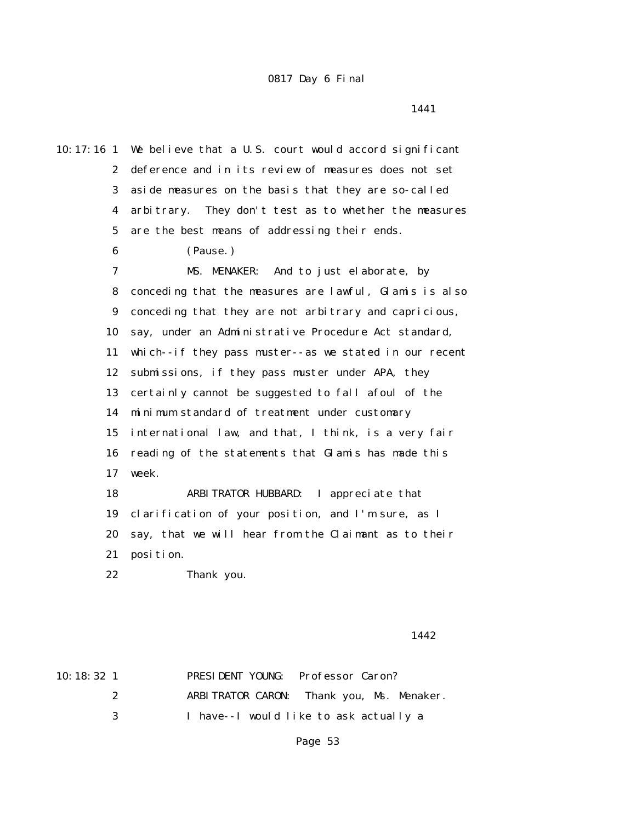1441

10:17:16 1 We believe that a U.S. court would accord significant 2 deference and in its review of measures does not set 3 aside measures on the basis that they are so-called 4 arbitrary. They don't test as to whether the measures 5 are the best means of addressing their ends. 6 (Pause.) 7 MS. MENAKER: And to just elaborate, by 8 conceding that the measures are lawful, Glamis is also 9 conceding that they are not arbitrary and capricious, 10 say, under an Administrative Procedure Act standard, 11 which--if they pass muster--as we stated in our recent 12 submissions, if they pass muster under APA, they 13 certainly cannot be suggested to fall afoul of the 14 minimum standard of treatment under customary 15 international law, and that, I think, is a very fair 16 reading of the statements that Glamis has made this 17 week. 18 ARBITRATOR HUBBARD: I appreciate that 19 clarification of your position, and I'm sure, as I 20 say, that we will hear from the Claimant as to their 21 position. 22 Thank you.

1442

| 10:18:32 <sub>1</sub> |   | <b>PRESIDENT YOUNG:</b> Professor Caron? |                                           |
|-----------------------|---|------------------------------------------|-------------------------------------------|
|                       | 2 |                                          | ARBITRATOR CARON: Thank you, Ms. Menaker. |
|                       | 3 |                                          | I have--I would like to ask actually a    |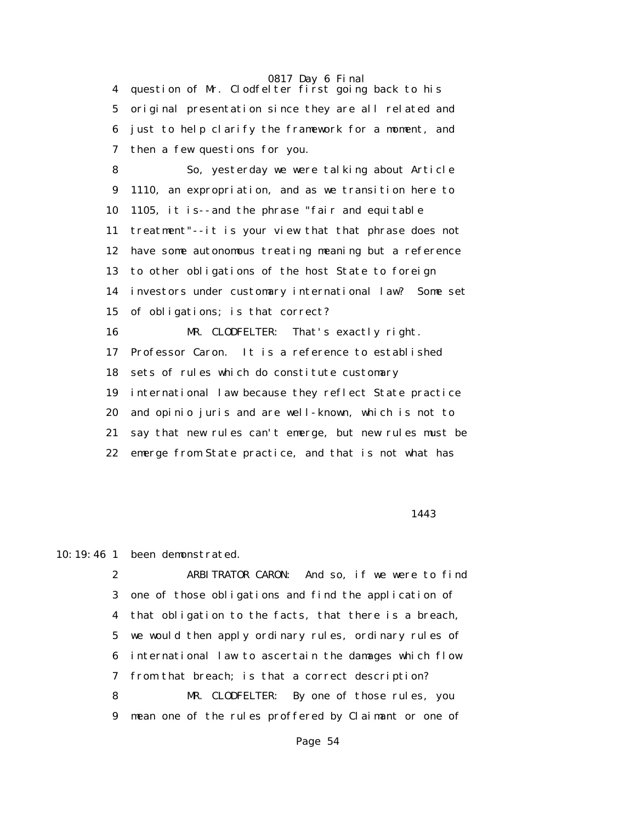4 question of Mr. Clodfelter first going back to his 5 original presentation since they are all related and 6 just to help clarify the framework for a moment, and 7 then a few questions for you.

 8 So, yesterday we were talking about Article 9 1110, an expropriation, and as we transition here to 10 1105, it is--and the phrase "fair and equitable 11 treatment"--it is your view that that phrase does not 12 have some autonomous treating meaning but a reference 13 to other obligations of the host State to foreign 14 investors under customary international law? Some set 15 of obligations; is that correct? 16 MR. CLODFELTER: That's exactly right. 17 Professor Caron. It is a reference to established 18 sets of rules which do constitute customary 19 international law because they reflect State practice 20 and opinio juris and are well-known, which is not to 21 say that new rules can't emerge, but new rules must be 22 emerge from State practice, and that is not what has

1443

## 10:19:46 1 been demonstrated.

 2 ARBITRATOR CARON: And so, if we were to find 3 one of those obligations and find the application of 4 that obligation to the facts, that there is a breach, 5 we would then apply ordinary rules, ordinary rules of 6 international law to ascertain the damages which flow 7 from that breach; is that a correct description? 8 MR. CLODFELTER: By one of those rules, you 9 mean one of the rules proffered by Claimant or one of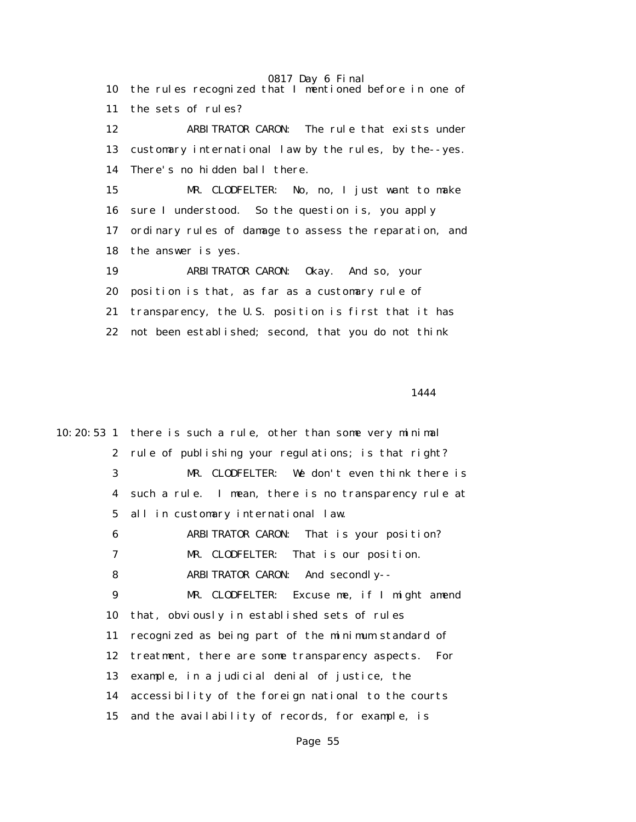10 the rules recognized that I mentioned before in one of 11 the sets of rules? 12 ARBITRATOR CARON: The rule that exists under 13 customary international law by the rules, by the--yes. 14 There's no hidden ball there. 15 MR. CLODFELTER: No, no, I just want to make 16 sure I understood. So the question is, you apply 17 ordinary rules of damage to assess the reparation, and 18 the answer is yes. 19 ARBITRATOR CARON: Okay. And so, your 20 position is that, as far as a customary rule of 21 transparency, the U.S. position is first that it has 22 not been established; second, that you do not think

1444

10:20:53 1 there is such a rule, other than some very minimal 2 rule of publishing your regulations; is that right? 3 MR. CLODFELTER: We don't even think there is 4 such a rule. I mean, there is no transparency rule at 5 all in customary international law. 6 ARBITRATOR CARON: That is your position? 7 MR. CLODFELTER: That is our position. 8 ARBITRATOR CARON: And secondly-- 9 MR. CLODFELTER: Excuse me, if I might amend 10 that, obviously in established sets of rules 11 recognized as being part of the minimum standard of 12 treatment, there are some transparency aspects. For 13 example, in a judicial denial of justice, the 14 accessibility of the foreign national to the courts 15 and the availability of records, for example, is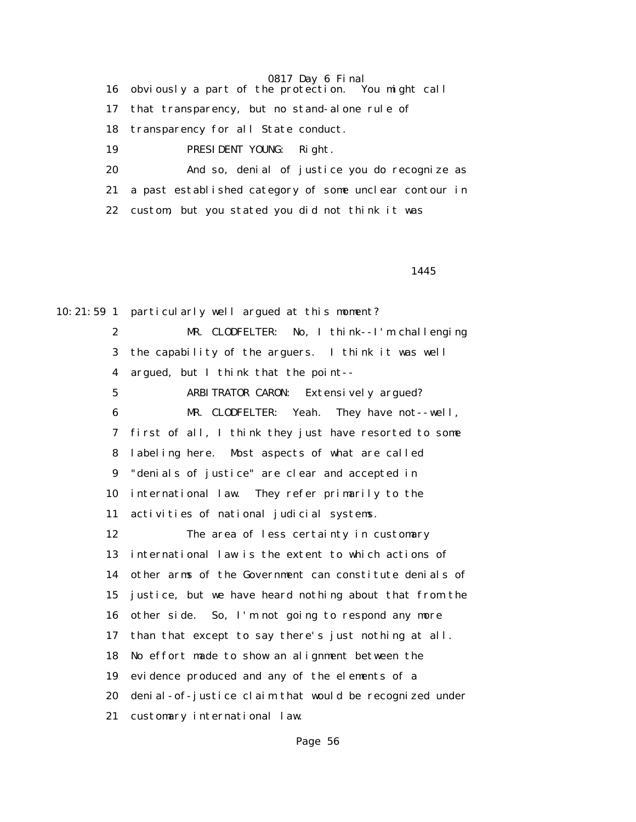16 obviously a part of the protection. You might call

17 that transparency, but no stand-alone rule of

18 transparency for all State conduct.

19 PRESIDENT YOUNG: Right.

 20 And so, denial of justice you do recognize as 21 a past established category of some unclear contour in 22 custom, but you stated you did not think it was

1445

10:21:59 1 particularly well argued at this moment?

 2 MR. CLODFELTER: No, I think--I'm challenging 3 the capability of the arguers. I think it was well 4 argued, but I think that the point-- 5 ARBITRATOR CARON: Extensively argued? 6 MR. CLODFELTER: Yeah. They have not--well, 7 first of all, I think they just have resorted to some 8 labeling here. Most aspects of what are called 9 "denials of justice" are clear and accepted in 10 international law. They refer primarily to the 11 activities of national judicial systems. 12 The area of less certainty in customary 13 international law is the extent to which actions of 14 other arms of the Government can constitute denials of 15 justice, but we have heard nothing about that from the 16 other side. So, I'm not going to respond any more 17 than that except to say there's just nothing at all. 18 No effort made to show an alignment between the 19 evidence produced and any of the elements of a 20 denial-of-justice claim that would be recognized under 21 customary international law.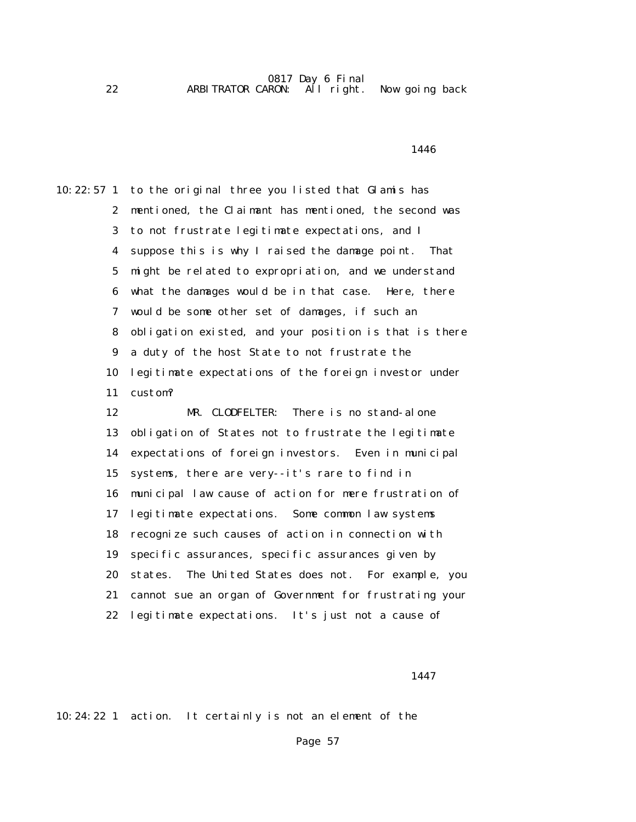0817 Day 6 Final 22 ARBITRATOR CARON: All right. Now going back

1446

10:22:57 1 to the original three you listed that Glamis has 2 mentioned, the Claimant has mentioned, the second was 3 to not frustrate legitimate expectations, and I 4 suppose this is why I raised the damage point. That 5 might be related to expropriation, and we understand 6 what the damages would be in that case. Here, there 7 would be some other set of damages, if such an 8 obligation existed, and your position is that is there 9 a duty of the host State to not frustrate the 10 legitimate expectations of the foreign investor under 11 custom? 12 MR. CLODFELTER: There is no stand-alone 13 obligation of States not to frustrate the legitimate 14 expectations of foreign investors. Even in municipal 15 systems, there are very--it's rare to find in 16 municipal law cause of action for mere frustration of 17 legitimate expectations. Some common law systems 18 recognize such causes of action in connection with 19 specific assurances, specific assurances given by 20 states. The United States does not. For example, you 21 cannot sue an organ of Government for frustrating your 22 legitimate expectations. It's just not a cause of

1447

10:24:22 1 action. It certainly is not an element of the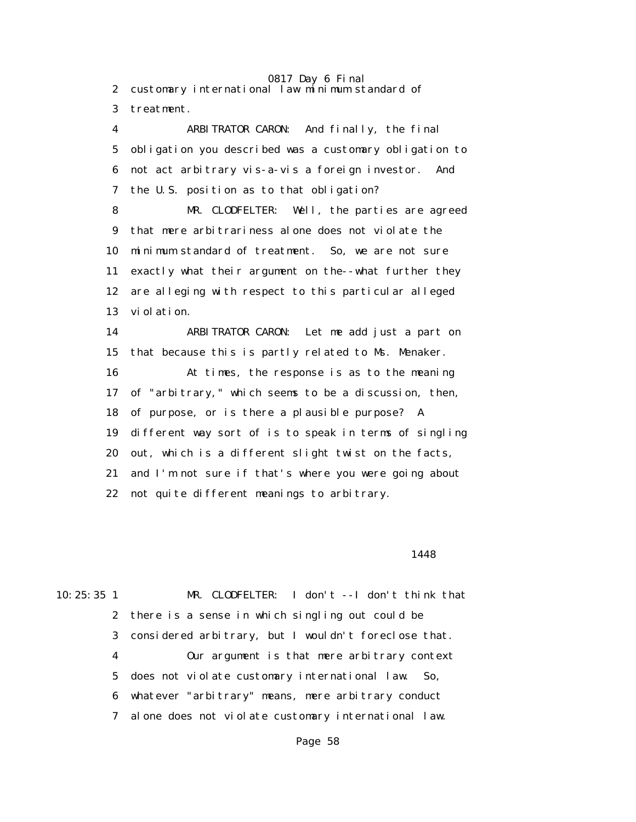0817 Day 6 Final 2 customary international law minimum standard of 3 treatment.

 4 ARBITRATOR CARON: And finally, the final 5 obligation you described was a customary obligation to 6 not act arbitrary vis-a-vis a foreign investor. And 7 the U.S. position as to that obligation? 8 MR. CLODFELTER: Well, the parties are agreed 9 that mere arbitrariness alone does not violate the 10 minimum standard of treatment. So, we are not sure 11 exactly what their argument on the--what further they 12 are alleging with respect to this particular alleged 13 violation. 14 ARBITRATOR CARON: Let me add just a part on 15 that because this is partly related to Ms. Menaker. 16 At times, the response is as to the meaning 17 of "arbitrary," which seems to be a discussion, then,

18 of purpose, or is there a plausible purpose? A

19 different way sort of is to speak in terms of singling

20 out, which is a different slight twist on the facts,

21 and I'm not sure if that's where you were going about

22 not quite different meanings to arbitrary.

#### 1448

10:25:35 1 MR. CLODFELTER: I don't --I don't think that 2 there is a sense in which singling out could be 3 considered arbitrary, but I wouldn't foreclose that. 4 Our argument is that mere arbitrary context 5 does not violate customary international law. So, 6 whatever "arbitrary" means, mere arbitrary conduct 7 alone does not violate customary international law.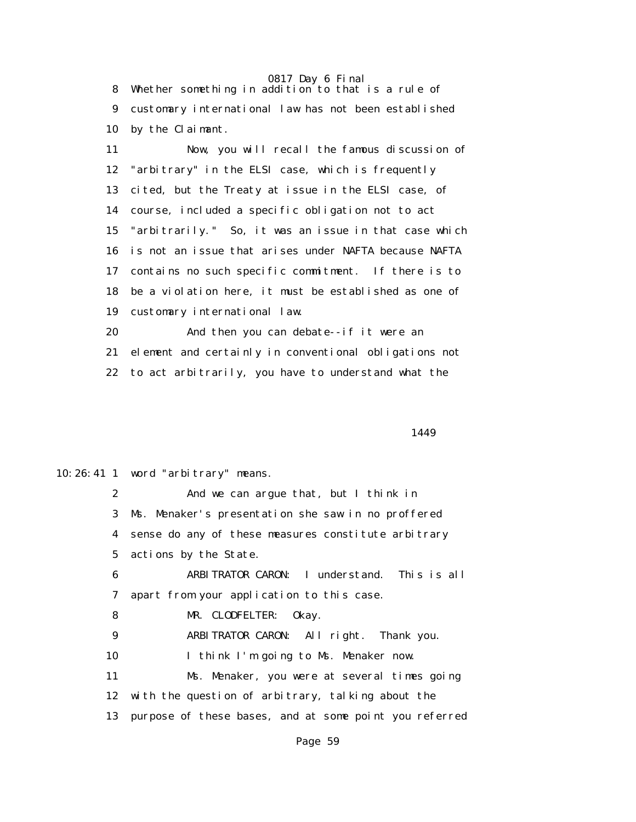8 Whether something in addition to that is a rule of 9 customary international law has not been established 10 by the Claimant.

 11 Now, you will recall the famous discussion of 12 "arbitrary" in the ELSI case, which is frequently 13 cited, but the Treaty at issue in the ELSI case, of 14 course, included a specific obligation not to act 15 "arbitrarily." So, it was an issue in that case which 16 is not an issue that arises under NAFTA because NAFTA 17 contains no such specific commitment. If there is to 18 be a violation here, it must be established as one of 19 customary international law.

 20 And then you can debate--if it were an 21 element and certainly in conventional obligations not 22 to act arbitrarily, you have to understand what the

1449

10:26:41 1 word "arbitrary" means.

 2 And we can argue that, but I think in 3 Ms. Menaker's presentation she saw in no proffered 4 sense do any of these measures constitute arbitrary 5 actions by the State.

 6 ARBITRATOR CARON: I understand. This is all 7 apart from your application to this case.

8 MR. CLODFELTER: Okay.

9 ARBITRATOR CARON: All right. Thank you.

10 I think I'm going to Ms. Menaker now.

 11 Ms. Menaker, you were at several times going 12 with the question of arbitrary, talking about the 13 purpose of these bases, and at some point you referred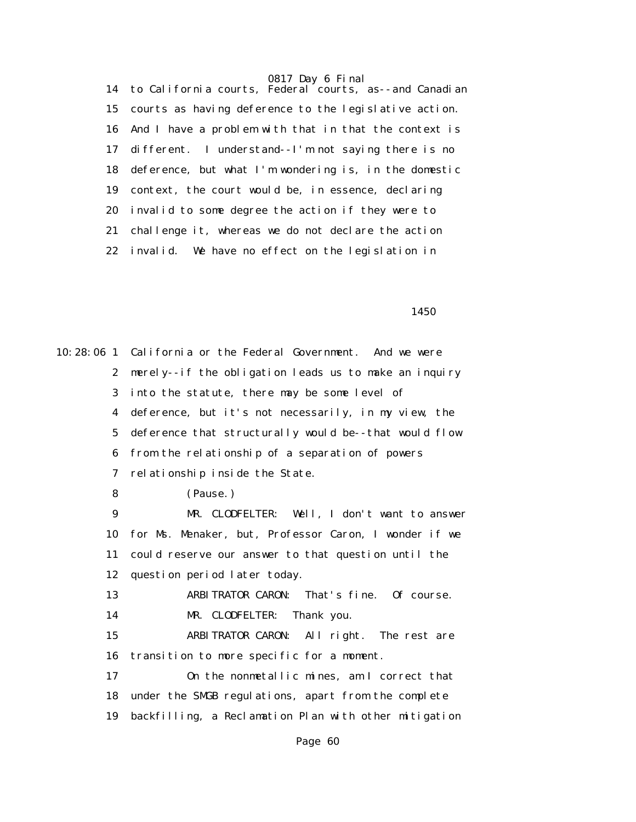14 to California courts, Federal courts, as--and Canadian 15 courts as having deference to the legislative action. 16 And I have a problem with that in that the context is 17 different. I understand--I'm not saying there is no 18 deference, but what I'm wondering is, in the domestic 19 context, the court would be, in essence, declaring 20 invalid to some degree the action if they were to 21 challenge it, whereas we do not declare the action 22 invalid. We have no effect on the legislation in

 $1450$ 

10:28:06 1 California or the Federal Government. And we were 2 merely--if the obligation leads us to make an inquiry 3 into the statute, there may be some level of 4 deference, but it's not necessarily, in my view, the 5 deference that structurally would be--that would flow 6 from the relationship of a separation of powers 7 relationship inside the State. 8 (Pause.) 9 MR. CLODFELTER: Well, I don't want to answer 10 for Ms. Menaker, but, Professor Caron, I wonder if we 11 could reserve our answer to that question until the 12 question period later today. 13 ARBITRATOR CARON: That's fine. Of course. 14 MR. CLODFELTER: Thank you. 15 ARBITRATOR CARON: All right. The rest are 16 transition to more specific for a moment. 17 On the nonmetallic mines, am I correct that 18 under the SMGB regulations, apart from the complete 19 backfilling, a Reclamation Plan with other mitigation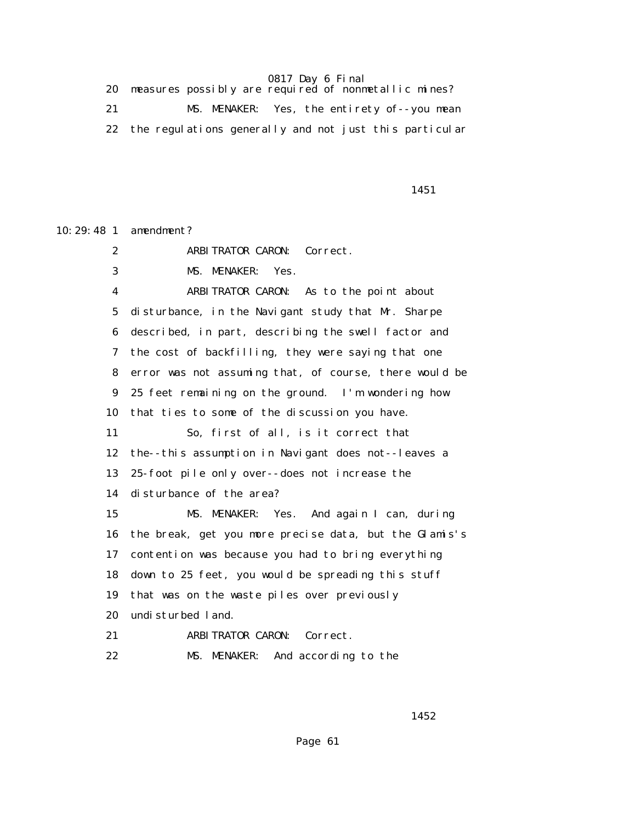| measures possibly are required of nonmetallic mines?   |
|--------------------------------------------------------|
| MS. MENAKER: Yes, the entirety of--you mean            |
| the regulations generally and not just this particular |

1451

10:29:48 1 amendment? 2 ARBITRATOR CARON: Correct. 3 MS. MENAKER: Yes. 4 ARBITRATOR CARON: As to the point about 5 disturbance, in the Navigant study that Mr. Sharpe 6 described, in part, describing the swell factor and 7 the cost of backfilling, they were saying that one 8 error was not assuming that, of course, there would be 9 25 feet remaining on the ground. I'm wondering how 10 that ties to some of the discussion you have. 11 So, first of all, is it correct that 12 the--this assumption in Navigant does not--leaves a 13 25-foot pile only over--does not increase the 14 disturbance of the area? 15 MS. MENAKER: Yes. And again I can, during 16 the break, get you more precise data, but the Glamis's 17 contention was because you had to bring everything 18 down to 25 feet, you would be spreading this stuff 19 that was on the waste piles over previously 20 undisturbed land. 21 ARBITRATOR CARON: Correct. 22 MS. MENAKER: And according to the

 $1452$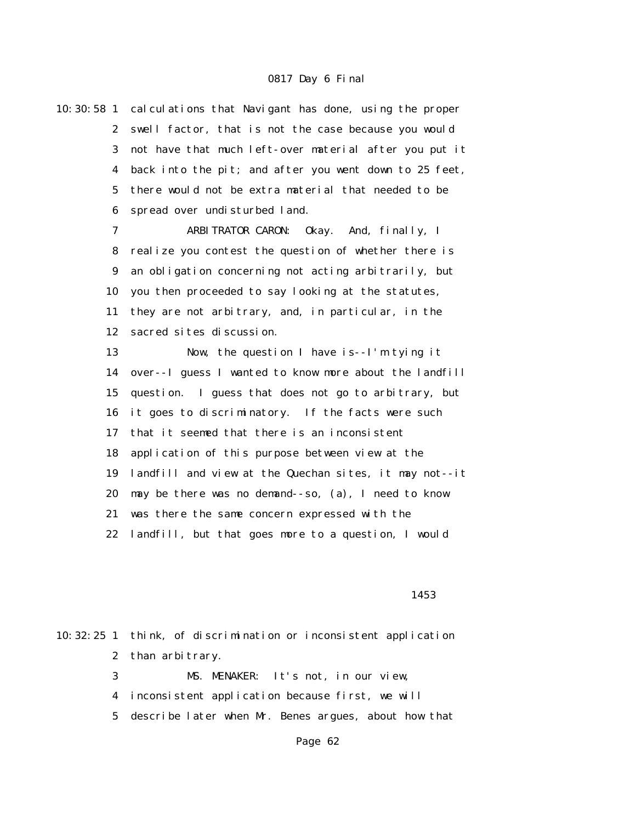10:30:58 1 calculations that Navigant has done, using the proper 2 swell factor, that is not the case because you would 3 not have that much left-over material after you put it 4 back into the pit; and after you went down to 25 feet, 5 there would not be extra material that needed to be 6 spread over undisturbed land.

> 7 ARBITRATOR CARON: Okay. And, finally, I 8 realize you contest the question of whether there is 9 an obligation concerning not acting arbitrarily, but 10 you then proceeded to say looking at the statutes, 11 they are not arbitrary, and, in particular, in the 12 sacred sites discussion.

 13 Now, the question I have is--I'm tying it 14 over--I guess I wanted to know more about the landfill 15 question. I guess that does not go to arbitrary, but 16 it goes to discriminatory. If the facts were such 17 that it seemed that there is an inconsistent 18 application of this purpose between view at the 19 landfill and view at the Quechan sites, it may not--it 20 may be there was no demand--so, (a), I need to know 21 was there the same concern expressed with the 22 landfill, but that goes more to a question, I would

#### $1453$

|  | 10:32:25 1 think, of discrimination or inconsistent application |
|--|-----------------------------------------------------------------|
|  | 2 than arbitrary.                                               |
|  | MS. MENAKER: It's not, in our view,<br>$\mathbf{3}$             |
|  | 4 inconsistent application because first, we will               |

5 describe later when Mr. Benes argues, about how that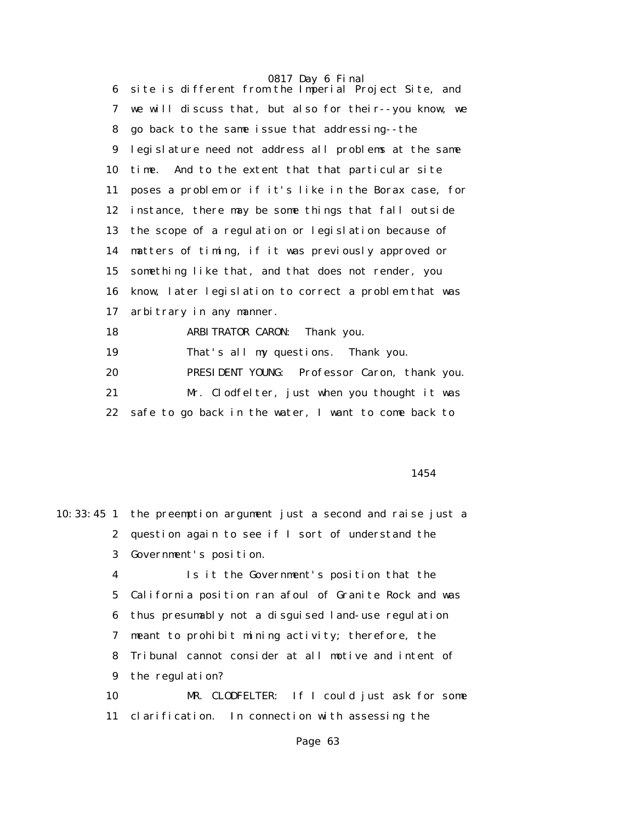0817 Day 6 Final 6 site is different from the Imperial Project Site, and 7 we will discuss that, but also for their--you know, we 8 go back to the same issue that addressing--the 9 legislature need not address all problems at the same 10 time. And to the extent that that particular site 11 poses a problem or if it's like in the Borax case, for 12 instance, there may be some things that fall outside 13 the scope of a regulation or legislation because of 14 matters of timing, if it was previously approved or 15 something like that, and that does not render, you 16 know, later legislation to correct a problem that was 17 arbitrary in any manner. 18 ARBITRATOR CARON: Thank you. 19 That's all my questions. Thank you. 20 PRESIDENT YOUNG: Professor Caron, thank you.

 21 Mr. Clodfelter, just when you thought it was 22 safe to go back in the water, I want to come back to

1454

|    | 10:33:45 1 the preemption argument just a second and raise just a |
|----|-------------------------------------------------------------------|
|    | 2 question again to see if I sort of understand the               |
| 3  | Government's position.                                            |
| 4  | Is it the Government's position that the                          |
|    | 5 California position ran afoul of Granite Rock and was           |
|    | 6 thus presumably not a disguised land-use regulation             |
|    | 7 meant to prohibit mining activity; therefore, the               |
|    | 8 Tribunal cannot consider at all motive and intent of            |
|    | 9 the regulation?                                                 |
| 10 | MR. CLODFELTER: If I could just ask for some                      |
| 11 | clarification. In connection with assessing the                   |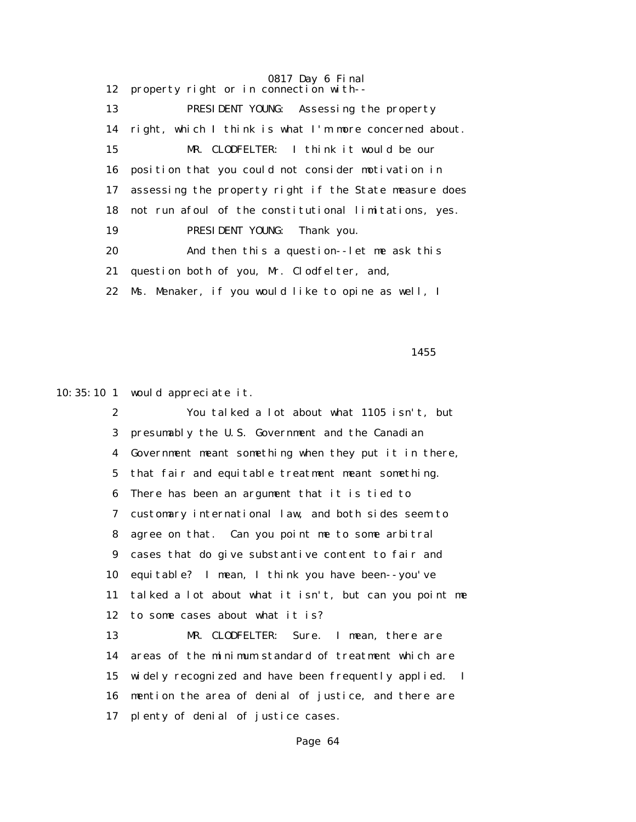0817 Day 6 Final 12 property right or in connection with-- 13 PRESIDENT YOUNG: Assessing the property 14 right, which I think is what I'm more concerned about. 15 MR. CLODFELTER: I think it would be our 16 position that you could not consider motivation in 17 assessing the property right if the State measure does 18 not run afoul of the constitutional limitations, yes. 19 PRESIDENT YOUNG: Thank you. 20 And then this a question--let me ask this 21 question both of you, Mr. Clodfelter, and, 22 Ms. Menaker, if you would like to opine as well, I

 $1455$ 

10:35:10 1 would appreciate it.

 2 You talked a lot about what 1105 isn't, but 3 presumably the U.S. Government and the Canadian 4 Government meant something when they put it in there, 5 that fair and equitable treatment meant something. 6 There has been an argument that it is tied to 7 customary international law, and both sides seem to 8 agree on that. Can you point me to some arbitral 9 cases that do give substantive content to fair and 10 equitable? I mean, I think you have been--you've 11 talked a lot about what it isn't, but can you point me 12 to some cases about what it is? 13 MR. CLODFELTER: Sure. I mean, there are

 14 areas of the minimum standard of treatment which are 15 widely recognized and have been frequently applied. I 16 mention the area of denial of justice, and there are 17 plenty of denial of justice cases.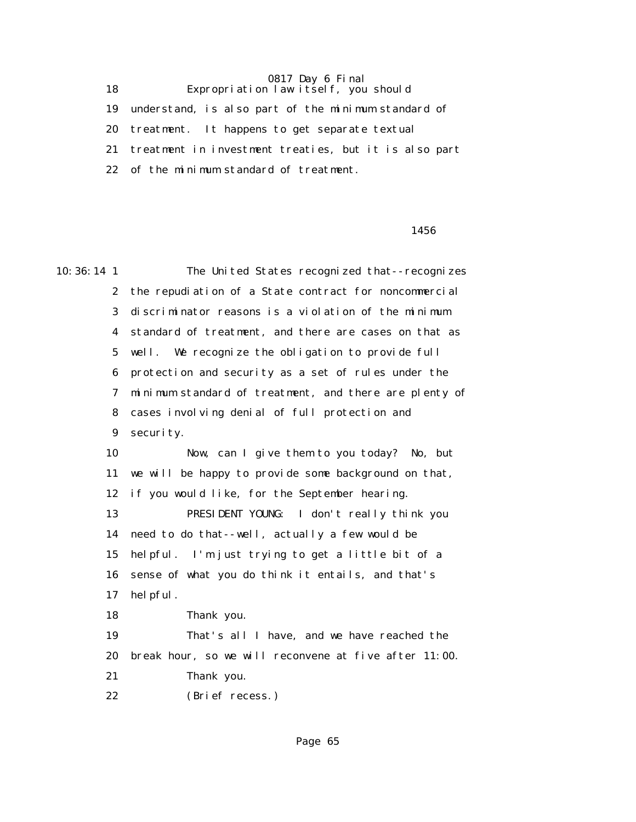18 Expropriation law itself, you should 19 understand, is also part of the minimum standard of 20 treatment. It happens to get separate textual 21 treatment in investment treaties, but it is also part 22 of the minimum standard of treatment.

#### $1456$

10:36:14 1 The United States recognized that--recognizes 2 the repudiation of a State contract for noncommercial 3 discriminator reasons is a violation of the minimum 4 standard of treatment, and there are cases on that as 5 well. We recognize the obligation to provide full 6 protection and security as a set of rules under the 7 minimum standard of treatment, and there are plenty of 8 cases involving denial of full protection and 9 security. 10 Now, can I give them to you today? No, but 11 we will be happy to provide some background on that, 12 if you would like, for the September hearing. 13 PRESIDENT YOUNG: I don't really think you 14 need to do that--well, actually a few would be 15 helpful. I'm just trying to get a little bit of a 16 sense of what you do think it entails, and that's 17 helpful. 18 Thank you. 19 That's all I have, and we have reached the 20 break hour, so we will reconvene at five after 11:00. 21 Thank you. 22 (Brief recess.)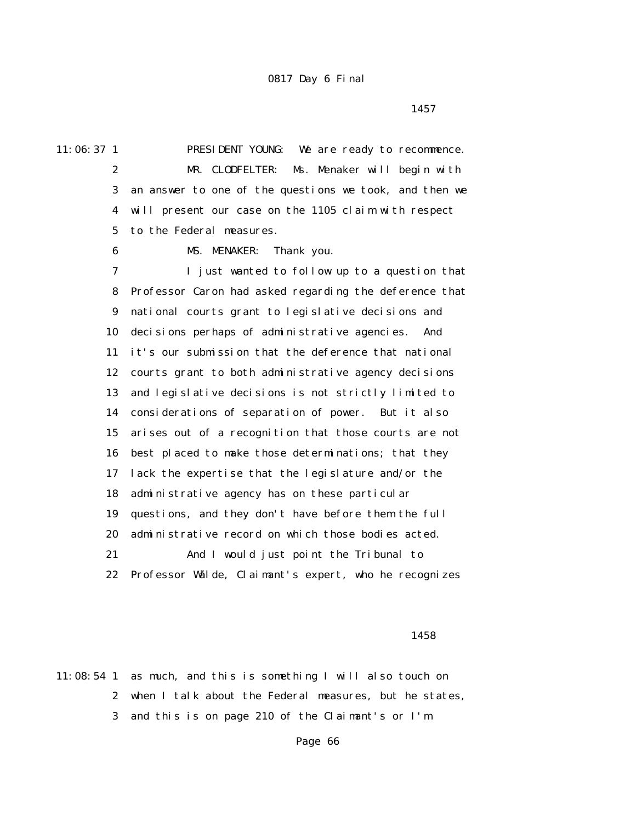$1457$ 

11:06:37 1 PRESIDENT YOUNG: We are ready to recommence. 2 MR. CLODFELTER: Ms. Menaker will begin with 3 an answer to one of the questions we took, and then we 4 will present our case on the 1105 claim with respect 5 to the Federal measures.

6 MS. MENAKER: Thank you.

 7 I just wanted to follow up to a question that 8 Professor Caron had asked regarding the deference that 9 national courts grant to legislative decisions and 10 decisions perhaps of administrative agencies. And 11 it's our submission that the deference that national 12 courts grant to both administrative agency decisions 13 and legislative decisions is not strictly limited to 14 considerations of separation of power. But it also 15 arises out of a recognition that those courts are not 16 best placed to make those determinations; that they 17 lack the expertise that the legislature and/or the 18 administrative agency has on these particular 19 questions, and they don't have before them the full 20 administrative record on which those bodies acted. 21 And I would just point the Tribunal to 22 Professor Wälde, Claimant's expert, who he recognizes

 $1458$ 

11:08:54 1 as much, and this is something I will also touch on 2 when I talk about the Federal measures, but he states, 3 and this is on page 210 of the Claimant's or I'm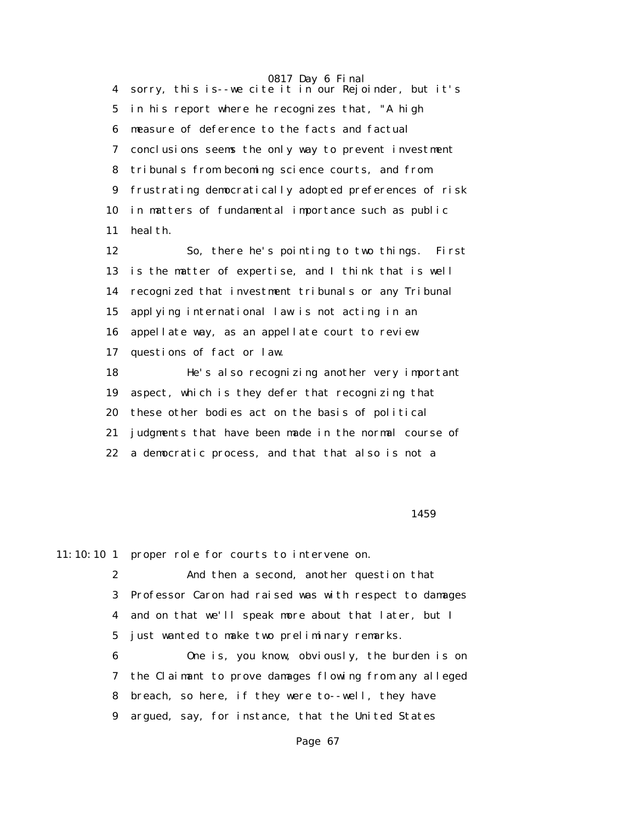0817 Day 6 Final 4 sorry, this is--we cite it in our Rejoinder, but it's 5 in his report where he recognizes that, "A high 6 measure of deference to the facts and factual 7 conclusions seems the only way to prevent investment 8 tribunals from becoming science courts, and from 9 frustrating democratically adopted preferences of risk 10 in matters of fundamental importance such as public 11 health.

 12 So, there he's pointing to two things. First 13 is the matter of expertise, and I think that is well 14 recognized that investment tribunals or any Tribunal 15 applying international law is not acting in an 16 appellate way, as an appellate court to review 17 questions of fact or law. 18 He's also recognizing another very important

 19 aspect, which is they defer that recognizing that 20 these other bodies act on the basis of political 21 judgments that have been made in the normal course of 22 a democratic process, and that that also is not a

#### $1459$

11:10:10 1 proper role for courts to intervene on.

 2 And then a second, another question that 3 Professor Caron had raised was with respect to damages 4 and on that we'll speak more about that later, but I 5 just wanted to make two preliminary remarks.

 6 One is, you know, obviously, the burden is on 7 the Claimant to prove damages flowing from any alleged 8 breach, so here, if they were to--well, they have 9 argued, say, for instance, that the United States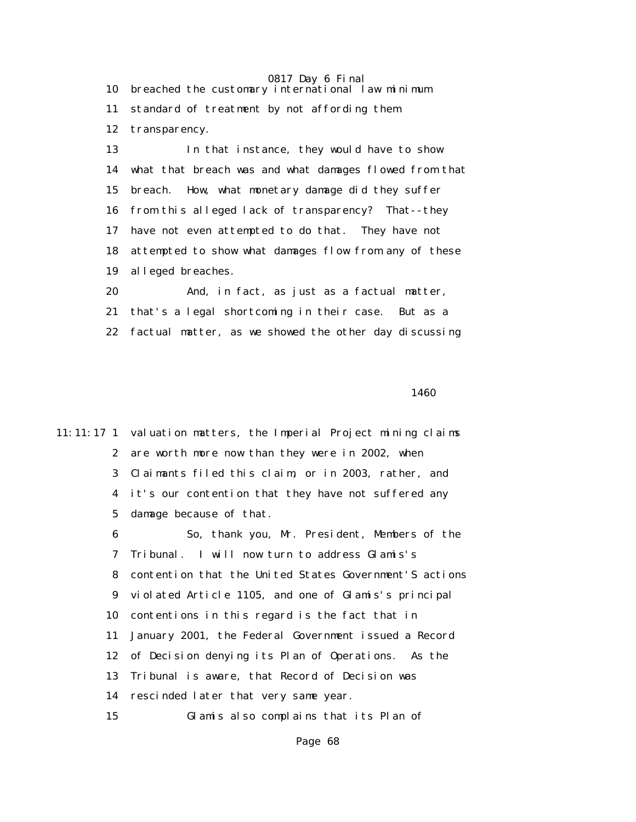0817 Day 6 Final 10 breached the customary international law minimum 11 standard of treatment by not affording them 12 transparency. 13 In that instance, they would have to show 14 what that breach was and what damages flowed from that 15 breach. How, what monetary damage did they suffer 16 from this alleged lack of transparency? That--they

 17 have not even attempted to do that. They have not 18 attempted to show what damages flow from any of these 19 alleged breaches.

 20 And, in fact, as just as a factual matter, 21 that's a legal shortcoming in their case. But as a 22 factual matter, as we showed the other day discussing

**1460** 

11:11:17 1 valuation matters, the Imperial Project mining claims 2 are worth more now than they were in 2002, when 3 Claimants filed this claim, or in 2003, rather, and 4 it's our contention that they have not suffered any 5 damage because of that. 6 So, thank you, Mr. President, Members of the 7 Tribunal. I will now turn to address Glamis's 8 contention that the United States Government'S actions 9 violated Article 1105, and one of Glamis's principal 10 contentions in this regard is the fact that in 11 January 2001, the Federal Government issued a Record 12 of Decision denying its Plan of Operations. As the 13 Tribunal is aware, that Record of Decision was 14 rescinded later that very same year. 15 Glamis also complains that its Plan of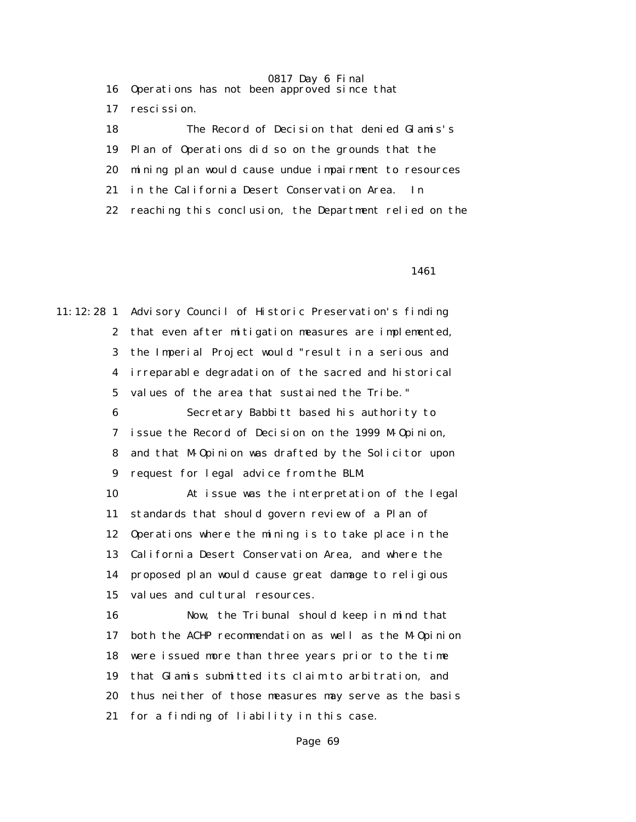16 Operations has not been approved since that

17 rescission.

 18 The Record of Decision that denied Glamis's 19 Plan of Operations did so on the grounds that the 20 mining plan would cause undue impairment to resources 21 in the California Desert Conservation Area. In 22 reaching this conclusion, the Department relied on the

1461

11:12:28 1 Advisory Council of Historic Preservation's finding 2 that even after mitigation measures are implemented, 3 the Imperial Project would "result in a serious and 4 irreparable degradation of the sacred and historical 5 values of the area that sustained the Tribe." 6 Secretary Babbitt based his authority to 7 issue the Record of Decision on the 1999 M-Opinion, 8 and that M-Opinion was drafted by the Solicitor upon 9 request for legal advice from the BLM. 10 At issue was the interpretation of the legal 11 standards that should govern review of a Plan of 12 Operations where the mining is to take place in the 13 California Desert Conservation Area, and where the 14 proposed plan would cause great damage to religious 15 values and cultural resources. 16 Now, the Tribunal should keep in mind that 17 both the ACHP recommendation as well as the M-Opinion 18 were issued more than three years prior to the time 19 that Glamis submitted its claim to arbitration, and 20 thus neither of those measures may serve as the basis

21 for a finding of liability in this case.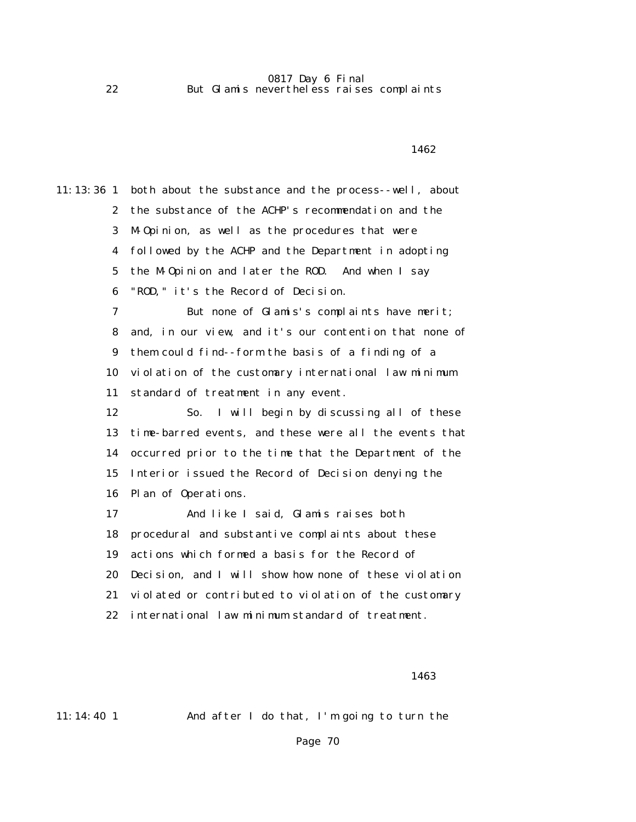#### 0817 Day 6 Final 22 But Glamis nevertheless raises complaints

11:13:36 1 both about the substance and the process--well, about 2 the substance of the ACHP's recommendation and the 3 M-Opinion, as well as the procedures that were 4 followed by the ACHP and the Department in adopting 5 the M-Opinion and later the ROD. And when I say 6 "ROD," it's the Record of Decision. 7 But none of Glamis's complaints have merit; 8 and, in our view, and it's our contention that none of 9 them could find--form the basis of a finding of a 10 violation of the customary international law minimum 11 standard of treatment in any event. 12 So. I will begin by discussing all of these 13 time-barred events, and these were all the events that 14 occurred prior to the time that the Department of the 15 Interior issued the Record of Decision denying the 16 Plan of Operations. 17 And like I said, Glamis raises both 18 procedural and substantive complaints about these 19 actions which formed a basis for the Record of 20 Decision, and I will show how none of these violation 21 violated or contributed to violation of the customary 22 international law minimum standard of treatment.

**1462** 

<u>1463</u>

11:14:40 1 And after I do that, I'm going to turn the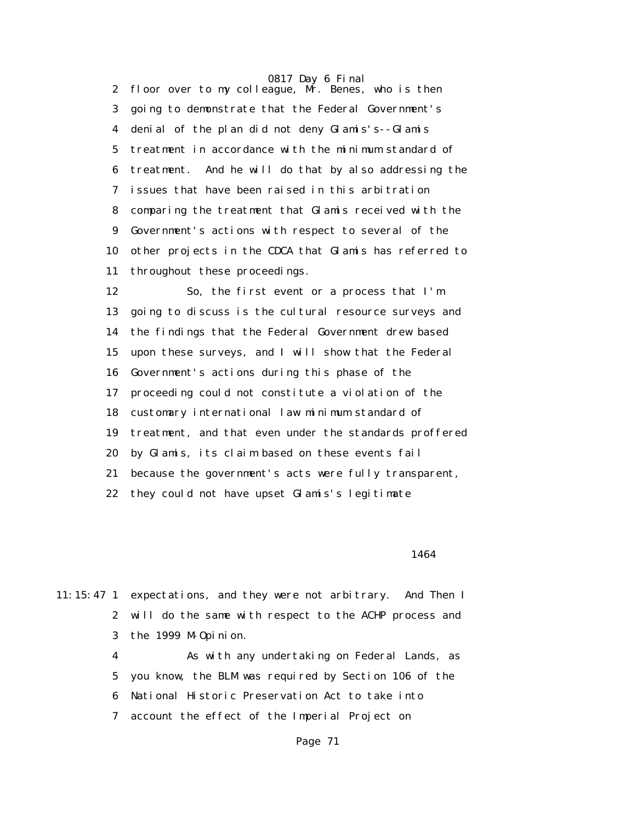2 floor over to my colleague, Mr. Benes, who is then 3 going to demonstrate that the Federal Government's 4 denial of the plan did not deny Glamis's--Glamis 5 treatment in accordance with the minimum standard of 6 treatment. And he will do that by also addressing the 7 issues that have been raised in this arbitration 8 comparing the treatment that Glamis received with the 9 Government's actions with respect to several of the 10 other projects in the CDCA that Glamis has referred to 11 throughout these proceedings.

 12 So, the first event or a process that I'm 13 going to discuss is the cultural resource surveys and 14 the findings that the Federal Government drew based 15 upon these surveys, and I will show that the Federal 16 Government's actions during this phase of the 17 proceeding could not constitute a violation of the 18 customary international law minimum standard of 19 treatment, and that even under the standards proffered 20 by Glamis, its claim based on these events fail 21 because the government's acts were fully transparent, 22 they could not have upset Glamis's legitimate

1464

11:15:47 1 expectations, and they were not arbitrary. And Then I 2 will do the same with respect to the ACHP process and 3 the 1999 M-Opinion.

> 4 As with any undertaking on Federal Lands, as 5 you know, the BLM was required by Section 106 of the 6 National Historic Preservation Act to take into 7 account the effect of the Imperial Project on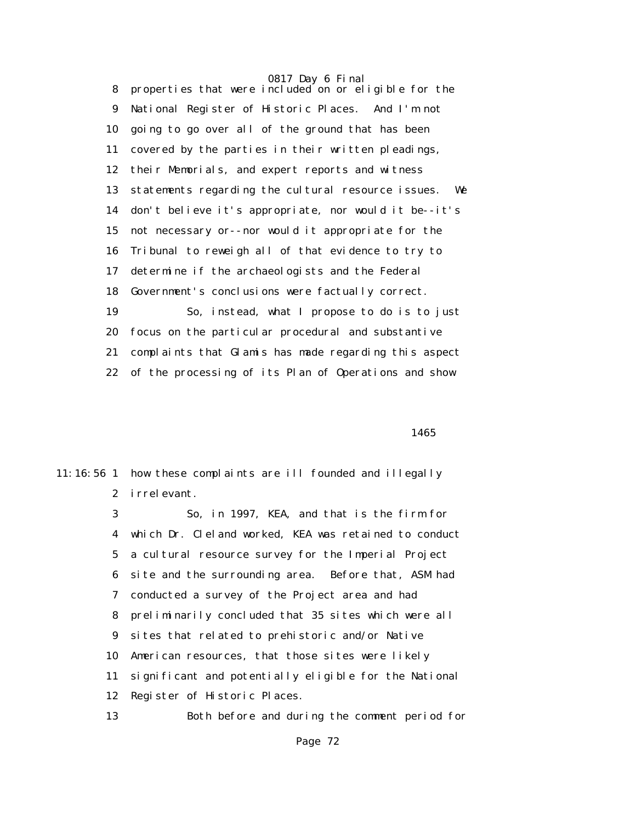0817 Day 6 Final 8 properties that were included on or eligible for the 9 National Register of Historic Places. And I'm not 10 going to go over all of the ground that has been 11 covered by the parties in their written pleadings, 12 their Memorials, and expert reports and witness 13 statements regarding the cultural resource issues. We 14 don't believe it's appropriate, nor would it be--it's 15 not necessary or--nor would it appropriate for the 16 Tribunal to reweigh all of that evidence to try to 17 determine if the archaeologists and the Federal 18 Government's conclusions were factually correct. 19 So, instead, what I propose to do is to just 20 focus on the particular procedural and substantive 21 complaints that Glamis has made regarding this aspect 22 of the processing of its Plan of Operations and show

1465

11:16:56 1 how these complaints are ill founded and illegally 2 irrelevant.

> 3 So, in 1997, KEA, and that is the firm for 4 which Dr. Cleland worked, KEA was retained to conduct 5 a cultural resource survey for the Imperial Project 6 site and the surrounding area. Before that, ASM had 7 conducted a survey of the Project area and had 8 preliminarily concluded that 35 sites which were all 9 sites that related to prehistoric and/or Native 10 American resources, that those sites were likely 11 significant and potentially eligible for the National 12 Register of Historic Places.

13 Both before and during the comment period for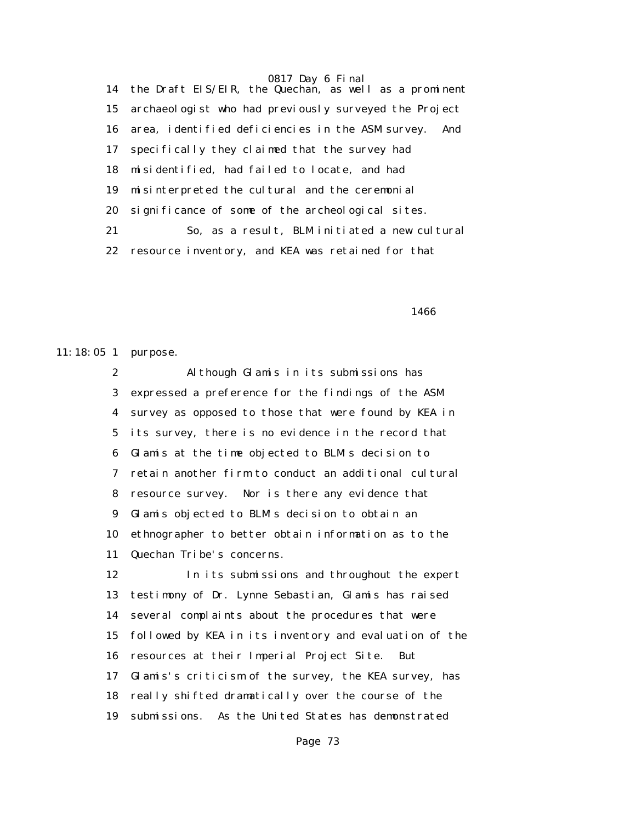14 the Draft EIS/EIR, the Quechan, as well as a prominent 15 archaeologist who had previously surveyed the Project 16 area, identified deficiencies in the ASM survey. And 17 specifically they claimed that the survey had 18 misidentified, had failed to locate, and had 19 misinterpreted the cultural and the ceremonial 20 significance of some of the archeological sites. 21 So, as a result, BLM initiated a new cultural 22 resource inventory, and KEA was retained for that

 $1466$ 

11:18:05 1 purpose.

 2 Although Glamis in its submissions has 3 expressed a preference for the findings of the ASM 4 survey as opposed to those that were found by KEA in 5 its survey, there is no evidence in the record that 6 Glamis at the time objected to BLM's decision to 7 retain another firm to conduct an additional cultural 8 resource survey. Nor is there any evidence that 9 Glamis objected to BLM's decision to obtain an 10 ethnographer to better obtain information as to the 11 Quechan Tribe's concerns.

 12 In its submissions and throughout the expert 13 testimony of Dr. Lynne Sebastian, Glamis has raised 14 several complaints about the procedures that were 15 followed by KEA in its inventory and evaluation of the 16 resources at their Imperial Project Site. But 17 Glamis's criticism of the survey, the KEA survey, has 18 really shifted dramatically over the course of the 19 submissions. As the United States has demonstrated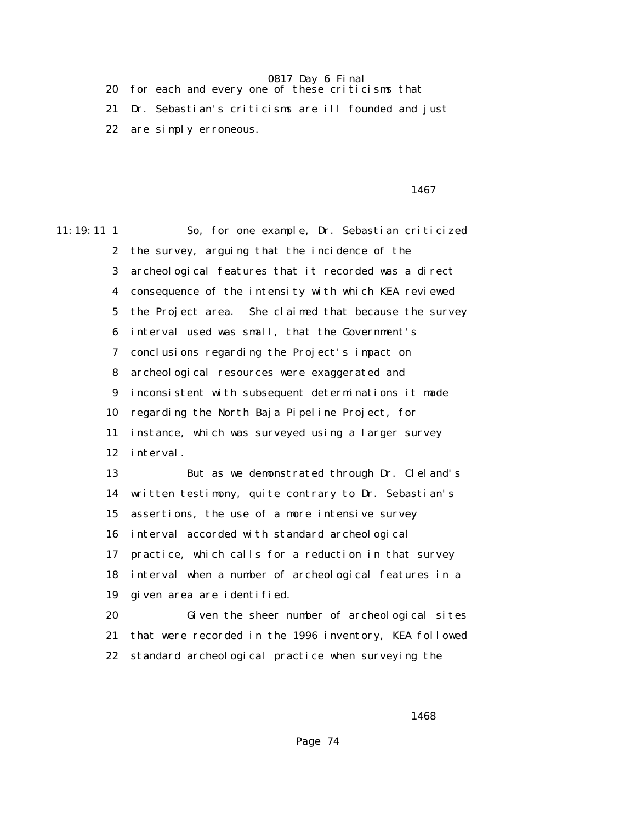20 for each and every one of these criticisms that

 21 Dr. Sebastian's criticisms are ill founded and just 22 are simply erroneous.

1467

11:19:11 1 So, for one example, Dr. Sebastian criticized 2 the survey, arguing that the incidence of the 3 archeological features that it recorded was a direct 4 consequence of the intensity with which KEA reviewed 5 the Project area. She claimed that because the survey 6 interval used was small, that the Government's 7 conclusions regarding the Project's impact on 8 archeological resources were exaggerated and 9 inconsistent with subsequent determinations it made 10 regarding the North Baja Pipeline Project, for 11 instance, which was surveyed using a larger survey 12 interval. 13 But as we demonstrated through Dr. Cleland's 14 written testimony, quite contrary to Dr. Sebastian's 15 assertions, the use of a more intensive survey 16 interval accorded with standard archeological 17 practice, which calls for a reduction in that survey 18 interval when a number of archeological features in a 19 given area are identified. 20 Given the sheer number of archeological sites 21 that were recorded in the 1996 inventory, KEA followed

22 standard archeological practice when surveying the

 $1468$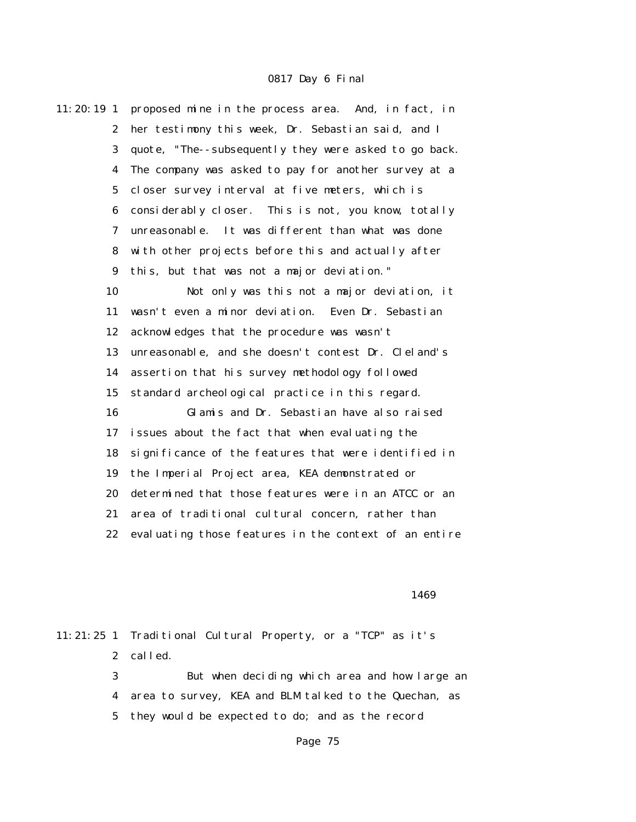| $11:20:19$ 1     | proposed mine in the process area. And, in fact, in   |
|------------------|-------------------------------------------------------|
| $\boldsymbol{2}$ | her testimony this week, Dr. Sebastian said, and I    |
| 3                | quote, "The--subsequently they were asked to go back. |
| 4                | The company was asked to pay for another survey at a  |
| 5                | closer survey interval at five meters, which is       |
| 6                | considerably closer. This is not, you know, totally   |
| 7                | unreasonable. It was different than what was done     |
| 8                | with other projects before this and actually after    |
| 9                | this, but that was not a major deviation."            |
| 10               | Not only was this not a major deviation, it           |
| 11               | wasn't even a minor deviation. Even Dr. Sebastian     |
| 12               | acknowledges that the procedure was wasn't            |
| 13               | unreasonable, and she doesn't contest Dr. Cleland's   |
| 14               | assertion that his survey methodology followed        |
| 15               | standard archeological practice in this regard.       |
| 16               | Glamis and Dr. Sebastian have also raised             |
| 17               | issues about the fact that when evaluating the        |
| 18               | significance of the features that were identified in  |
| 19               | the Imperial Project area, KEA demonstrated or        |
| 20               | determined that those features were in an ATCC or an  |
| 21               | area of traditional cultural concern, rather than     |
| 22               | evaluating those features in the context of an entire |

1469

|   | 11:21:25 1 Traditional Cultural Property, or a "TCP" as it's |
|---|--------------------------------------------------------------|
|   | 2 called.                                                    |
| 3 | But when deciding which area and how large an                |
|   | 4 area to survey, KEA and BLM talked to the Quechan, as      |
|   | 5 they would be expected to do; and as the record            |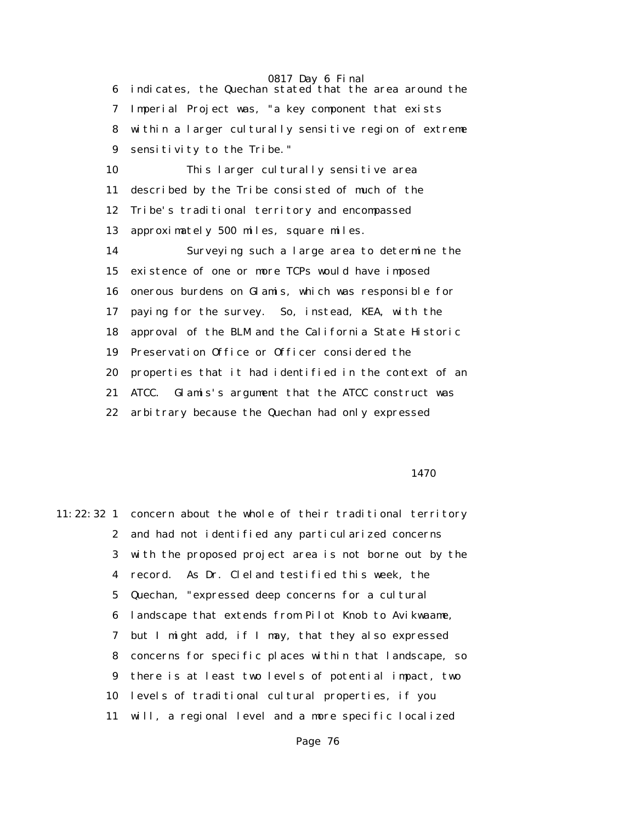6 indicates, the Quechan stated that the area around the 7 Imperial Project was, "a key component that exists 8 within a larger culturally sensitive region of extreme 9 sensitivity to the Tribe."

 10 This larger culturally sensitive area 11 described by the Tribe consisted of much of the 12 Tribe's traditional territory and encompassed 13 approximately 500 miles, square miles. 14 Surveying such a large area to determine the 15 existence of one or more TCPs would have imposed 16 onerous burdens on Glamis, which was responsible for

 17 paying for the survey. So, instead, KEA, with the 18 approval of the BLM and the California State Historic 19 Preservation Office or Officer considered the 20 properties that it had identified in the context of an 21 ATCC. Glamis's argument that the ATCC construct was 22 arbitrary because the Quechan had only expressed

1470

11:22:32 1 concern about the whole of their traditional territory 2 and had not identified any particularized concerns 3 with the proposed project area is not borne out by the 4 record. As Dr. Cleland testified this week, the 5 Quechan, "expressed deep concerns for a cultural 6 landscape that extends from Pilot Knob to Avikwaame, 7 but I might add, if I may, that they also expressed 8 concerns for specific places within that landscape, so 9 there is at least two levels of potential impact, two 10 levels of traditional cultural properties, if you 11 will, a regional level and a more specific localized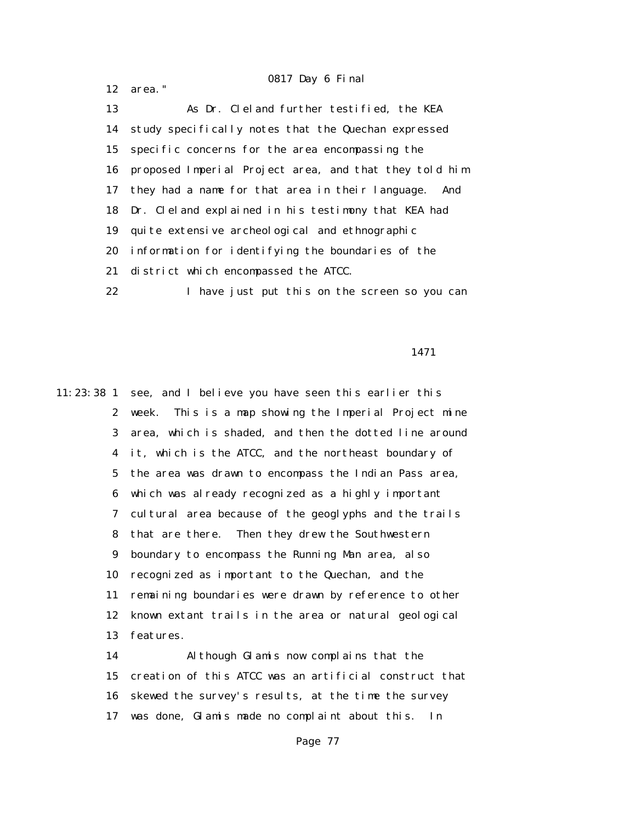12 area."

 13 As Dr. Cleland further testified, the KEA 14 study specifically notes that the Quechan expressed 15 specific concerns for the area encompassing the 16 proposed Imperial Project area, and that they told him 17 they had a name for that area in their language. And 18 Dr. Cleland explained in his testimony that KEA had 19 quite extensive archeological and ethnographic 20 information for identifying the boundaries of the 21 district which encompassed the ATCC. 22 I have just put this on the screen so you can

1471

11:23:38 1 see, and I believe you have seen this earlier this 2 week. This is a map showing the Imperial Project mine 3 area, which is shaded, and then the dotted line around 4 it, which is the ATCC, and the northeast boundary of 5 the area was drawn to encompass the Indian Pass area, 6 which was already recognized as a highly important 7 cultural area because of the geoglyphs and the trails 8 that are there. Then they drew the Southwestern 9 boundary to encompass the Running Man area, also 10 recognized as important to the Quechan, and the 11 remaining boundaries were drawn by reference to other 12 known extant trails in the area or natural geological 13 features.

> 14 Although Glamis now complains that the 15 creation of this ATCC was an artificial construct that 16 skewed the survey's results, at the time the survey 17 was done, Glamis made no complaint about this. In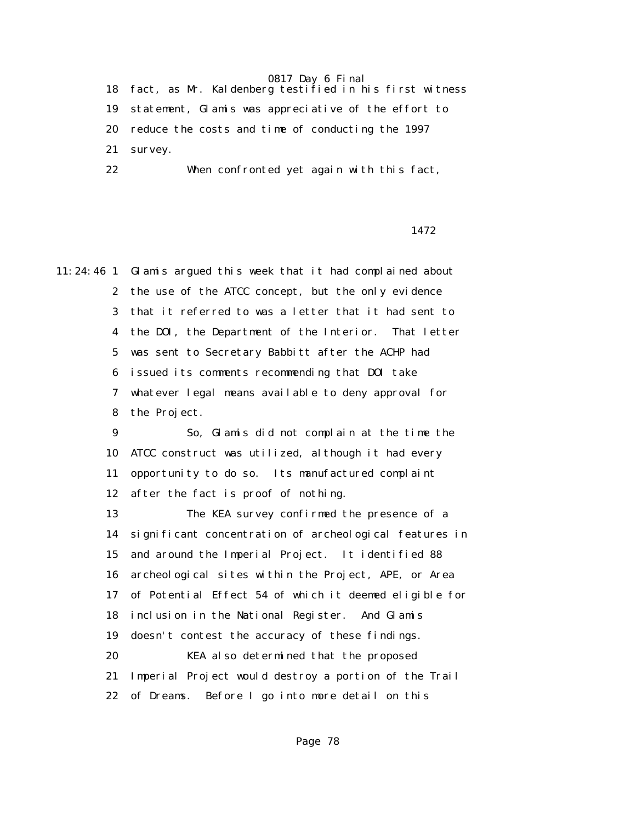18 fact, as Mr. Kaldenberg testified in his first witness 19 statement, Glamis was appreciative of the effort to 20 reduce the costs and time of conducting the 1997 21 survey. 22 When confronted yet again with this fact,

## 1472

11:24:46 1 Glamis argued this week that it had complained about 2 the use of the ATCC concept, but the only evidence 3 that it referred to was a letter that it had sent to 4 the DOI, the Department of the Interior. That letter 5 was sent to Secretary Babbitt after the ACHP had 6 issued its comments recommending that DOI take 7 whatever legal means available to deny approval for 8 the Project.

> 9 So, Glamis did not complain at the time the 10 ATCC construct was utilized, although it had every 11 opportunity to do so. Its manufactured complaint 12 after the fact is proof of nothing.

 13 The KEA survey confirmed the presence of a 14 significant concentration of archeological features in 15 and around the Imperial Project. It identified 88 16 archeological sites within the Project, APE, or Area 17 of Potential Effect 54 of which it deemed eligible for 18 inclusion in the National Register. And Glamis 19 doesn't contest the accuracy of these findings. 20 KEA also determined that the proposed 21 Imperial Project would destroy a portion of the Trail 22 of Dreams. Before I go into more detail on this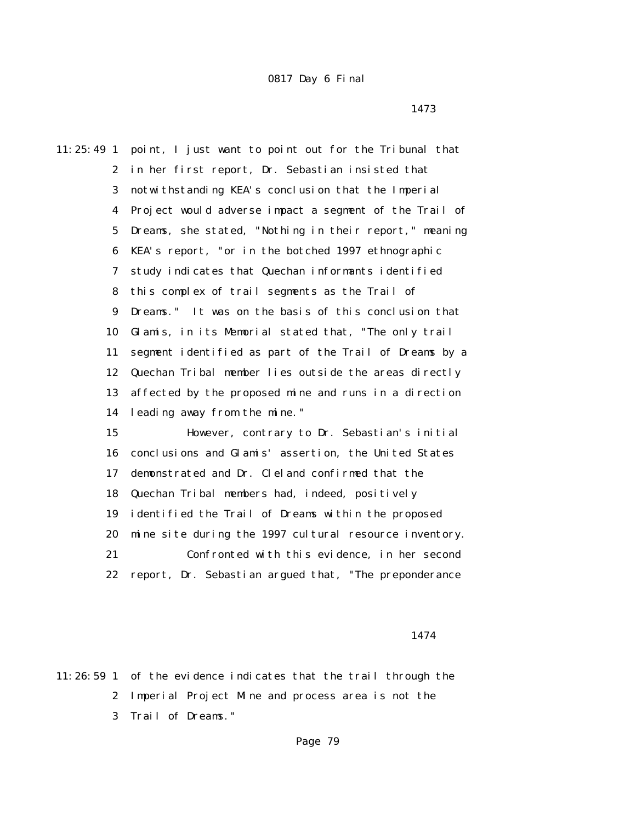11:25:49 1 point, I just want to point out for the Tribunal that 2 in her first report, Dr. Sebastian insisted that 3 notwithstanding KEA's conclusion that the Imperial 4 Project would adverse impact a segment of the Trail of 5 Dreams, she stated, "Nothing in their report," meaning 6 KEA's report, "or in the botched 1997 ethnographic 7 study indicates that Quechan informants identified 8 this complex of trail segments as the Trail of 9 Dreams." It was on the basis of this conclusion that 10 Glamis, in its Memorial stated that, "The only trail 11 segment identified as part of the Trail of Dreams by a 12 Quechan Tribal member lies outside the areas directly 13 affected by the proposed mine and runs in a direction 14 leading away from the mine." 15 However, contrary to Dr. Sebastian's initial 16 conclusions and Glamis' assertion, the United States 17 demonstrated and Dr. Cleland confirmed that the 18 Quechan Tribal members had, indeed, positively 19 identified the Trail of Dreams within the proposed 20 mine site during the 1997 cultural resource inventory. 21 Confronted with this evidence, in her second 22 report, Dr. Sebastian argued that, "The preponderance

1474

11:26:59 1 of the evidence indicates that the trail through the 2 Imperial Project Mine and process area is not the 3 Trail of Dreams."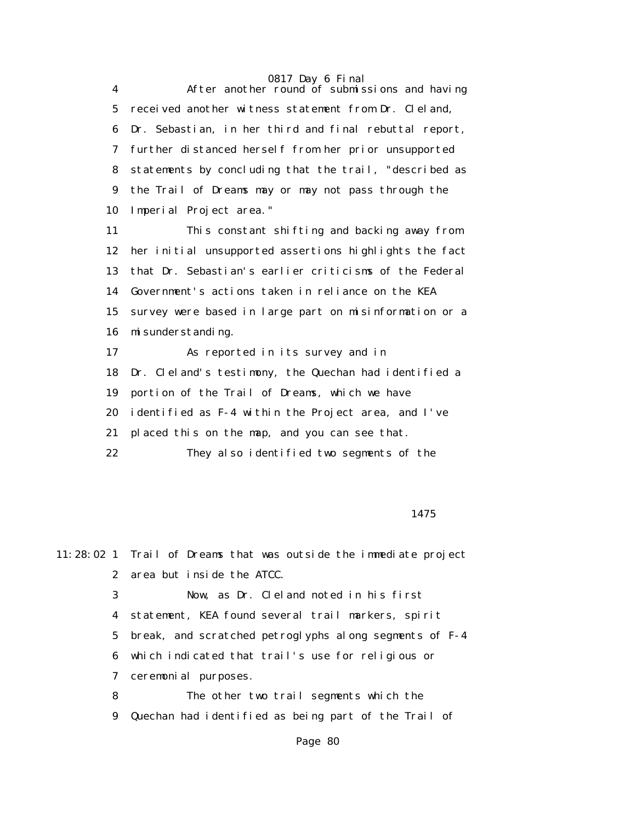0817 Day 6 Final 4 After another round of submissions and having 5 received another witness statement from Dr. Cleland, 6 Dr. Sebastian, in her third and final rebuttal report, 7 further distanced herself from her prior unsupported 8 statements by concluding that the trail, "described as 9 the Trail of Dreams may or may not pass through the 10 Imperial Project area."

> 11 This constant shifting and backing away from 12 her initial unsupported assertions highlights the fact 13 that Dr. Sebastian's earlier criticisms of the Federal 14 Government's actions taken in reliance on the KEA 15 survey were based in large part on misinformation or a 16 misunderstanding. 17 As reported in its survey and in

18 Dr. Cleland's testimony, the Quechan had identified a

19 portion of the Trail of Dreams, which we have

20 identified as F-4 within the Project area, and I've

21 placed this on the map, and you can see that.

22 They also identified two segments of the

1475

11:28:02 1 Trail of Dreams that was outside the immediate project 2 area but inside the ATCC. 3 Now, as Dr. Cleland noted in his first 4 statement, KEA found several trail markers, spirit 5 break, and scratched petroglyphs along segments of F-4 6 which indicated that trail's use for religious or 7 ceremonial purposes. 8 The other two trail segments which the 9 Quechan had identified as being part of the Trail of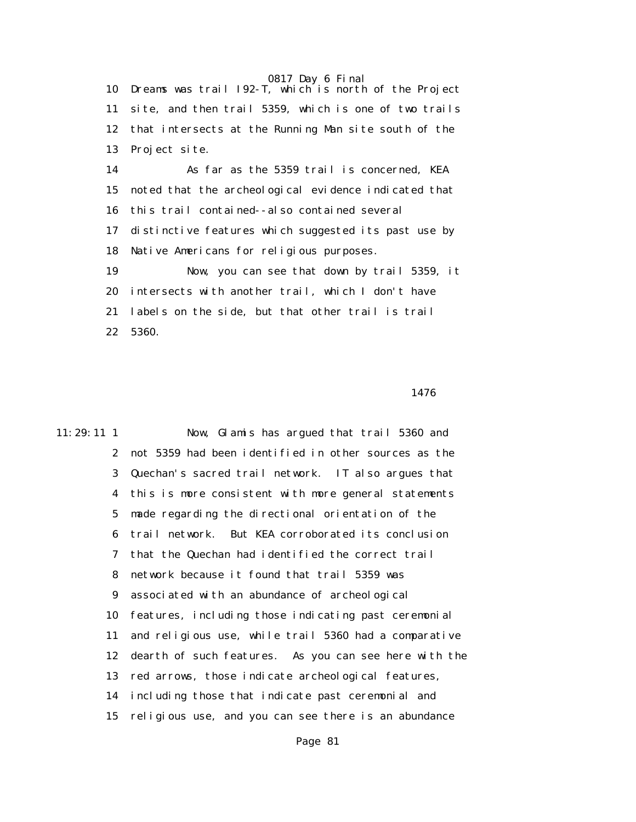10 Dreams was trail I92-T, which is north of the Project 11 site, and then trail 5359, which is one of two trails 12 that intersects at the Running Man site south of the 13 Project site.

 14 As far as the 5359 trail is concerned, KEA 15 noted that the archeological evidence indicated that 16 this trail contained--also contained several 17 distinctive features which suggested its past use by 18 Native Americans for religious purposes. 19 Now, you can see that down by trail 5359, it 20 intersects with another trail, which I don't have 21 labels on the side, but that other trail is trail

22 5360.

## 1476

11:29:11 1 Now, Glamis has argued that trail 5360 and 2 not 5359 had been identified in other sources as the 3 Quechan's sacred trail network. IT also argues that 4 this is more consistent with more general statements 5 made regarding the directional orientation of the 6 trail network. But KEA corroborated its conclusion 7 that the Quechan had identified the correct trail 8 network because it found that trail 5359 was 9 associated with an abundance of archeological 10 features, including those indicating past ceremonial 11 and religious use, while trail 5360 had a comparative 12 dearth of such features. As you can see here with the 13 red arrows, those indicate archeological features, 14 including those that indicate past ceremonial and 15 religious use, and you can see there is an abundance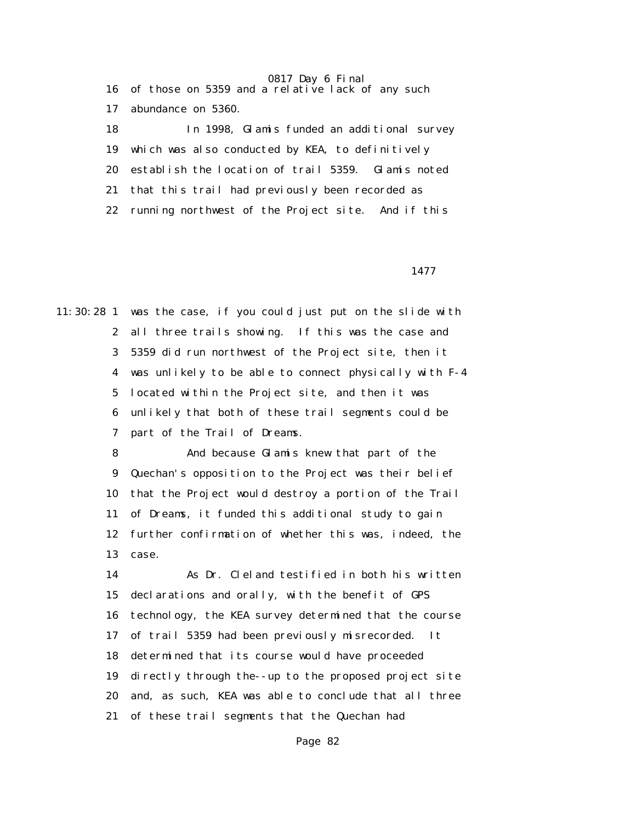|              | 16 of those on 5359 and a relative lack of any such |
|--------------|-----------------------------------------------------|
| 17           | abundance on 5360.                                  |
| 18           | In 1998, Glamis funded an additional survey         |
| 19           | which was also conducted by KEA, to definitively    |
| 20           | establish the location of trail 5359. Glamis noted  |
| 21           | that this trail had previously been recorded as     |
| $22^{\circ}$ | running northwest of the Project site. And if this  |

1477

11:30:28 1 was the case, if you could just put on the slide with 2 all three trails showing. If this was the case and 3 5359 did run northwest of the Project site, then it 4 was unlikely to be able to connect physically with F-4 5 located within the Project site, and then it was 6 unlikely that both of these trail segments could be 7 part of the Trail of Dreams.

> 8 And because Glamis knew that part of the 9 Quechan's opposition to the Project was their belief 10 that the Project would destroy a portion of the Trail 11 of Dreams, it funded this additional study to gain 12 further confirmation of whether this was, indeed, the 13 case.

> 14 As Dr. Cleland testified in both his written 15 declarations and orally, with the benefit of GPS 16 technology, the KEA survey determined that the course 17 of trail 5359 had been previously misrecorded. It 18 determined that its course would have proceeded 19 directly through the--up to the proposed project site 20 and, as such, KEA was able to conclude that all three 21 of these trail segments that the Quechan had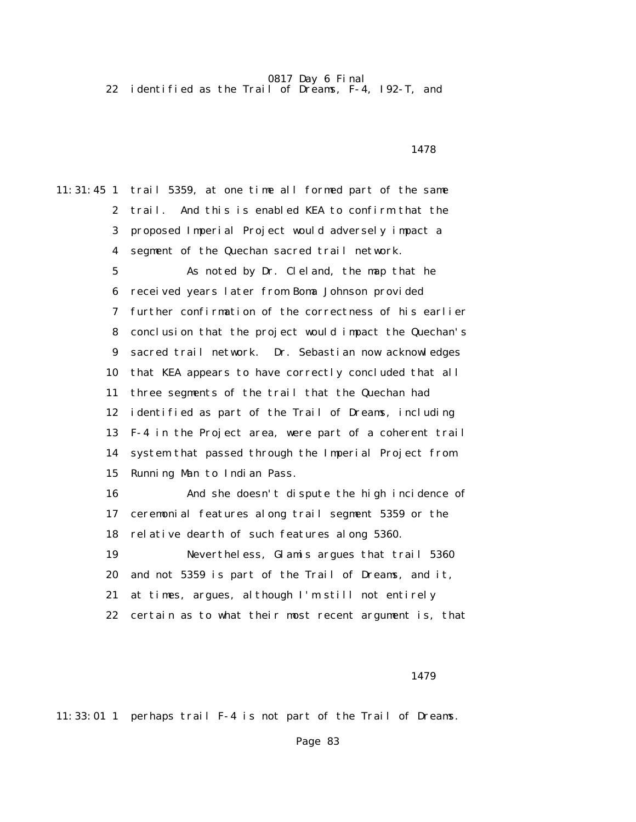22 identified as the Trail of Dreams, F-4, I92-T, and

1478

11:31:45 1 trail 5359, at one time all formed part of the same 2 trail. And this is enabled KEA to confirm that the 3 proposed Imperial Project would adversely impact a 4 segment of the Quechan sacred trail network. 5 As noted by Dr. Cleland, the map that he 6 received years later from Boma Johnson provided 7 further confirmation of the correctness of his earlier 8 conclusion that the project would impact the Quechan's 9 sacred trail network. Dr. Sebastian now acknowledges 10 that KEA appears to have correctly concluded that all 11 three segments of the trail that the Quechan had 12 identified as part of the Trail of Dreams, including 13 F-4 in the Project area, were part of a coherent trail 14 system that passed through the Imperial Project from 15 Running Man to Indian Pass. 16 And she doesn't dispute the high incidence of 17 ceremonial features along trail segment 5359 or the 18 relative dearth of such features along 5360. 19 Nevertheless, Glamis argues that trail 5360 20 and not 5359 is part of the Trail of Dreams, and it, 21 at times, argues, although I'm still not entirely 22 certain as to what their most recent argument is, that

1479

11:33:01 1 perhaps trail F-4 is not part of the Trail of Dreams.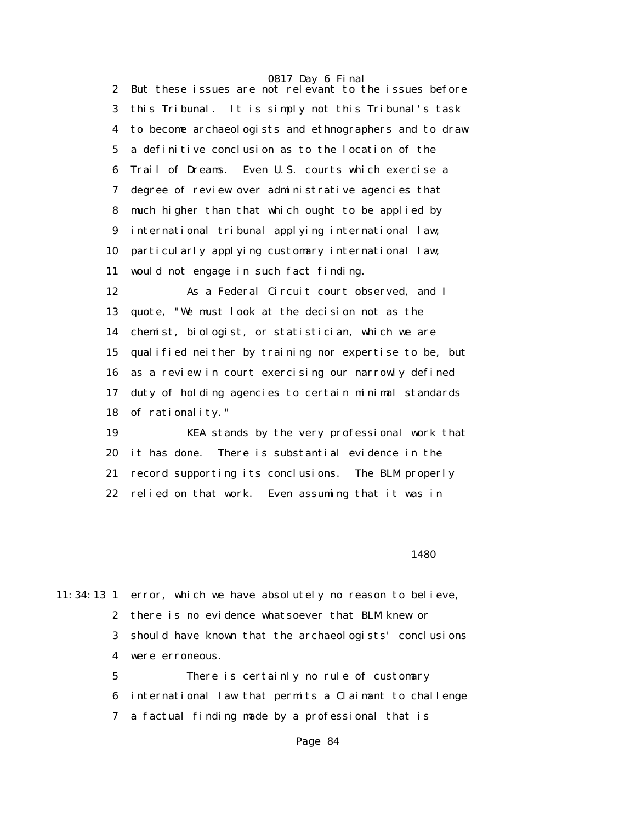2 But these issues are not relevant to the issues before 3 this Tribunal. It is simply not this Tribunal's task 4 to become archaeologists and ethnographers and to draw 5 a definitive conclusion as to the location of the 6 Trail of Dreams. Even U.S. courts which exercise a 7 degree of review over administrative agencies that 8 much higher than that which ought to be applied by 9 international tribunal applying international law, 10 particularly applying customary international law, 11 would not engage in such fact finding.

 12 As a Federal Circuit court observed, and I 13 quote, "We must look at the decision not as the 14 chemist, biologist, or statistician, which we are 15 qualified neither by training nor expertise to be, but 16 as a review in court exercising our narrowly defined 17 duty of holding agencies to certain minimal standards 18 of rationality."

 19 KEA stands by the very professional work that 20 it has done. There is substantial evidence in the 21 record supporting its conclusions. The BLM properly 22 relied on that work. Even assuming that it was in

<u>1480</u>

11:34:13 1 error, which we have absolutely no reason to believe, 2 there is no evidence whatsoever that BLM knew or 3 should have known that the archaeologists' conclusions 4 were erroneous.

> 5 There is certainly no rule of customary 6 international law that permits a Claimant to challenge 7 a factual finding made by a professional that is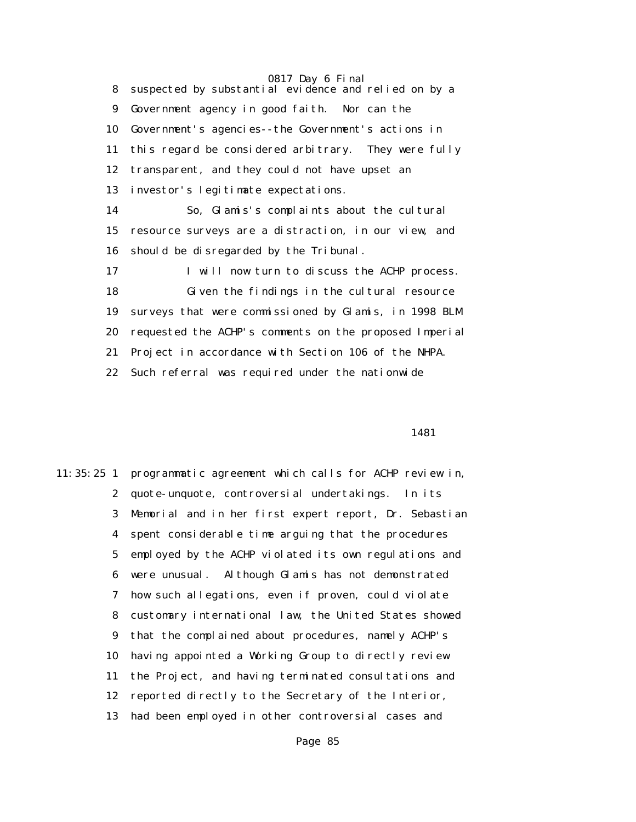8 suspected by substantial evidence and relied on by a 9 Government agency in good faith. Nor can the 10 Government's agencies--the Government's actions in 11 this regard be considered arbitrary. They were fully 12 transparent, and they could not have upset an 13 investor's legitimate expectations. 14 So, Glamis's complaints about the cultural 15 resource surveys are a distraction, in our view, and 16 should be disregarded by the Tribunal. 17 I will now turn to discuss the ACHP process. 18 Given the findings in the cultural resource 19 surveys that were commissioned by Glamis, in 1998 BLM 20 requested the ACHP's comments on the proposed Imperial 21 Project in accordance with Section 106 of the NHPA. 22 Such referral was required under the nationwide

1481

11:35:25 1 programmatic agreement which calls for ACHP review in, 2 quote-unquote, controversial undertakings. In its 3 Memorial and in her first expert report, Dr. Sebastian 4 spent considerable time arguing that the procedures 5 employed by the ACHP violated its own regulations and 6 were unusual. Although Glamis has not demonstrated 7 how such allegations, even if proven, could violate 8 customary international law, the United States showed 9 that the complained about procedures, namely ACHP's 10 having appointed a Working Group to directly review 11 the Project, and having terminated consultations and 12 reported directly to the Secretary of the Interior, 13 had been employed in other controversial cases and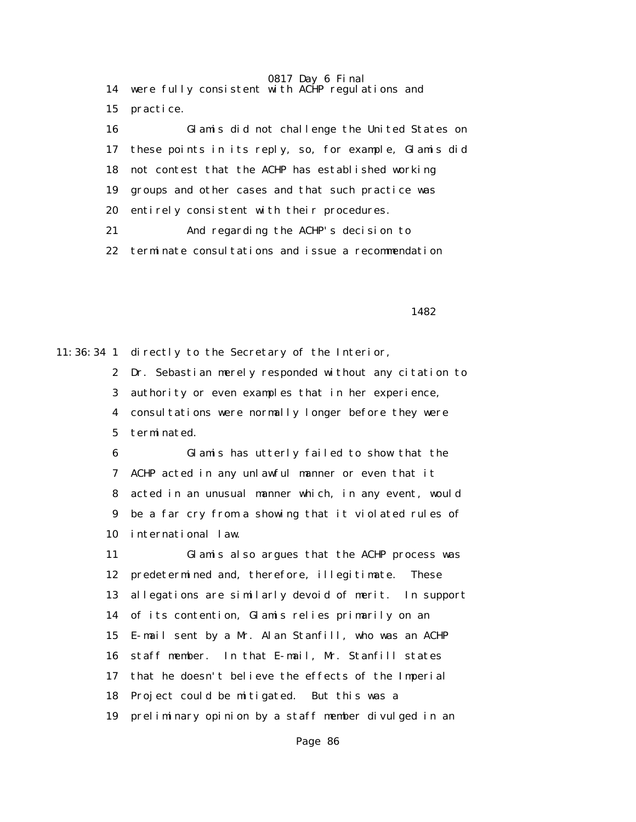0817 Day 6 Final 14 were fully consistent with ACHP regulations and 15 practice. 16 Glamis did not challenge the United States on 17 these points in its reply, so, for example, Glamis did 18 not contest that the ACHP has established working 19 groups and other cases and that such practice was 20 entirely consistent with their procedures. 21 And regarding the ACHP's decision to 22 terminate consultations and issue a recommendation

1482 and 1482

11:36:34 1 directly to the Secretary of the Interior,

2 Dr. Sebastian merely responded without any citation to

3 authority or even examples that in her experience,

 4 consultations were normally longer before they were 5 terminated.

 6 Glamis has utterly failed to show that the 7 ACHP acted in any unlawful manner or even that it 8 acted in an unusual manner which, in any event, would 9 be a far cry from a showing that it violated rules of 10 international law.

 11 Glamis also argues that the ACHP process was 12 predetermined and, therefore, illegitimate. These 13 allegations are similarly devoid of merit. In support 14 of its contention, Glamis relies primarily on an 15 E-mail sent by a Mr. Alan Stanfill, who was an ACHP 16 staff member. In that E-mail, Mr. Stanfill states 17 that he doesn't believe the effects of the Imperial 18 Project could be mitigated. But this was a 19 preliminary opinion by a staff member divulged in an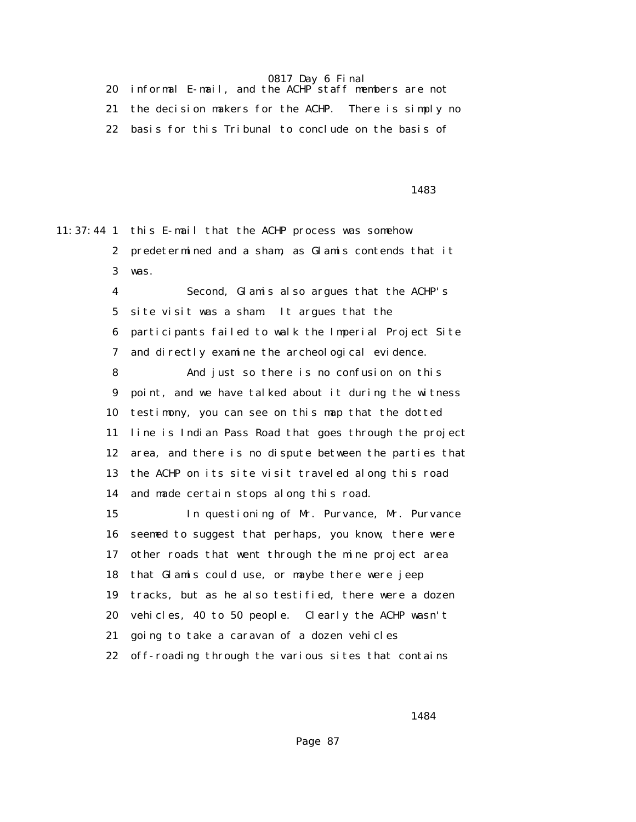20 informal E-mail, and the ACHP staff members are not 21 the decision makers for the ACHP. There is simply no 22 basis for this Tribunal to conclude on the basis of

1483

11:37:44 1 this E-mail that the ACHP process was somehow 2 predetermined and a sham, as Glamis contends that it 3 was.

> 4 Second, Glamis also argues that the ACHP's 5 site visit was a sham. It argues that the 6 participants failed to walk the Imperial Project Site 7 and directly examine the archeological evidence.

 8 And just so there is no confusion on this 9 point, and we have talked about it during the witness 10 testimony, you can see on this map that the dotted 11 line is Indian Pass Road that goes through the project 12 area, and there is no dispute between the parties that 13 the ACHP on its site visit traveled along this road 14 and made certain stops along this road.

 15 In questioning of Mr. Purvance, Mr. Purvance 16 seemed to suggest that perhaps, you know, there were 17 other roads that went through the mine project area 18 that Glamis could use, or maybe there were jeep 19 tracks, but as he also testified, there were a dozen 20 vehicles, 40 to 50 people. Clearly the ACHP wasn't 21 going to take a caravan of a dozen vehicles 22 off-roading through the various sites that contains

1484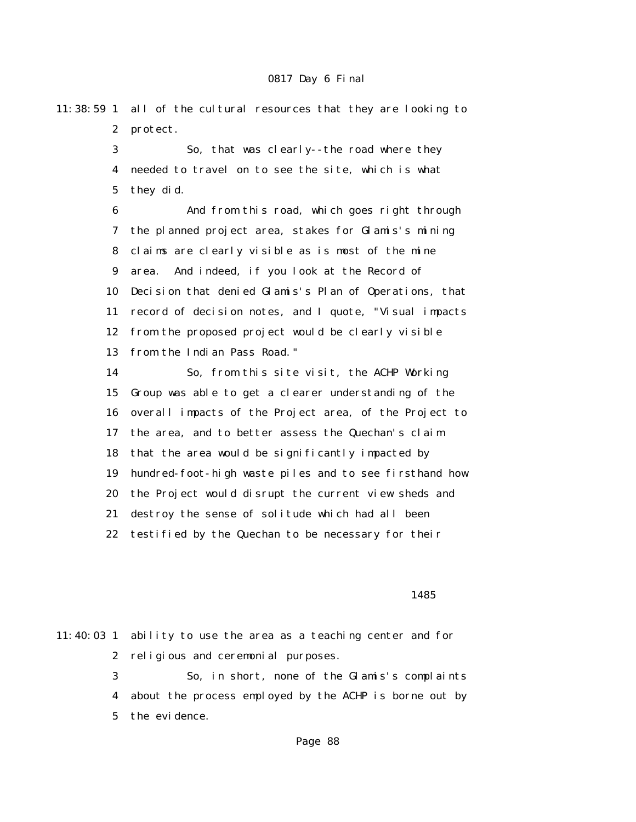11:38:59 1 all of the cultural resources that they are looking to 2 protect.

> 3 So, that was clearly--the road where they 4 needed to travel on to see the site, which is what 5 they did.

 6 And from this road, which goes right through 7 the planned project area, stakes for Glamis's mining 8 claims are clearly visible as is most of the mine 9 area. And indeed, if you look at the Record of 10 Decision that denied Glamis's Plan of Operations, that 11 record of decision notes, and I quote, "Visual impacts 12 from the proposed project would be clearly visible 13 from the Indian Pass Road."

 14 So, from this site visit, the ACHP Working 15 Group was able to get a clearer understanding of the 16 overall impacts of the Project area, of the Project to 17 the area, and to better assess the Quechan's claim 18 that the area would be significantly impacted by 19 hundred-foot-high waste piles and to see firsthand how 20 the Project would disrupt the current view sheds and 21 destroy the sense of solitude which had all been 22 testified by the Quechan to be necessary for their

<u>1485</u>

11:40:03 1 ability to use the area as a teaching center and for 2 religious and ceremonial purposes. 3 So, in short, none of the Glamis's complaints 4 about the process employed by the ACHP is borne out by 5 the evidence.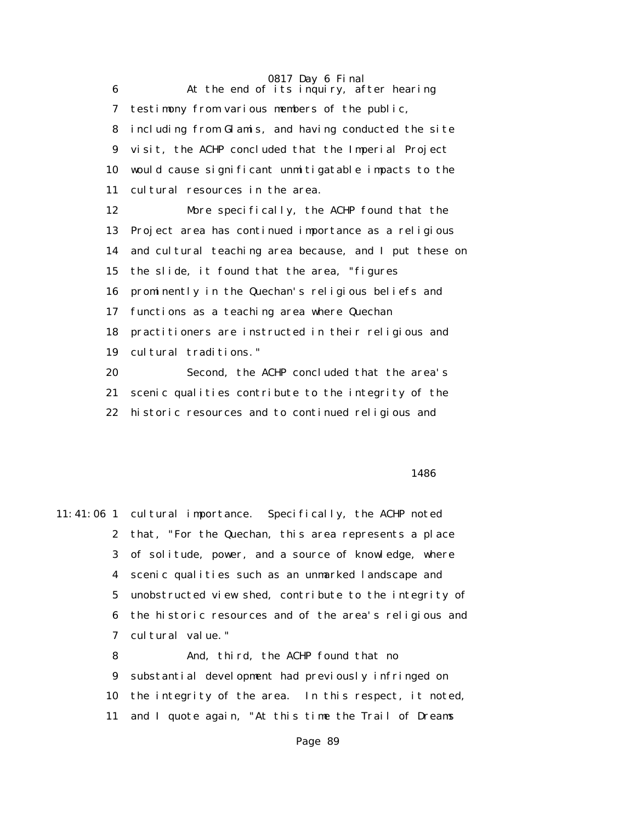0817 Day 6 Final 6 At the end of its inquiry, after hearing 7 testimony from various members of the public, 8 including from Glamis, and having conducted the site 9 visit, the ACHP concluded that the Imperial Project 10 would cause significant unmitigatable impacts to the 11 cultural resources in the area. 12 More specifically, the ACHP found that the 13 Project area has continued importance as a religious 14 and cultural teaching area because, and I put these on 15 the slide, it found that the area, "figures 16 prominently in the Quechan's religious beliefs and 17 functions as a teaching area where Quechan 18 practitioners are instructed in their religious and 19 cultural traditions." 20 Second, the ACHP concluded that the area's 21 scenic qualities contribute to the integrity of the 22 historic resources and to continued religious and

#### $1486$

11:41:06 1 cultural importance. Specifically, the ACHP noted 2 that, "For the Quechan, this area represents a place 3 of solitude, power, and a source of knowledge, where 4 scenic qualities such as an unmarked landscape and 5 unobstructed view shed, contribute to the integrity of 6 the historic resources and of the area's religious and 7 cultural value."

> 8 And, third, the ACHP found that no 9 substantial development had previously infringed on 10 the integrity of the area. In this respect, it noted, 11 and I quote again, "At this time the Trail of Dreams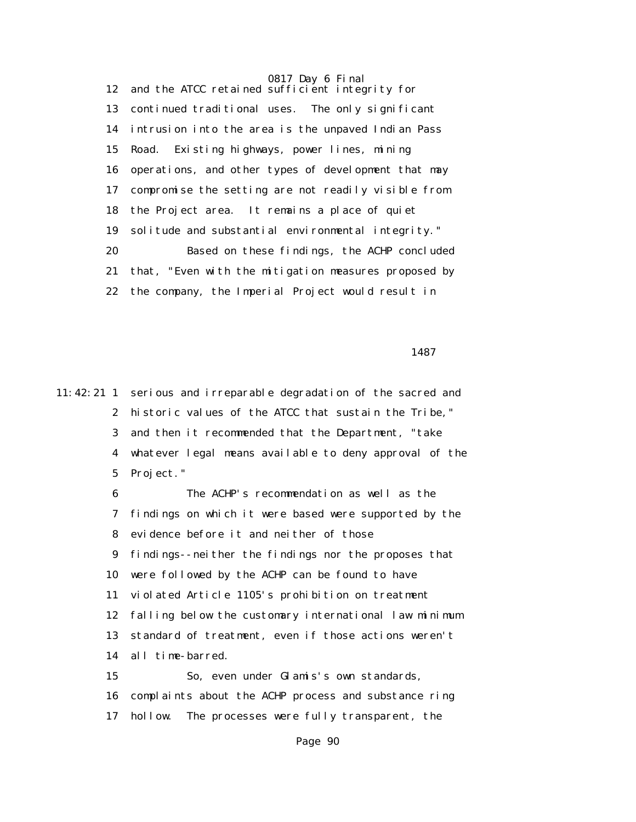12 and the ATCC retained sufficient integrity for 13 continued traditional uses. The only significant 14 intrusion into the area is the unpaved Indian Pass 15 Road. Existing highways, power lines, mining 16 operations, and other types of development that may 17 compromise the setting are not readily visible from 18 the Project area. It remains a place of quiet 19 solitude and substantial environmental integrity." 20 Based on these findings, the ACHP concluded 21 that, "Even with the mitigation measures proposed by 22 the company, the Imperial Project would result in

1487

11:42:21 1 serious and irreparable degradation of the sacred and 2 historic values of the ATCC that sustain the Tribe," 3 and then it recommended that the Department, "take 4 whatever legal means available to deny approval of the 5 Project."

> 6 The ACHP's recommendation as well as the 7 findings on which it were based were supported by the 8 evidence before it and neither of those 9 findings--neither the findings nor the proposes that 10 were followed by the ACHP can be found to have 11 violated Article 1105's prohibition on treatment 12 falling below the customary international law minimum 13 standard of treatment, even if those actions weren't 14 all time-barred.

 15 So, even under Glamis's own standards, 16 complaints about the ACHP process and substance ring 17 hollow. The processes were fully transparent, the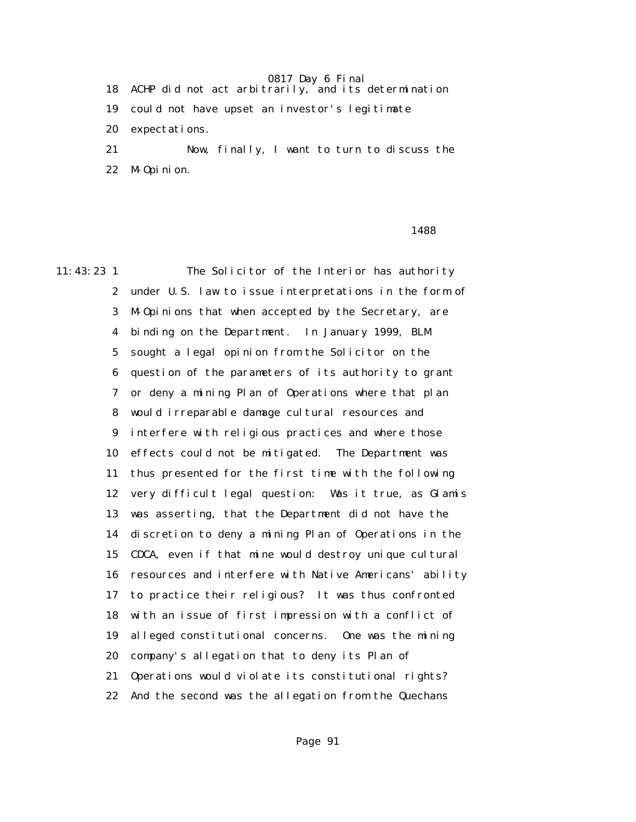18 ACHP did not act arbitrarily, and its determination 19 could not have upset an investor's legitimate

20 expectations.

 21 Now, finally, I want to turn to discuss the 22 M-Opinion.

## 1488

11:43:23 1 The Solicitor of the Interior has authority 2 under U.S. law to issue interpretations in the form of 3 M-Opinions that when accepted by the Secretary, are 4 binding on the Department. In January 1999, BLM 5 sought a legal opinion from the Solicitor on the 6 question of the parameters of its authority to grant 7 or deny a mining Plan of Operations where that plan 8 would irreparable damage cultural resources and 9 interfere with religious practices and where those 10 effects could not be mitigated. The Department was 11 thus presented for the first time with the following 12 very difficult legal question: Was it true, as Glamis 13 was asserting, that the Department did not have the 14 discretion to deny a mining Plan of Operations in the 15 CDCA, even if that mine would destroy unique cultural 16 resources and interfere with Native Americans' ability 17 to practice their religious? It was thus confronted 18 with an issue of first impression with a conflict of 19 alleged constitutional concerns. One was the mining 20 company's allegation that to deny its Plan of 21 Operations would violate its constitutional rights? 22 And the second was the allegation from the Quechans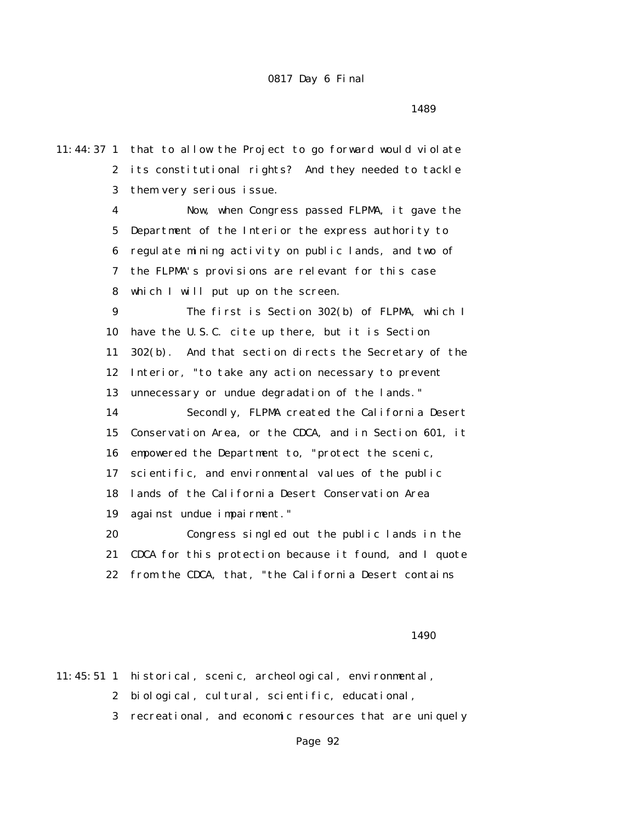11:44:37 1 that to allow the Project to go forward would violate 2 its constitutional rights? And they needed to tackle 3 them very serious issue. 4 Now, when Congress passed FLPMA, it gave the 5 Department of the Interior the express authority to 6 regulate mining activity on public lands, and two of 7 the FLPMA's provisions are relevant for this case 8 which I will put up on the screen. 9 The first is Section 302(b) of FLPMA, which I 10 have the U.S.C. cite up there, but it is Section 11 302(b). And that section directs the Secretary of the 12 Interior, "to take any action necessary to prevent 13 unnecessary or undue degradation of the lands." 14 Secondly, FLPMA created the California Desert 15 Conservation Area, or the CDCA, and in Section 601, it 16 empowered the Department to, "protect the scenic, 17 scientific, and environmental values of the public 18 lands of the California Desert Conservation Area 19 against undue impairment." 20 Congress singled out the public lands in the 21 CDCA for this protection because it found, and I quote 22 from the CDCA, that, "the California Desert contains

## <u>1490</u>

11:45:51 1 historical, scenic, archeological, environmental,

2 biological, cultural, scientific, educational,

3 recreational, and economic resources that are uniquely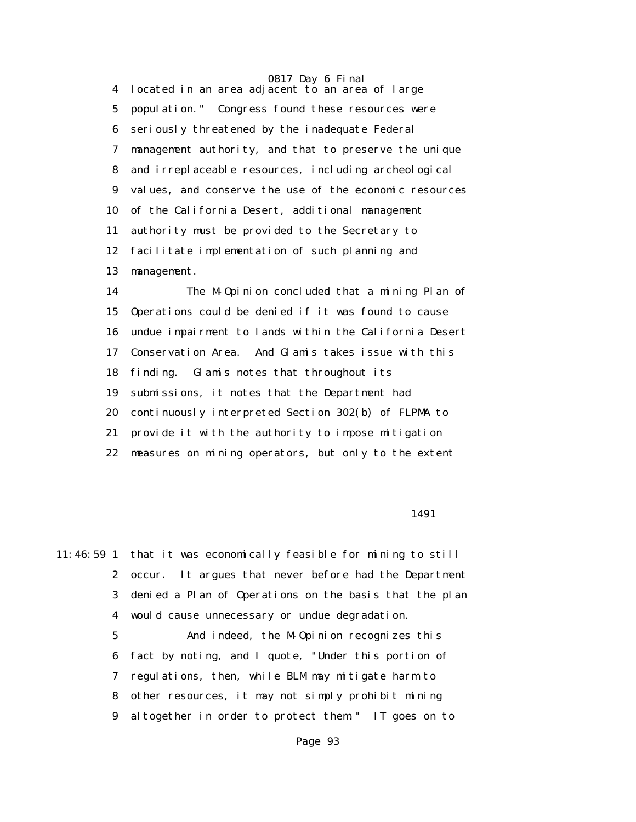4 located in an area adjacent to an area of large 5 population." Congress found these resources were 6 seriously threatened by the inadequate Federal 7 management authority, and that to preserve the unique 8 and irreplaceable resources, including archeological 9 values, and conserve the use of the economic resources 10 of the California Desert, additional management 11 authority must be provided to the Secretary to 12 facilitate implementation of such planning and 13 management.

 14 The M-Opinion concluded that a mining Plan of 15 Operations could be denied if it was found to cause 16 undue impairment to lands within the California Desert 17 Conservation Area. And Glamis takes issue with this 18 finding. Glamis notes that throughout its 19 submissions, it notes that the Department had 20 continuously interpreted Section 302(b) of FLPMA to 21 provide it with the authority to impose mitigation 22 measures on mining operators, but only to the extent

1491

11:46:59 1 that it was economically feasible for mining to still 2 occur. It argues that never before had the Department 3 denied a Plan of Operations on the basis that the plan 4 would cause unnecessary or undue degradation. 5 And indeed, the M-Opinion recognizes this

 6 fact by noting, and I quote, "Under this portion of 7 regulations, then, while BLM may mitigate harm to 8 other resources, it may not simply prohibit mining 9 altogether in order to protect them." IT goes on to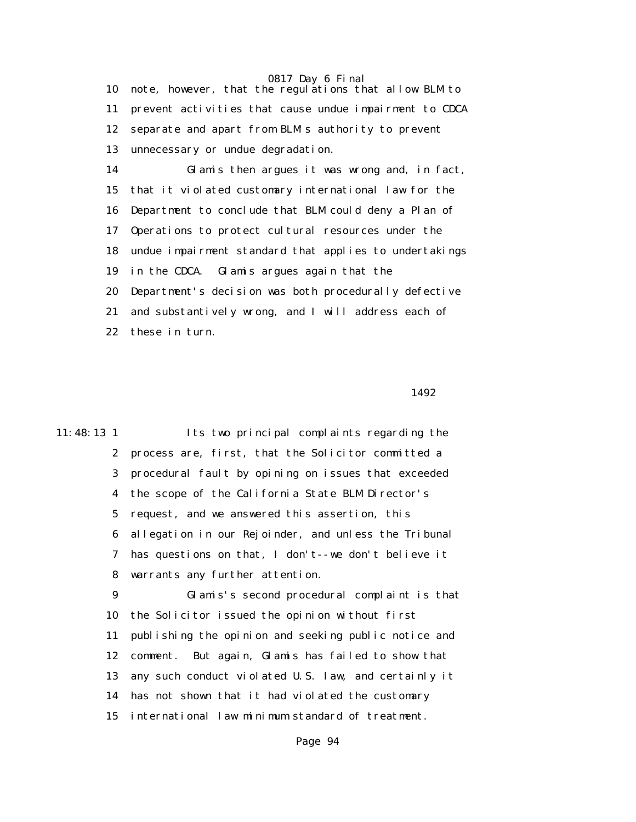10 note, however, that the regulations that allow BLM to 11 prevent activities that cause undue impairment to CDCA 12 separate and apart from BLM's authority to prevent 13 unnecessary or undue degradation.

 14 Glamis then argues it was wrong and, in fact, 15 that it violated customary international law for the 16 Department to conclude that BLM could deny a Plan of 17 Operations to protect cultural resources under the 18 undue impairment standard that applies to undertakings 19 in the CDCA. Glamis argues again that the 20 Department's decision was both procedurally defective 21 and substantively wrong, and I will address each of 22 these in turn.

1492

11:48:13 1 Its two principal complaints regarding the 2 process are, first, that the Solicitor committed a 3 procedural fault by opining on issues that exceeded 4 the scope of the California State BLM Director's 5 request, and we answered this assertion, this 6 allegation in our Rejoinder, and unless the Tribunal 7 has questions on that, I don't--we don't believe it 8 warrants any further attention. 9 Glamis's second procedural complaint is that 10 the Solicitor issued the opinion without first 11 publishing the opinion and seeking public notice and 12 comment. But again, Glamis has failed to show that 13 any such conduct violated U.S. law, and certainly it 14 has not shown that it had violated the customary 15 international law minimum standard of treatment.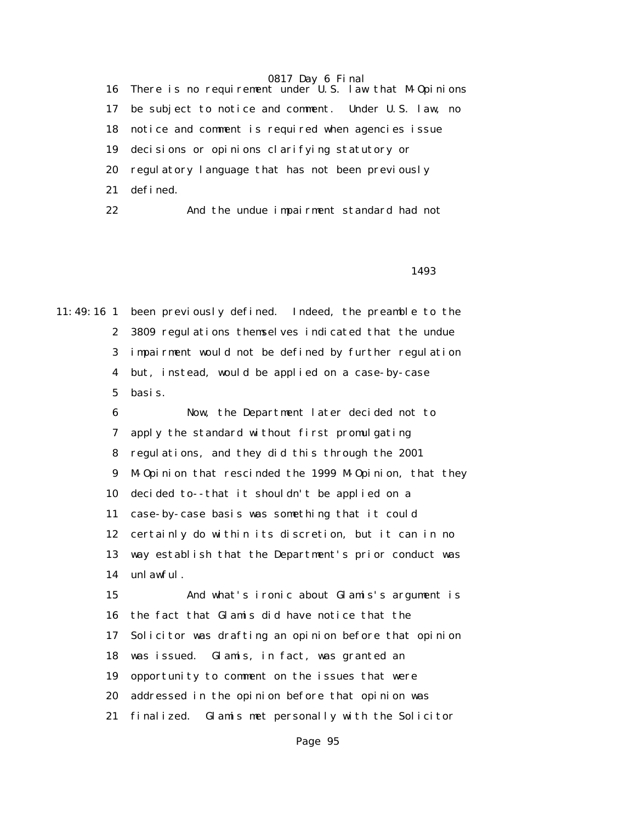16 There is no requirement under U.S. law that M-Opinions 17 be subject to notice and comment. Under U.S. law, no 18 notice and comment is required when agencies issue 19 decisions or opinions clarifying statutory or 20 regulatory language that has not been previously 21 defined.

22 And the undue impairment standard had not

#### <u>1493</u>

11:49:16 1 been previously defined. Indeed, the preamble to the 2 3809 regulations themselves indicated that the undue 3 impairment would not be defined by further regulation 4 but, instead, would be applied on a case-by-case 5 basis.

> 6 Now, the Department later decided not to 7 apply the standard without first promulgating 8 regulations, and they did this through the 2001 9 M-Opinion that rescinded the 1999 M-Opinion, that they 10 decided to--that it shouldn't be applied on a 11 case-by-case basis was something that it could 12 certainly do within its discretion, but it can in no 13 way establish that the Department's prior conduct was 14 unlawful. 15 And what's ironic about Glamis's argument is 16 the fact that Glamis did have notice that the

17 Solicitor was drafting an opinion before that opinion

18 was issued. Glamis, in fact, was granted an

19 opportunity to comment on the issues that were

20 addressed in the opinion before that opinion was

21 finalized. Glamis met personally with the Solicitor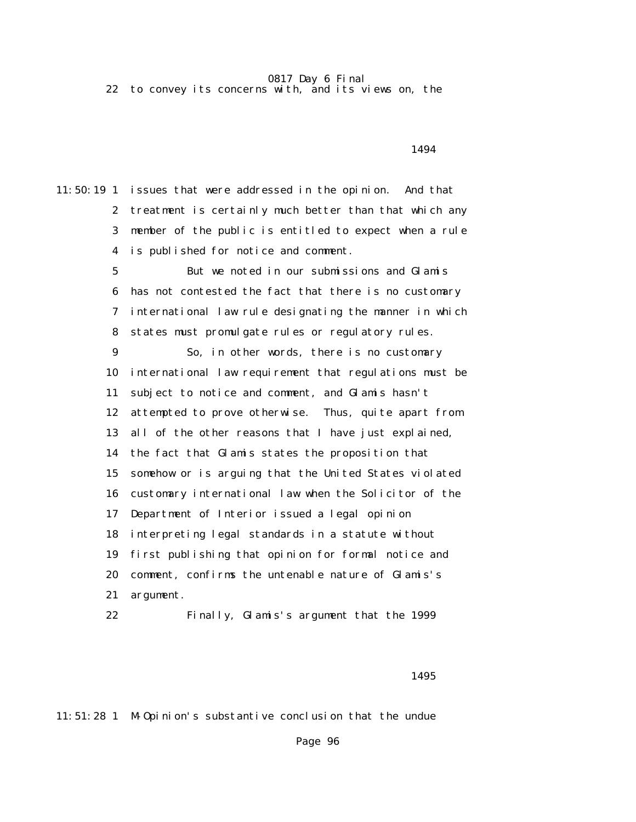22 to convey its concerns with, and its views on, the

1494

11:50:19 1 issues that were addressed in the opinion. And that 2 treatment is certainly much better than that which any 3 member of the public is entitled to expect when a rule 4 is published for notice and comment.

> 5 But we noted in our submissions and Glamis 6 has not contested the fact that there is no customary 7 international law rule designating the manner in which 8 states must promulgate rules or regulatory rules.

> 9 So, in other words, there is no customary 10 international law requirement that regulations must be 11 subject to notice and comment, and Glamis hasn't 12 attempted to prove otherwise. Thus, quite apart from 13 all of the other reasons that I have just explained, 14 the fact that Glamis states the proposition that 15 somehow or is arguing that the United States violated 16 customary international law when the Solicitor of the 17 Department of Interior issued a legal opinion 18 interpreting legal standards in a statute without 19 first publishing that opinion for formal notice and 20 comment, confirms the untenable nature of Glamis's 21 argument.

22 Finally, Glamis's argument that the 1999

<u>1495</u>

11:51:28 1 M-Opinion's substantive conclusion that the undue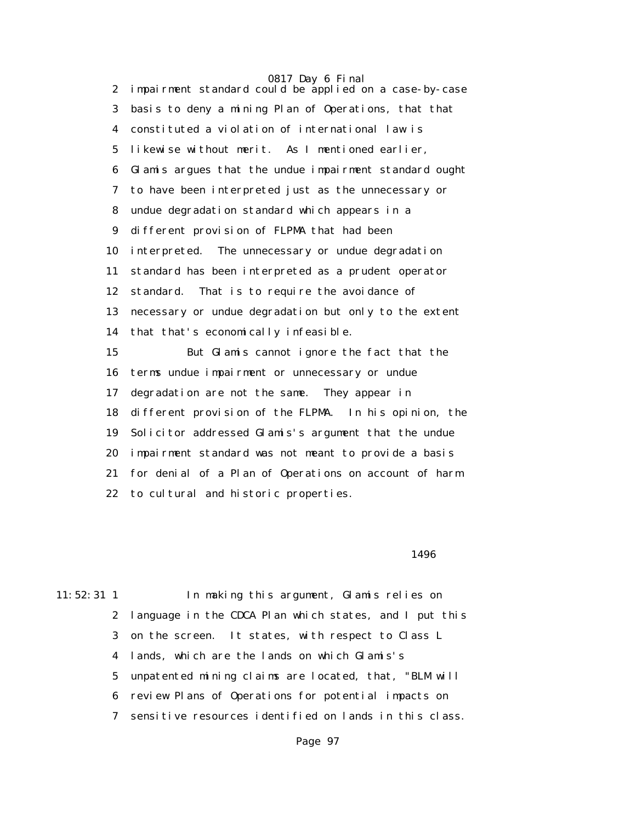0817 Day 6 Final 2 impairment standard could be applied on a case-by-case 3 basis to deny a mining Plan of Operations, that that 4 constituted a violation of international law is 5 likewise without merit. As I mentioned earlier, 6 Glamis argues that the undue impairment standard ought 7 to have been interpreted just as the unnecessary or 8 undue degradation standard which appears in a 9 different provision of FLPMA that had been 10 interpreted. The unnecessary or undue degradation 11 standard has been interpreted as a prudent operator 12 standard. That is to require the avoidance of 13 necessary or undue degradation but only to the extent 14 that that's economically infeasible. 15 But Glamis cannot ignore the fact that the 16 terms undue impairment or unnecessary or undue 17 degradation are not the same. They appear in 18 different provision of the FLPMA. In his opinion, the 19 Solicitor addressed Glamis's argument that the undue 20 impairment standard was not meant to provide a basis 21 for denial of a Plan of Operations on account of harm 22 to cultural and historic properties.

 $1496$ 

11:52:31 1 In making this argument, Glamis relies on 2 language in the CDCA Plan which states, and I put this 3 on the screen. It states, with respect to Class L 4 lands, which are the lands on which Glamis's 5 unpatented mining claims are located, that, "BLM will 6 review Plans of Operations for potential impacts on 7 sensitive resources identified on lands in this class.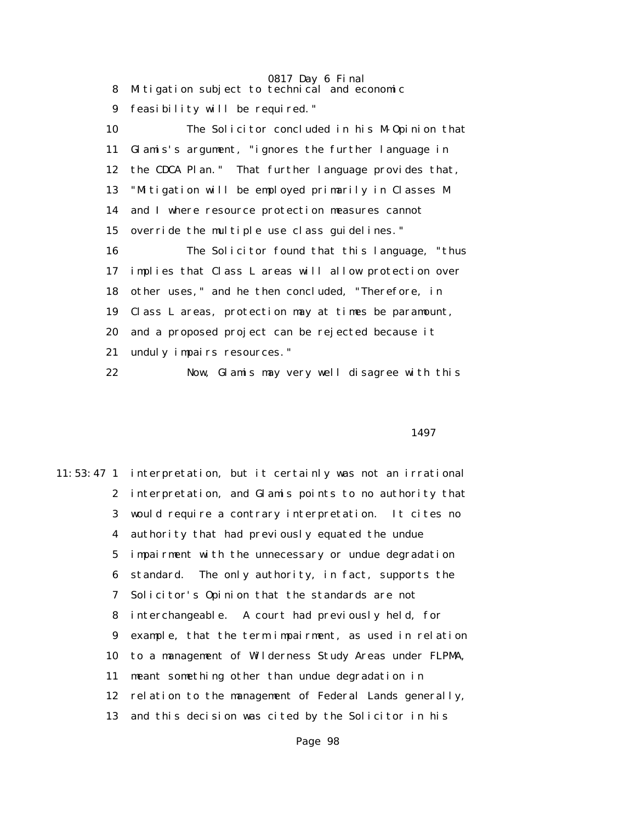0817 Day 6 Final 8 Mitigation subject to technical and economic 9 feasibility will be required." 10 The Solicitor concluded in his M-Opinion that 11 Glamis's argument, "ignores the further language in 12 the CDCA Plan." That further language provides that, 13 "Mitigation will be employed primarily in Classes M 14 and I where resource protection measures cannot 15 override the multiple use class guidelines." 16 The Solicitor found that this language, "thus 17 implies that Class L areas will allow protection over 18 other uses," and he then concluded, "Therefore, in 19 Class L areas, protection may at times be paramount, 20 and a proposed project can be rejected because it 21 unduly impairs resources." 22 Now, Glamis may very well disagree with this

1497

11:53:47 1 interpretation, but it certainly was not an irrational 2 interpretation, and Glamis points to no authority that 3 would require a contrary interpretation. It cites no 4 authority that had previously equated the undue 5 impairment with the unnecessary or undue degradation 6 standard. The only authority, in fact, supports the 7 Solicitor's Opinion that the standards are not 8 interchangeable. A court had previously held, for 9 example, that the term impairment, as used in relation 10 to a management of Wilderness Study Areas under FLPMA, 11 meant something other than undue degradation in 12 relation to the management of Federal Lands generally, 13 and this decision was cited by the Solicitor in his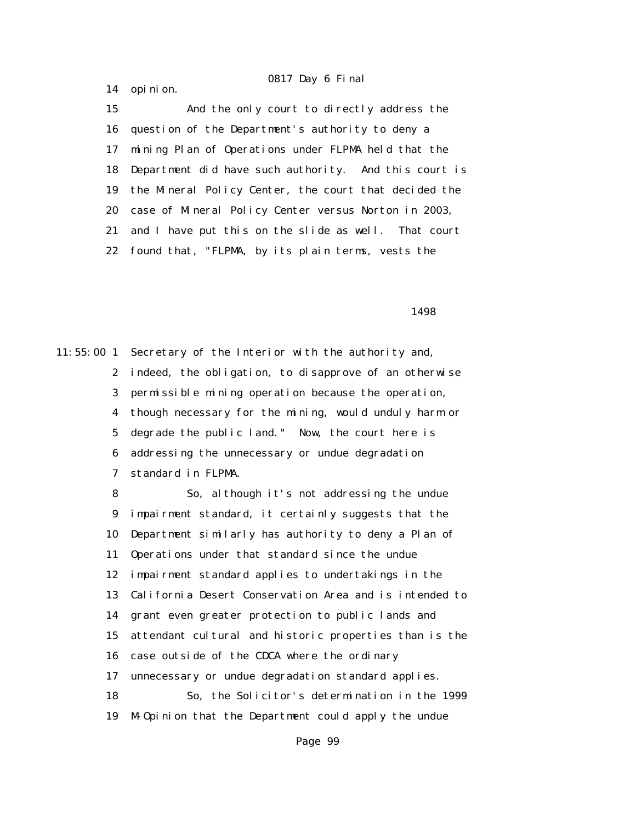14 opinion.

 15 And the only court to directly address the 16 question of the Department's authority to deny a 17 mining Plan of Operations under FLPMA held that the 18 Department did have such authority. And this court is 19 the Mineral Policy Center, the court that decided the 20 case of Mineral Policy Center versus Norton in 2003, 21 and I have put this on the slide as well. That court 22 found that, "FLPMA, by its plain terms, vests the

 $1498$ 

11:55:00 1 Secretary of the Interior with the authority and, 2 indeed, the obligation, to disapprove of an otherwise 3 permissible mining operation because the operation, 4 though necessary for the mining, would unduly harm or 5 degrade the public land." Now, the court here is 6 addressing the unnecessary or undue degradation 7 standard in FLPMA.

> 8 So, although it's not addressing the undue 9 impairment standard, it certainly suggests that the 10 Department similarly has authority to deny a Plan of 11 Operations under that standard since the undue 12 impairment standard applies to undertakings in the 13 California Desert Conservation Area and is intended to 14 grant even greater protection to public lands and 15 attendant cultural and historic properties than is the 16 case outside of the CDCA where the ordinary 17 unnecessary or undue degradation standard applies. 18 So, the Solicitor's determination in the 1999 19 M-Opinion that the Department could apply the undue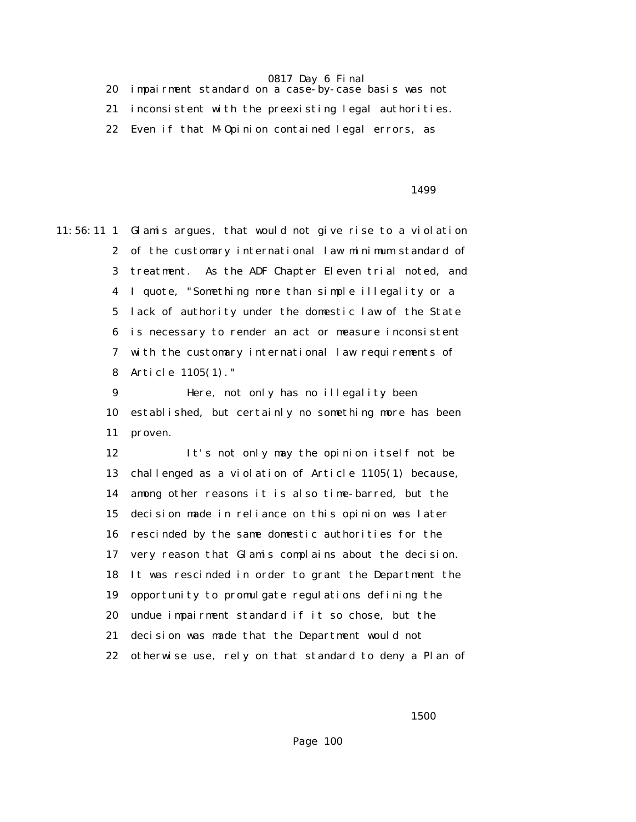20 impairment standard on a case-by-case basis was not 21 inconsistent with the preexisting legal authorities. 22 Even if that M-Opinion contained legal errors, as

<u>1499</u>

11:56:11 1 Glamis argues, that would not give rise to a violation 2 of the customary international law minimum standard of 3 treatment. As the ADF Chapter Eleven trial noted, and 4 I quote, "Something more than simple illegality or a 5 lack of authority under the domestic law of the State 6 is necessary to render an act or measure inconsistent 7 with the customary international law requirements of 8 Article 1105(1)."

> 9 Here, not only has no illegality been 10 established, but certainly no something more has been 11 proven.

 12 It's not only may the opinion itself not be 13 challenged as a violation of Article 1105(1) because, 14 among other reasons it is also time-barred, but the 15 decision made in reliance on this opinion was later 16 rescinded by the same domestic authorities for the 17 very reason that Glamis complains about the decision. 18 It was rescinded in order to grant the Department the 19 opportunity to promulgate regulations defining the 20 undue impairment standard if it so chose, but the 21 decision was made that the Department would not 22 otherwise use, rely on that standard to deny a Plan of

 $1500$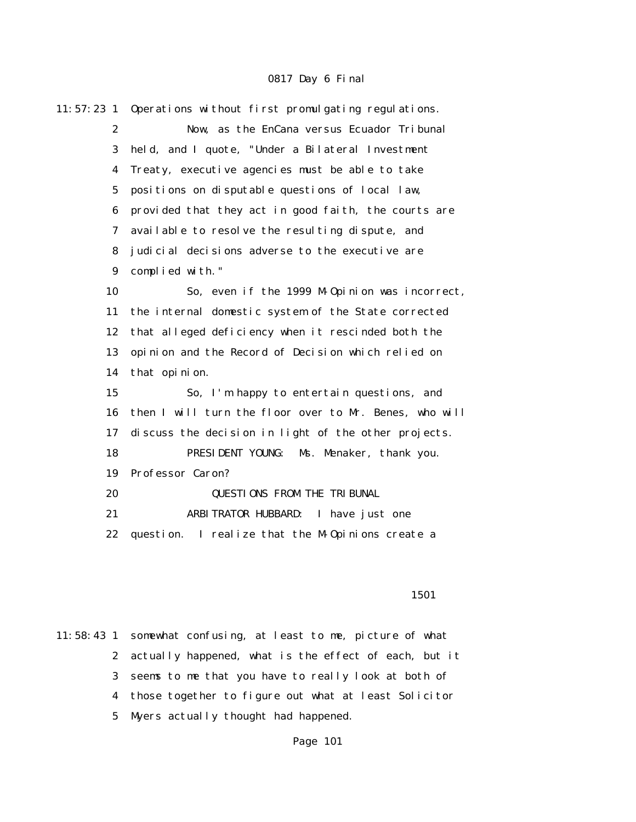| $11:57:23$ 1     | Operations without first promulgating regulations.     |
|------------------|--------------------------------------------------------|
| $\mathbf{2}$     | Now, as the EnCana versus Ecuador Tribunal             |
| 3                | held, and I quote, "Under a Bilateral Investment       |
| $\boldsymbol{4}$ | Treaty, executive agencies must be able to take        |
| $\mathbf 5$      | positions on disputable questions of local law,        |
| $\boldsymbol{6}$ | provided that they act in good faith, the courts are   |
| 7                | available to resolve the resulting dispute, and        |
| 8                | judicial decisions adverse to the executive are        |
| $\boldsymbol{9}$ | complied with."                                        |
| 10               | So, even if the 1999 M-Opinion was incorrect,          |
| 11               | the internal domestic system of the State corrected    |
| 12               | that alleged deficiency when it rescinded both the     |
| 13               | opinion and the Record of Decision which relied on     |
| 14               | that opinion.                                          |
| 15               | So, I'm happy to entertain questions, and              |
| 16               | then I will turn the floor over to Mr. Benes, who will |
| 17               | discuss the decision in light of the other projects.   |
| 18               | PRESIDENT YOUNG:<br>Ms. Menaker, thank you.            |
| 19               | Professor Caron?                                       |
| 20               | <b>QUESTIONS FROM THE TRIBUNAL</b>                     |
| 21               | ARBITRATOR HUBBARD:<br>I have just one                 |
| 22               | question.<br>I realize that the M-0pinions create a    |
|                  |                                                        |

#### 1501

11:58:43 1 somewhat confusing, at least to me, picture of what 2 actually happened, what is the effect of each, but it 3 seems to me that you have to really look at both of 4 those together to figure out what at least Solicitor 5 Myers actually thought had happened.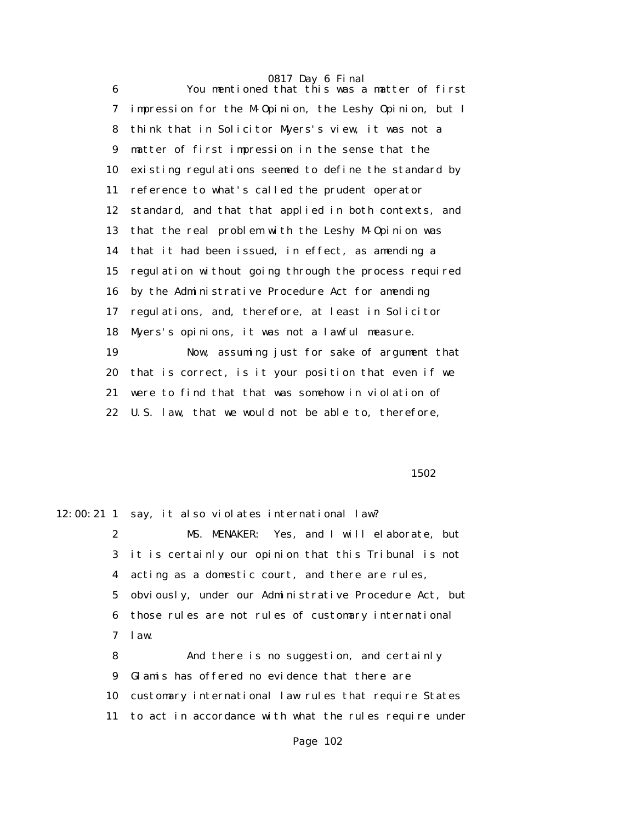6 You mentioned that this was a matter of first 7 impression for the M-Opinion, the Leshy Opinion, but I 8 think that in Solicitor Myers's view, it was not a 9 matter of first impression in the sense that the 10 existing regulations seemed to define the standard by 11 reference to what's called the prudent operator 12 standard, and that that applied in both contexts, and 13 that the real problem with the Leshy M-Opinion was 14 that it had been issued, in effect, as amending a 15 regulation without going through the process required 16 by the Administrative Procedure Act for amending 17 regulations, and, therefore, at least in Solicitor 18 Myers's opinions, it was not a lawful measure. 19 Now, assuming just for sake of argument that 20 that is correct, is it your position that even if we 21 were to find that that was somehow in violation of 22 U.S. law, that we would not be able to, therefore,

 $1502$ 

12:00:21 1 say, it also violates international law? 2 MS. MENAKER: Yes, and I will elaborate, but 3 it is certainly our opinion that this Tribunal is not 4 acting as a domestic court, and there are rules, 5 obviously, under our Administrative Procedure Act, but 6 those rules are not rules of customary international 7 law. 8 And there is no suggestion, and certainly 9 Glamis has offered no evidence that there are

10 customary international law rules that require States

11 to act in accordance with what the rules require under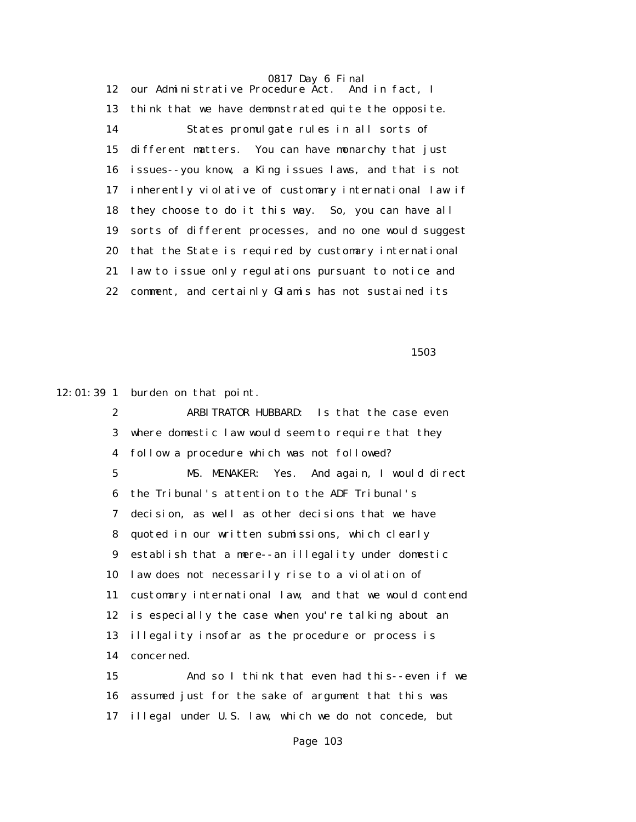0817 Day 6 Final 12 our Administrative Procedure Act. 13 think that we have demonstrated quite the opposite. 14 States promulgate rules in all sorts of 15 different matters. You can have monarchy that just 16 issues--you know, a King issues laws, and that is not 17 inherently violative of customary international law if 18 they choose to do it this way. So, you can have all 19 sorts of different processes, and no one would suggest 20 that the State is required by customary international 21 law to issue only regulations pursuant to notice and 22 comment, and certainly Glamis has not sustained its

 $1503$ 

12:01:39 1 burden on that point.

 2 ARBITRATOR HUBBARD: Is that the case even 3 where domestic law would seem to require that they 4 follow a procedure which was not followed? 5 MS. MENAKER: Yes. And again, I would direct 6 the Tribunal's attention to the ADF Tribunal's 7 decision, as well as other decisions that we have 8 quoted in our written submissions, which clearly 9 establish that a mere--an illegality under domestic 10 law does not necessarily rise to a violation of 11 customary international law, and that we would contend 12 is especially the case when you're talking about an 13 illegality insofar as the procedure or process is 14 concerned.

 15 And so I think that even had this--even if we 16 assumed just for the sake of argument that this was 17 illegal under U.S. law, which we do not concede, but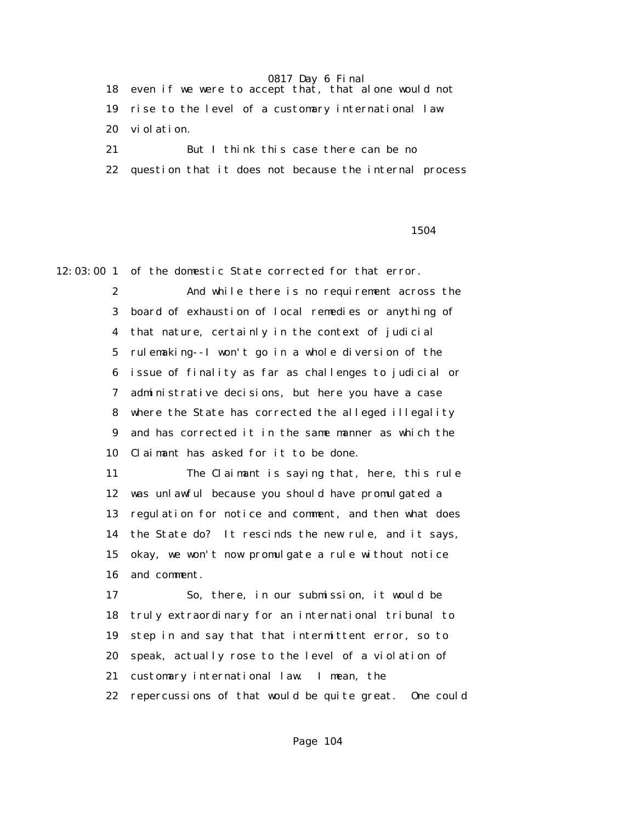18 even if we were to accept that, that alone would not 19 rise to the level of a customary international law 20 violation.

 21 But I think this case there can be no 22 question that it does not because the internal process

<u>1504</u>

12:03:00 1 of the domestic State corrected for that error.

 2 And while there is no requirement across the 3 board of exhaustion of local remedies or anything of 4 that nature, certainly in the context of judicial 5 rulemaking--I won't go in a whole diversion of the 6 issue of finality as far as challenges to judicial or 7 administrative decisions, but here you have a case 8 where the State has corrected the alleged illegality 9 and has corrected it in the same manner as which the 10 Claimant has asked for it to be done.

 11 The Claimant is saying that, here, this rule 12 was unlawful because you should have promulgated a 13 regulation for notice and comment, and then what does 14 the State do? It rescinds the new rule, and it says, 15 okay, we won't now promulgate a rule without notice 16 and comment.

 17 So, there, in our submission, it would be 18 truly extraordinary for an international tribunal to 19 step in and say that that intermittent error, so to 20 speak, actually rose to the level of a violation of 21 customary international law. I mean, the 22 repercussions of that would be quite great. One could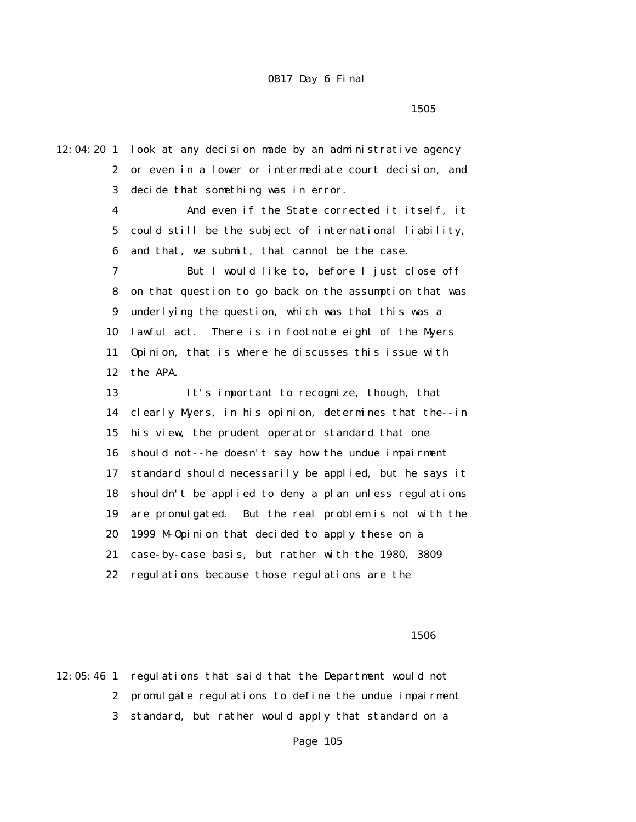12:04:20 1 look at any decision made by an administrative agency 2 or even in a lower or intermediate court decision, and 3 decide that something was in error. 4 And even if the State corrected it itself, it 5 could still be the subject of international liability, 6 and that, we submit, that cannot be the case. 7 But I would like to, before I just close off 8 on that question to go back on the assumption that was 9 underlying the question, which was that this was a 10 lawful act. There is in footnote eight of the Myers 11 Opinion, that is where he discusses this issue with 12 the APA. 13 It's important to recognize, though, that 14 clearly Myers, in his opinion, determines that the--in 15 his view, the prudent operator standard that one 16 should not--he doesn't say how the undue impairment 17 standard should necessarily be applied, but he says it 18 shouldn't be applied to deny a plan unless regulations 19 are promulgated. But the real problem is not with the 20 1999 M-Opinion that decided to apply these on a 21 case-by-case basis, but rather with the 1980, 3809 22 regulations because those regulations are the

 $1506$ 

12:05:46 1 regulations that said that the Department would not 2 promulgate regulations to define the undue impairment 3 standard, but rather would apply that standard on a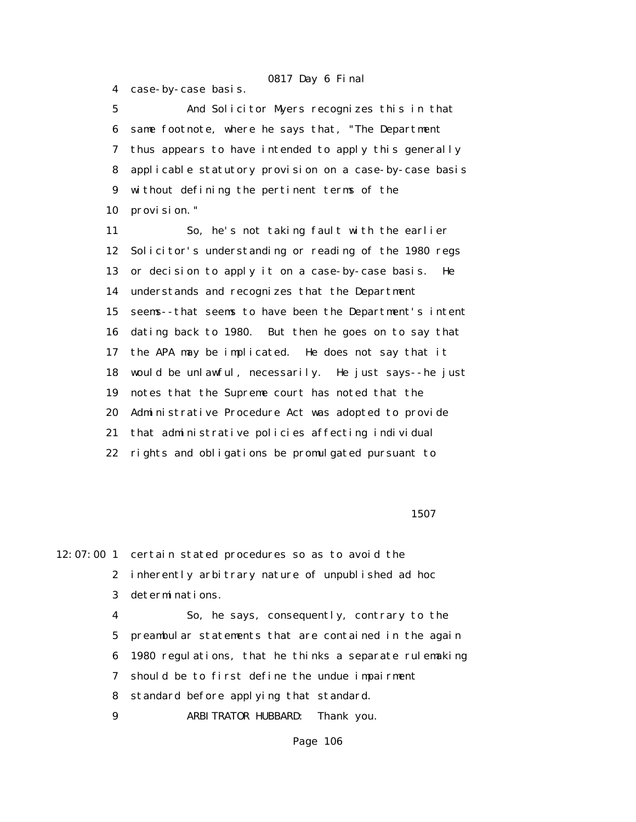4 case-by-case basis.

 5 And Solicitor Myers recognizes this in that 6 same footnote, where he says that, "The Department 7 thus appears to have intended to apply this generally 8 applicable statutory provision on a case-by-case basis 9 without defining the pertinent terms of the 10 provision."

 11 So, he's not taking fault with the earlier 12 Solicitor's understanding or reading of the 1980 regs 13 or decision to apply it on a case-by-case basis. He 14 understands and recognizes that the Department 15 seems--that seems to have been the Department's intent 16 dating back to 1980. But then he goes on to say that 17 the APA may be implicated. He does not say that it 18 would be unlawful, necessarily. He just says--he just 19 notes that the Supreme court has noted that the 20 Administrative Procedure Act was adopted to provide 21 that administrative policies affecting individual 22 rights and obligations be promulgated pursuant to

<u>1507</u>

12:07:00 1 certain stated procedures so as to avoid the 2 inherently arbitrary nature of unpublished ad hoc 3 determinations.

> 4 So, he says, consequently, contrary to the 5 preambular statements that are contained in the again 6 1980 regulations, that he thinks a separate rulemaking 7 should be to first define the undue impairment 8 standard before applying that standard. 9 ARBITRATOR HUBBARD: Thank you.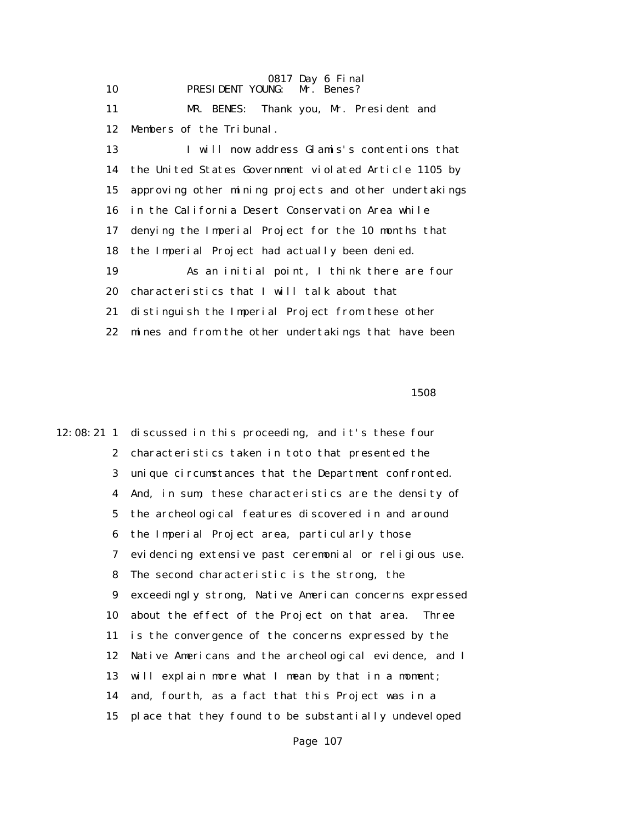0817 Day 6 Final 10 PRESIDENT YOUNG: Mr. Benes? 11 MR. BENES: Thank you, Mr. President and 12 Members of the Tribunal. 13 I will now address Glamis's contentions that 14 the United States Government violated Article 1105 by 15 approving other mining projects and other undertakings 16 in the California Desert Conservation Area while 17 denying the Imperial Project for the 10 months that 18 the Imperial Project had actually been denied. 19 As an initial point, I think there are four 20 characteristics that I will talk about that 21 distinguish the Imperial Project from these other 22 mines and from the other undertakings that have been

 $1508$ 

12:08:21 1 discussed in this proceeding, and it's these four 2 characteristics taken in toto that presented the 3 unique circumstances that the Department confronted. 4 And, in sum, these characteristics are the density of 5 the archeological features discovered in and around 6 the Imperial Project area, particularly those 7 evidencing extensive past ceremonial or religious use. 8 The second characteristic is the strong, the 9 exceedingly strong, Native American concerns expressed 10 about the effect of the Project on that area. Three 11 is the convergence of the concerns expressed by the 12 Native Americans and the archeological evidence, and I 13 will explain more what I mean by that in a moment; 14 and, fourth, as a fact that this Project was in a 15 place that they found to be substantially undeveloped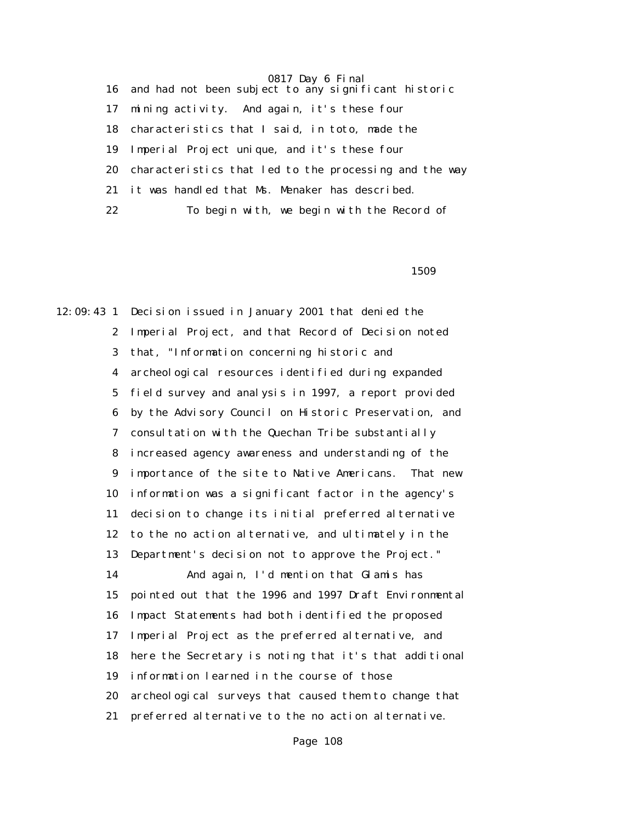16 and had not been subject to any significant historic 17 mining activity. And again, it's these four 18 characteristics that I said, in toto, made the 19 Imperial Project unique, and it's these four 20 characteristics that led to the processing and the way 21 it was handled that Ms. Menaker has described. 22 To begin with, we begin with the Record of

 $1509$ 

12:09:43 1 Decision issued in January 2001 that denied the 2 Imperial Project, and that Record of Decision noted 3 that, "Information concerning historic and 4 archeological resources identified during expanded 5 field survey and analysis in 1997, a report provided 6 by the Advisory Council on Historic Preservation, and 7 consultation with the Quechan Tribe substantially 8 increased agency awareness and understanding of the 9 importance of the site to Native Americans. That new 10 information was a significant factor in the agency's 11 decision to change its initial preferred alternative 12 to the no action alternative, and ultimately in the 13 Department's decision not to approve the Project." 14 And again, I'd mention that Glamis has 15 pointed out that the 1996 and 1997 Draft Environmental 16 Impact Statements had both identified the proposed 17 Imperial Project as the preferred alternative, and 18 here the Secretary is noting that it's that additional 19 information learned in the course of those 20 archeological surveys that caused them to change that 21 preferred alternative to the no action alternative.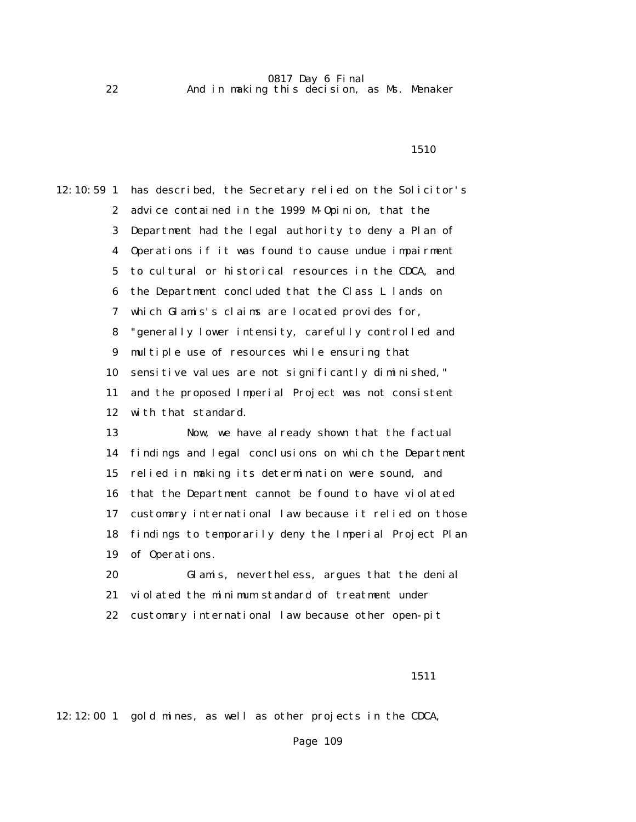1510

| $12:10:59$ 1            | has described, the Secretary relied on the Solicitor's |
|-------------------------|--------------------------------------------------------|
| $\boldsymbol{2}$        | advice contained in the 1999 M-Opinion, that the       |
| 3                       | Department had the legal authority to deny a Plan of   |
| $\overline{\mathbf{4}}$ | Operations if it was found to cause undue impairment   |
| $\mathbf 5$             | to cultural or historical resources in the CDCA, and   |
| 6                       | the Department concluded that the Class L lands on     |
| 7                       | which Glamis's claims are located provides for,        |
| 8                       | "generally lower intensity, carefully controlled and   |
| 9                       | multiple use of resources while ensuring that          |
| 10                      | sensitive values are not significantly diminished,"    |
| 11                      | and the proposed Imperial Project was not consistent   |
| 12                      | with that standard.                                    |
| 13                      | Now, we have already shown that the factual            |
| 14                      | findings and legal conclusions on which the Department |
| 15                      | relied in making its determination were sound, and     |
| 16                      | that the Department cannot be found to have violated   |
| 17                      | customary international law because it relied on those |
| 18                      | findings to temporarily deny the Imperial Project Plan |
| 19                      | of Operations.                                         |
| 20                      | Glamis, nevertheless, argues that the denial           |
| 21                      | violated the minimum standard of treatment under       |
| 22                      | customary international law because other open-pit     |
|                         |                                                        |
|                         |                                                        |

1511

12:12:00 1 gold mines, as well as other projects in the CDCA,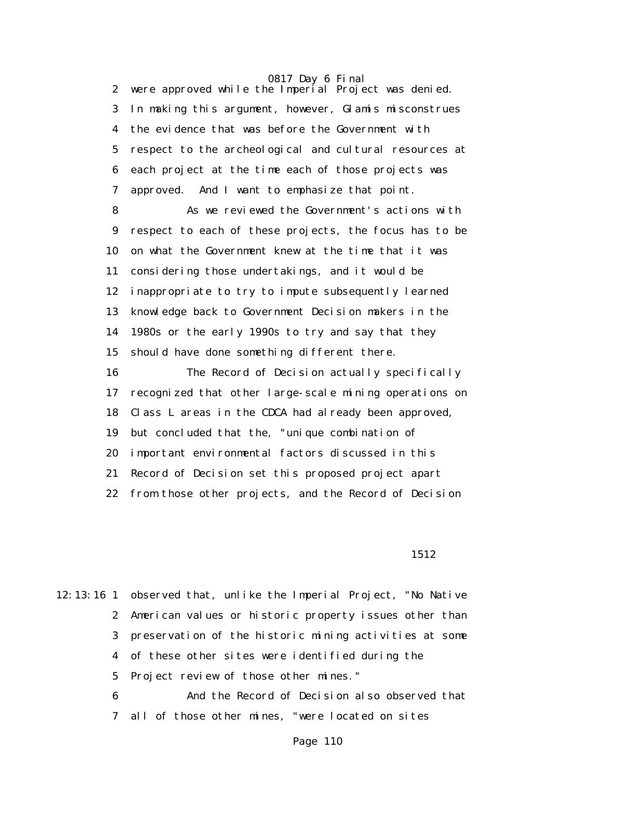2 were approved while the Imperial Project was denied. 3 In making this argument, however, Glamis misconstrues 4 the evidence that was before the Government with 5 respect to the archeological and cultural resources at 6 each project at the time each of those projects was 7 approved. And I want to emphasize that point. 8 As we reviewed the Government's actions with 9 respect to each of these projects, the focus has to be 10 on what the Government knew at the time that it was

 11 considering those undertakings, and it would be 12 inappropriate to try to impute subsequently learned 13 knowledge back to Government Decision makers in the 14 1980s or the early 1990s to try and say that they 15 should have done something different there.

 16 The Record of Decision actually specifically 17 recognized that other large-scale mining operations on 18 Class L areas in the CDCA had already been approved, 19 but concluded that the, "unique combination of 20 important environmental factors discussed in this 21 Record of Decision set this proposed project apart 22 from those other projects, and the Record of Decision

1512

12:13:16 1 observed that, unlike the Imperial Project, "No Native 2 American values or historic property issues other than 3 preservation of the historic mining activities at some 4 of these other sites were identified during the 5 Project review of those other mines." 6 And the Record of Decision also observed that 7 all of those other mines, "were located on sites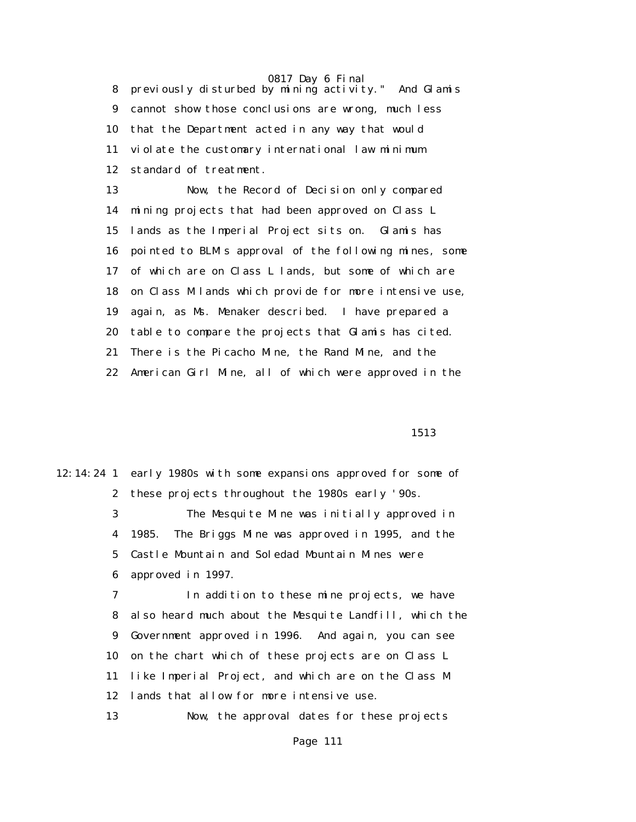8 previously disturbed by mining activity." And Glamis 9 cannot show those conclusions are wrong, much less 10 that the Department acted in any way that would 11 violate the customary international law minimum 12 standard of treatment.

 13 Now, the Record of Decision only compared 14 mining projects that had been approved on Class L 15 lands as the Imperial Project sits on. Glamis has 16 pointed to BLM's approval of the following mines, some 17 of which are on Class L lands, but some of which are 18 on Class M lands which provide for more intensive use, 19 again, as Ms. Menaker described. I have prepared a 20 table to compare the projects that Glamis has cited. 21 There is the Picacho Mine, the Rand Mine, and the 22 American Girl Mine, all of which were approved in the

1513

12:14:24 1 early 1980s with some expansions approved for some of 2 these projects throughout the 1980s early '90s. 3 The Mesquite Mine was initially approved in 4 1985. The Briggs Mine was approved in 1995, and the 5 Castle Mountain and Soledad Mountain Mines were 6 approved in 1997. 7 In addition to these mine projects, we have 8 also heard much about the Mesquite Landfill, which the 9 Government approved in 1996. And again, you can see 10 on the chart which of these projects are on Class L 11 like Imperial Project, and which are on the Class M 12 lands that allow for more intensive use.

13 Now, the approval dates for these projects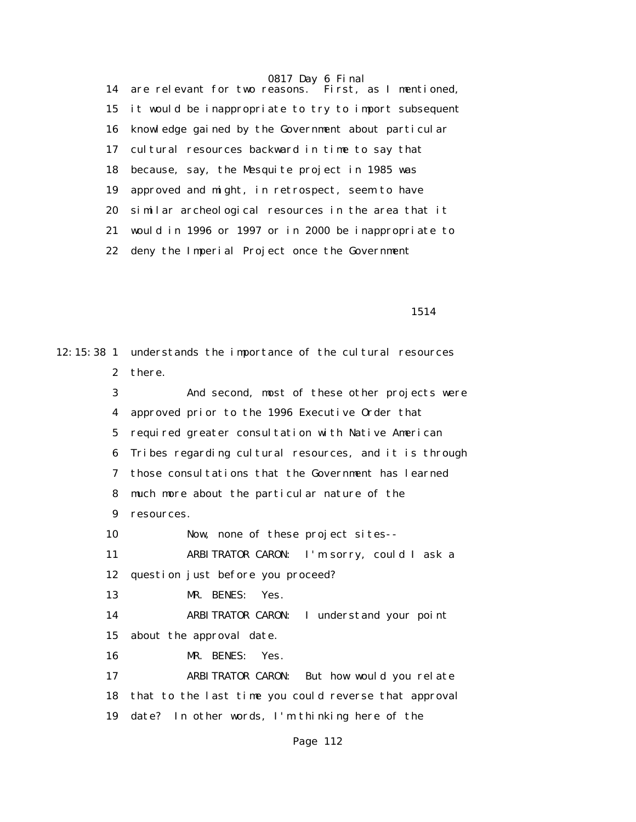0817 Day 6 Final<br>easons. First, as I mentioned, 14 are relevant for two reasons. 15 it would be inappropriate to try to import subsequent 16 knowledge gained by the Government about particular 17 cultural resources backward in time to say that 18 because, say, the Mesquite project in 1985 was 19 approved and might, in retrospect, seem to have 20 similar archeological resources in the area that it 21 would in 1996 or 1997 or in 2000 be inappropriate to 22 deny the Imperial Project once the Government

1514

12:15:38 1 understands the importance of the cultural resources 2 there. 3 And second, most of these other projects were 4 approved prior to the 1996 Executive Order that 5 required greater consultation with Native American 6 Tribes regarding cultural resources, and it is through 7 those consultations that the Government has learned 8 much more about the particular nature of the 9 resources. 10 Now, none of these project sites-- 11 ARBITRATOR CARON: I'm sorry, could I ask a 12 question just before you proceed? 13 MR. BENES: Yes. 14 ARBITRATOR CARON: I understand your point 15 about the approval date. 16 MR. BENES: Yes. 17 ARBITRATOR CARON: But how would you relate 18 that to the last time you could reverse that approval 19 date? In other words, I'm thinking here of the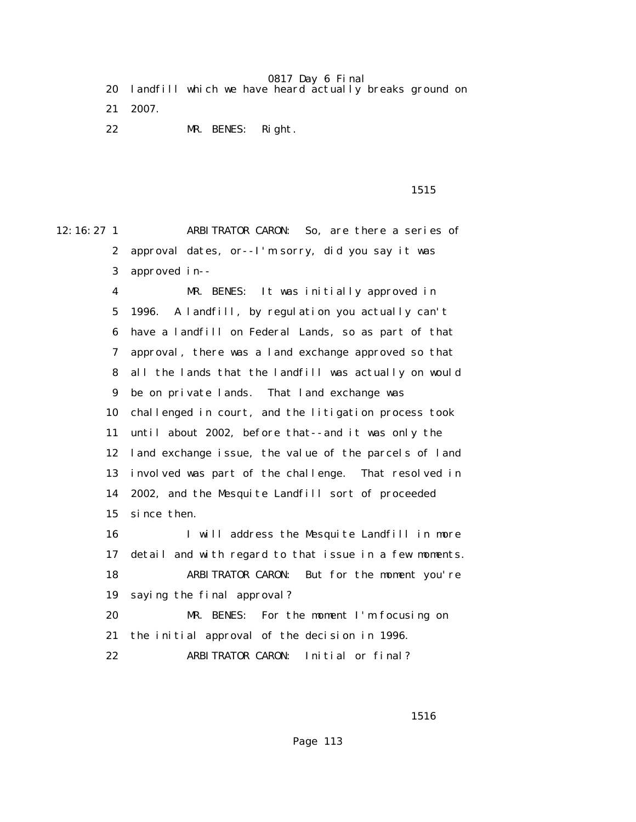|  |  | 20 landfill which we have heard actually breaks ground on |  |  |  |  |  |  |  |  |
|--|--|-----------------------------------------------------------|--|--|--|--|--|--|--|--|
|--|--|-----------------------------------------------------------|--|--|--|--|--|--|--|--|

- 21 2007.
- 22 MR. BENES: Right.

1515

12:16:27 1 ARBITRATOR CARON: So, are there a series of 2 approval dates, or--I'm sorry, did you say it was 3 approved in--

> 4 MR. BENES: It was initially approved in 5 1996. A landfill, by regulation you actually can't 6 have a landfill on Federal Lands, so as part of that 7 approval, there was a land exchange approved so that 8 all the lands that the landfill was actually on would 9 be on private lands. That land exchange was 10 challenged in court, and the litigation process took 11 until about 2002, before that--and it was only the 12 land exchange issue, the value of the parcels of land 13 involved was part of the challenge. That resolved in 14 2002, and the Mesquite Landfill sort of proceeded 15 since then.

> 16 I will address the Mesquite Landfill in more 17 detail and with regard to that issue in a few moments. 18 ARBITRATOR CARON: But for the moment you're 19 saying the final approval? 20 MR. BENES: For the moment I'm focusing on

21 the initial approval of the decision in 1996.

22 ARBITRATOR CARON: Initial or final?

1516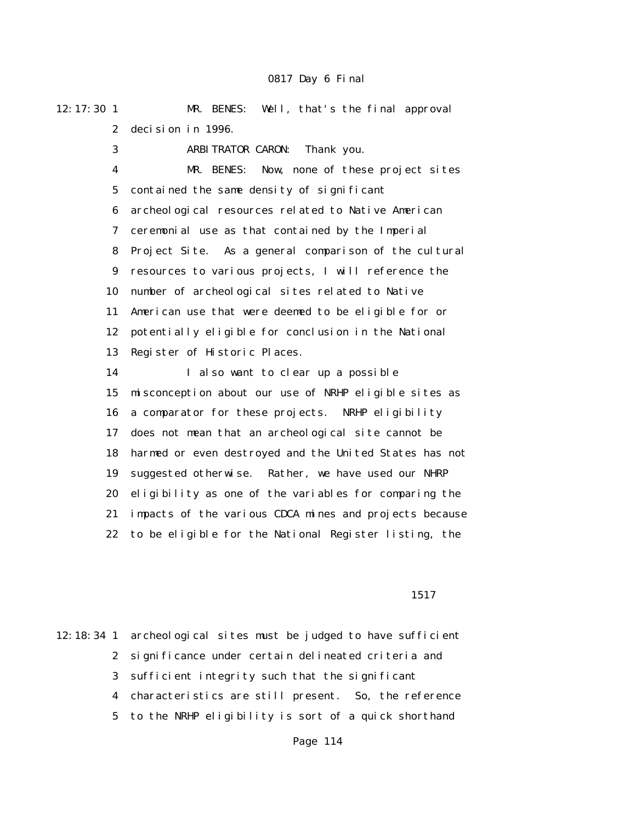12:17:30 1 MR. BENES: Well, that's the final approval 2 decision in 1996.

3 ARBITRATOR CARON: Thank you.

 4 MR. BENES: Now, none of these project sites 5 contained the same density of significant 6 archeological resources related to Native American 7 ceremonial use as that contained by the Imperial 8 Project Site. As a general comparison of the cultural 9 resources to various projects, I will reference the 10 number of archeological sites related to Native 11 American use that were deemed to be eligible for or 12 potentially eligible for conclusion in the National 13 Register of Historic Places.

 14 I also want to clear up a possible 15 misconception about our use of NRHP eligible sites as 16 a comparator for these projects. NRHP eligibility 17 does not mean that an archeological site cannot be 18 harmed or even destroyed and the United States has not 19 suggested otherwise. Rather, we have used our NHRP 20 eligibility as one of the variables for comparing the 21 impacts of the various CDCA mines and projects because 22 to be eligible for the National Register listing, the

1517

12:18:34 1 archeological sites must be judged to have sufficient 2 significance under certain delineated criteria and 3 sufficient integrity such that the significant 4 characteristics are still present. So, the reference 5 to the NRHP eligibility is sort of a quick shorthand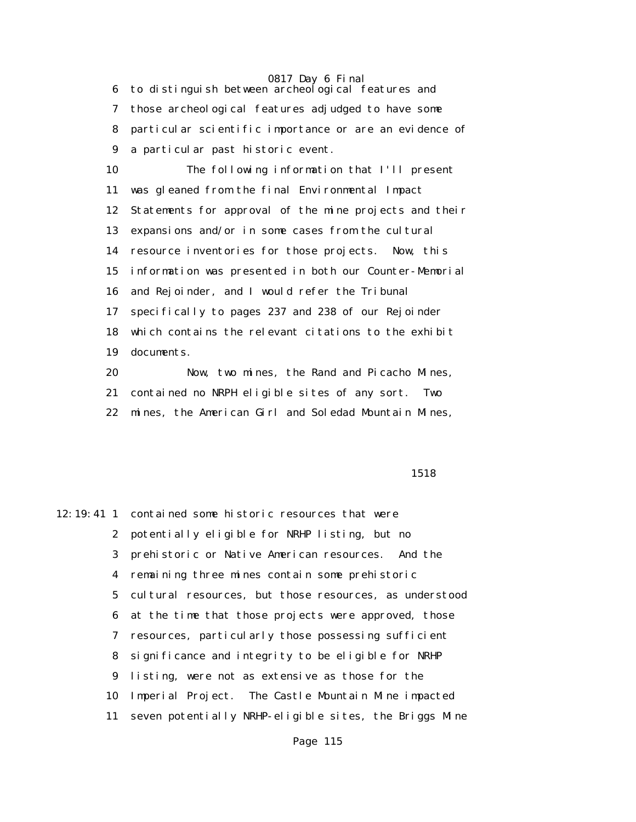6 to distinguish between archeological features and 7 those archeological features adjudged to have some 8 particular scientific importance or are an evidence of 9 a particular past historic event.

 10 The following information that I'll present 11 was gleaned from the final Environmental Impact 12 Statements for approval of the mine projects and their 13 expansions and/or in some cases from the cultural 14 resource inventories for those projects. Now, this 15 information was presented in both our Counter-Memorial 16 and Rejoinder, and I would refer the Tribunal 17 specifically to pages 237 and 238 of our Rejoinder 18 which contains the relevant citations to the exhibit 19 documents.

 20 Now, two mines, the Rand and Picacho Mines, 21 contained no NRPH eligible sites of any sort. Two 22 mines, the American Girl and Soledad Mountain Mines,

1518

12:19:41 1 contained some historic resources that were 2 potentially eligible for NRHP listing, but no 3 prehistoric or Native American resources. And the 4 remaining three mines contain some prehistoric 5 cultural resources, but those resources, as understood 6 at the time that those projects were approved, those 7 resources, particularly those possessing sufficient 8 significance and integrity to be eligible for NRHP 9 listing, were not as extensive as those for the 10 Imperial Project. The Castle Mountain Mine impacted 11 seven potentially NRHP-eligible sites, the Briggs Mine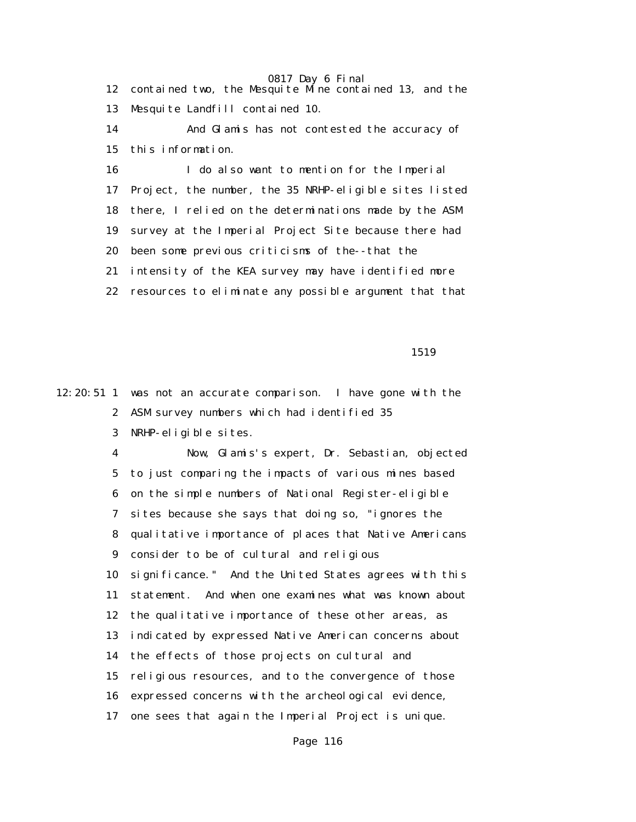12 contained two, the Mesquite Mine contained 13, and the 13 Mesquite Landfill contained 10.

 14 And Glamis has not contested the accuracy of 15 this information.

 16 I do also want to mention for the Imperial 17 Project, the number, the 35 NRHP-eligible sites listed 18 there, I relied on the determinations made by the ASM 19 survey at the Imperial Project Site because there had 20 been some previous criticisms of the--that the 21 intensity of the KEA survey may have identified more 22 resources to eliminate any possible argument that that

1519

12:20:51 1 was not an accurate comparison. I have gone with the 2 ASM survey numbers which had identified 35 3 NRHP-eligible sites.

> 4 Now, Glamis's expert, Dr. Sebastian, objected 5 to just comparing the impacts of various mines based 6 on the simple numbers of National Register-eligible 7 sites because she says that doing so, "ignores the 8 qualitative importance of places that Native Americans 9 consider to be of cultural and religious 10 significance." And the United States agrees with this 11 statement. And when one examines what was known about 12 the qualitative importance of these other areas, as 13 indicated by expressed Native American concerns about 14 the effects of those projects on cultural and 15 religious resources, and to the convergence of those 16 expressed concerns with the archeological evidence, 17 one sees that again the Imperial Project is unique.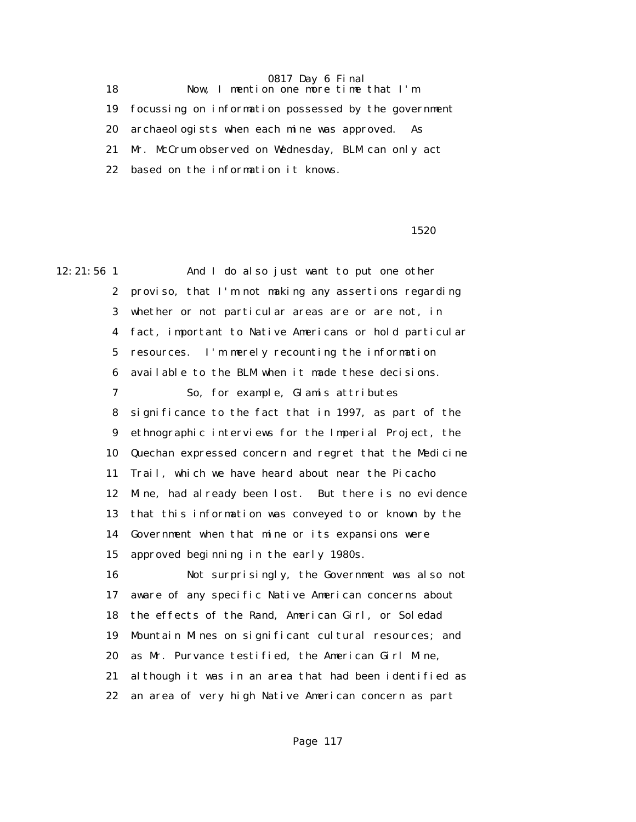18 Now, I mention one more time that I'm 19 focussing on information possessed by the government 20 archaeologists when each mine was approved. As 21 Mr. McCrum observed on Wednesday, BLM can only act 22 based on the information it knows.

1520

12:21:56 1 And I do also just want to put one other 2 proviso, that I'm not making any assertions regarding 3 whether or not particular areas are or are not, in 4 fact, important to Native Americans or hold particular 5 resources. I'm merely recounting the information 6 available to the BLM when it made these decisions. 7 So, for example, Glamis attributes 8 significance to the fact that in 1997, as part of the 9 ethnographic interviews for the Imperial Project, the 10 Quechan expressed concern and regret that the Medicine 11 Trail, which we have heard about near the Picacho 12 Mine, had already been lost. But there is no evidence 13 that this information was conveyed to or known by the 14 Government when that mine or its expansions were 15 approved beginning in the early 1980s. 16 Not surprisingly, the Government was also not 17 aware of any specific Native American concerns about 18 the effects of the Rand, American Girl, or Soledad 19 Mountain Mines on significant cultural resources; and 20 as Mr. Purvance testified, the American Girl Mine, 21 although it was in an area that had been identified as 22 an area of very high Native American concern as part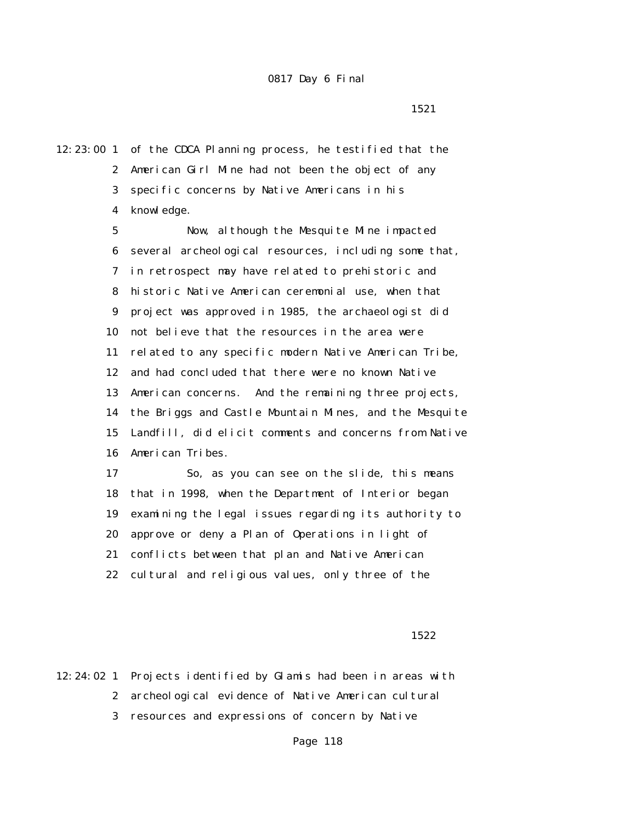1521

12:23:00 1 of the CDCA Planning process, he testified that the 2 American Girl Mine had not been the object of any 3 specific concerns by Native Americans in his 4 knowledge.

> 5 Now, although the Mesquite Mine impacted 6 several archeological resources, including some that, 7 in retrospect may have related to prehistoric and 8 historic Native American ceremonial use, when that 9 project was approved in 1985, the archaeologist did 10 not believe that the resources in the area were 11 related to any specific modern Native American Tribe, 12 and had concluded that there were no known Native 13 American concerns. And the remaining three projects, 14 the Briggs and Castle Mountain Mines, and the Mesquite 15 Landfill, did elicit comments and concerns from Native 16 American Tribes.

 17 So, as you can see on the slide, this means 18 that in 1998, when the Department of Interior began 19 examining the legal issues regarding its authority to 20 approve or deny a Plan of Operations in light of 21 conflicts between that plan and Native American 22 cultural and religious values, only three of the

1522

12:24:02 1 Projects identified by Glamis had been in areas with 2 archeological evidence of Native American cultural 3 resources and expressions of concern by Native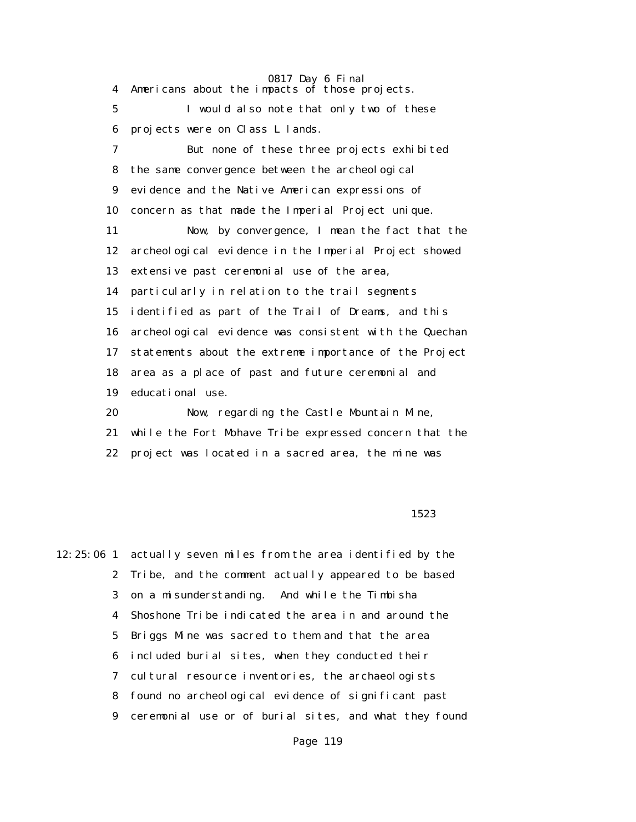4 Americans about the impacts of those projects. 5 I would also note that only two of these 6 projects were on Class L lands. 7 But none of these three projects exhibited 8 the same convergence between the archeological 9 evidence and the Native American expressions of 10 concern as that made the Imperial Project unique. 11 Now, by convergence, I mean the fact that the 12 archeological evidence in the Imperial Project showed 13 extensive past ceremonial use of the area, 14 particularly in relation to the trail segments 15 identified as part of the Trail of Dreams, and this 16 archeological evidence was consistent with the Quechan 17 statements about the extreme importance of the Project 18 area as a place of past and future ceremonial and 19 educational use. 20 Now, regarding the Castle Mountain Mine, 21 while the Fort Mohave Tribe expressed concern that the

22 project was located in a sacred area, the mine was

#### 1523

12:25:06 1 actually seven miles from the area identified by the 2 Tribe, and the comment actually appeared to be based 3 on a misunderstanding. And while the Timbisha 4 Shoshone Tribe indicated the area in and around the 5 Briggs Mine was sacred to them and that the area 6 included burial sites, when they conducted their 7 cultural resource inventories, the archaeologists 8 found no archeological evidence of significant past 9 ceremonial use or of burial sites, and what they found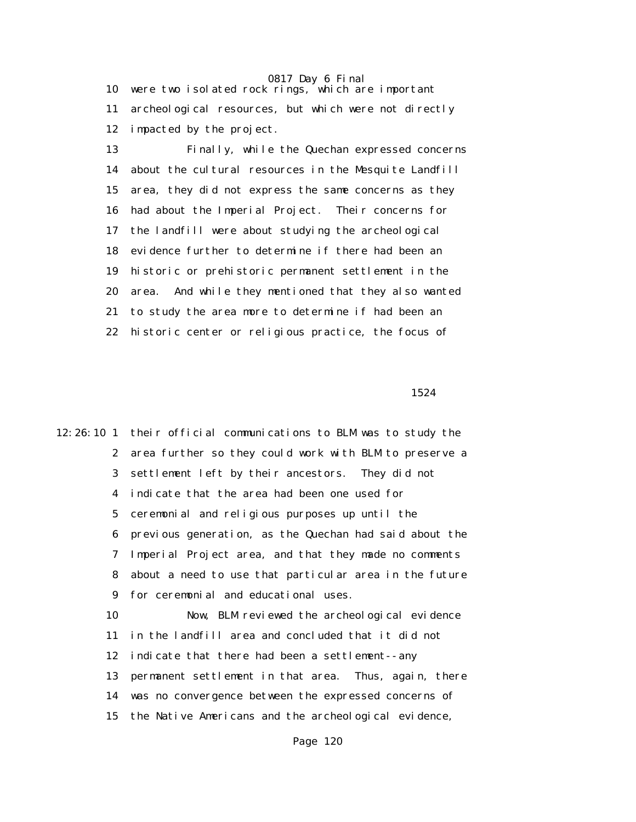10 were two isolated rock rings, which are important 11 archeological resources, but which were not directly 12 impacted by the project.

 13 Finally, while the Quechan expressed concerns 14 about the cultural resources in the Mesquite Landfill 15 area, they did not express the same concerns as they 16 had about the Imperial Project. Their concerns for 17 the landfill were about studying the archeological 18 evidence further to determine if there had been an 19 historic or prehistoric permanent settlement in the 20 area. And while they mentioned that they also wanted 21 to study the area more to determine if had been an 22 historic center or religious practice, the focus of

1524

12:26:10 1 their official communications to BLM was to study the 2 area further so they could work with BLM to preserve a 3 settlement left by their ancestors. They did not 4 indicate that the area had been one used for 5 ceremonial and religious purposes up until the 6 previous generation, as the Quechan had said about the 7 Imperial Project area, and that they made no comments 8 about a need to use that particular area in the future 9 for ceremonial and educational uses. 10 Now, BLM reviewed the archeological evidence 11 in the landfill area and concluded that it did not 12 indicate that there had been a settlement--any 13 permanent settlement in that area. Thus, again, there 14 was no convergence between the expressed concerns of 15 the Native Americans and the archeological evidence,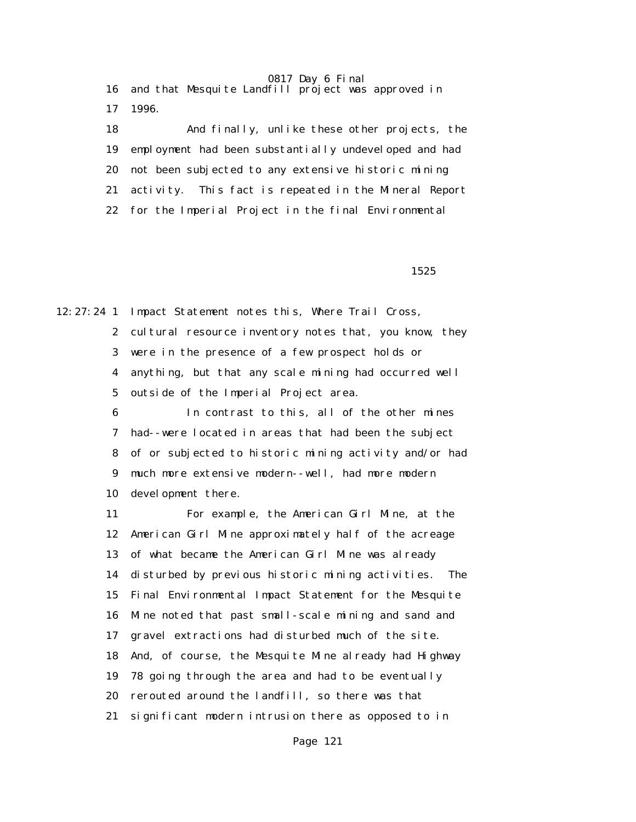16 and that Mesquite Landfill project was approved in 17 1996.

 18 And finally, unlike these other projects, the 19 employment had been substantially undeveloped and had 20 not been subjected to any extensive historic mining 21 activity. This fact is repeated in the Mineral Report 22 for the Imperial Project in the final Environmental

1525

12:27:24 1 Impact Statement notes this, Where Trail Cross, 2 cultural resource inventory notes that, you know, they 3 were in the presence of a few prospect holds or 4 anything, but that any scale mining had occurred well 5 outside of the Imperial Project area.

> 6 In contrast to this, all of the other mines 7 had--were located in areas that had been the subject 8 of or subjected to historic mining activity and/or had 9 much more extensive modern--well, had more modern 10 development there.

> 11 For example, the American Girl Mine, at the 12 American Girl Mine approximately half of the acreage 13 of what became the American Girl Mine was already 14 disturbed by previous historic mining activities. The 15 Final Environmental Impact Statement for the Mesquite 16 Mine noted that past small-scale mining and sand and 17 gravel extractions had disturbed much of the site. 18 And, of course, the Mesquite Mine already had Highway 19 78 going through the area and had to be eventually 20 rerouted around the landfill, so there was that 21 significant modern intrusion there as opposed to in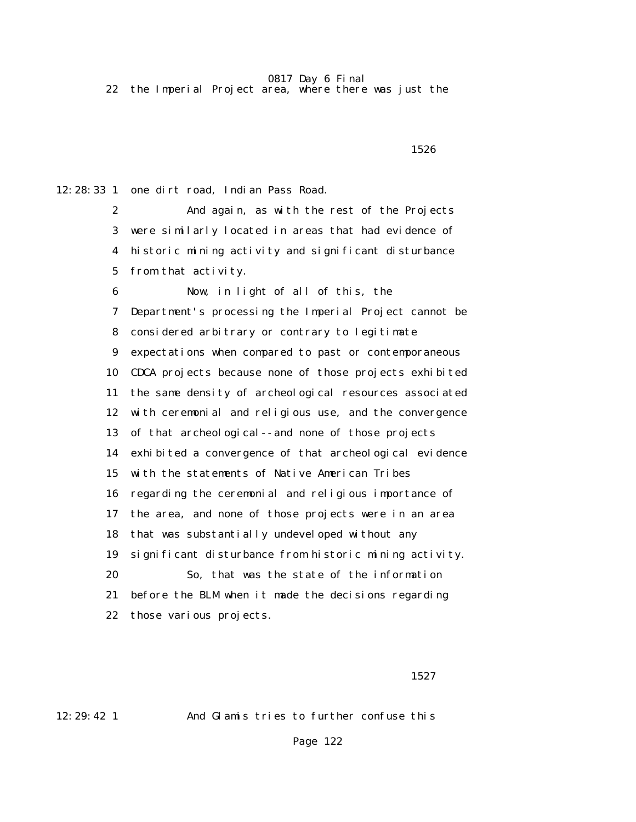22 the Imperial Project area, where there was just the

 $1526$ 

12:28:33 1 one dirt road, Indian Pass Road.

 2 And again, as with the rest of the Projects 3 were similarly located in areas that had evidence of 4 historic mining activity and significant disturbance 5 from that activity.

 6 Now, in light of all of this, the 7 Department's processing the Imperial Project cannot be 8 considered arbitrary or contrary to legitimate 9 expectations when compared to past or contemporaneous 10 CDCA projects because none of those projects exhibited 11 the same density of archeological resources associated 12 with ceremonial and religious use, and the convergence 13 of that archeological--and none of those projects 14 exhibited a convergence of that archeological evidence 15 with the statements of Native American Tribes 16 regarding the ceremonial and religious importance of 17 the area, and none of those projects were in an area 18 that was substantially undeveloped without any 19 significant disturbance from historic mining activity. 20 So, that was the state of the information 21 before the BLM when it made the decisions regarding 22 those various projects.

1527

12:29:42 1 And Glamis tries to further confuse this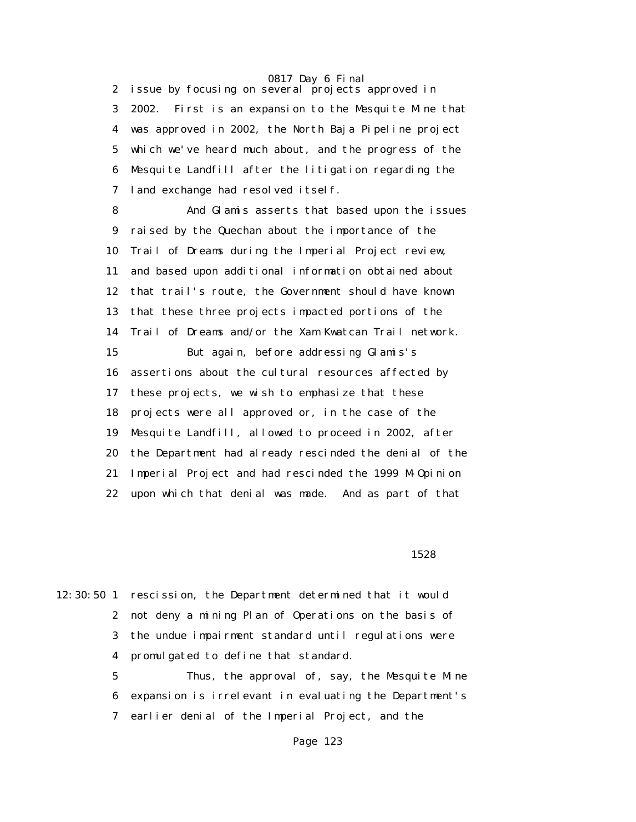2 issue by focusing on several projects approved in 3 2002. First is an expansion to the Mesquite Mine that 4 was approved in 2002, the North Baja Pipeline project 5 which we've heard much about, and the progress of the 6 Mesquite Landfill after the litigation regarding the 7 land exchange had resolved itself.

 8 And Glamis asserts that based upon the issues 9 raised by the Quechan about the importance of the 10 Trail of Dreams during the Imperial Project review, 11 and based upon additional information obtained about 12 that trail's route, the Government should have known 13 that these three projects impacted portions of the 14 Trail of Dreams and/or the Xam Kwatcan Trail network. 15 But again, before addressing Glamis's 16 assertions about the cultural resources affected by 17 these projects, we wish to emphasize that these 18 projects were all approved or, in the case of the 19 Mesquite Landfill, allowed to proceed in 2002, after 20 the Department had already rescinded the denial of the 21 Imperial Project and had rescinded the 1999 M-Opinion 22 upon which that denial was made. And as part of that

1528

12:30:50 1 rescission, the Department determined that it would 2 not deny a mining Plan of Operations on the basis of 3 the undue impairment standard until regulations were 4 promulgated to define that standard.

> 5 Thus, the approval of, say, the Mesquite Mine 6 expansion is irrelevant in evaluating the Department's 7 earlier denial of the Imperial Project, and the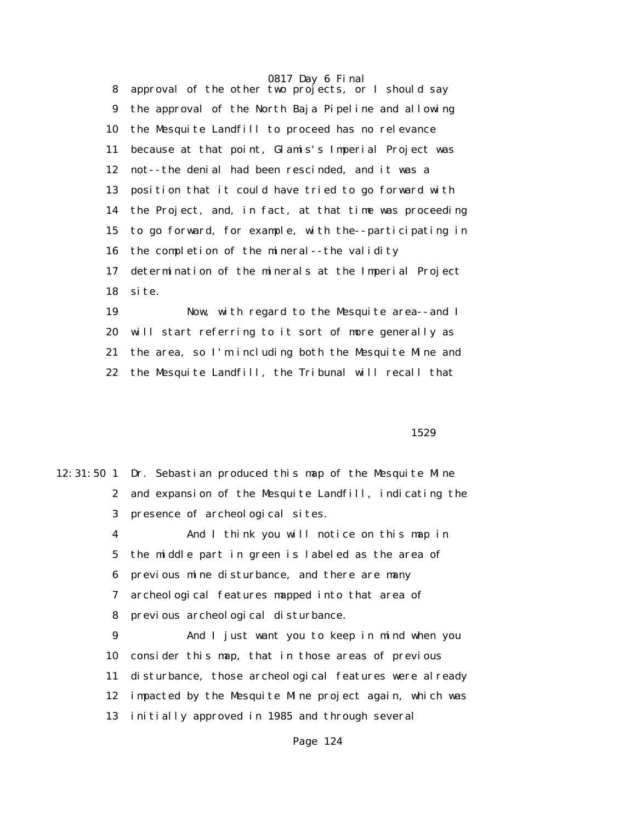8 approval of the other two projects, or I should say 9 the approval of the North Baja Pipeline and allowing 10 the Mesquite Landfill to proceed has no relevance 11 because at that point, Glamis's Imperial Project was 12 not--the denial had been rescinded, and it was a 13 position that it could have tried to go forward with 14 the Project, and, in fact, at that time was proceeding 15 to go forward, for example, with the--participating in 16 the completion of the mineral--the validity 17 determination of the minerals at the Imperial Project 18 site.

 19 Now, with regard to the Mesquite area--and I 20 will start referring to it sort of more generally as 21 the area, so I'm including both the Mesquite Mine and 22 the Mesquite Landfill, the Tribunal will recall that

1529

|                | 12:31:50 1 Dr. Sebastian produced this map of the Mesquite Mine |  |  |  |  |
|----------------|-----------------------------------------------------------------|--|--|--|--|
| $\mathbf{2}$   | and expansion of the Mesquite Landfill, indicating the          |  |  |  |  |
| 3 <sup>1</sup> | presence of archeological sites.                                |  |  |  |  |
| 4              | And I think you will notice on this map in                      |  |  |  |  |
| $5^{\circ}$    | the middle part in green is labeled as the area of              |  |  |  |  |
| 6              | previous mine disturbance, and there are many                   |  |  |  |  |
| 7              | archeological features mapped into that area of                 |  |  |  |  |
| 8              | previous archeological disturbance.                             |  |  |  |  |
| 9              | And I just want you to keep in mind when you                    |  |  |  |  |
| 10             | consider this map, that in those areas of previous              |  |  |  |  |
| 11             | disturbance, those archeological features were already          |  |  |  |  |
| 12             | impacted by the Mesquite Mine project again, which was          |  |  |  |  |
| 13             | initially approved in 1985 and through several                  |  |  |  |  |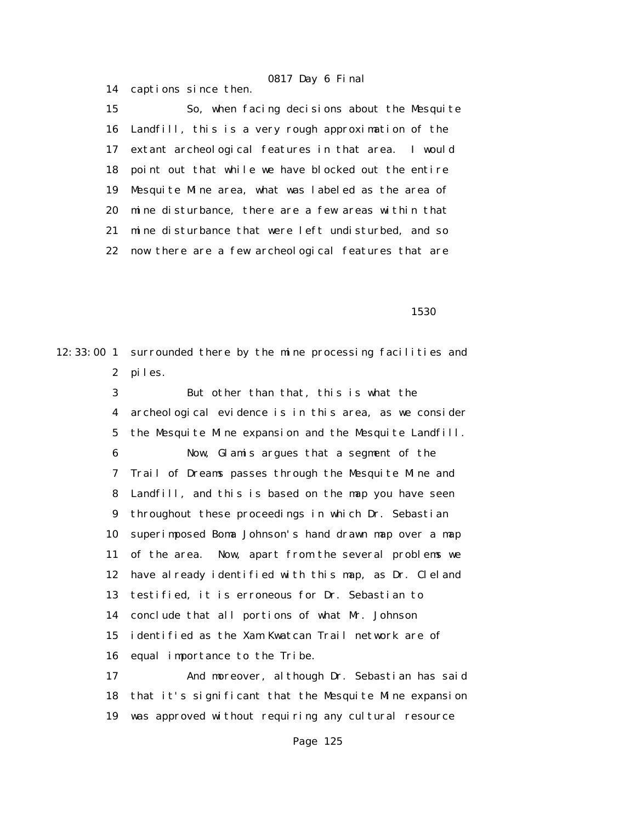15 So, when facing decisions about the Mesquite 16 Landfill, this is a very rough approximation of the 17 extant archeological features in that area. I would 18 point out that while we have blocked out the entire 19 Mesquite Mine area, what was labeled as the area of 20 mine disturbance, there are a few areas within that 21 mine disturbance that were left undisturbed, and so 22 now there are a few archeological features that are

14 captions since then.

 $1530$ 

12:33:00 1 surrounded there by the mine processing facilities and 2 piles.

> 3 But other than that, this is what the 4 archeological evidence is in this area, as we consider 5 the Mesquite Mine expansion and the Mesquite Landfill. 6 Now, Glamis argues that a segment of the 7 Trail of Dreams passes through the Mesquite Mine and 8 Landfill, and this is based on the map you have seen 9 throughout these proceedings in which Dr. Sebastian 10 superimposed Boma Johnson's hand drawn map over a map 11 of the area. Now, apart from the several problems we 12 have already identified with this map, as Dr. Cleland 13 testified, it is erroneous for Dr. Sebastian to 14 conclude that all portions of what Mr. Johnson 15 identified as the Xam Kwatcan Trail network are of 16 equal importance to the Tribe.

> 17 And moreover, although Dr. Sebastian has said 18 that it's significant that the Mesquite Mine expansion 19 was approved without requiring any cultural resource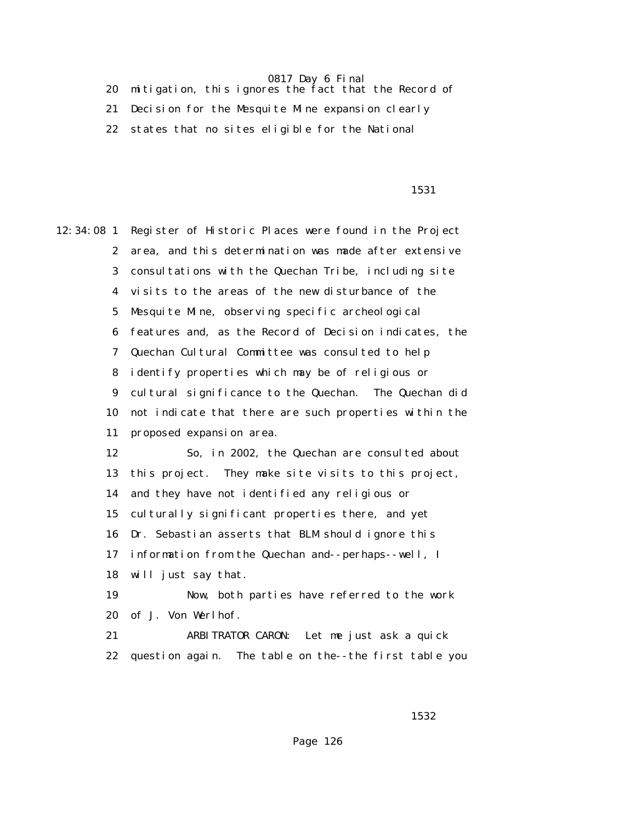20 mitigation, this ignores the fact that the Record of 21 Decision for the Mesquite Mine expansion clearly 22 states that no sites eligible for the National

#### 1531

12:34:08 1 Register of Historic Places were found in the Project 2 area, and this determination was made after extensive 3 consultations with the Quechan Tribe, including site 4 visits to the areas of the new disturbance of the 5 Mesquite Mine, observing specific archeological 6 features and, as the Record of Decision indicates, the 7 Quechan Cultural Committee was consulted to help 8 identify properties which may be of religious or 9 cultural significance to the Quechan. The Quechan did 10 not indicate that there are such properties within the 11 proposed expansion area. 12 So, in 2002, the Quechan are consulted about 13 this project. They make site visits to this project, 14 and they have not identified any religious or 15 culturally significant properties there, and yet 16 Dr. Sebastian asserts that BLM should ignore this 17 information from the Quechan and--perhaps--well, I 18 will just say that. 19 Now, both parties have referred to the work 20 of J. Von Werlhof. 21 ARBITRATOR CARON: Let me just ask a quick

 $1532$ 

22 question again. The table on the--the first table you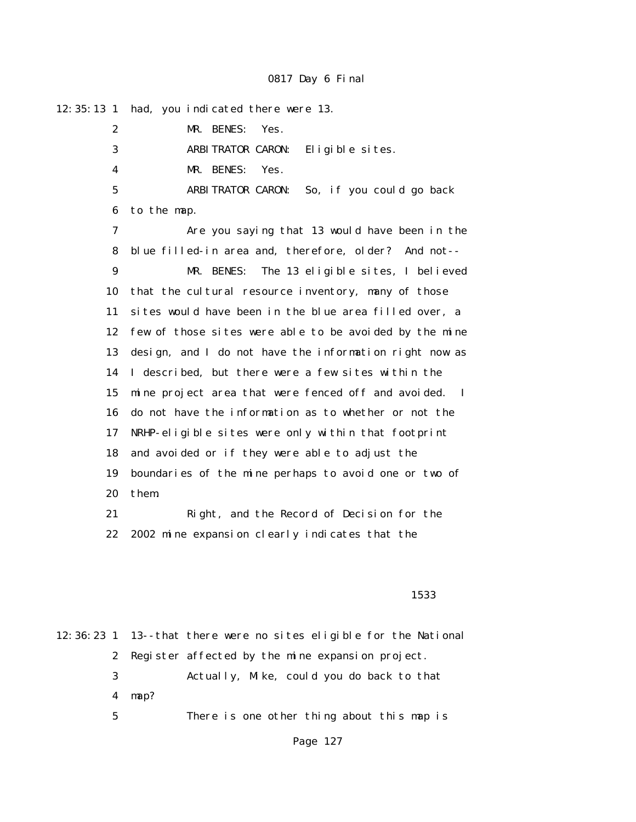|                 | 12:35:13 1 had, you indicated there were 13.                        |
|-----------------|---------------------------------------------------------------------|
| 2               | MR. BENES:<br>Yes.                                                  |
| 3               | ARBITRATOR CARON: Eligible sites.                                   |
| 4               | MR. BENES:<br>Yes.                                                  |
| $5\overline{)}$ | ARBITRATOR CARON: So, if you could go back                          |
| 6               | to the map.                                                         |
| 7               | Are you saying that 13 would have been in the                       |
| 8               | blue filled-in area and, therefore, older? And not--                |
| 9               | The 13 eligible sites, I believed<br>MR. BENES:                     |
| 10              | that the cultural resource inventory, many of those                 |
| 11              | sites would have been in the blue area filled over, a               |
| 12              | few of those sites were able to be avoided by the mine              |
| 13              | design, and I do not have the information right now as              |
| 14              | I described, but there were a few sites within the                  |
| 15              | mine project area that were fenced off and avoided.<br>$\mathbf{I}$ |
| 16              | do not have the information as to whether or not the                |
| 17              | NRHP-eligible sites were only within that footprint                 |
| 18              | and avoided or if they were able to adjust the                      |
| 19              | boundaries of the mine perhaps to avoid one or two of               |
| 20              | them.                                                               |
| 21              | Right, and the Record of Decision for the                           |
| 22              | 2002 mine expansion clearly indicates that the                      |
|                 |                                                                     |
|                 |                                                                     |
|                 | 1533                                                                |
|                 | 12:36:23 1 13--that there were no sites eligible for the National   |
| 2               | Register affected by the mine expansion project.                    |

 3 Actually, Mike, could you do back to that 4 map?

5 There is one other thing about this map is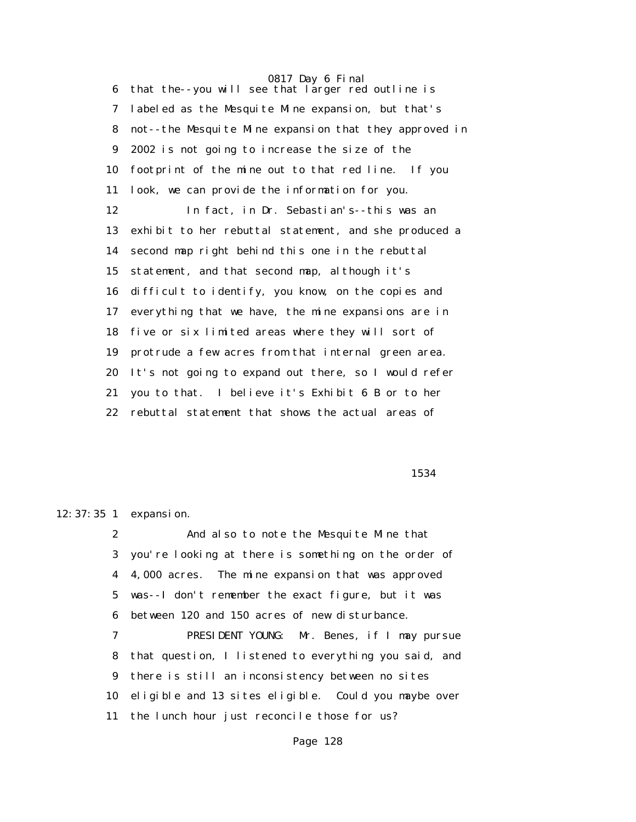0817 Day 6 Final 6 that the--you will see that larger red outline is 7 labeled as the Mesquite Mine expansion, but that's 8 not--the Mesquite Mine expansion that they approved in 9 2002 is not going to increase the size of the 10 footprint of the mine out to that red line. If you 11 look, we can provide the information for you. 12 In fact, in Dr. Sebastian's--this was an 13 exhibit to her rebuttal statement, and she produced a 14 second map right behind this one in the rebuttal 15 statement, and that second map, although it's 16 difficult to identify, you know, on the copies and 17 everything that we have, the mine expansions are in 18 five or six limited areas where they will sort of 19 protrude a few acres from that internal green area. 20 It's not going to expand out there, so I would refer 21 you to that. I believe it's Exhibit 6 B or to her 22 rebuttal statement that shows the actual areas of

1534

12:37:35 1 expansion.

 2 And also to note the Mesquite Mine that 3 you're looking at there is something on the order of 4 4,000 acres. The mine expansion that was approved 5 was--I don't remember the exact figure, but it was 6 between 120 and 150 acres of new disturbance.

 7 PRESIDENT YOUNG: Mr. Benes, if I may pursue 8 that question, I listened to everything you said, and 9 there is still an inconsistency between no sites 10 eligible and 13 sites eligible. Could you maybe over 11 the lunch hour just reconcile those for us?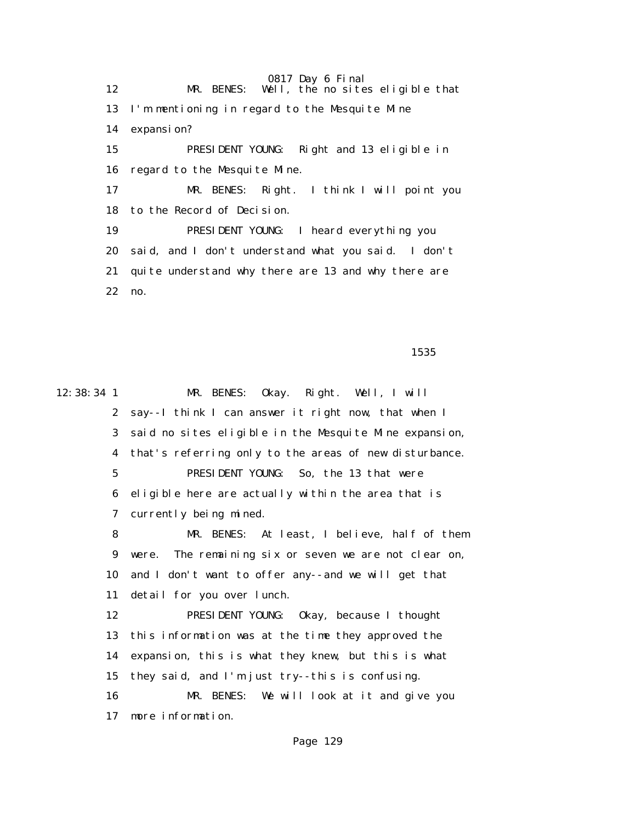0817 Day 6 Final 12 MR. BENES: Well, the no sites eligible that 13 I'm mentioning in regard to the Mesquite Mine 14 expansion? 15 PRESIDENT YOUNG: Right and 13 eligible in 16 regard to the Mesquite Mine. 17 MR. BENES: Right. I think I will point you 18 to the Record of Decision. 19 PRESIDENT YOUNG: I heard everything you 20 said, and I don't understand what you said. I don't 21 quite understand why there are 13 and why there are 22 no.

 $1535$ 

12:38:34 1 MR. BENES: Okay. Right. Well, I will 2 say--I think I can answer it right now, that when I 3 said no sites eligible in the Mesquite Mine expansion, 4 that's referring only to the areas of new disturbance. 5 PRESIDENT YOUNG: So, the 13 that were 6 eligible here are actually within the area that is 7 currently being mined. 8 MR. BENES: At least, I believe, half of them 9 were. The remaining six or seven we are not clear on, 10 and I don't want to offer any--and we will get that 11 detail for you over lunch. 12 PRESIDENT YOUNG: Okay, because I thought 13 this information was at the time they approved the 14 expansion, this is what they knew, but this is what 15 they said, and I'm just try--this is confusing. 16 MR. BENES: We will look at it and give you 17 more information.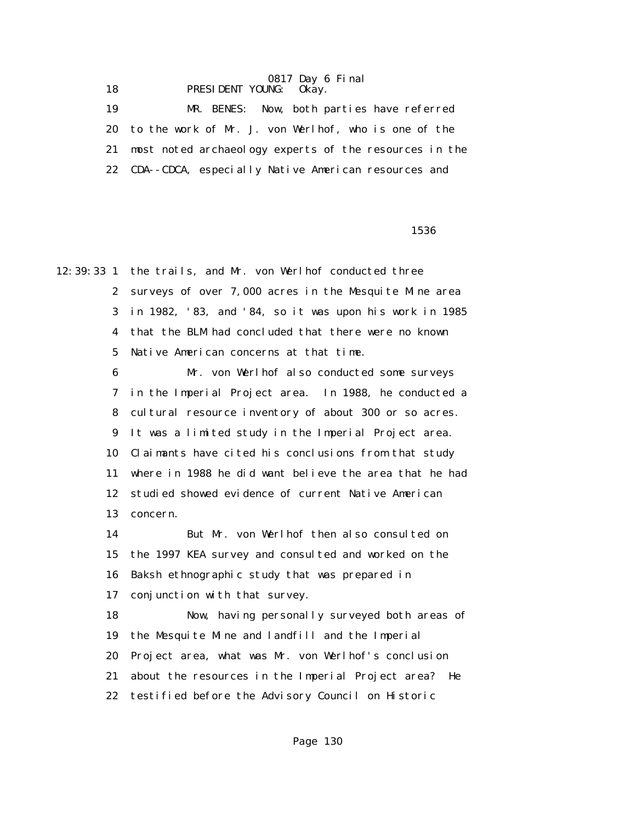0817 Day 6 Final 18 **PRESIDENT YOUNG:** 0kay.

 19 MR. BENES: Now, both parties have referred 20 to the work of Mr. J. von Werlhof, who is one of the 21 most noted archaeology experts of the resources in the 22 CDA--CDCA, especially Native American resources and

 $1536$ 

12:39:33 1 the trails, and Mr. von Werlhof conducted three 2 surveys of over 7,000 acres in the Mesquite Mine area 3 in 1982, '83, and '84, so it was upon his work in 1985 4 that the BLM had concluded that there were no known 5 Native American concerns at that time. 6 Mr. von Werlhof also conducted some surveys 7 in the Imperial Project area. In 1988, he conducted a 8 cultural resource inventory of about 300 or so acres. 9 It was a limited study in the Imperial Project area. 10 Claimants have cited his conclusions from that study 11 where in 1988 he did want believe the area that he had 12 studied showed evidence of current Native American 13 concern. 14 But Mr. von Werlhof then also consulted on 15 the 1997 KEA survey and consulted and worked on the 16 Baksh ethnographic study that was prepared in 17 conjunction with that survey. 18 Now, having personally surveyed both areas of 19 the Mesquite Mine and landfill and the Imperial 20 Project area, what was Mr. von Werlhof's conclusion 21 about the resources in the Imperial Project area? He 22 testified before the Advisory Council on Historic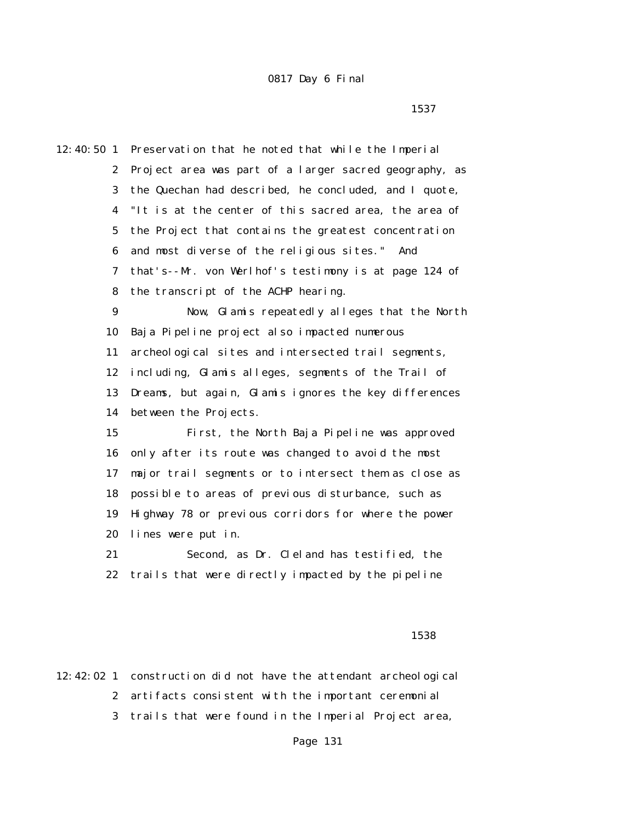12:40:50 1 Preservation that he noted that while the Imperial 2 Project area was part of a larger sacred geography, as 3 the Quechan had described, he concluded, and I quote, 4 "It is at the center of this sacred area, the area of 5 the Project that contains the greatest concentration 6 and most diverse of the religious sites." And 7 that's--Mr. von Werlhof's testimony is at page 124 of 8 the transcript of the ACHP hearing. 9 Now, Glamis repeatedly alleges that the North 10 Baja Pipeline project also impacted numerous 11 archeological sites and intersected trail segments, 12 including, Glamis alleges, segments of the Trail of 13 Dreams, but again, Glamis ignores the key differences 14 between the Projects. 15 First, the North Baja Pipeline was approved 16 only after its route was changed to avoid the most 17 major trail segments or to intersect them as close as 18 possible to areas of previous disturbance, such as 19 Highway 78 or previous corridors for where the power 20 lines were put in. 21 Second, as Dr. Cleland has testified, the 22 trails that were directly impacted by the pipeline

#### $1538$

12:42:02 1 construction did not have the attendant archeological 2 artifacts consistent with the important ceremonial 3 trails that were found in the Imperial Project area,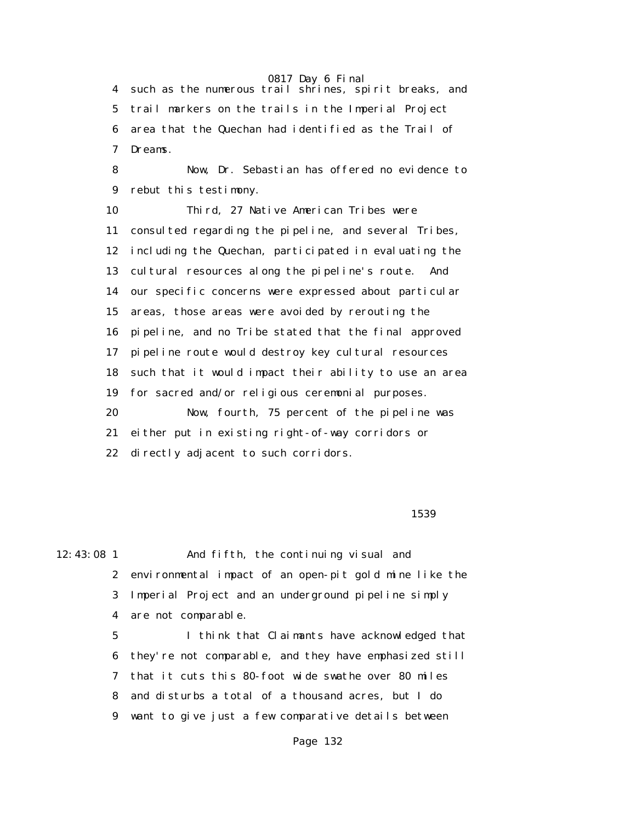4 such as the numerous trail shrines, spirit breaks, and 5 trail markers on the trails in the Imperial Project 6 area that the Quechan had identified as the Trail of 7 Dreams.

 8 Now, Dr. Sebastian has offered no evidence to 9 rebut this testimony.

 10 Third, 27 Native American Tribes were 11 consulted regarding the pipeline, and several Tribes, 12 including the Quechan, participated in evaluating the 13 cultural resources along the pipeline's route. And 14 our specific concerns were expressed about particular 15 areas, those areas were avoided by rerouting the 16 pipeline, and no Tribe stated that the final approved 17 pipeline route would destroy key cultural resources 18 such that it would impact their ability to use an area 19 for sacred and/or religious ceremonial purposes. 20 Now, fourth, 75 percent of the pipeline was 21 either put in existing right-of-way corridors or 22 directly adjacent to such corridors.

 $1539$ 

12:43:08 1 And fifth, the continuing visual and 2 environmental impact of an open-pit gold mine like the 3 Imperial Project and an underground pipeline simply 4 are not comparable. 5 I think that Claimants have acknowledged that 6 they're not comparable, and they have emphasized still 7 that it cuts this 80-foot wide swathe over 80 miles 8 and disturbs a total of a thousand acres, but I do

9 want to give just a few comparative details between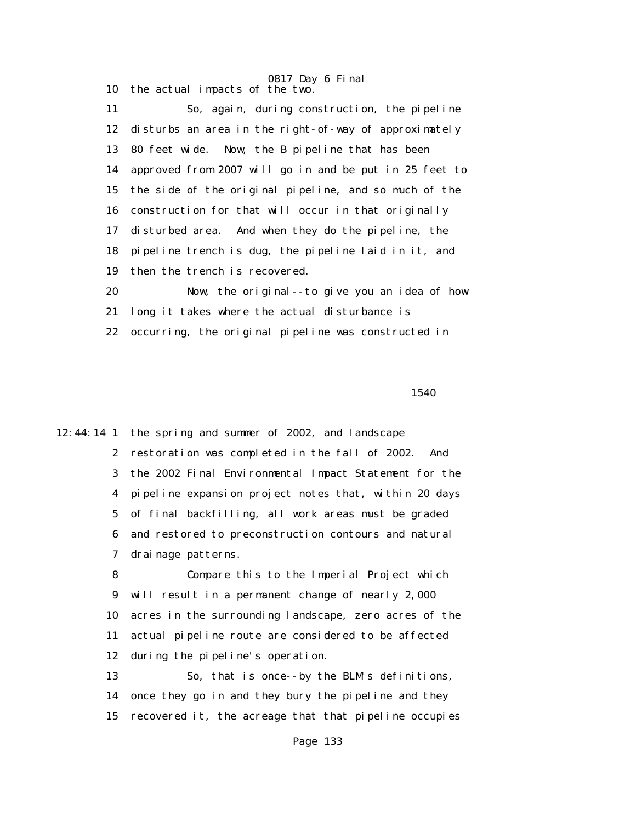0817 Day 6 Final 10 the actual impacts of the two.

 11 So, again, during construction, the pipeline 12 disturbs an area in the right-of-way of approximately 13 80 feet wide. Now, the B pipeline that has been 14 approved from 2007 will go in and be put in 25 feet to 15 the side of the original pipeline, and so much of the 16 construction for that will occur in that originally 17 disturbed area. And when they do the pipeline, the 18 pipeline trench is dug, the pipeline laid in it, and 19 then the trench is recovered. 20 Now, the original--to give you an idea of how

 21 long it takes where the actual disturbance is 22 occurring, the original pipeline was constructed in

<u>1540</u>

12:44:14 1 the spring and summer of 2002, and landscape 2 restoration was completed in the fall of 2002. And 3 the 2002 Final Environmental Impact Statement for the 4 pipeline expansion project notes that, within 20 days 5 of final backfilling, all work areas must be graded 6 and restored to preconstruction contours and natural 7 drainage patterns.

> 8 Compare this to the Imperial Project which 9 will result in a permanent change of nearly 2,000 10 acres in the surrounding landscape, zero acres of the 11 actual pipeline route are considered to be affected 12 during the pipeline's operation.

> 13 So, that is once--by the BLM's definitions, 14 once they go in and they bury the pipeline and they 15 recovered it, the acreage that that pipeline occupies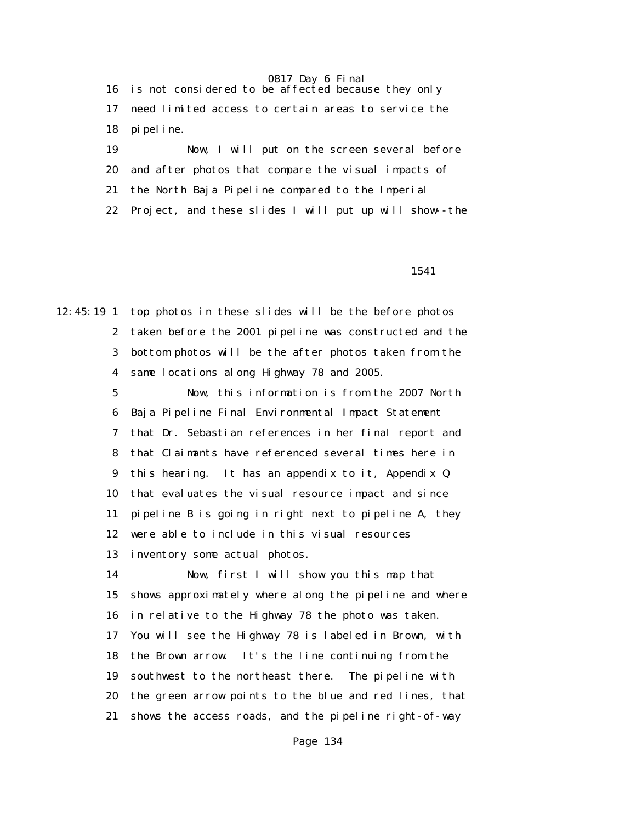16 is not considered to be affected because they only 17 need limited access to certain areas to service the 18 pipeline.

 19 Now, I will put on the screen several before 20 and after photos that compare the visual impacts of 21 the North Baja Pipeline compared to the Imperial 22 Project, and these slides I will put up will show--the

1541

12:45:19 1 top photos in these slides will be the before photos 2 taken before the 2001 pipeline was constructed and the 3 bottom photos will be the after photos taken from the 4 same locations along Highway 78 and 2005.

> 5 Now, this information is from the 2007 North 6 Baja Pipeline Final Environmental Impact Statement 7 that Dr. Sebastian references in her final report and 8 that Claimants have referenced several times here in 9 this hearing. It has an appendix to it, Appendix Q 10 that evaluates the visual resource impact and since 11 pipeline B is going in right next to pipeline A, they 12 were able to include in this visual resources 13 inventory some actual photos.

 14 Now, first I will show you this map that 15 shows approximately where along the pipeline and where 16 in relative to the Highway 78 the photo was taken. 17 You will see the Highway 78 is labeled in Brown, with 18 the Brown arrow. It's the line continuing from the 19 southwest to the northeast there. The pipeline with 20 the green arrow points to the blue and red lines, that 21 shows the access roads, and the pipeline right-of-way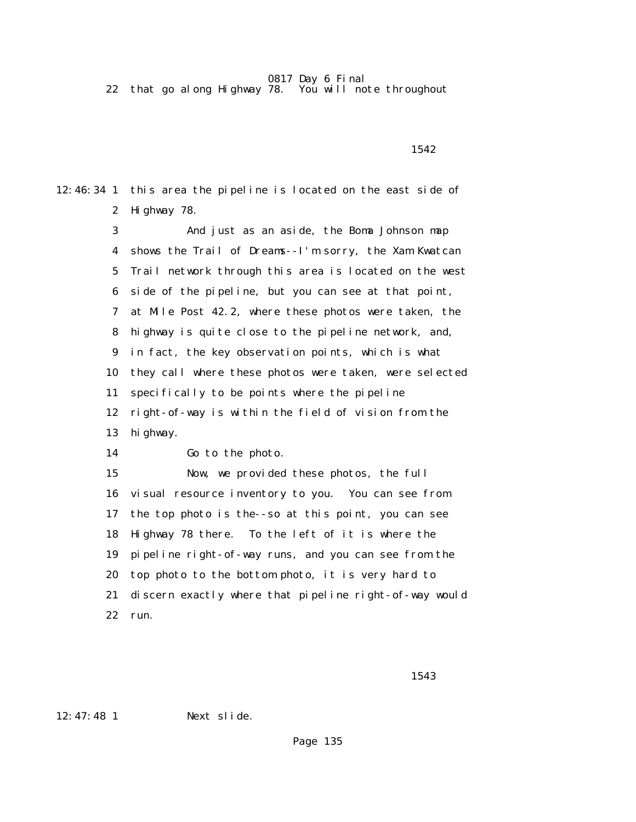22 that go along Highway 78. You will note throughout

1542

12:46:34 1 this area the pipeline is located on the east side of 2 Highway 78.

> 3 And just as an aside, the Boma Johnson map 4 shows the Trail of Dreams--I'm sorry, the Xam Kwatcan 5 Trail network through this area is located on the west 6 side of the pipeline, but you can see at that point, 7 at Mile Post 42.2, where these photos were taken, the 8 highway is quite close to the pipeline network, and, 9 in fact, the key observation points, which is what 10 they call where these photos were taken, were selected 11 specifically to be points where the pipeline 12 right-of-way is within the field of vision from the 13 highway. 14 Go to the photo.

> 15 Now, we provided these photos, the full 16 visual resource inventory to you. You can see from 17 the top photo is the--so at this point, you can see 18 Highway 78 there. To the left of it is where the 19 pipeline right-of-way runs, and you can see from the 20 top photo to the bottom photo, it is very hard to 21 discern exactly where that pipeline right-of-way would 22 run.

1543

12:47:48 1 Next slide.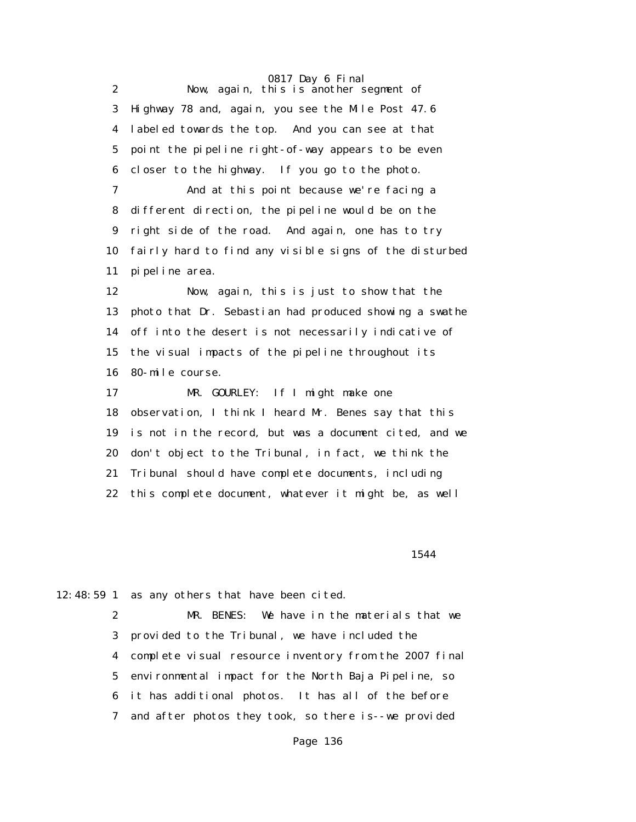0817 Day 6 Final 2 Now, again, this is another segment of 3 Highway 78 and, again, you see the Mile Post 47.6 4 labeled towards the top. And you can see at that 5 point the pipeline right-of-way appears to be even 6 closer to the highway. If you go to the photo. 7 And at this point because we're facing a 8 different direction, the pipeline would be on the 9 right side of the road. And again, one has to try 10 fairly hard to find any visible signs of the disturbed 11 pipeline area. 12 Now, again, this is just to show that the 13 photo that Dr. Sebastian had produced showing a swathe 14 off into the desert is not necessarily indicative of 15 the visual impacts of the pipeline throughout its 16 80-mile course. 17 MR. GOURLEY: If I might make one 18 observation, I think I heard Mr. Benes say that this 19 is not in the record, but was a document cited, and we 20 don't object to the Tribunal, in fact, we think the 21 Tribunal should have complete documents, including 22 this complete document, whatever it might be, as well

1544

12:48:59 1 as any others that have been cited.

 2 MR. BENES: We have in the materials that we 3 provided to the Tribunal, we have included the 4 complete visual resource inventory from the 2007 final 5 environmental impact for the North Baja Pipeline, so 6 it has additional photos. It has all of the before 7 and after photos they took, so there is--we provided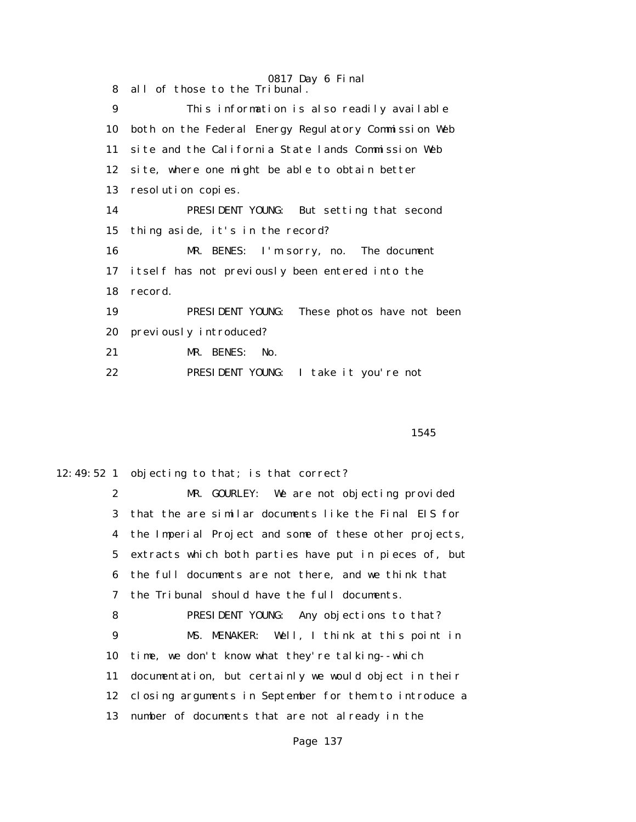0817 Day 6 Final 8 all of those to the Tribunal. 9 This information is also readily available 10 both on the Federal Energy Regulatory Commission Web 11 site and the California State lands Commission Web 12 site, where one might be able to obtain better 13 resolution copies. 14 PRESIDENT YOUNG: But setting that second 15 thing aside, it's in the record? 16 MR. BENES: I'm sorry, no. The document 17 itself has not previously been entered into the 18 record. 19 PRESIDENT YOUNG: These photos have not been 20 previously introduced? 21 MR. BENES: No. 22 PRESIDENT YOUNG: I take it you're not

<u>1545</u>

12:49:52 1 objecting to that; is that correct?

 2 MR. GOURLEY: We are not objecting provided 3 that the are similar documents like the Final EIS for 4 the Imperial Project and some of these other projects, 5 extracts which both parties have put in pieces of, but 6 the full documents are not there, and we think that 7 the Tribunal should have the full documents.

 8 PRESIDENT YOUNG: Any objections to that? 9 MS. MENAKER: Well, I think at this point in 10 time, we don't know what they're talking--which 11 documentation, but certainly we would object in their 12 closing arguments in September for them to introduce a 13 number of documents that are not already in the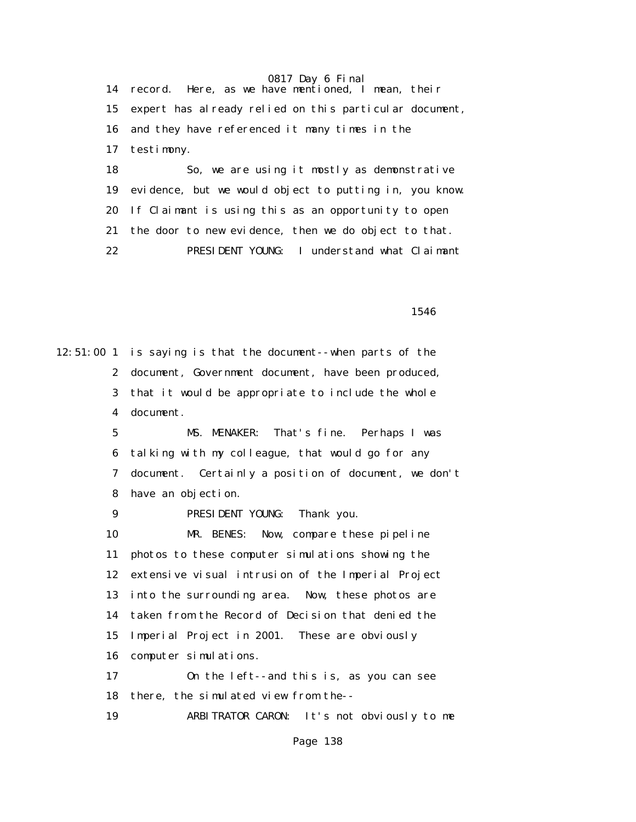14 record. Here, as we have mentioned, I mean, their 15 expert has already relied on this particular document, 16 and they have referenced it many times in the 17 testimony. 18 So, we are using it mostly as demonstrative 19 evidence, but we would object to putting in, you know. 20 If Claimant is using this as an opportunity to open 21 the door to new evidence, then we do object to that.

22 PRESIDENT YOUNG: I understand what Claimant

<u>1546</u>

12:51:00 1 is saying is that the document--when parts of the 2 document, Government document, have been produced, 3 that it would be appropriate to include the whole 4 document. 5 MS. MENAKER: That's fine. Perhaps I was 6 talking with my colleague, that would go for any 7 document. Certainly a position of document, we don't 8 have an objection. 9 PRESIDENT YOUNG: Thank you. 10 MR. BENES: Now, compare these pipeline 11 photos to these computer simulations showing the 12 extensive visual intrusion of the Imperial Project 13 into the surrounding area. Now, these photos are 14 taken from the Record of Decision that denied the 15 Imperial Project in 2001. These are obviously 16 computer simulations. 17 On the left--and this is, as you can see 18 there, the simulated view from the-- 19 ARBITRATOR CARON: It's not obviously to me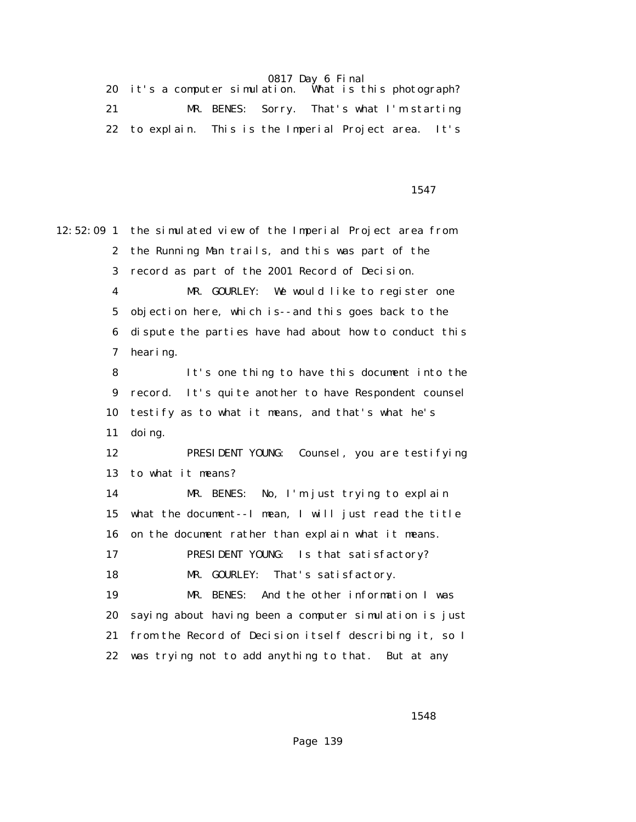|  |  | 20 it's a computer simulation. What is this photograph? |  |
|--|--|---------------------------------------------------------|--|
|  |  | MR. BENES: Sorry. That's what I'm starting              |  |
|  |  | 22 to explain. This is the Imperial Project area. It's  |  |

<u>1547</u>

12:52:09 1 the simulated view of the Imperial Project area from 2 the Running Man trails, and this was part of the 3 record as part of the 2001 Record of Decision. 4 MR. GOURLEY: We would like to register one 5 objection here, which is--and this goes back to the 6 dispute the parties have had about how to conduct this 7 hearing. 8 It's one thing to have this document into the 9 record. It's quite another to have Respondent counsel 10 testify as to what it means, and that's what he's 11 doing. 12 PRESIDENT YOUNG: Counsel, you are testifying 13 to what it means? 14 MR. BENES: No, I'm just trying to explain 15 what the document--I mean, I will just read the title 16 on the document rather than explain what it means. 17 PRESIDENT YOUNG: Is that satisfactory? 18 MR. GOURLEY: That's satisfactory. 19 MR. BENES: And the other information I was 20 saying about having been a computer simulation is just 21 from the Record of Decision itself describing it, so I 22 was trying not to add anything to that. But at any

1548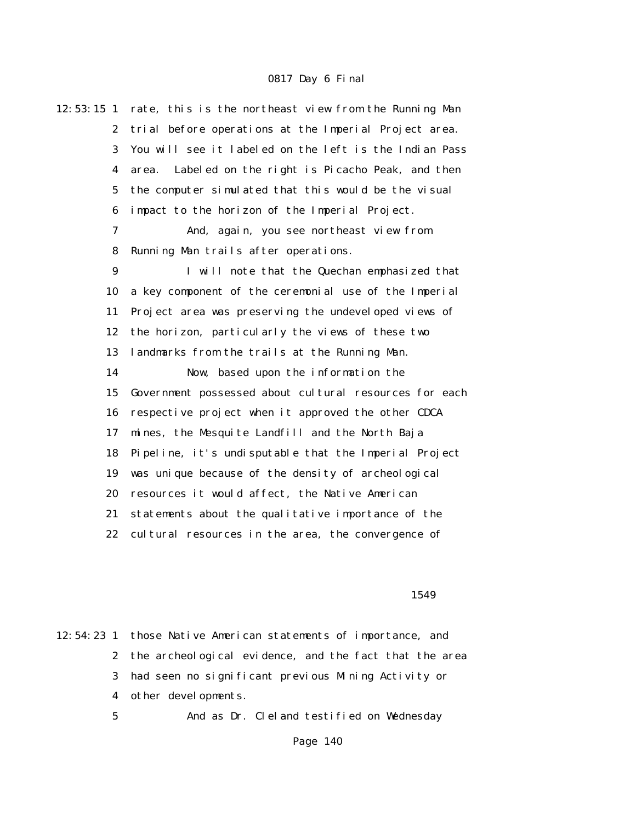| $12:53:15$ 1     | rate, this is the northeast view from the Running Man   |
|------------------|---------------------------------------------------------|
| $\boldsymbol{2}$ | trial before operations at the Imperial Project area.   |
| 3                | You will see it labeled on the left is the Indian Pass  |
| $\boldsymbol{4}$ | Labeled on the right is Picacho Peak, and then<br>area. |
| $\mathbf 5$      | the computer simulated that this would be the visual    |
| 6                | impact to the horizon of the Imperial Project.          |
| 7                | And, again, you see northeast view from                 |
| 8                | Running Man trails after operations.                    |
| 9                | I will note that the Quechan emphasized that            |
| 10               | a key component of the ceremonial use of the Imperial   |
| 11               | Project area was preserving the undeveloped views of    |
| 12               | the horizon, particularly the views of these two        |
| 13               | landmarks from the trails at the Running Man.           |
| 14               | Now, based upon the information the                     |
| 15               | Government possessed about cultural resources for each  |
| 16               | respective project when it approved the other CDCA      |
| 17               | mines, the Mesquite Landfill and the North Baja         |
| 18               | Pipeline, it's undisputable that the Imperial Project   |
| 19               | was unique because of the density of archeological      |
| 20               | resources it would affect, the Native American          |
| 21               | statements about the qualitative importance of the      |
| 22               | cultural resources in the area, the convergence of      |
|                  |                                                         |

#### <u>1549</u>

12:54:23 1 those Native American statements of importance, and 2 the archeological evidence, and the fact that the area 3 had seen no significant previous Mining Activity or 4 other developments. 5 And as Dr. Cleland testified on Wednesday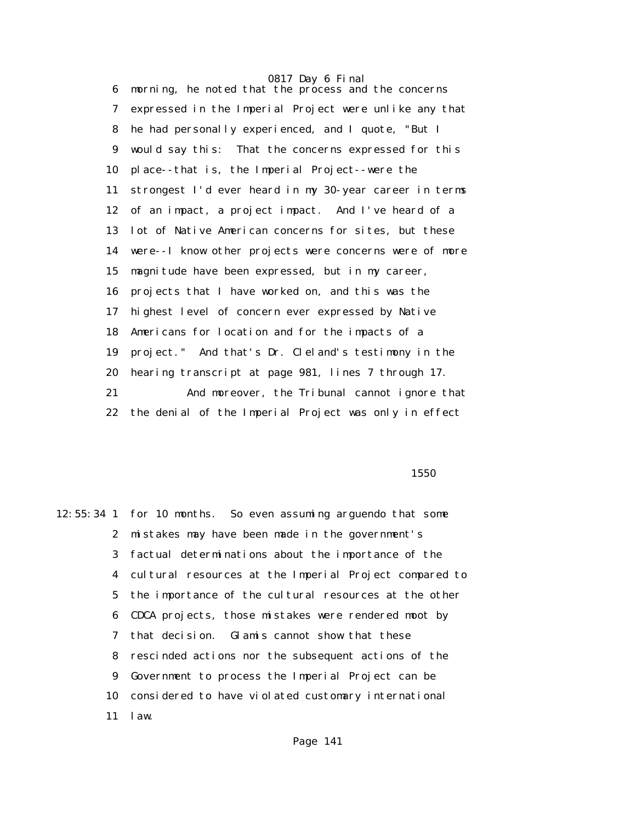6 morning, he noted that the process and the concerns 7 expressed in the Imperial Project were unlike any that 8 he had personally experienced, and I quote, "But I 9 would say this: That the concerns expressed for this 10 place--that is, the Imperial Project--were the 11 strongest I'd ever heard in my 30-year career in terms 12 of an impact, a project impact. And I've heard of a 13 lot of Native American concerns for sites, but these 14 were--I know other projects were concerns were of more 15 magnitude have been expressed, but in my career, 16 projects that I have worked on, and this was the 17 highest level of concern ever expressed by Native 18 Americans for location and for the impacts of a 19 project." And that's Dr. Cleland's testimony in the 20 hearing transcript at page 981, lines 7 through 17. 21 And moreover, the Tribunal cannot ignore that 22 the denial of the Imperial Project was only in effect

 $1550$ 

12:55:34 1 for 10 months. So even assuming arguendo that some 2 mistakes may have been made in the government's 3 factual determinations about the importance of the 4 cultural resources at the Imperial Project compared to 5 the importance of the cultural resources at the other 6 CDCA projects, those mistakes were rendered moot by 7 that decision. Glamis cannot show that these 8 rescinded actions nor the subsequent actions of the 9 Government to process the Imperial Project can be 10 considered to have violated customary international 11 law.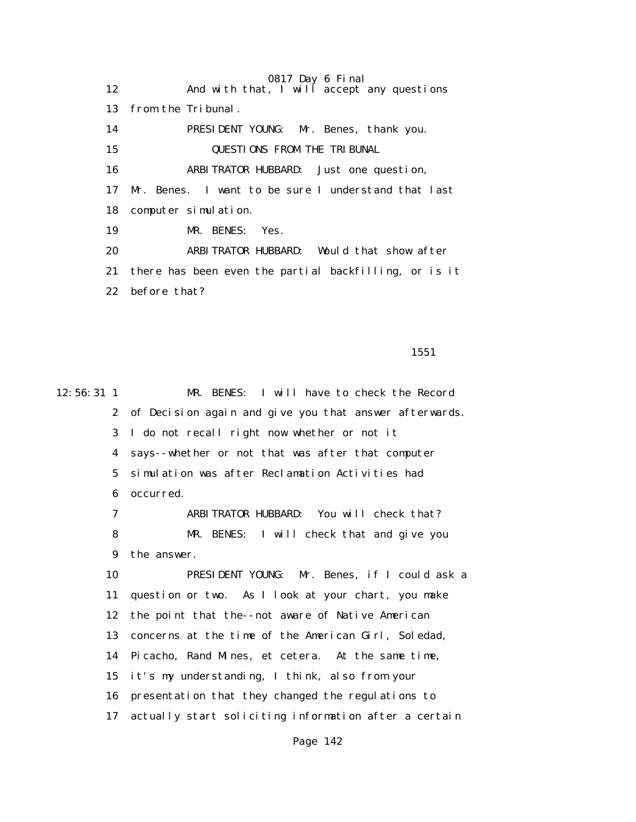0817 Day 6 Final 12 And with that, I will accept any questions 13 from the Tribunal. 14 PRESIDENT YOUNG: Mr. Benes, thank you. 15 QUESTIONS FROM THE TRIBUNAL 16 ARBITRATOR HUBBARD: Just one question, 17 Mr. Benes. I want to be sure I understand that last 18 computer simulation. 19 MR. BENES: Yes. 20 ARBITRATOR HUBBARD: Would that show after 21 there has been even the partial backfilling, or is it 22 before that?

1551

12:56:31 1 MR. BENES: I will have to check the Record 2 of Decision again and give you that answer afterwards. 3 I do not recall right now whether or not it 4 says--whether or not that was after that computer 5 simulation was after Reclamation Activities had 6 occurred. 7 ARBITRATOR HUBBARD: You will check that? 8 MR. BENES: I will check that and give you 9 the answer. 10 PRESIDENT YOUNG: Mr. Benes, if I could ask a 11 question or two. As I look at your chart, you make 12 the point that the--not aware of Native American 13 concerns at the time of the American Girl, Soledad, 14 Picacho, Rand Mines, et cetera. At the same time, 15 it's my understanding, I think, also from your 16 presentation that they changed the regulations to 17 actually start soliciting information after a certain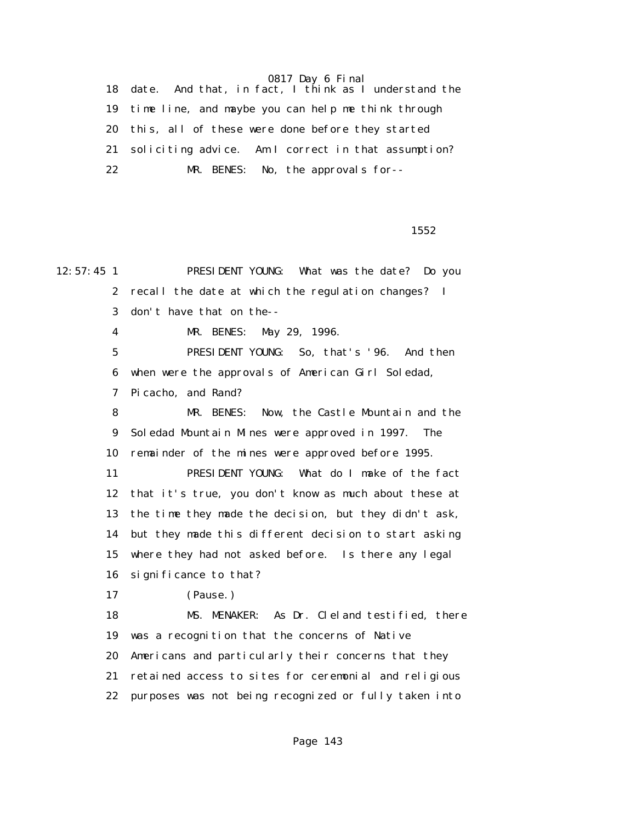18 date. And that, in fact, I think as I understand the 19 time line, and maybe you can help me think through 20 this, all of these were done before they started 21 soliciting advice. Am I correct in that assumption? 22 MR. BENES: No, the approvals for--

 $1552$ 

12:57:45 1 PRESIDENT YOUNG: What was the date? Do you 2 recall the date at which the regulation changes? I 3 don't have that on the-- 4 MR. BENES: May 29, 1996. 5 PRESIDENT YOUNG: So, that's '96. And then 6 when were the approvals of American Girl Soledad, 7 Picacho, and Rand? 8 MR. BENES: Now, the Castle Mountain and the 9 Soledad Mountain Mines were approved in 1997. The 10 remainder of the mines were approved before 1995. 11 PRESIDENT YOUNG: What do I make of the fact 12 that it's true, you don't know as much about these at 13 the time they made the decision, but they didn't ask, 14 but they made this different decision to start asking 15 where they had not asked before. Is there any legal 16 significance to that? 17 (Pause.) 18 MS. MENAKER: As Dr. Cleland testified, there 19 was a recognition that the concerns of Native 20 Americans and particularly their concerns that they 21 retained access to sites for ceremonial and religious 22 purposes was not being recognized or fully taken into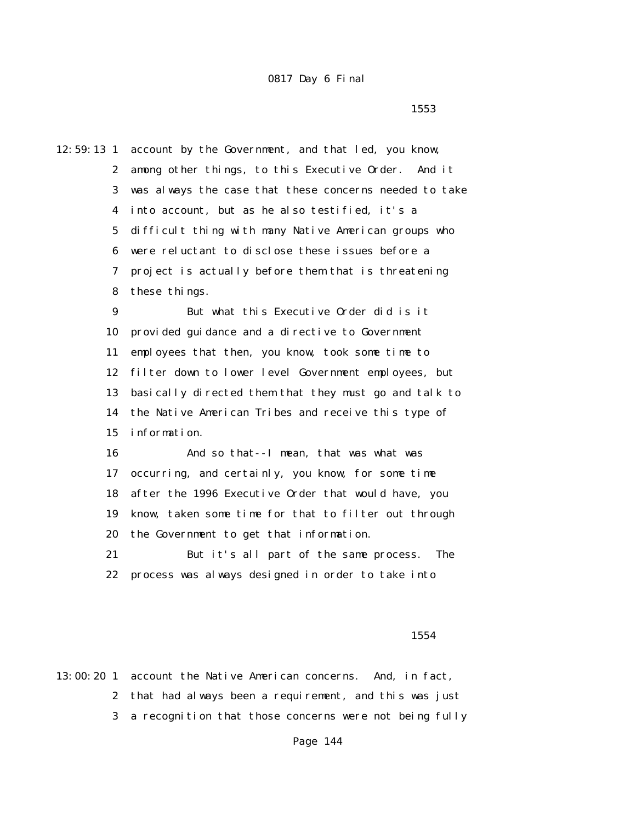$1553$ 

12:59:13 1 account by the Government, and that led, you know, 2 among other things, to this Executive Order. And it 3 was always the case that these concerns needed to take 4 into account, but as he also testified, it's a 5 difficult thing with many Native American groups who 6 were reluctant to disclose these issues before a 7 project is actually before them that is threatening 8 these things. 9 But what this Executive Order did is it 10 provided guidance and a directive to Government 11 employees that then, you know, took some time to 12 filter down to lower level Government employees, but

> 13 basically directed them that they must go and talk to 14 the Native American Tribes and receive this type of 15 information.

 16 And so that--I mean, that was what was 17 occurring, and certainly, you know, for some time 18 after the 1996 Executive Order that would have, you 19 know, taken some time for that to filter out through 20 the Government to get that information.

 21 But it's all part of the same process. The 22 process was always designed in order to take into

1554

13:00:20 1 account the Native American concerns. And, in fact, 2 that had always been a requirement, and this was just 3 a recognition that those concerns were not being fully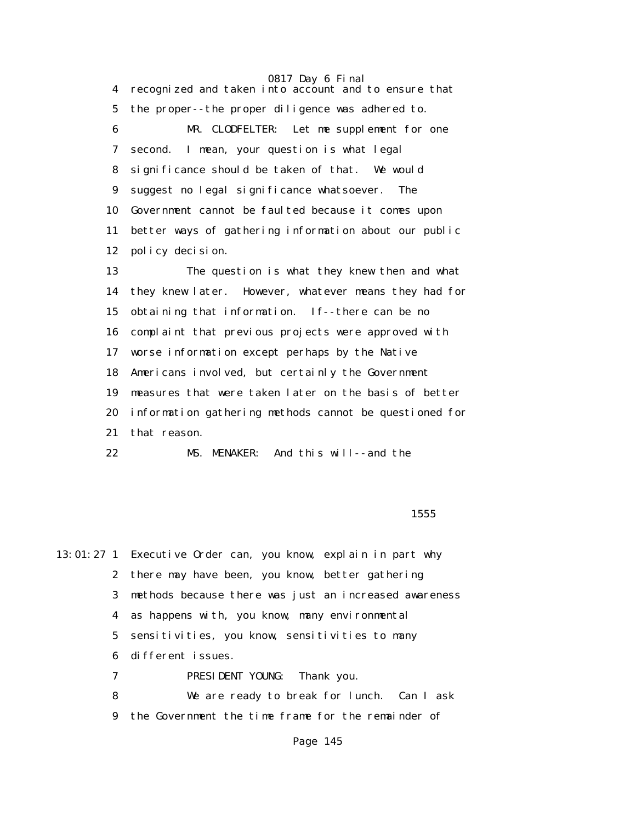4 recognized and taken into account and to ensure that 5 the proper--the proper diligence was adhered to. 6 MR. CLODFELTER: Let me supplement for one 7 second. I mean, your question is what legal 8 significance should be taken of that. We would 9 suggest no legal significance whatsoever. The 10 Government cannot be faulted because it comes upon 11 better ways of gathering information about our public 12 policy decision.

 13 The question is what they knew then and what 14 they knew later. However, whatever means they had for 15 obtaining that information. If--there can be no 16 complaint that previous projects were approved with 17 worse information except perhaps by the Native 18 Americans involved, but certainly the Government 19 measures that were taken later on the basis of better 20 information gathering methods cannot be questioned for 21 that reason.

22 MS. MENAKER: And this will--and the

 $1555$ 

13:01:27 1 Executive Order can, you know, explain in part why 2 there may have been, you know, better gathering 3 methods because there was just an increased awareness 4 as happens with, you know, many environmental 5 sensitivities, you know, sensitivities to many 6 different issues. 7 PRESIDENT YOUNG: Thank you. 8 We are ready to break for lunch. Can I ask 9 the Government the time frame for the remainder of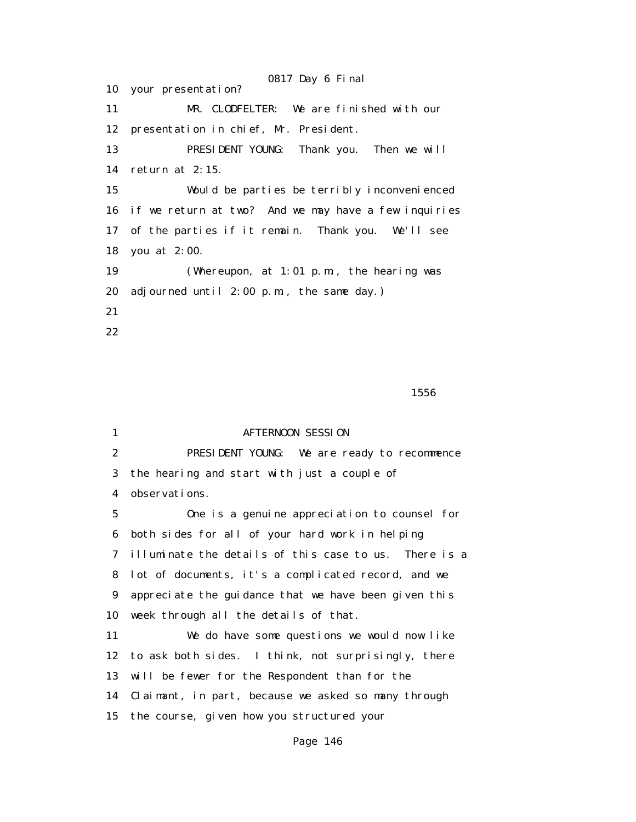0817 Day 6 Final 10 your presentation? 11 MR. CLODFELTER: We are finished with our 12 presentation in chief, Mr. President. 13 PRESIDENT YOUNG: Thank you. Then we will 14 return at 2:15. 15 Would be parties be terribly inconvenienced 16 if we return at two? And we may have a few inquiries 17 of the parties if it remain. Thank you. We'll see 18 you at 2:00. 19 (Whereupon, at 1:01 p.m., the hearing was 20 adjourned until 2:00 p.m., the same day.) 21 22

 $1556$ 

| $\mathbf{1}$     | <b>AFTERNOON SESSION</b>                              |  |  |
|------------------|-------------------------------------------------------|--|--|
| $\boldsymbol{2}$ | PRESIDENT YOUNG: We are ready to recommence           |  |  |
| 3                | the hearing and start with just a couple of           |  |  |
| 4                | observations.                                         |  |  |
| $\mathbf 5$      | One is a genuine appreciation to counsel for          |  |  |
| 6                | both sides for all of your hard work in helping       |  |  |
| 7                | illuminate the details of this case to us. There is a |  |  |
| 8                | lot of documents, it's a complicated record, and we   |  |  |
| 9                | appreciate the guidance that we have been given this  |  |  |
| 10               | week through all the details of that.                 |  |  |
| 11               | We do have some questions we would now like           |  |  |
| 12               | to ask both sides. I think, not surprisingly, there   |  |  |
| 13               | will be fewer for the Respondent than for the         |  |  |
| 14               | Claimant, in part, because we asked so many through   |  |  |
| 15               | the course, given how you structured your             |  |  |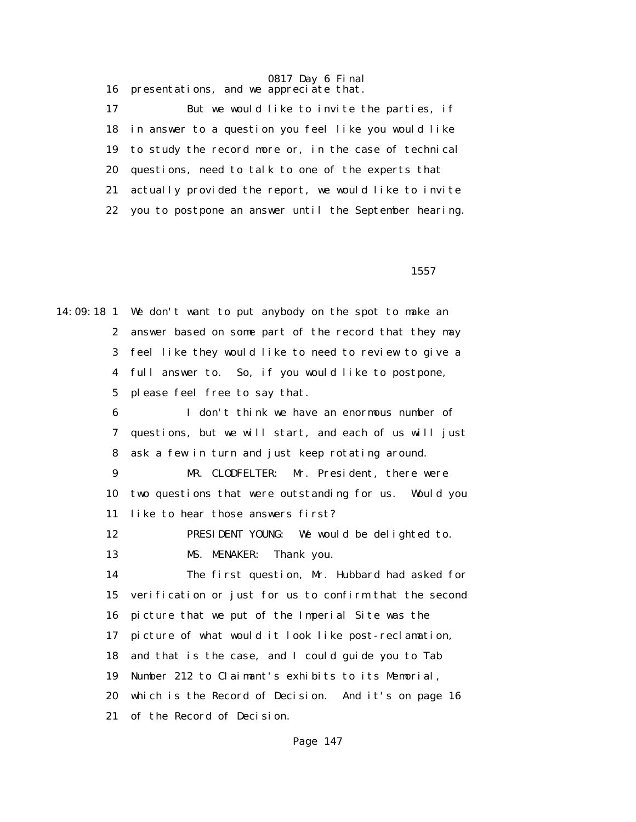0817 Day 6 Final 16 presentations, and we appreciate that.

 17 But we would like to invite the parties, if 18 in answer to a question you feel like you would like 19 to study the record more or, in the case of technical 20 questions, need to talk to one of the experts that 21 actually provided the report, we would like to invite 22 you to postpone an answer until the September hearing.

 $1557$ 

14:09:18 1 We don't want to put anybody on the spot to make an 2 answer based on some part of the record that they may 3 feel like they would like to need to review to give a 4 full answer to. So, if you would like to postpone, 5 please feel free to say that. 6 I don't think we have an enormous number of 7 questions, but we will start, and each of us will just 8 ask a few in turn and just keep rotating around. 9 MR. CLODFELTER: Mr. President, there were 10 two questions that were outstanding for us. Would you 11 like to hear those answers first? 12 PRESIDENT YOUNG: We would be delighted to. 13 MS. MENAKER: Thank you. 14 The first question, Mr. Hubbard had asked for 15 verification or just for us to confirm that the second 16 picture that we put of the Imperial Site was the 17 picture of what would it look like post-reclamation, 18 and that is the case, and I could guide you to Tab 19 Number 212 to Claimant's exhibits to its Memorial, 20 which is the Record of Decision. And it's on page 16 21 of the Record of Decision.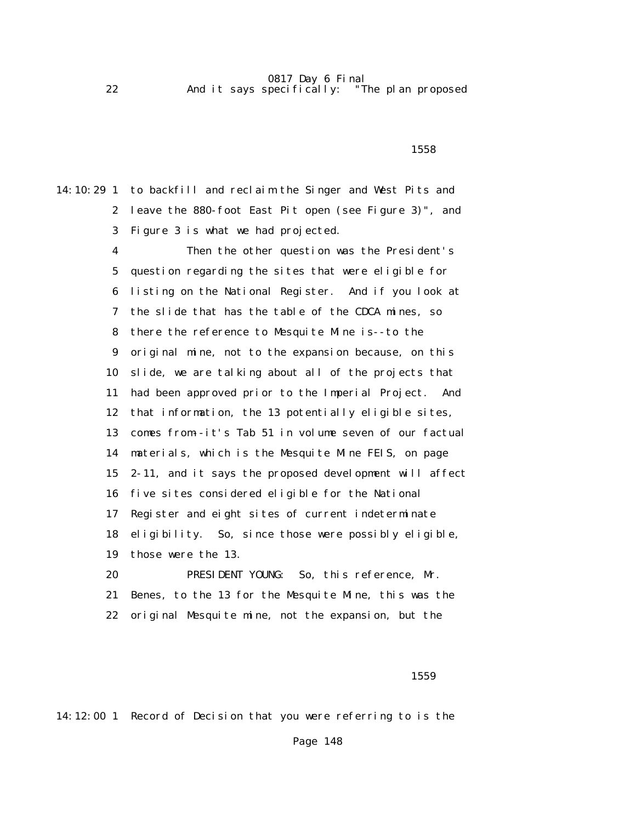0817 Day 6 Final<br>pecifically: "The plan proposed 22 And it says specifically:

### $1558$

14:10:29 1 to backfill and reclaim the Singer and West Pits and 2 leave the 880-foot East Pit open (see Figure 3)", and 3 Figure 3 is what we had projected.

> 4 Then the other question was the President's 5 question regarding the sites that were eligible for 6 listing on the National Register. And if you look at 7 the slide that has the table of the CDCA mines, so 8 there the reference to Mesquite Mine is--to the 9 original mine, not to the expansion because, on this 10 slide, we are talking about all of the projects that 11 had been approved prior to the Imperial Project. And 12 that information, the 13 potentially eligible sites, 13 comes from--it's Tab 51 in volume seven of our factual 14 materials, which is the Mesquite Mine FEIS, on page 15 2-11, and it says the proposed development will affect 16 five sites considered eligible for the National 17 Register and eight sites of current indeterminate 18 eligibility. So, since those were possibly eligible, 19 those were the 13. 20 PRESIDENT YOUNG: So, this reference, Mr. 21 Benes, to the 13 for the Mesquite Mine, this was the

22 original Mesquite mine, not the expansion, but the

### $1559$

14:12:00 1 Record of Decision that you were referring to is the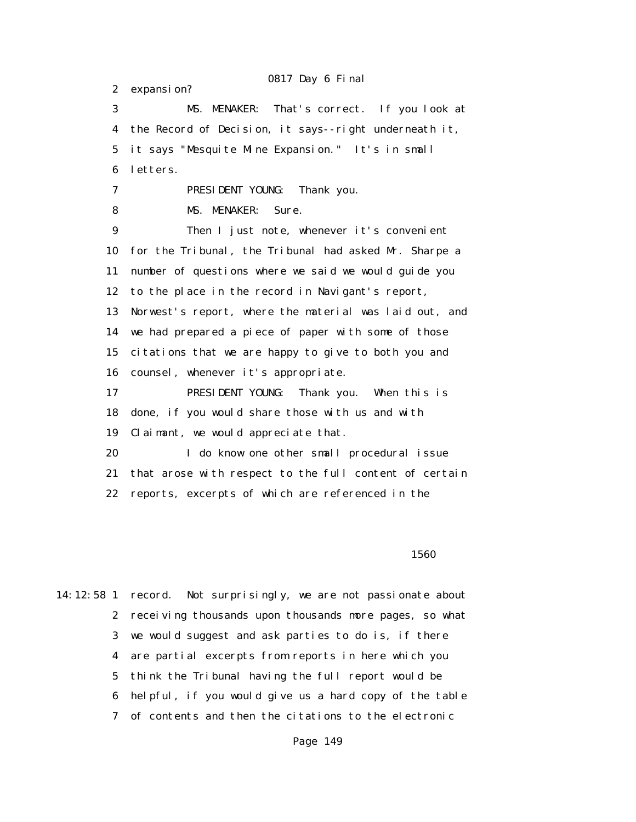0817 Day 6 Final 2 expansion? 3 MS. MENAKER: That's correct. If you look at 4 the Record of Decision, it says--right underneath it, 5 it says "Mesquite Mine Expansion." It's in small 6 letters. 7 PRESIDENT YOUNG: Thank you. 8 MS. MENAKER: Sure. 9 Then I just note, whenever it's convenient 10 for the Tribunal, the Tribunal had asked Mr. Sharpe a 11 number of questions where we said we would guide you 12 to the place in the record in Navigant's report, 13 Norwest's report, where the material was laid out, and 14 we had prepared a piece of paper with some of those 15 citations that we are happy to give to both you and 16 counsel, whenever it's appropriate. 17 PRESIDENT YOUNG: Thank you. When this is 18 done, if you would share those with us and with 19 Claimant, we would appreciate that. 20 I do know one other small procedural issue 21 that arose with respect to the full content of certain 22 reports, excerpts of which are referenced in the

 $1560$ 

14:12:58 1 record. Not surprisingly, we are not passionate about 2 receiving thousands upon thousands more pages, so what 3 we would suggest and ask parties to do is, if there 4 are partial excerpts from reports in here which you 5 think the Tribunal having the full report would be 6 helpful, if you would give us a hard copy of the table 7 of contents and then the citations to the electronic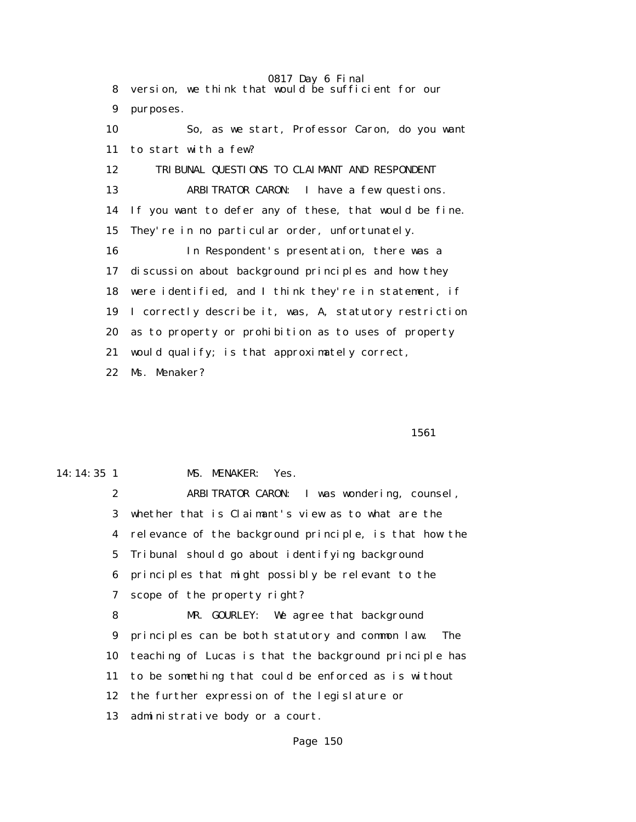0817 Day 6 Final 8 version, we think that would be sufficient for our 9 purposes. 10 So, as we start, Professor Caron, do you want 11 to start with a few? 12 TRIBUNAL QUESTIONS TO CLAIMANT AND RESPONDENT 13 ARBITRATOR CARON: I have a few questions. 14 If you want to defer any of these, that would be fine. 15 They're in no particular order, unfortunately. 16 In Respondent's presentation, there was a 17 discussion about background principles and how they 18 were identified, and I think they're in statement, if 19 I correctly describe it, was, A, statutory restriction 20 as to property or prohibition as to uses of property 21 would qualify; is that approximately correct, 22 Ms. Menaker?

1561

14:14:35 1 MS. MENAKER: Yes.

 2 ARBITRATOR CARON: I was wondering, counsel, 3 whether that is Claimant's view as to what are the 4 relevance of the background principle, is that how the 5 Tribunal should go about identifying background 6 principles that might possibly be relevant to the 7 scope of the property right?

 8 MR. GOURLEY: We agree that background 9 principles can be both statutory and common law. The 10 teaching of Lucas is that the background principle has 11 to be something that could be enforced as is without 12 the further expression of the legislature or 13 administrative body or a court.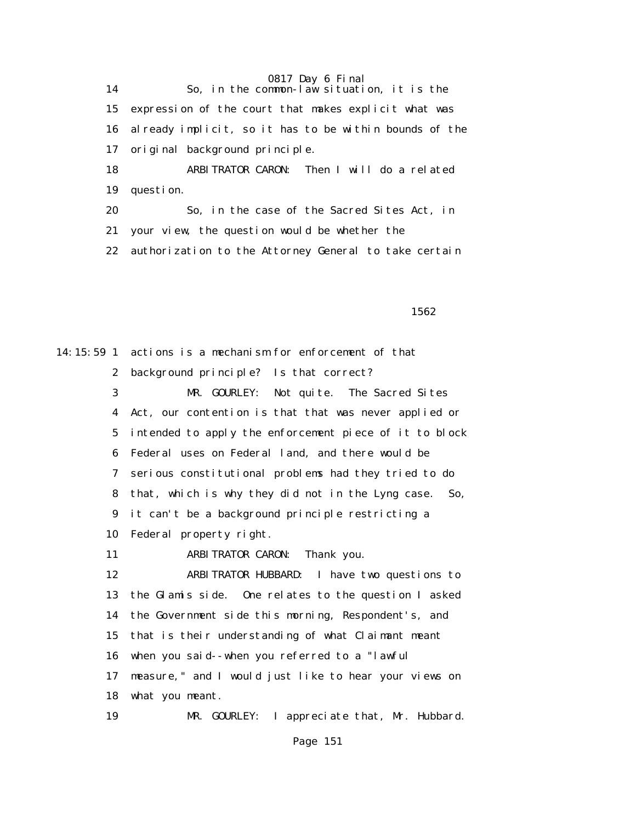14 So, in the common-law situation, it is the 15 expression of the court that makes explicit what was 16 already implicit, so it has to be within bounds of the 17 original background principle.

> 18 ARBITRATOR CARON: Then I will do a related 19 question.

 20 So, in the case of the Sacred Sites Act, in 21 your view, the question would be whether the 22 authorization to the Attorney General to take certain

 $1562$ 

14:15:59 1 actions is a mechanism for enforcement of that 2 background principle? Is that correct? 3 MR. GOURLEY: Not quite. The Sacred Sites 4 Act, our contention is that that was never applied or 5 intended to apply the enforcement piece of it to block 6 Federal uses on Federal land, and there would be 7 serious constitutional problems had they tried to do 8 that, which is why they did not in the Lyng case. So, 9 it can't be a background principle restricting a 10 Federal property right. 11 ARBITRATOR CARON: Thank you. 12 ARBITRATOR HUBBARD: I have two questions to 13 the Glamis side. One relates to the question I asked 14 the Government side this morning, Respondent's, and 15 that is their understanding of what Claimant meant 16 when you said--when you referred to a "lawful 17 measure," and I would just like to hear your views on 18 what you meant. 19 MR. GOURLEY: I appreciate that, Mr. Hubbard.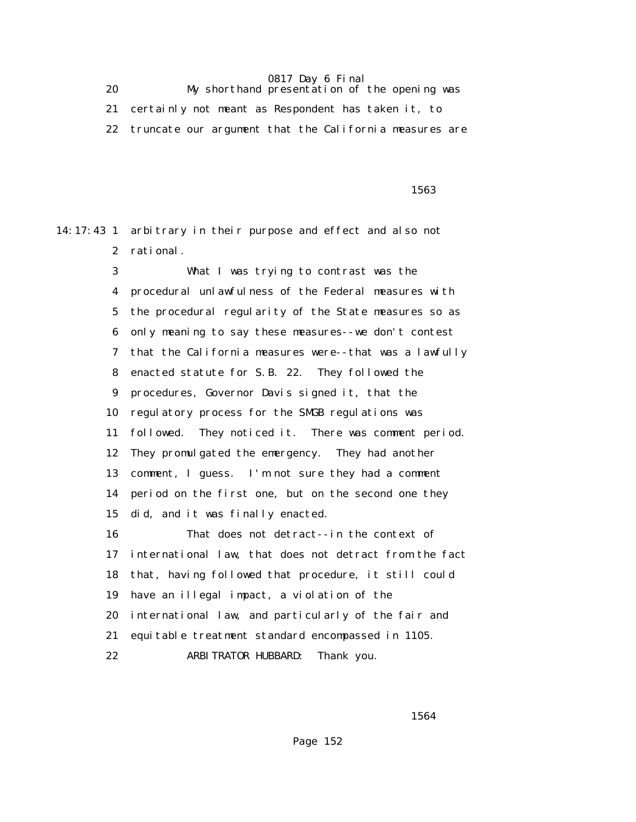20 My shorthand presentation of the opening was 21 certainly not meant as Respondent has taken it, to 22 truncate our argument that the California measures are

 $1563$ 

14:17:43 1 arbitrary in their purpose and effect and also not 2 rational.

> 3 What I was trying to contrast was the 4 procedural unlawfulness of the Federal measures with 5 the procedural regularity of the State measures so as 6 only meaning to say these measures--we don't contest 7 that the California measures were--that was a lawfully 8 enacted statute for S.B. 22. They followed the 9 procedures, Governor Davis signed it, that the 10 regulatory process for the SMGB regulations was 11 followed. They noticed it. There was comment period. 12 They promulgated the emergency. They had another 13 comment, I guess. I'm not sure they had a comment 14 period on the first one, but on the second one they 15 did, and it was finally enacted. 16 That does not detract--in the context of 17 international law, that does not detract from the fact 18 that, having followed that procedure, it still could 19 have an illegal impact, a violation of the 20 international law, and particularly of the fair and 21 equitable treatment standard encompassed in 1105. 22 ARBITRATOR HUBBARD: Thank you.

<u>1564</u>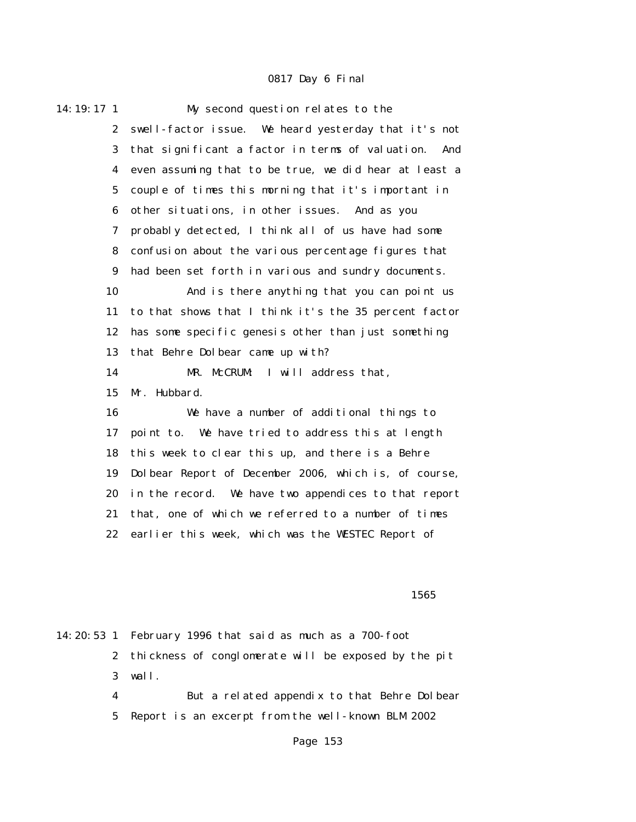| 14: 19: 17 1     | My second question relates to the                       |  |  |
|------------------|---------------------------------------------------------|--|--|
| $\boldsymbol{2}$ | swell-factor issue. We heard yesterday that it's not    |  |  |
| 3                | that significant a factor in terms of valuation.<br>And |  |  |
| 4                | even assuming that to be true, we did hear at least a   |  |  |
| $\bf 5$          | couple of times this morning that it's important in     |  |  |
| 6                | other situations, in other issues. And as you           |  |  |
| 7                | probably detected, I think all of us have had some      |  |  |
| 8                | confusion about the various percentage figures that     |  |  |
| $\boldsymbol{9}$ | had been set forth in various and sundry documents.     |  |  |
| 10               | And is there anything that you can point us             |  |  |
| 11               | to that shows that I think it's the 35 percent factor   |  |  |
| 12               | has some specific genesis other than just something     |  |  |
| 13               | that Behre Dolbear came up with?                        |  |  |
| 14               | MR. McCRUM:<br>I will address that,                     |  |  |
| 15               | Mr. Hubbard.                                            |  |  |
| 16               | We have a number of additional things to                |  |  |
| 17               | point to. We have tried to address this at length       |  |  |
| 18               | this week to clear this up, and there is a Behre        |  |  |
| 19               | Dolbear Report of December 2006, which is, of course,   |  |  |
| 20               | in the record. We have two appendices to that report    |  |  |
| 21               | that, one of which we referred to a number of times     |  |  |
| 22               | earlier this week, which was the WESTEC Report of       |  |  |
|                  |                                                         |  |  |

#### $1565$

|   | 14:20:53 1 February 1996 that said as much as a 700-foot |  |  |
|---|----------------------------------------------------------|--|--|
|   | 2 thickness of conglomerate will be exposed by the pit   |  |  |
|   | $3$ wall.                                                |  |  |
| 4 | But a related appendix to that Behre Dolbear             |  |  |
|   |                                                          |  |  |

5 Report is an excerpt from the well-known BLM 2002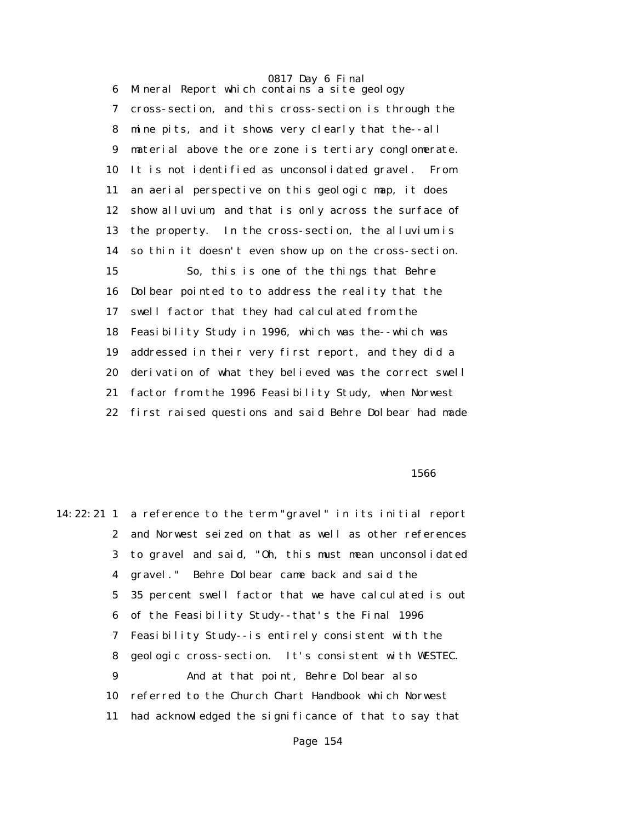6 Mineral Report which contains a site geology 7 cross-section, and this cross-section is through the 8 mine pits, and it shows very clearly that the--all 9 material above the ore zone is tertiary conglomerate. 10 It is not identified as unconsolidated gravel. From 11 an aerial perspective on this geologic map, it does 12 show alluvium, and that is only across the surface of 13 the property. In the cross-section, the alluvium is 14 so thin it doesn't even show up on the cross-section. 15 So, this is one of the things that Behre 16 Dolbear pointed to to address the reality that the 17 swell factor that they had calculated from the 18 Feasibility Study in 1996, which was the--which was 19 addressed in their very first report, and they did a 20 derivation of what they believed was the correct swell 21 factor from the 1996 Feasibility Study, when Norwest 22 first raised questions and said Behre Dolbear had made

#### $1566$

14:22:21 1 a reference to the term "gravel" in its initial report 2 and Norwest seized on that as well as other references 3 to gravel and said, "Oh, this must mean unconsolidated 4 gravel." Behre Dolbear came back and said the 5 35 percent swell factor that we have calculated is out 6 of the Feasibility Study--that's the Final 1996 7 Feasibility Study--is entirely consistent with the 8 geologic cross-section. It's consistent with WESTEC. 9 And at that point, Behre Dolbear also 10 referred to the Church Chart Handbook which Norwest 11 had acknowledged the significance of that to say that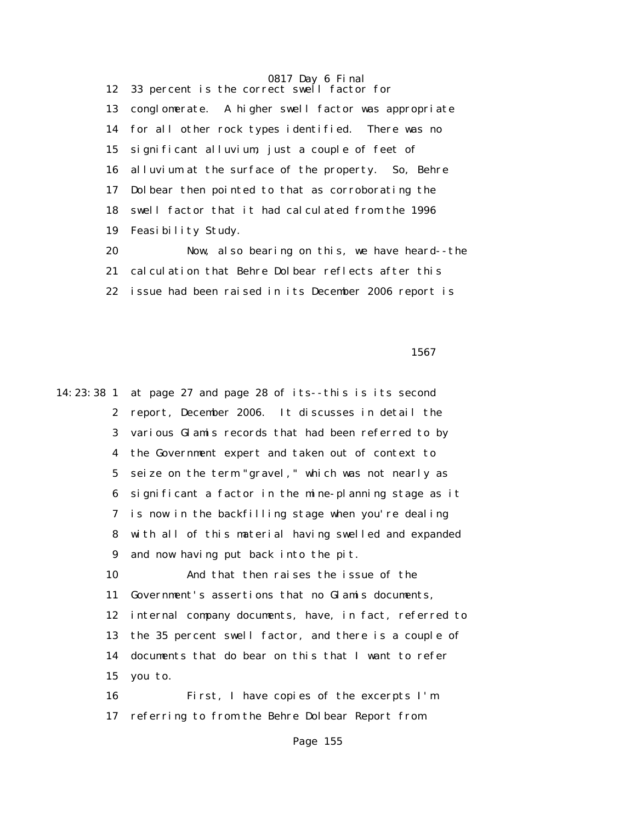0817 Day 6 Final 12 33 percent is the correct swell factor for 13 conglomerate. A higher swell factor was appropriate 14 for all other rock types identified. There was no 15 significant alluvium, just a couple of feet of 16 alluvium at the surface of the property. So, Behre 17 Dolbear then pointed to that as corroborating the 18 swell factor that it had calculated from the 1996 19 Feasibility Study.

 20 Now, also bearing on this, we have heard--the 21 calculation that Behre Dolbear reflects after this 22 issue had been raised in its December 2006 report is

 $1567$ 

14:23:38 1 at page 27 and page 28 of its--this is its second 2 report, December 2006. It discusses in detail the 3 various Glamis records that had been referred to by 4 the Government expert and taken out of context to 5 seize on the term "gravel," which was not nearly as 6 significant a factor in the mine-planning stage as it 7 is now in the backfilling stage when you're dealing 8 with all of this material having swelled and expanded 9 and now having put back into the pit. 10 And that then raises the issue of the 11 Government's assertions that no Glamis documents, 12 internal company documents, have, in fact, referred to 13 the 35 percent swell factor, and there is a couple of 14 documents that do bear on this that I want to refer 15 you to. 16 First, I have copies of the excerpts I'm 17 referring to from the Behre Dolbear Report from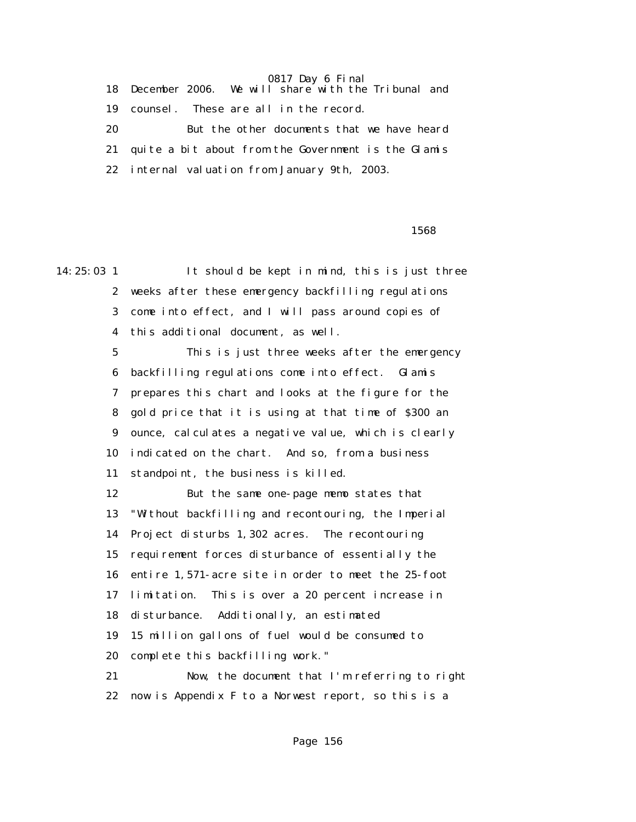18 December 2006. We will share with the Tribunal and 19 counsel. These are all in the record. 20 But the other documents that we have heard 21 quite a bit about from the Government is the Glamis 22 internal valuation from January 9th, 2003.

 $1568$ 

14:25:03 1 It should be kept in mind, this is just three 2 weeks after these emergency backfilling regulations 3 come into effect, and I will pass around copies of 4 this additional document, as well. 5 This is just three weeks after the emergency 6 backfilling regulations come into effect. Glamis 7 prepares this chart and looks at the figure for the 8 gold price that it is using at that time of \$300 an 9 ounce, calculates a negative value, which is clearly 10 indicated on the chart. And so, from a business 11 standpoint, the business is killed. 12 But the same one-page memo states that 13 "Without backfilling and recontouring, the Imperial 14 Project disturbs 1,302 acres. The recontouring 15 requirement forces disturbance of essentially the 16 entire 1,571-acre site in order to meet the 25-foot 17 limitation. This is over a 20 percent increase in 18 disturbance. Additionally, an estimated 19 15 million gallons of fuel would be consumed to 20 complete this backfilling work." 21 Now, the document that I'm referring to right 22 now is Appendix F to a Norwest report, so this is a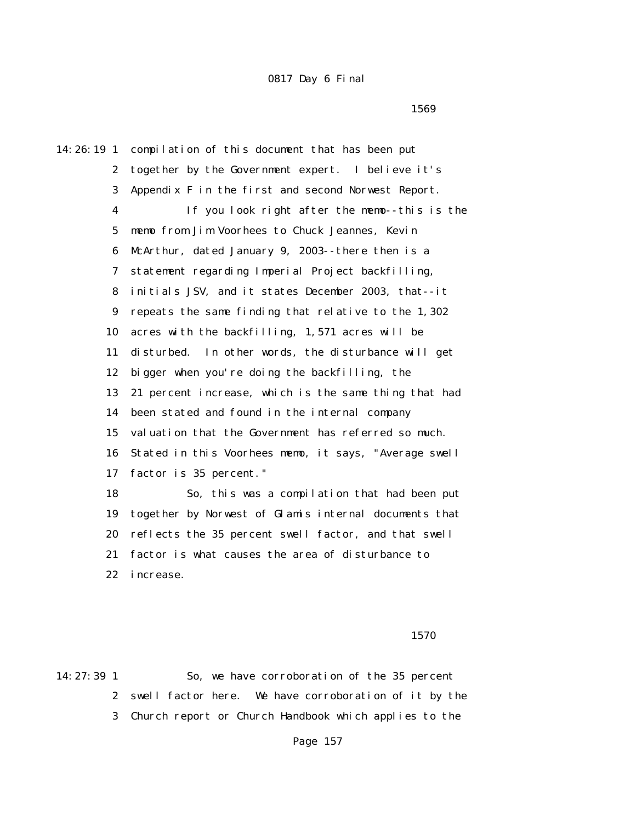$1569$ 

14:26:19 1 compilation of this document that has been put 2 together by the Government expert. I believe it's 3 Appendix F in the first and second Norwest Report. 4 If you look right after the memo--this is the 5 memo from Jim Voorhees to Chuck Jeannes, Kevin 6 McArthur, dated January 9, 2003--there then is a 7 statement regarding Imperial Project backfilling, 8 initials JSV, and it states December 2003, that--it 9 repeats the same finding that relative to the 1,302 10 acres with the backfilling, 1,571 acres will be 11 disturbed. In other words, the disturbance will get 12 bigger when you're doing the backfilling, the 13 21 percent increase, which is the same thing that had 14 been stated and found in the internal company 15 valuation that the Government has referred so much. 16 Stated in this Voorhees memo, it says, "Average swell 17 factor is 35 percent." 18 So, this was a compilation that had been put 19 together by Norwest of Glamis internal documents that 20 reflects the 35 percent swell factor, and that swell 21 factor is what causes the area of disturbance to

22 increase.

1570

14:27:39 1 So, we have corroboration of the 35 percent 2 swell factor here. We have corroboration of it by the 3 Church report or Church Handbook which applies to the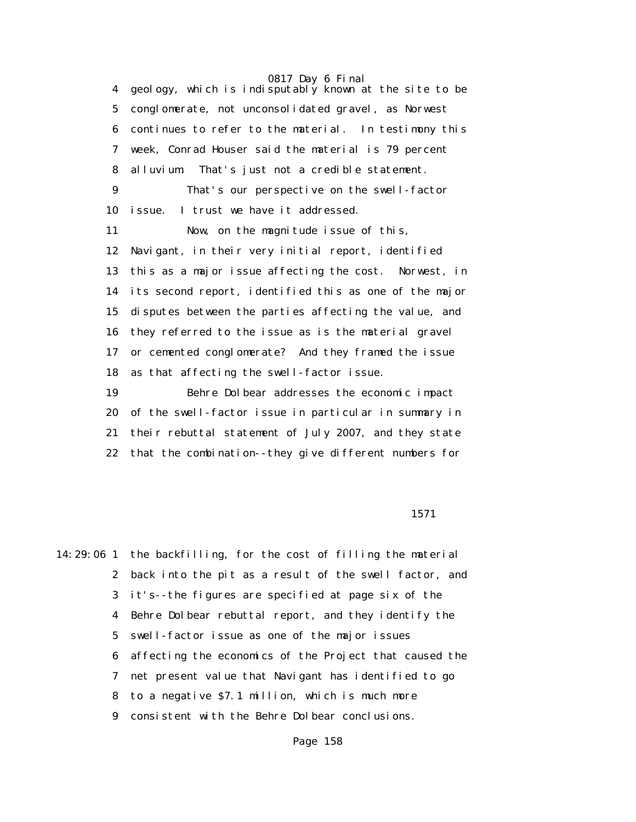4 geology, which is indisputably known at the site to be 5 conglomerate, not unconsolidated gravel, as Norwest 6 continues to refer to the material. In testimony this 7 week, Conrad Houser said the material is 79 percent 8 alluvium. That's just not a credible statement. 9 That's our perspective on the swell-factor 10 issue. I trust we have it addressed. 11 Now, on the magnitude issue of this, 12 Navigant, in their very initial report, identified 13 this as a major issue affecting the cost. Norwest, in 14 its second report, identified this as one of the major 15 disputes between the parties affecting the value, and 16 they referred to the issue as is the material gravel 17 or cemented conglomerate? And they framed the issue 18 as that affecting the swell-factor issue. 19 Behre Dolbear addresses the economic impact 20 of the swell-factor issue in particular in summary in 21 their rebuttal statement of July 2007, and they state

22 that the combination--they give different numbers for

#### 1571

14:29:06 1 the backfilling, for the cost of filling the material 2 back into the pit as a result of the swell factor, and 3 it's--the figures are specified at page six of the 4 Behre Dolbear rebuttal report, and they identify the 5 swell-factor issue as one of the major issues 6 affecting the economics of the Project that caused the 7 net present value that Navigant has identified to go 8 to a negative \$7.1 million, which is much more 9 consistent with the Behre Dolbear conclusions.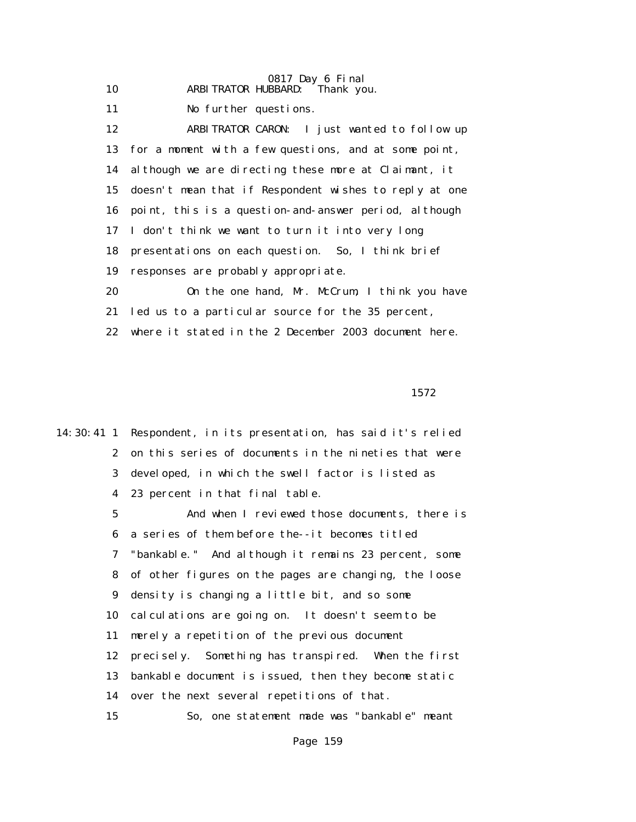| 10 | ARBITRATOR HUBBARD: Thank you.                           |
|----|----------------------------------------------------------|
| 11 | No further questions.                                    |
| 12 | ARBITRATOR CARON: I just wanted to follow up             |
|    | 13 for a moment with a few questions, and at some point, |
|    | 14 although we are directing these more at Claimant, it  |
| 15 | doesn't mean that if Respondent wishes to reply at one   |
|    | 16 point, this is a question-and-answer period, although |
|    | 17 I don't think we want to turn it into very long       |
| 18 | presentations on each question. So, I think brief        |
| 19 | responses are probably appropriate.                      |
| 20 | On the one hand, Mr. McCrum, I think you have            |
| 21 | led us to a particular source for the 35 percent,        |
| 22 | where it stated in the 2 December 2003 document here.    |

1572

14:30:41 1 Respondent, in its presentation, has said it's relied 2 on this series of documents in the nineties that were 3 developed, in which the swell factor is listed as 4 23 percent in that final table. 5 And when I reviewed those documents, there is 6 a series of them before the--it becomes titled 7 "bankable." And although it remains 23 percent, some 8 of other figures on the pages are changing, the loose 9 density is changing a little bit, and so some 10 calculations are going on. It doesn't seem to be 11 merely a repetition of the previous document 12 precisely. Something has transpired. When the first 13 bankable document is issued, then they become static 14 over the next several repetitions of that. 15 So, one statement made was "bankable" meant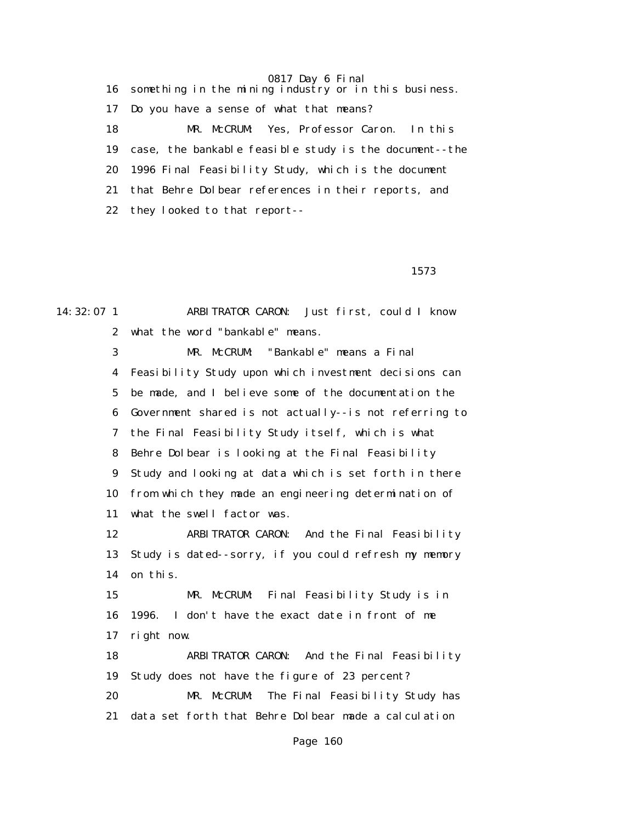16 something in the mining industry or in this business. 17 Do you have a sense of what that means? 18 MR. McCRUM: Yes, Professor Caron. In this 19 case, the bankable feasible study is the document--the 20 1996 Final Feasibility Study, which is the document 21 that Behre Dolbear references in their reports, and 22 they looked to that report--

1573

14:32:07 1 ARBITRATOR CARON: Just first, could I know 2 what the word "bankable" means. 3 MR. McCRUM: "Bankable" means a Final 4 Feasibility Study upon which investment decisions can 5 be made, and I believe some of the documentation the 6 Government shared is not actually--is not referring to 7 the Final Feasibility Study itself, which is what 8 Behre Dolbear is looking at the Final Feasibility 9 Study and looking at data which is set forth in there 10 from which they made an engineering determination of 11 what the swell factor was. 12 ARBITRATOR CARON: And the Final Feasibility 13 Study is dated--sorry, if you could refresh my memory 14 on this. 15 MR. McCRUM: Final Feasibility Study is in 16 1996. I don't have the exact date in front of me 17 right now. 18 ARBITRATOR CARON: And the Final Feasibility 19 Study does not have the figure of 23 percent? 20 MR. McCRUM: The Final Feasibility Study has 21 data set forth that Behre Dolbear made a calculation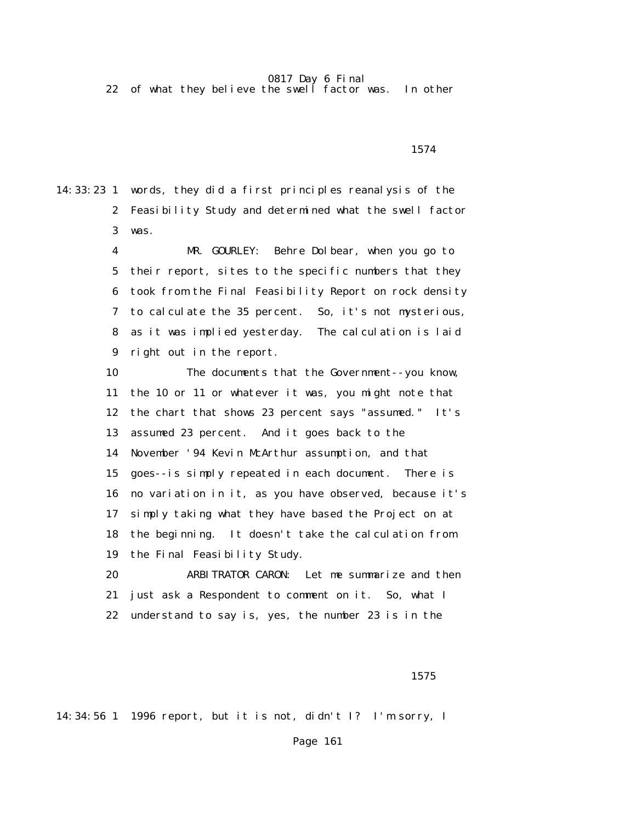22 of what they believe the swell factor was. In other

1574

14:33:23 1 words, they did a first principles reanalysis of the 2 Feasibility Study and determined what the swell factor 3 was.

> 4 MR. GOURLEY: Behre Dolbear, when you go to 5 their report, sites to the specific numbers that they 6 took from the Final Feasibility Report on rock density 7 to calculate the 35 percent. So, it's not mysterious, 8 as it was implied yesterday. The calculation is laid 9 right out in the report.

> 10 The documents that the Government--you know, 11 the 10 or 11 or whatever it was, you might note that 12 the chart that shows 23 percent says "assumed." It's 13 assumed 23 percent. And it goes back to the 14 November '94 Kevin McArthur assumption, and that 15 goes--is simply repeated in each document. There is 16 no variation in it, as you have observed, because it's 17 simply taking what they have based the Project on at 18 the beginning. It doesn't take the calculation from 19 the Final Feasibility Study.

 20 ARBITRATOR CARON: Let me summarize and then 21 just ask a Respondent to comment on it. So, what I 22 understand to say is, yes, the number 23 is in the

1575

14:34:56 1 1996 report, but it is not, didn't I? I'm sorry, I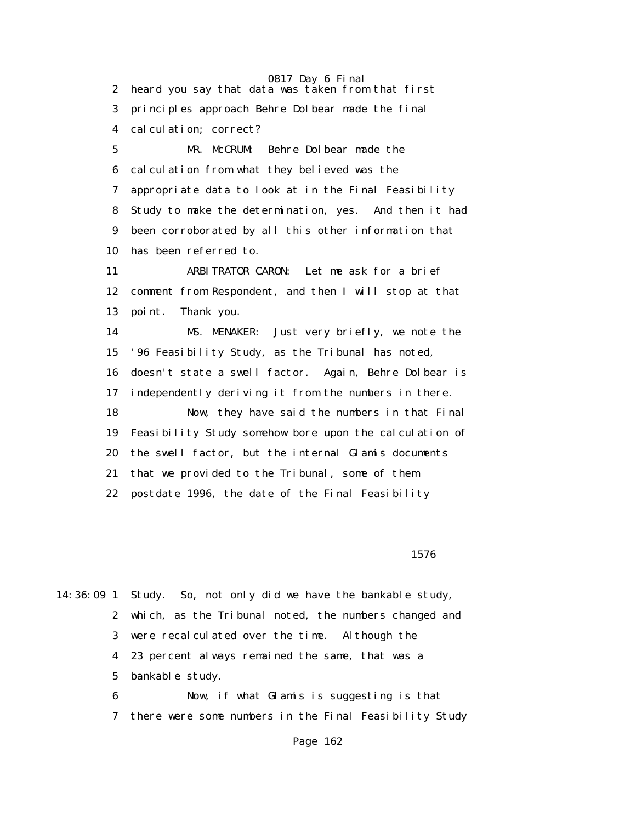0817 Day 6 Final 2 heard you say that data was taken from that first 3 principles approach Behre Dolbear made the final 4 calculation; correct? 5 MR. McCRUM: Behre Dolbear made the 6 calculation from what they believed was the 7 appropriate data to look at in the Final Feasibility 8 Study to make the determination, yes. And then it had 9 been corroborated by all this other information that 10 has been referred to. 11 ARBITRATOR CARON: Let me ask for a brief 12 comment from Respondent, and then I will stop at that 13 point. Thank you. 14 MS. MENAKER: Just very briefly, we note the 15 '96 Feasibility Study, as the Tribunal has noted, 16 doesn't state a swell factor. Again, Behre Dolbear is 17 independently deriving it from the numbers in there. 18 Now, they have said the numbers in that Final

 19 Feasibility Study somehow bore upon the calculation of 20 the swell factor, but the internal Glamis documents 21 that we provided to the Tribunal, some of them 22 postdate 1996, the date of the Final Feasibility

1576

14:36:09 1 Study. So, not only did we have the bankable study, 2 which, as the Tribunal noted, the numbers changed and 3 were recalculated over the time. Although the 4 23 percent always remained the same, that was a 5 bankable study.

> 6 Now, if what Glamis is suggesting is that 7 there were some numbers in the Final Feasibility Study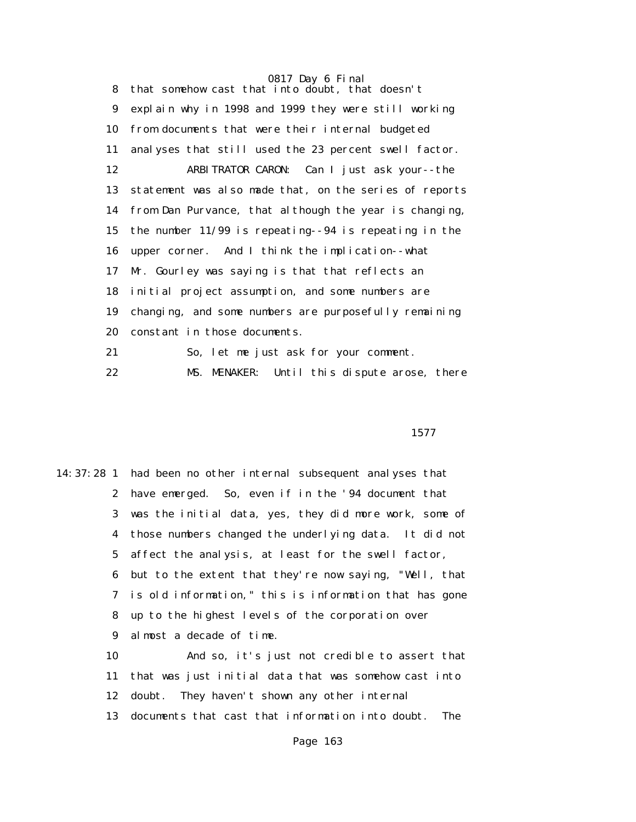0817 Day 6 Final 8 that somehow cast that into doubt, that doesn't 9 explain why in 1998 and 1999 they were still working 10 from documents that were their internal budgeted 11 analyses that still used the 23 percent swell factor. 12 ARBITRATOR CARON: Can I just ask your--the 13 statement was also made that, on the series of reports 14 from Dan Purvance, that although the year is changing, 15 the number 11/99 is repeating--94 is repeating in the 16 upper corner. And I think the implication--what 17 Mr. Gourley was saying is that that reflects an 18 initial project assumption, and some numbers are 19 changing, and some numbers are purposefully remaining 20 constant in those documents. 21 So, let me just ask for your comment.

22 MS. MENAKER: Until this dispute arose, there

1577

14:37:28 1 had been no other internal subsequent analyses that 2 have emerged. So, even if in the '94 document that 3 was the initial data, yes, they did more work, some of 4 those numbers changed the underlying data. It did not 5 affect the analysis, at least for the swell factor, 6 but to the extent that they're now saying, "Well, that 7 is old information," this is information that has gone 8 up to the highest levels of the corporation over 9 almost a decade of time. 10 And so, it's just not credible to assert that 11 that was just initial data that was somehow cast into

12 doubt. They haven't shown any other internal

13 documents that cast that information into doubt. The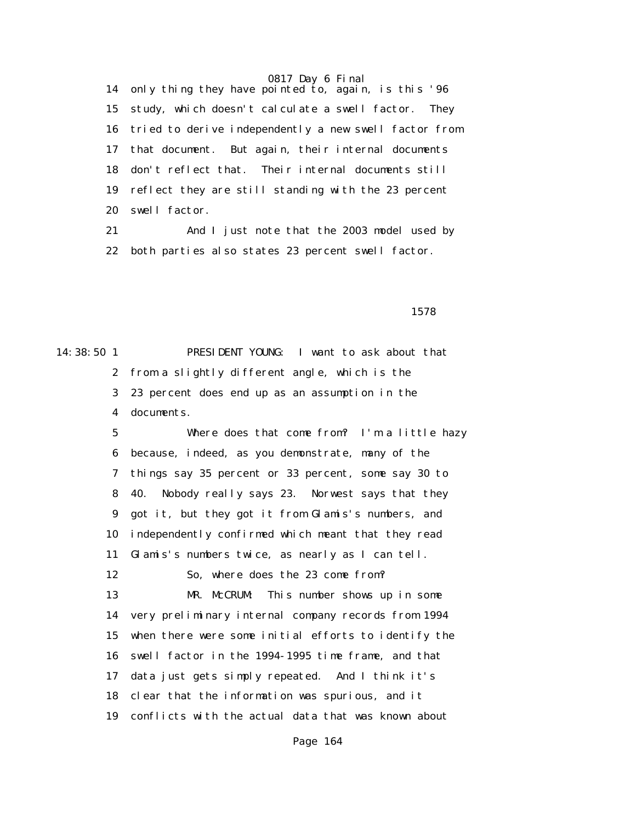14 only thing they have pointed to, again, is this '96 15 study, which doesn't calculate a swell factor. They 16 tried to derive independently a new swell factor from 17 that document. But again, their internal documents 18 don't reflect that. Their internal documents still 19 reflect they are still standing with the 23 percent 20 swell factor.

 21 And I just note that the 2003 model used by 22 both parties also states 23 percent swell factor.

1578

14:38:50 1 PRESIDENT YOUNG: I want to ask about that 2 from a slightly different angle, which is the 3 23 percent does end up as an assumption in the 4 documents.

> 5 Where does that come from? I'm a little hazy 6 because, indeed, as you demonstrate, many of the 7 things say 35 percent or 33 percent, some say 30 to 8 40. Nobody really says 23. Norwest says that they 9 got it, but they got it from Glamis's numbers, and 10 independently confirmed which meant that they read 11 Glamis's numbers twice, as nearly as I can tell. 12 So, where does the 23 come from? 13 MR. McCRUM: This number shows up in some 14 very preliminary internal company records from 1994 15 when there were some initial efforts to identify the 16 swell factor in the 1994-1995 time frame, and that 17 data just gets simply repeated. And I think it's 18 clear that the information was spurious, and it 19 conflicts with the actual data that was known about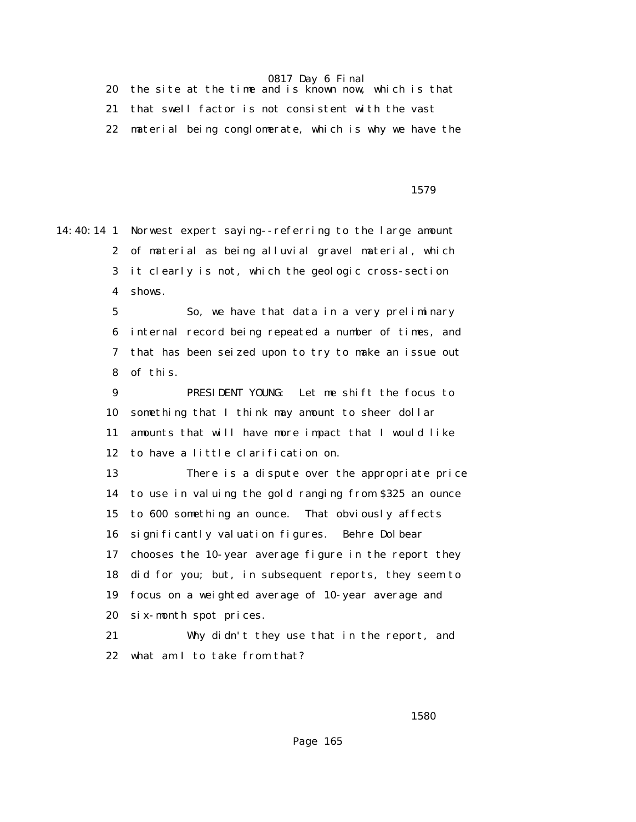20 the site at the time and is known now, which is that 21 that swell factor is not consistent with the vast 22 material being conglomerate, which is why we have the

1579

14:40:14 1 Norwest expert saying--referring to the large amount 2 of material as being alluvial gravel material, which 3 it clearly is not, which the geologic cross-section 4 shows.

> 5 So, we have that data in a very preliminary 6 internal record being repeated a number of times, and 7 that has been seized upon to try to make an issue out 8 of this.

 9 PRESIDENT YOUNG: Let me shift the focus to 10 something that I think may amount to sheer dollar 11 amounts that will have more impact that I would like 12 to have a little clarification on.

 13 There is a dispute over the appropriate price 14 to use in valuing the gold ranging from \$325 an ounce 15 to 600 something an ounce. That obviously affects 16 significantly valuation figures. Behre Dolbear 17 chooses the 10-year average figure in the report they 18 did for you; but, in subsequent reports, they seem to 19 focus on a weighted average of 10-year average and 20 six-month spot prices.

 21 Why didn't they use that in the report, and 22 what am I to take from that?

 $1580$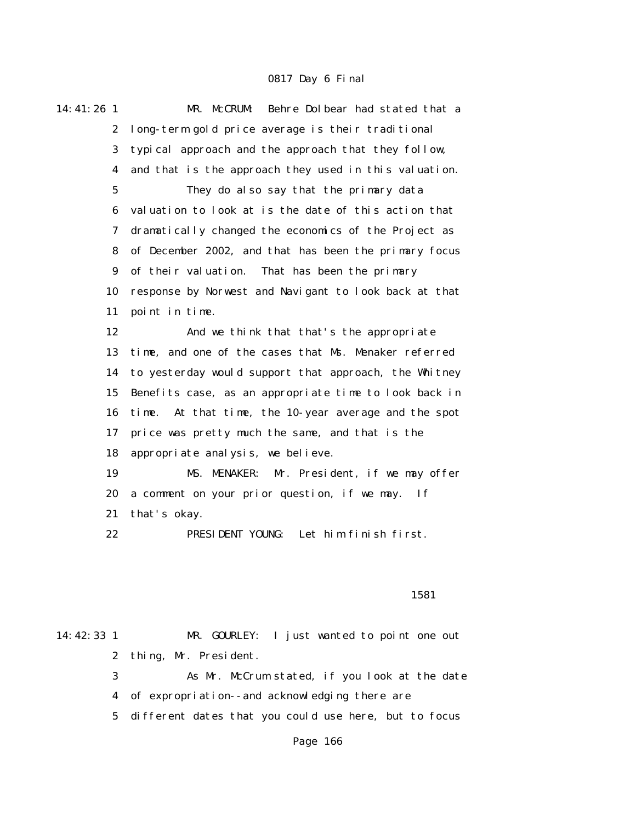| 14:41:26 1       | Behre Dolbear had stated that a<br>MR. McCRUM:            |  |  |  |
|------------------|-----------------------------------------------------------|--|--|--|
| $\boldsymbol{2}$ | long-term gold price average is their traditional         |  |  |  |
| 3                | typical approach and the approach that they follow,       |  |  |  |
| 4                | and that is the approach they used in this valuation.     |  |  |  |
| $\mathbf{5}$     | They do also say that the primary data                    |  |  |  |
| 6                | valuation to look at is the date of this action that      |  |  |  |
| 7                | dramatically changed the economics of the Project as      |  |  |  |
| 8                | of December 2002, and that has been the primary focus     |  |  |  |
| 9                | of their valuation.<br>That has been the primary          |  |  |  |
| 10               | response by Norwest and Navigant to look back at that     |  |  |  |
| 11               | point in time.                                            |  |  |  |
| 12               | And we think that that's the appropriate                  |  |  |  |
| 13               | time, and one of the cases that Ms. Menaker referred      |  |  |  |
| 14               | to yesterday would support that approach, the Whitney     |  |  |  |
| 15               | Benefits case, as an appropriate time to look back in     |  |  |  |
| 16               | time. At that time, the 10-year average and the spot      |  |  |  |
| 17               | price was pretty much the same, and that is the           |  |  |  |
| 18               | appropriate analysis, we believe.                         |  |  |  |
| 19               | MS. MENAKER: Mr. President, if we may offer               |  |  |  |
| 20               | a comment on your prior question, if we may.<br><b>If</b> |  |  |  |
| 21               | that's okay.                                              |  |  |  |
| 22               | PRESIDENT YOUNG: Let him finish first.                    |  |  |  |
|                  |                                                           |  |  |  |

#### 1581

14:42:33 1 MR. GOURLEY: I just wanted to point one out 2 thing, Mr. President.

> 3 As Mr. McCrum stated, if you look at the date 4 of expropriation--and acknowledging there are

5 different dates that you could use here, but to focus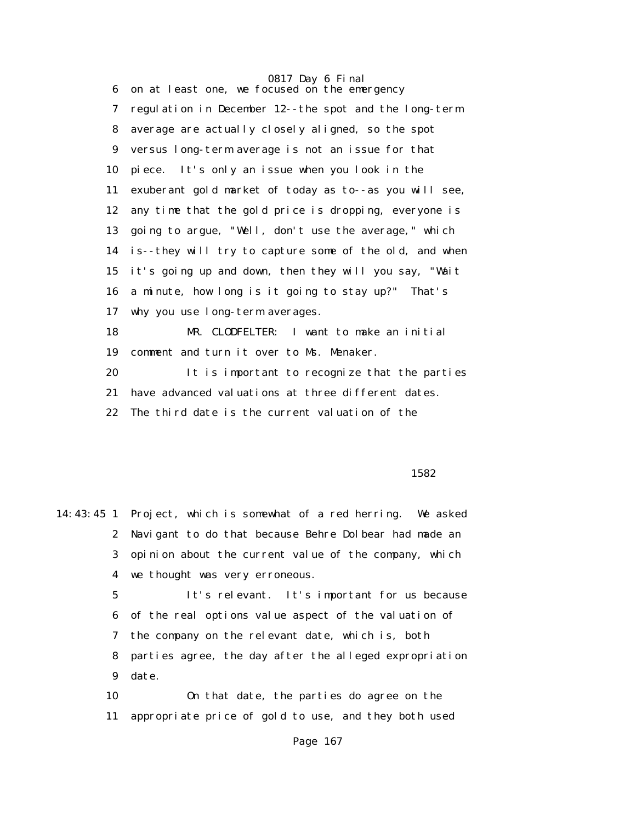0817 Day 6 Final 6 on at least one, we focused on the emergency 7 regulation in December 12--the spot and the long-term 8 average are actually closely aligned, so the spot 9 versus long-term average is not an issue for that 10 piece. It's only an issue when you look in the 11 exuberant gold market of today as to--as you will see, 12 any time that the gold price is dropping, everyone is 13 going to argue, "Well, don't use the average," which 14 is--they will try to capture some of the old, and when 15 it's going up and down, then they will you say, "Wait 16 a minute, how long is it going to stay up?" That's 17 why you use long-term averages. 18 MR. CLODFELTER: I want to make an initial 19 comment and turn it over to Ms. Menaker. 20 It is important to recognize that the parties 21 have advanced valuations at three different dates. 22 The third date is the current valuation of the

 $1582$ 

14:43:45 1 Project, which is somewhat of a red herring. We asked 2 Navigant to do that because Behre Dolbear had made an 3 opinion about the current value of the company, which 4 we thought was very erroneous.

> 5 It's relevant. It's important for us because 6 of the real options value aspect of the valuation of 7 the company on the relevant date, which is, both 8 parties agree, the day after the alleged expropriation 9 date.

 10 On that date, the parties do agree on the 11 appropriate price of gold to use, and they both used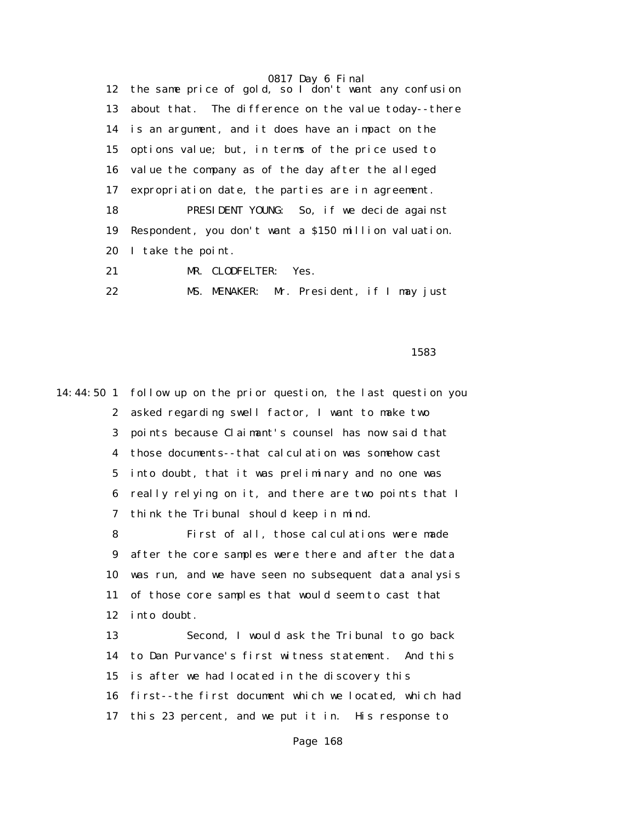12 the same price of gold, so I don't want any confusion 13 about that. The difference on the value today--there 14 is an argument, and it does have an impact on the 15 options value; but, in terms of the price used to 16 value the company as of the day after the alleged 17 expropriation date, the parties are in agreement. 18 PRESIDENT YOUNG: So, if we decide against 19 Respondent, you don't want a \$150 million valuation. 20 I take the point. 21 MR. CLODFELTER: Yes.

22 MS. MENAKER: Mr. President, if I may just

 $1583$ 

14:44:50 1 follow up on the prior question, the last question you 2 asked regarding swell factor, I want to make two 3 points because Claimant's counsel has now said that 4 those documents--that calculation was somehow cast 5 into doubt, that it was preliminary and no one was 6 really relying on it, and there are two points that I 7 think the Tribunal should keep in mind. 8 First of all, those calculations were made 9 after the core samples were there and after the data 10 was run, and we have seen no subsequent data analysis 11 of those core samples that would seem to cast that 12 into doubt. 13 Second, I would ask the Tribunal to go back 14 to Dan Purvance's first witness statement. And this 15 is after we had located in the discovery this 16 first--the first document which we located, which had 17 this 23 percent, and we put it in. His response to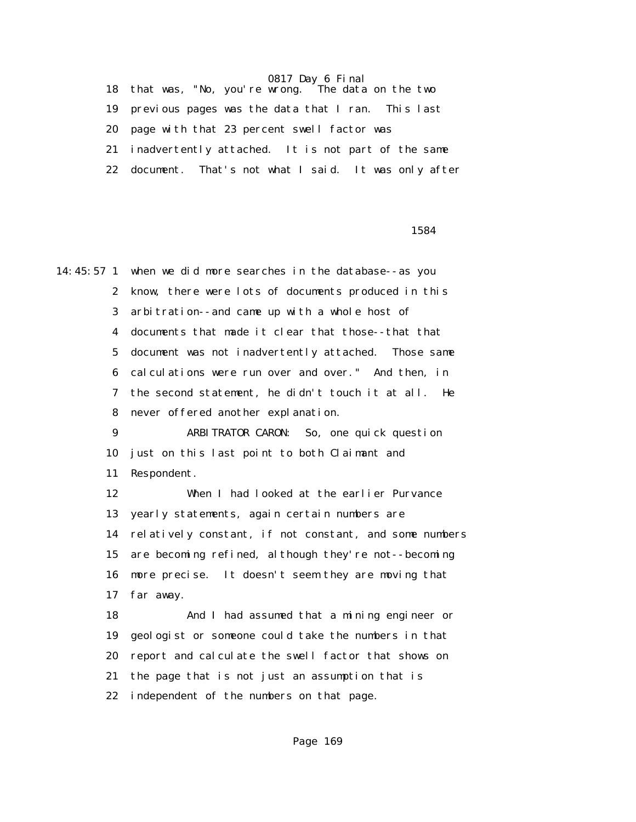0817 Day 6 Final 18 that was, "No, you're wrong. 19 previous pages was the data that I ran. This last 20 page with that 23 percent swell factor was 21 inadvertently attached. It is not part of the same 22 document. That's not what I said. It was only after

<u>1584</u>

14:45:57 1 when we did more searches in the database--as you 2 know, there were lots of documents produced in this 3 arbitration--and came up with a whole host of 4 documents that made it clear that those--that that 5 document was not inadvertently attached. Those same 6 calculations were run over and over." And then, in 7 the second statement, he didn't touch it at all. He 8 never offered another explanation. 9 ARBITRATOR CARON: So, one quick question 10 just on this last point to both Claimant and 11 Respondent. 12 When I had looked at the earlier Purvance 13 yearly statements, again certain numbers are 14 relatively constant, if not constant, and some numbers 15 are becoming refined, although they're not--becoming 16 more precise. It doesn't seem they are moving that 17 far away. 18 And I had assumed that a mining engineer or 19 geologist or someone could take the numbers in that 20 report and calculate the swell factor that shows on 21 the page that is not just an assumption that is 22 independent of the numbers on that page.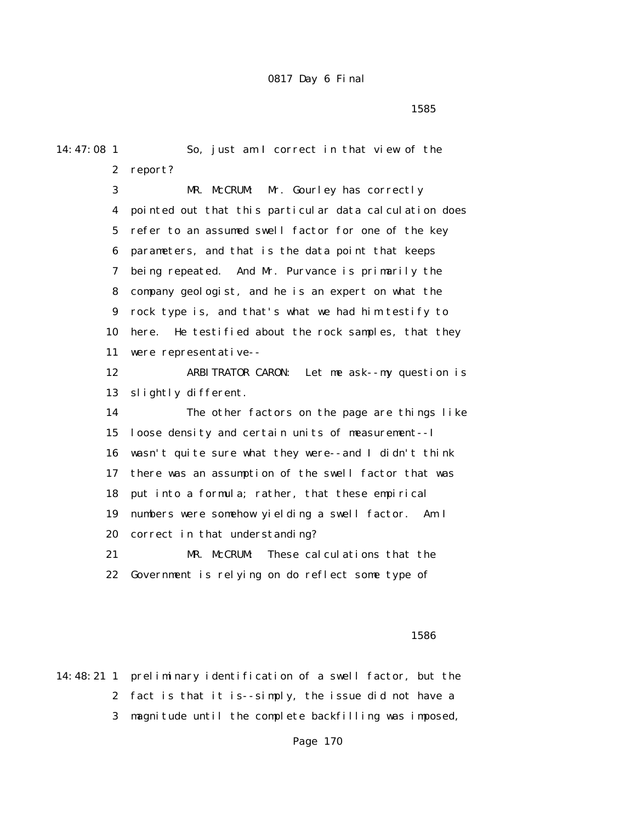$1585$ 

14:47:08 1 So, just am I correct in that view of the 2 report? 3 MR. McCRUM: Mr. Gourley has correctly 4 pointed out that this particular data calculation does 5 refer to an assumed swell factor for one of the key 6 parameters, and that is the data point that keeps 7 being repeated. And Mr. Purvance is primarily the 8 company geologist, and he is an expert on what the 9 rock type is, and that's what we had him testify to 10 here. He testified about the rock samples, that they 11 were representative-- 12 ARBITRATOR CARON: Let me ask--my question is 13 slightly different. 14 The other factors on the page are things like 15 loose density and certain units of measurement--I 16 wasn't quite sure what they were--and I didn't think 17 there was an assumption of the swell factor that was 18 put into a formula; rather, that these empirical 19 numbers were somehow yielding a swell factor. Am I 20 correct in that understanding? 21 MR. McCRUM: These calculations that the 22 Government is relying on do reflect some type of

### $1586$

14:48:21 1 preliminary identification of a swell factor, but the 2 fact is that it is--simply, the issue did not have a 3 magnitude until the complete backfilling was imposed,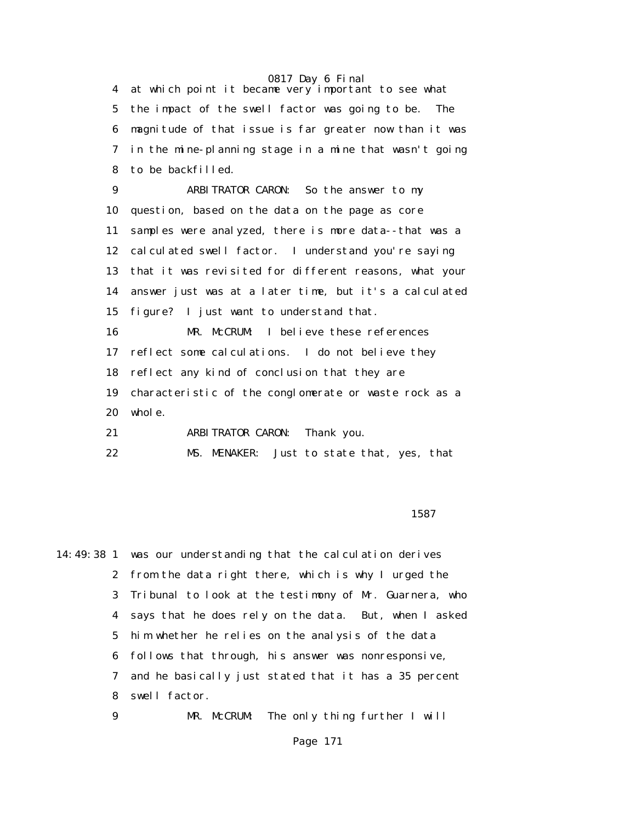4 at which point it became very important to see what 5 the impact of the swell factor was going to be. The 6 magnitude of that issue is far greater now than it was 7 in the mine-planning stage in a mine that wasn't going 8 to be backfilled.

 9 ARBITRATOR CARON: So the answer to my 10 question, based on the data on the page as core 11 samples were analyzed, there is more data--that was a 12 calculated swell factor. I understand you're saying 13 that it was revisited for different reasons, what your 14 answer just was at a later time, but it's a calculated 15 figure? I just want to understand that. 16 MR. McCRUM: I believe these references 17 reflect some calculations. I do not believe they 18 reflect any kind of conclusion that they are 19 characteristic of the conglomerate or waste rock as a 20 whole. 21 ARBITRATOR CARON: Thank you.

22 MS. MENAKER: Just to state that, yes, that

проставляются в подписании в 1587 °C. В 1587 °C. В 1587 °C. В 1587 °C. В 1587 °C. В 1587 °C. В 1587 °C. В 1587

14:49:38 1 was our understanding that the calculation derives 2 from the data right there, which is why I urged the 3 Tribunal to look at the testimony of Mr. Guarnera, who 4 says that he does rely on the data. But, when I asked 5 him whether he relies on the analysis of the data 6 follows that through, his answer was nonresponsive, 7 and he basically just stated that it has a 35 percent 8 swell factor. 9 MR. McCRUM: The only thing further I will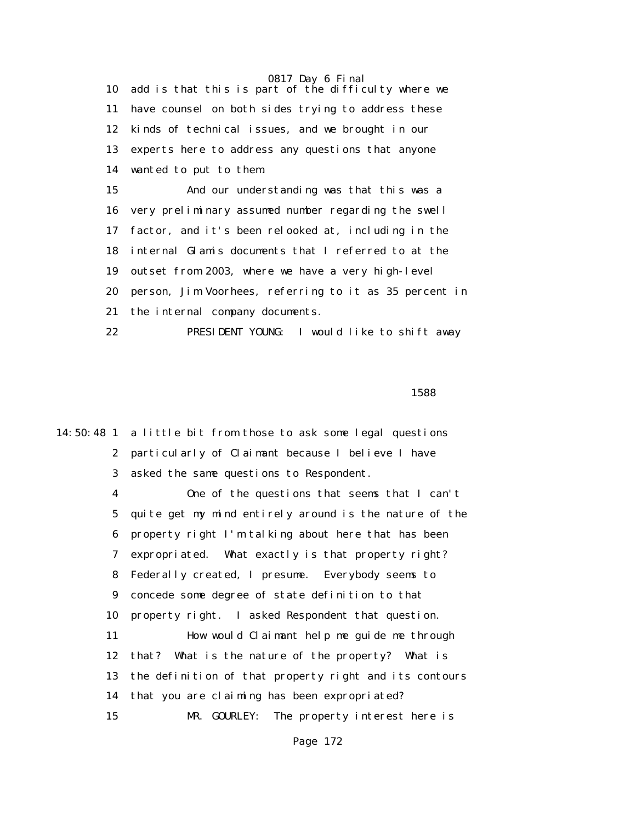10 add is that this is part of the difficulty where we 11 have counsel on both sides trying to address these 12 kinds of technical issues, and we brought in our 13 experts here to address any questions that anyone 14 wanted to put to them. 15 And our understanding was that this was a 16 very preliminary assumed number regarding the swell 17 factor, and it's been relooked at, including in the 18 internal Glamis documents that I referred to at the 19 outset from 2003, where we have a very high-level 20 person, Jim Voorhees, referring to it as 35 percent in 21 the internal company documents. 22 PRESIDENT YOUNG: I would like to shift away

 $1588$ 

14:50:48 1 a little bit from those to ask some legal questions 2 particularly of Claimant because I believe I have 3 asked the same questions to Respondent. 4 One of the questions that seems that I can't 5 quite get my mind entirely around is the nature of the 6 property right I'm talking about here that has been 7 expropriated. What exactly is that property right? 8 Federally created, I presume. Everybody seems to 9 concede some degree of state definition to that 10 property right. I asked Respondent that question. 11 How would Claimant help me guide me through 12 that? What is the nature of the property? What is 13 the definition of that property right and its contours 14 that you are claiming has been expropriated? 15 MR. GOURLEY: The property interest here is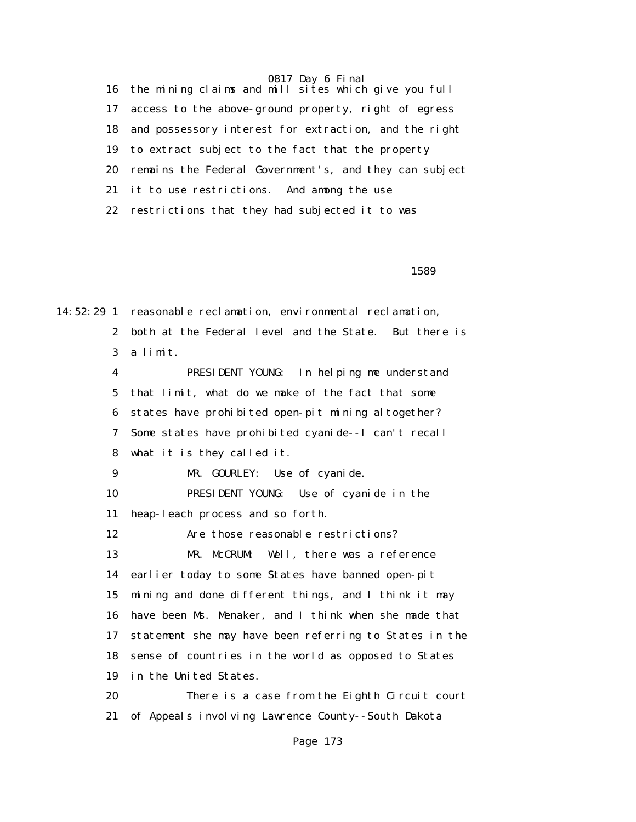16 the mining claims and mill sites which give you full 17 access to the above-ground property, right of egress 18 and possessory interest for extraction, and the right 19 to extract subject to the fact that the property 20 remains the Federal Government's, and they can subject 21 it to use restrictions. And among the use 22 restrictions that they had subjected it to was

 $1589$ 

14:52:29 1 reasonable reclamation, environmental reclamation, 2 both at the Federal level and the State. But there is 3 a limit. 4 PRESIDENT YOUNG: In helping me understand 5 that limit, what do we make of the fact that some 6 states have prohibited open-pit mining altogether? 7 Some states have prohibited cyanide--I can't recall 8 what it is they called it. 9 MR. GOURLEY: Use of cyanide. 10 PRESIDENT YOUNG: Use of cyanide in the 11 heap-leach process and so forth. 12 Are those reasonable restrictions? 13 MR. McCRUM: Well, there was a reference 14 earlier today to some States have banned open-pit 15 mining and done different things, and I think it may 16 have been Ms. Menaker, and I think when she made that 17 statement she may have been referring to States in the 18 sense of countries in the world as opposed to States 19 in the United States. 20 There is a case from the Eighth Circuit court 21 of Appeals involving Lawrence County--South Dakota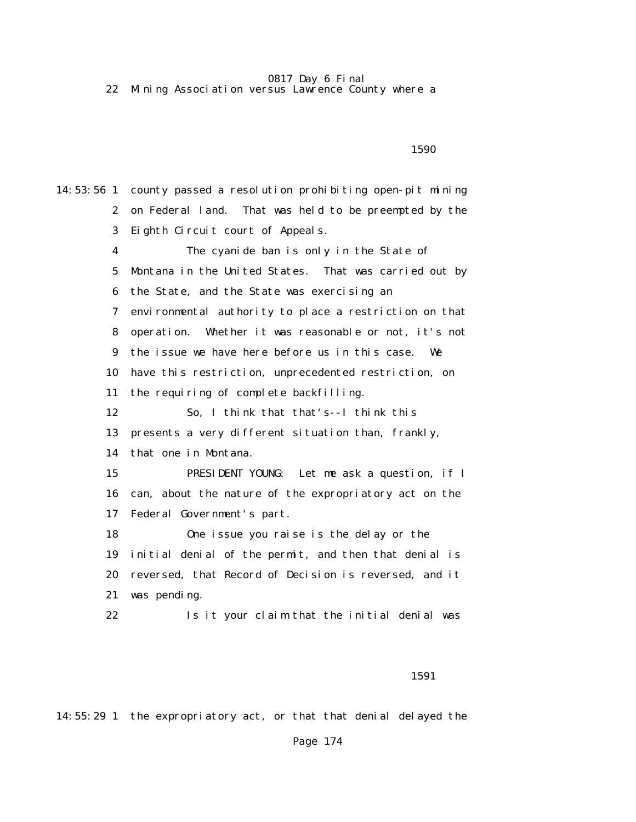22 Mining Association versus Lawrence County where a

 $1590$ 

14:53:56 1 county passed a resolution prohibiting open-pit mining 2 on Federal land. That was held to be preempted by the 3 Eighth Circuit court of Appeals. 4 The cyanide ban is only in the State of 5 Montana in the United States. That was carried out by 6 the State, and the State was exercising an 7 environmental authority to place a restriction on that 8 operation. Whether it was reasonable or not, it's not 9 the issue we have here before us in this case. We 10 have this restriction, unprecedented restriction, on 11 the requiring of complete backfilling. 12 So, I think that that's--I think this 13 presents a very different situation than, frankly, 14 that one in Montana. 15 PRESIDENT YOUNG: Let me ask a question, if I 16 can, about the nature of the expropriatory act on the 17 Federal Government's part. 18 One issue you raise is the delay or the 19 initial denial of the permit, and then that denial is 20 reversed, that Record of Decision is reversed, and it 21 was pending. 22 Is it your claim that the initial denial was

1591

14:55:29 1 the expropriatory act, or that that denial delayed the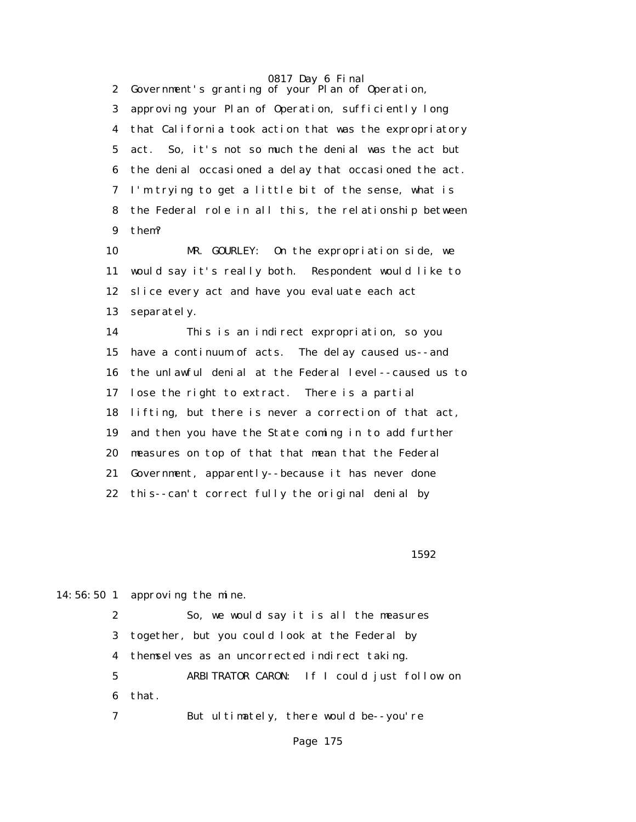2 Government's granting of your Plan of Operation, 3 approving your Plan of Operation, sufficiently long 4 that California took action that was the expropriatory 5 act. So, it's not so much the denial was the act but 6 the denial occasioned a delay that occasioned the act. 7 I'm trying to get a little bit of the sense, what is 8 the Federal role in all this, the relationship between 9 them?

 10 MR. GOURLEY: On the expropriation side, we 11 would say it's really both. Respondent would like to 12 slice every act and have you evaluate each act 13 separately.

 14 This is an indirect expropriation, so you 15 have a continuum of acts. The delay caused us--and 16 the unlawful denial at the Federal level--caused us to 17 lose the right to extract. There is a partial 18 lifting, but there is never a correction of that act, 19 and then you have the State coming in to add further 20 measures on top of that that mean that the Federal 21 Government, apparently--because it has never done 22 this--can't correct fully the original denial by

 $1592$ 

14:56:50 1 approving the mine.

 2 So, we would say it is all the measures 3 together, but you could look at the Federal by 4 themselves as an uncorrected indirect taking. 5 ARBITRATOR CARON: If I could just follow on 6 that. 7 But ultimately, there would be--you're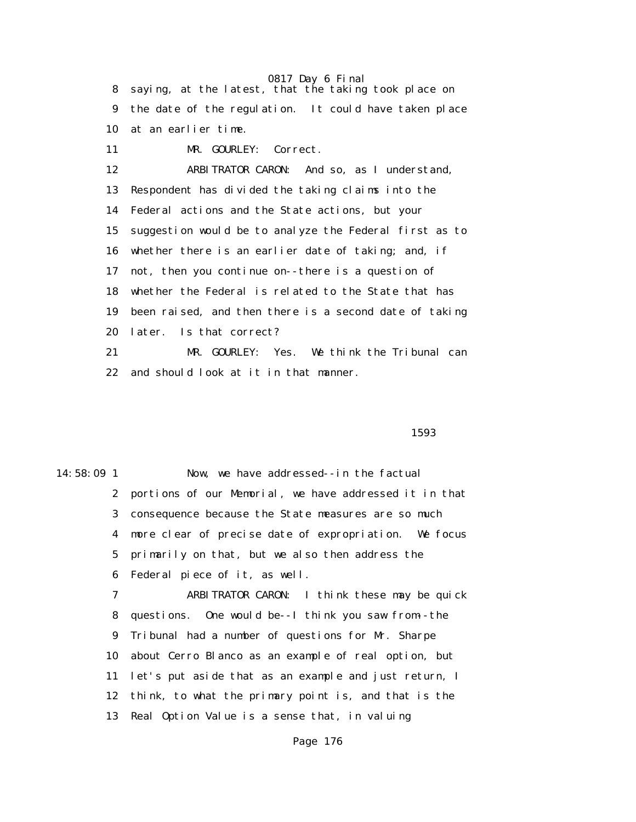8 saying, at the latest, that the taking took place on 9 the date of the regulation. It could have taken place 10 at an earlier time.

11 MR. GOURLEY: Correct.

 12 ARBITRATOR CARON: And so, as I understand, 13 Respondent has divided the taking claims into the 14 Federal actions and the State actions, but your 15 suggestion would be to analyze the Federal first as to 16 whether there is an earlier date of taking; and, if 17 not, then you continue on--there is a question of 18 whether the Federal is related to the State that has 19 been raised, and then there is a second date of taking 20 later. Is that correct? 21 MR. GOURLEY: Yes. We think the Tribunal can

22 and should look at it in that manner.

 $1593$ 

14:58:09 1 Now, we have addressed--in the factual 2 portions of our Memorial, we have addressed it in that 3 consequence because the State measures are so much 4 more clear of precise date of expropriation. We focus 5 primarily on that, but we also then address the 6 Federal piece of it, as well. 7 ARBITRATOR CARON: I think these may be quick 8 questions. One would be--I think you saw from--the 9 Tribunal had a number of questions for Mr. Sharpe 10 about Cerro Blanco as an example of real option, but 11 let's put aside that as an example and just return, I 12 think, to what the primary point is, and that is the

13 Real Option Value is a sense that, in valuing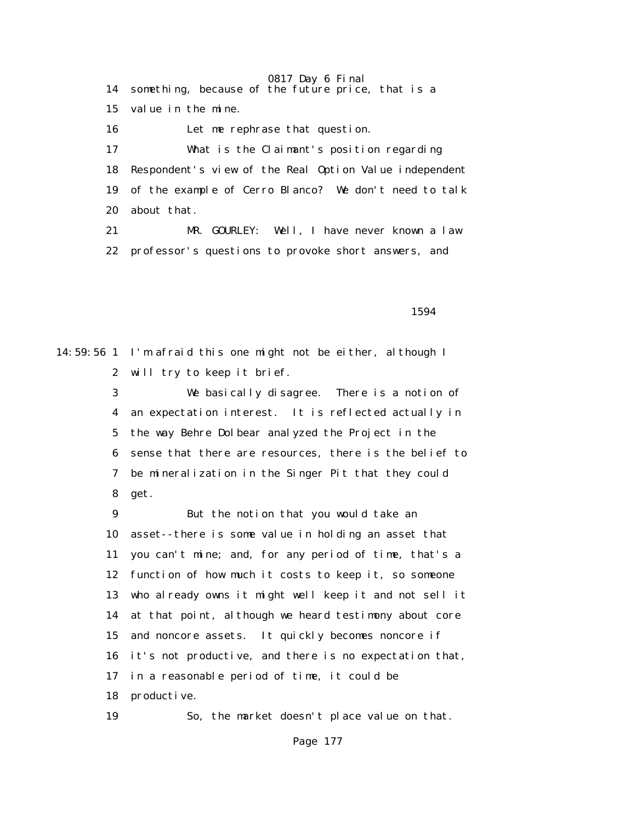0817 Day 6 Final 14 something, because of the future price, that is a 15 value in the mine. 16 Let me rephrase that question. 17 What is the Claimant's position regarding 18 Respondent's view of the Real Option Value independent 19 of the example of Cerro Blanco? We don't need to talk 20 about that. 21 MR. GOURLEY: Well, I have never known a law 22 professor's questions to provoke short answers, and

<u>1594</u>

14:59:56 1 I'm afraid this one might not be either, although I 2 will try to keep it brief.

> 3 We basically disagree. There is a notion of 4 an expectation interest. It is reflected actually in 5 the way Behre Dolbear analyzed the Project in the 6 sense that there are resources, there is the belief to 7 be mineralization in the Singer Pit that they could 8 get.

 9 But the notion that you would take an 10 asset--there is some value in holding an asset that 11 you can't mine; and, for any period of time, that's a 12 function of how much it costs to keep it, so someone 13 who already owns it might well keep it and not sell it 14 at that point, although we heard testimony about core 15 and noncore assets. It quickly becomes noncore if 16 it's not productive, and there is no expectation that, 17 in a reasonable period of time, it could be 18 productive.

19 So, the market doesn't place value on that.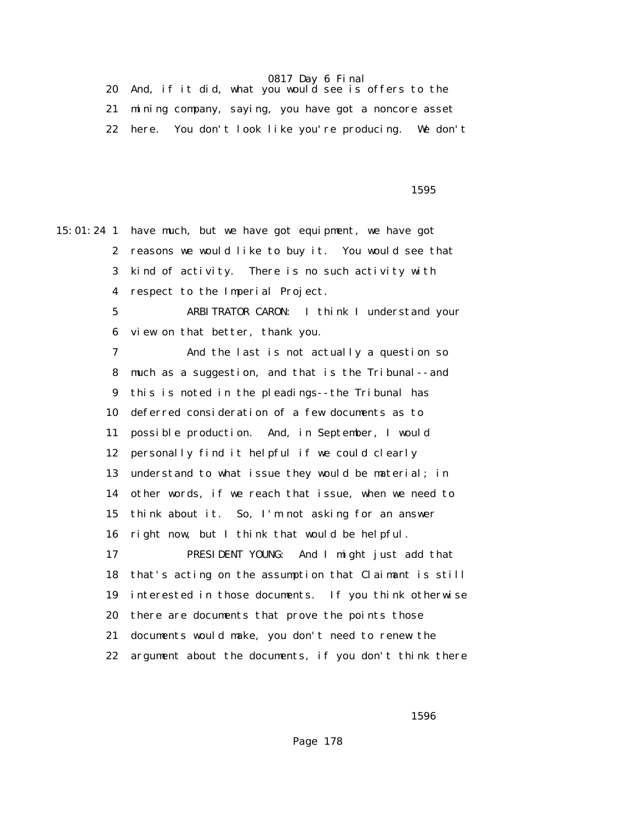| And, if it did, what you would see is offers to the     |  |
|---------------------------------------------------------|--|
| mining company, saying, you have got a noncore asset    |  |
| 22 here. You don't look like you're producing. We don't |  |

 $1595$ 

15:01:24 1 have much, but we have got equipment, we have got 2 reasons we would like to buy it. You would see that 3 kind of activity. There is no such activity with 4 respect to the Imperial Project. 5 ARBITRATOR CARON: I think I understand your 6 view on that better, thank you. 7 And the last is not actually a question so 8 much as a suggestion, and that is the Tribunal--and 9 this is noted in the pleadings--the Tribunal has 10 deferred consideration of a few documents as to 11 possible production. And, in September, I would 12 personally find it helpful if we could clearly 13 understand to what issue they would be material; in 14 other words, if we reach that issue, when we need to 15 think about it. So, I'm not asking for an answer 16 right now, but I think that would be helpful. 17 PRESIDENT YOUNG: And I might just add that 18 that's acting on the assumption that Claimant is still 19 interested in those documents. If you think otherwise 20 there are documents that prove the points those 21 documents would make, you don't need to renew the 22 argument about the documents, if you don't think there

 $1596$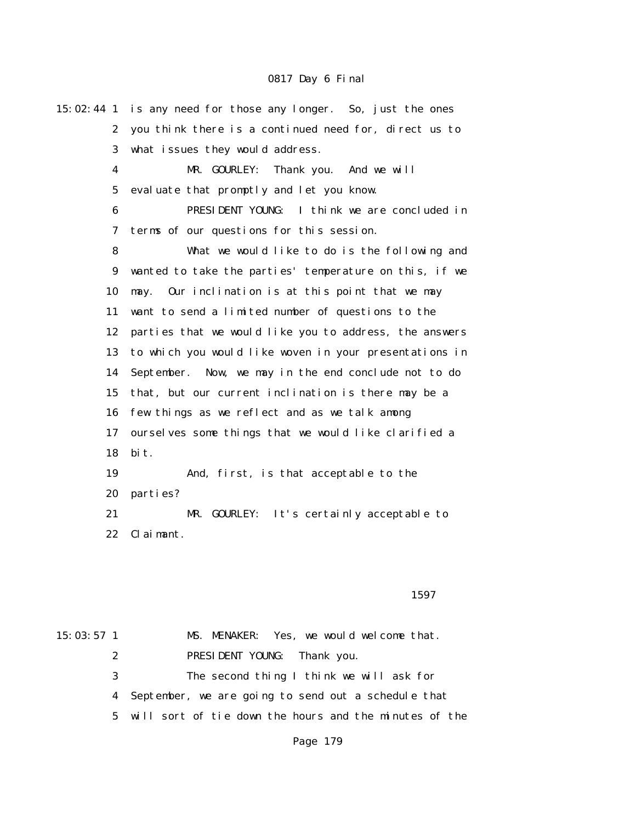15:02:44 1 is any need for those any longer. So, just the ones 2 you think there is a continued need for, direct us to 3 what issues they would address. 4 MR. GOURLEY: Thank you. And we will 5 evaluate that promptly and let you know. 6 PRESIDENT YOUNG: I think we are concluded in 7 terms of our questions for this session. 8 What we would like to do is the following and 9 wanted to take the parties' temperature on this, if we 10 may. Our inclination is at this point that we may 11 want to send a limited number of questions to the 12 parties that we would like you to address, the answers 13 to which you would like woven in your presentations in 14 September. Now, we may in the end conclude not to do 15 that, but our current inclination is there may be a 16 few things as we reflect and as we talk among 17 ourselves some things that we would like clarified a 18 bit. 19 And, first, is that acceptable to the 20 parties? 21 MR. GOURLEY: It's certainly acceptable to 22 Claimant.

#### $1597$

15:03:57 1 MS. MENAKER: Yes, we would welcome that. 2 PRESIDENT YOUNG: Thank you. 3 The second thing I think we will ask for 4 September, we are going to send out a schedule that 5 will sort of tie down the hours and the minutes of the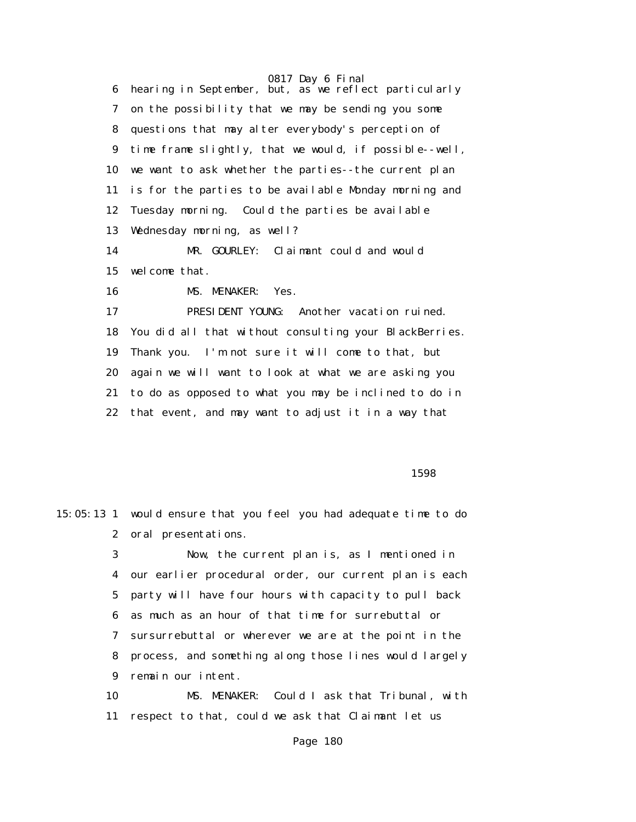6 hearing in September, but, as we reflect particularly 7 on the possibility that we may be sending you some 8 questions that may alter everybody's perception of 9 time frame slightly, that we would, if possible--well, 10 we want to ask whether the parties--the current plan 11 is for the parties to be available Monday morning and 12 Tuesday morning. Could the parties be available 13 Wednesday morning, as well? 14 MR. GOURLEY: Claimant could and would 15 welcome that. 16 MS. MENAKER: Yes. 17 PRESIDENT YOUNG: Another vacation ruined. 18 You did all that without consulting your BlackBerries. 19 Thank you. I'm not sure it will come to that, but 20 again we will want to look at what we are asking you 21 to do as opposed to what you may be inclined to do in 22 that event, and may want to adjust it in a way that

 $1598$ 

15:05:13 1 would ensure that you feel you had adequate time to do 2 oral presentations.

> 3 Now, the current plan is, as I mentioned in 4 our earlier procedural order, our current plan is each 5 party will have four hours with capacity to pull back 6 as much as an hour of that time for surrebuttal or 7 sursurrebuttal or wherever we are at the point in the 8 process, and something along those lines would largely 9 remain our intent.

 10 MS. MENAKER: Could I ask that Tribunal, with 11 respect to that, could we ask that Claimant let us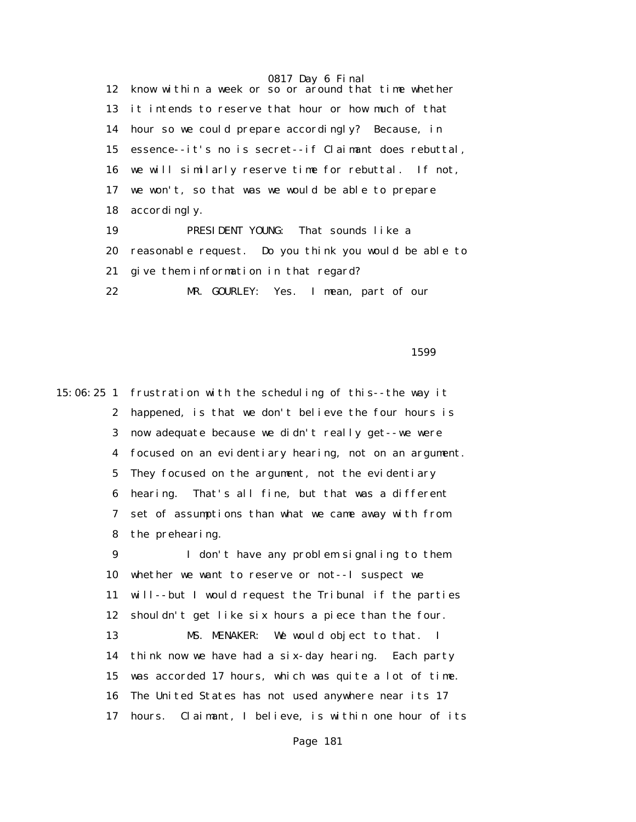0817 Day 6 Final

 12 know within a week or so or around that time whether 13 it intends to reserve that hour or how much of that 14 hour so we could prepare accordingly? Because, in 15 essence--it's no is secret--if Claimant does rebuttal, 16 we will similarly reserve time for rebuttal. If not, 17 we won't, so that was we would be able to prepare 18 accordingly. 19 PRESIDENT YOUNG: That sounds like a 20 reasonable request. Do you think you would be able to 21 give them information in that regard? 22 MR. GOURLEY: Yes. I mean, part of our

 $1599$ 

15:06:25 1 frustration with the scheduling of this--the way it 2 happened, is that we don't believe the four hours is 3 now adequate because we didn't really get--we were 4 focused on an evidentiary hearing, not on an argument. 5 They focused on the argument, not the evidentiary 6 hearing. That's all fine, but that was a different 7 set of assumptions than what we came away with from 8 the prehearing. 9 I don't have any problem signaling to them 10 whether we want to reserve or not--I suspect we 11 will--but I would request the Tribunal if the parties 12 shouldn't get like six hours a piece than the four. 13 MS. MENAKER: We would object to that. I 14 think now we have had a six-day hearing. Each party 15 was accorded 17 hours, which was quite a lot of time. 16 The United States has not used anywhere near its 17 17 hours. Claimant, I believe, is within one hour of its

Page 181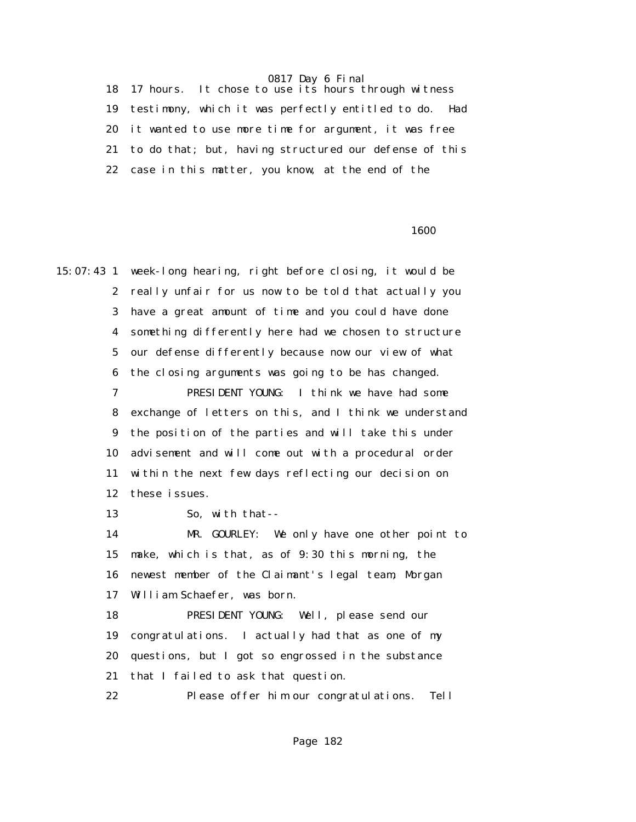0817 Day 6 Final

 18 17 hours. It chose to use its hours through witness 19 testimony, which it was perfectly entitled to do. Had 20 it wanted to use more time for argument, it was free 21 to do that; but, having structured our defense of this 22 case in this matter, you know, at the end of the

 $1600$ 

15:07:43 1 week-long hearing, right before closing, it would be 2 really unfair for us now to be told that actually you 3 have a great amount of time and you could have done 4 something differently here had we chosen to structure 5 our defense differently because now our view of what 6 the closing arguments was going to be has changed. 7 PRESIDENT YOUNG: I think we have had some 8 exchange of letters on this, and I think we understand 9 the position of the parties and will take this under 10 advisement and will come out with a procedural order 11 within the next few days reflecting our decision on 12 these issues. 13 So, with that-- 14 MR. GOURLEY: We only have one other point to 15 make, which is that, as of 9:30 this morning, the 16 newest member of the Claimant's legal team, Morgan 17 William Schaefer, was born. 18 PRESIDENT YOUNG: Well, please send our 19 congratulations. I actually had that as one of my 20 questions, but I got so engrossed in the substance 21 that I failed to ask that question. 22 Please offer him our congratulations. Tell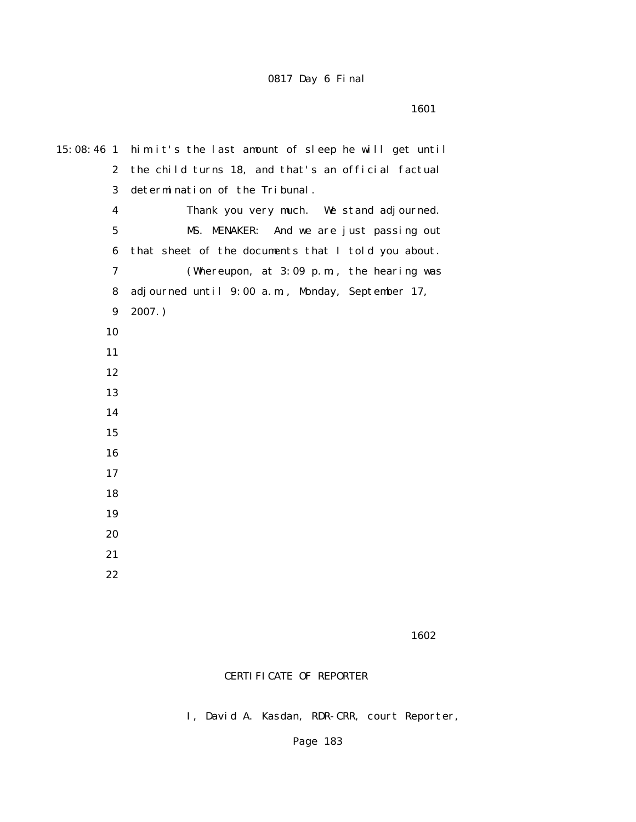| $15:08:46$ 1     | him it's the last amount of sleep he will get until |
|------------------|-----------------------------------------------------|
| $\boldsymbol{2}$ | the child turns 18, and that's an official factual  |
| 3                | determination of the Tribunal.                      |
| $\boldsymbol{4}$ | Thank you very much. We stand adjourned.            |
| $\mathbf{5}$     | MS. MENAKER: And we are just passing out            |
| $\bf{6}$         | that sheet of the documents that I told you about.  |
| $\boldsymbol{7}$ | (Whereupon, at $3:09$ p.m., the hearing was         |
| 8                | adjourned until 9:00 a.m., Monday, September 17,    |
| $\boldsymbol{9}$ | $2007.$ )                                           |
| 10               |                                                     |
| 11               |                                                     |
| 12               |                                                     |
| 13               |                                                     |
| 14               |                                                     |
| 15               |                                                     |
| 16               |                                                     |
| 17               |                                                     |
| 18               |                                                     |
| 19               |                                                     |
| 20               |                                                     |
| 21               |                                                     |
| 22               |                                                     |
|                  |                                                     |

 $1602$ 

## CERTIFICATE OF REPORTER

I, David A. Kasdan, RDR-CRR, court Reporter,